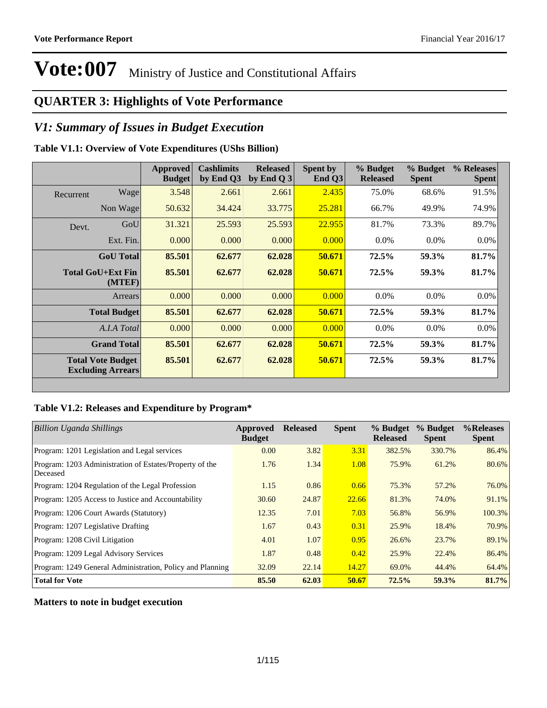### **QUARTER 3: Highlights of Vote Performance**

### *V1: Summary of Issues in Budget Execution*

#### **Table V1.1: Overview of Vote Expenditures (UShs Billion)**

|           |                                                      | <b>Approved</b><br><b>Budget</b> | <b>Cashlimits</b><br>by End Q3 | <b>Released</b><br>by End $Q_3$ | Spent by<br>End $Q3$ | % Budget<br><b>Released</b> | % Budget<br><b>Spent</b> | % Releases<br><b>Spent</b> |
|-----------|------------------------------------------------------|----------------------------------|--------------------------------|---------------------------------|----------------------|-----------------------------|--------------------------|----------------------------|
| Recurrent | Wage                                                 | 3.548                            | 2.661                          | 2.661                           | 2.435                | 75.0%                       | 68.6%                    | 91.5%                      |
|           | Non Wage                                             | 50.632                           | 34.424                         | 33.775                          | 25.281               | 66.7%                       | 49.9%                    | 74.9%                      |
| Devt.     | GoU                                                  | 31.321                           | 25.593                         | 25.593                          | 22.955               | 81.7%                       | 73.3%                    | 89.7%                      |
|           | Ext. Fin.                                            | 0.000                            | 0.000                          | 0.000                           | 0.000                | $0.0\%$                     | $0.0\%$                  | $0.0\%$                    |
|           | <b>GoU</b> Total                                     | 85.501                           | 62.677                         | 62.028                          | 50.671               | 72.5%                       | 59.3%                    | 81.7%                      |
|           | Total GoU+Ext Fin<br>(MTEF)                          | 85.501                           | 62.677                         | 62.028                          | 50.671               | 72.5%                       | 59.3%                    | 81.7%                      |
|           | Arrears                                              | 0.000                            | 0.000                          | 0.000                           | 0.000                | $0.0\%$                     | $0.0\%$                  | 0.0%                       |
|           | <b>Total Budget</b>                                  | 85.501                           | 62.677                         | 62.028                          | 50.671               | 72.5%                       | 59.3%                    | 81.7%                      |
|           | A.I.A Total                                          | 0.000                            | 0.000                          | 0.000                           | 0.000                | $0.0\%$                     | $0.0\%$                  | $0.0\%$                    |
|           | <b>Grand Total</b>                                   | 85.501                           | 62.677                         | 62.028                          | 50.671               | 72.5%                       | 59.3%                    | 81.7%                      |
|           | <b>Total Vote Budget</b><br><b>Excluding Arrears</b> | 85.501                           | 62.677                         | 62.028                          | 50.671               | 72.5%                       | 59.3%                    | 81.7%                      |

#### **Table V1.2: Releases and Expenditure by Program\***

| Billion Uganda Shillings                                            | Approved<br><b>Budget</b> | <b>Released</b> | <b>Spent</b> | % Budget<br><b>Released</b> | % Budget<br><b>Spent</b> | %Releases<br><b>Spent</b> |
|---------------------------------------------------------------------|---------------------------|-----------------|--------------|-----------------------------|--------------------------|---------------------------|
| Program: 1201 Legislation and Legal services                        | 0.00                      | 3.82            | 3.31         | 382.5%                      | 330.7%                   | 86.4%                     |
| Program: 1203 Administration of Estates/Property of the<br>Deceased | 1.76                      | 1.34            | 1.08         | 75.9%                       | 61.2%                    | 80.6%                     |
| Program: 1204 Regulation of the Legal Profession                    | 1.15                      | 0.86            | 0.66         | 75.3%                       | 57.2%                    | 76.0%                     |
| Program: 1205 Access to Justice and Accountability                  | 30.60                     | 24.87           | 22.66        | 81.3%                       | 74.0%                    | 91.1%                     |
| Program: 1206 Court Awards (Statutory)                              | 12.35                     | 7.01            | 7.03         | 56.8%                       | 56.9%                    | 100.3%                    |
| Program: 1207 Legislative Drafting                                  | 1.67                      | 0.43            | 0.31         | 25.9%                       | 18.4%                    | 70.9%                     |
| Program: 1208 Civil Litigation                                      | 4.01                      | 1.07            | 0.95         | 26.6%                       | 23.7%                    | 89.1%                     |
| Program: 1209 Legal Advisory Services                               | 1.87                      | 0.48            | 0.42         | 25.9%                       | 22.4%                    | 86.4%                     |
| Program: 1249 General Administration, Policy and Planning           | 32.09                     | 22.14           | 14.27        | 69.0%                       | 44.4%                    | 64.4%                     |
| <b>Total for Vote</b>                                               | 85.50                     | 62.03           | 50.67        | 72.5%                       | 59.3%                    | 81.7%                     |

**Matters to note in budget execution**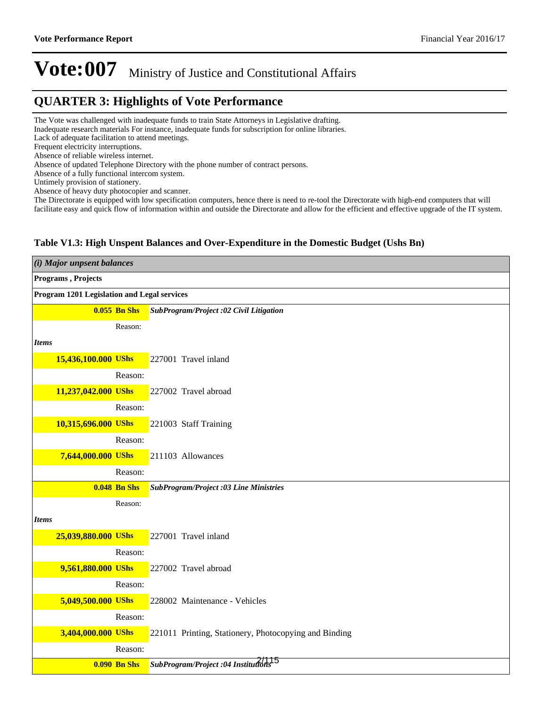### **QUARTER 3: Highlights of Vote Performance**

The Vote was challenged with inadequate funds to train State Attorneys in Legislative drafting.

Inadequate research materials For instance, inadequate funds for subscription for online libraries.

Lack of adequate facilitation to attend meetings.

Frequent electricity interruptions.

Absence of reliable wireless internet.

Absence of updated Telephone Directory with the phone number of contract persons.

Absence of a fully functional intercom system.

Untimely provision of stationery.

Absence of heavy duty photocopier and scanner.

The Directorate is equipped with low specification computers, hence there is need to re-tool the Directorate with high-end computers that will facilitate easy and quick flow of information within and outside the Directorate and allow for the efficient and effective upgrade of the IT system.

#### **Table V1.3: High Unspent Balances and Over-Expenditure in the Domestic Budget (Ushs Bn)**

| (i) Major unpsent balances                  |                                                       |
|---------------------------------------------|-------------------------------------------------------|
| Programs, Projects                          |                                                       |
| Program 1201 Legislation and Legal services |                                                       |
| $0.055$ Bn Shs                              | SubProgram/Project :02 Civil Litigation               |
| Reason:                                     |                                                       |
| <b>Items</b>                                |                                                       |
| 15,436,100.000 UShs                         | 227001 Travel inland                                  |
| Reason:                                     |                                                       |
| 11,237,042.000 UShs                         | 227002 Travel abroad                                  |
| Reason:                                     |                                                       |
| 10,315,696.000 UShs                         | 221003 Staff Training                                 |
| Reason:                                     |                                                       |
| 7,644,000.000 UShs                          | 211103 Allowances                                     |
| Reason:                                     |                                                       |
| <b>0.048 Bn Shs</b>                         | <b>SubProgram/Project :03 Line Ministries</b>         |
| Reason:                                     |                                                       |
| <b>Items</b>                                |                                                       |
| 25,039,880.000 UShs                         | 227001 Travel inland                                  |
| Reason:                                     |                                                       |
| 9,561,880.000 UShs                          | 227002 Travel abroad                                  |
| Reason:                                     |                                                       |
| 5,049,500.000 UShs                          | 228002 Maintenance - Vehicles                         |
| Reason:                                     |                                                       |
| 3,404,000.000 UShs                          | 221011 Printing, Stationery, Photocopying and Binding |
| Reason:                                     |                                                       |
| <b>0.090 Bn Shs</b>                         | SubProgram/Project :04 Institutions <sup>15</sup>     |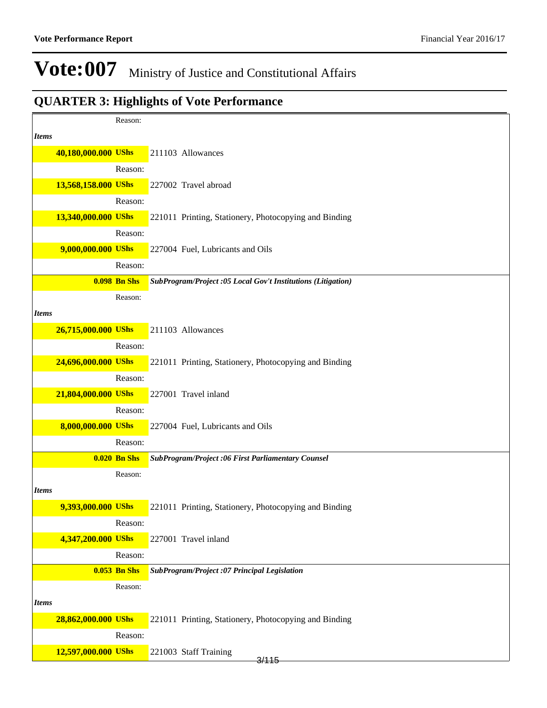|              |                     | Reason:             |                                                              |
|--------------|---------------------|---------------------|--------------------------------------------------------------|
| <b>Items</b> |                     |                     |                                                              |
|              | 40,180,000.000 UShs |                     | 211103 Allowances                                            |
|              |                     | Reason:             |                                                              |
|              | 13,568,158.000 UShs |                     | 227002 Travel abroad                                         |
|              |                     | Reason:             |                                                              |
|              | 13,340,000.000 UShs |                     | 221011 Printing, Stationery, Photocopying and Binding        |
|              |                     | Reason:             |                                                              |
|              | 9,000,000.000 UShs  |                     | 227004 Fuel, Lubricants and Oils                             |
|              |                     | Reason:             |                                                              |
|              |                     | <b>0.098 Bn Shs</b> | SubProgram/Project :05 Local Gov't Institutions (Litigation) |
|              |                     | Reason:             |                                                              |
| <b>Items</b> |                     |                     |                                                              |
|              | 26,715,000.000 UShs |                     | 211103 Allowances                                            |
|              |                     | Reason:             |                                                              |
|              | 24,696,000.000 UShs |                     | 221011 Printing, Stationery, Photocopying and Binding        |
|              |                     | Reason:             |                                                              |
|              | 21,804,000.000 UShs |                     | 227001 Travel inland                                         |
|              |                     | Reason:             |                                                              |
|              | 8,000,000.000 UShs  |                     | 227004 Fuel, Lubricants and Oils                             |
|              |                     | Reason:             |                                                              |
|              |                     | $0.020$ Bn Shs      | SubProgram/Project:06 First Parliamentary Counsel            |
|              |                     | Reason:             |                                                              |
| <b>Items</b> |                     |                     |                                                              |
|              | 9,393,000.000 UShs  |                     | 221011 Printing, Stationery, Photocopying and Binding        |
|              |                     | Reason:             |                                                              |
|              | 4,347,200.000 UShs  |                     | 227001 Travel inland                                         |
|              |                     | Reason:             |                                                              |
|              |                     | <b>0.053 Bn Shs</b> | SubProgram/Project :07 Principal Legislation                 |
|              |                     | Reason:             |                                                              |
| <b>Items</b> |                     |                     |                                                              |
|              | 28,862,000.000 UShs |                     | 221011 Printing, Stationery, Photocopying and Binding        |
|              |                     | Reason:             |                                                              |
|              | 12,597,000.000 UShs |                     | 221003 Staff Training<br>3/115                               |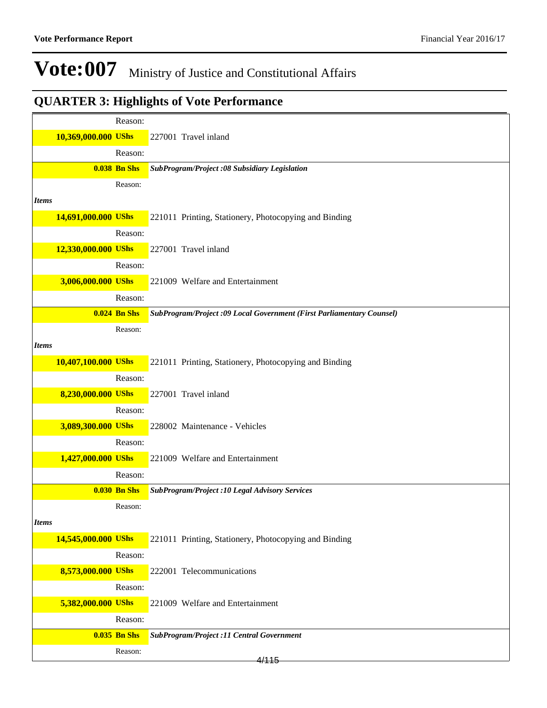| 10,369,000.000 UShs<br>227001 Travel inland<br>Reason:<br><b>0.038 Bn Shs</b><br>SubProgram/Project :08 Subsidiary Legislation<br>Reason:<br><b>Items</b><br>14,691,000.000 UShs<br>221011 Printing, Stationery, Photocopying and Binding<br>Reason:<br>12,330,000.000 UShs<br>227001 Travel inland<br>Reason:<br>3,006,000.000 UShs | Reason: |                                  |
|--------------------------------------------------------------------------------------------------------------------------------------------------------------------------------------------------------------------------------------------------------------------------------------------------------------------------------------|---------|----------------------------------|
|                                                                                                                                                                                                                                                                                                                                      |         |                                  |
|                                                                                                                                                                                                                                                                                                                                      |         |                                  |
|                                                                                                                                                                                                                                                                                                                                      |         |                                  |
|                                                                                                                                                                                                                                                                                                                                      |         |                                  |
|                                                                                                                                                                                                                                                                                                                                      |         |                                  |
|                                                                                                                                                                                                                                                                                                                                      |         |                                  |
|                                                                                                                                                                                                                                                                                                                                      |         |                                  |
|                                                                                                                                                                                                                                                                                                                                      |         |                                  |
|                                                                                                                                                                                                                                                                                                                                      |         |                                  |
|                                                                                                                                                                                                                                                                                                                                      |         | 221009 Welfare and Entertainment |
| Reason:                                                                                                                                                                                                                                                                                                                              |         |                                  |
| $0.024$ Bn Shs<br>SubProgram/Project :09 Local Government (First Parliamentary Counsel)                                                                                                                                                                                                                                              |         |                                  |
| Reason:                                                                                                                                                                                                                                                                                                                              |         |                                  |
| <b>Items</b>                                                                                                                                                                                                                                                                                                                         |         |                                  |
| 10,407,100.000 UShs<br>221011 Printing, Stationery, Photocopying and Binding                                                                                                                                                                                                                                                         |         |                                  |
| Reason:                                                                                                                                                                                                                                                                                                                              |         |                                  |
| 8,230,000.000 UShs<br>227001 Travel inland                                                                                                                                                                                                                                                                                           |         |                                  |
| Reason:                                                                                                                                                                                                                                                                                                                              |         |                                  |
| 3,089,300.000 UShs<br>228002 Maintenance - Vehicles                                                                                                                                                                                                                                                                                  |         |                                  |
| Reason:                                                                                                                                                                                                                                                                                                                              |         |                                  |
| 1,427,000.000 UShs<br>221009 Welfare and Entertainment                                                                                                                                                                                                                                                                               |         |                                  |
| Reason:                                                                                                                                                                                                                                                                                                                              |         |                                  |
| <b>0.030 Bn Shs</b><br><b>SubProgram/Project :10 Legal Advisory Services</b>                                                                                                                                                                                                                                                         |         |                                  |
| Reason:                                                                                                                                                                                                                                                                                                                              |         |                                  |
| <b>Items</b>                                                                                                                                                                                                                                                                                                                         |         |                                  |
| 14,545,000.000 UShs<br>221011 Printing, Stationery, Photocopying and Binding                                                                                                                                                                                                                                                         |         |                                  |
| Reason:                                                                                                                                                                                                                                                                                                                              |         |                                  |
| 8,573,000.000 UShs<br>222001 Telecommunications                                                                                                                                                                                                                                                                                      |         |                                  |
| Reason:                                                                                                                                                                                                                                                                                                                              |         |                                  |
| 5,382,000.000 UShs<br>221009 Welfare and Entertainment                                                                                                                                                                                                                                                                               |         |                                  |
| Reason:                                                                                                                                                                                                                                                                                                                              |         |                                  |
| <b>0.035 Bn Shs</b><br><b>SubProgram/Project :11 Central Government</b>                                                                                                                                                                                                                                                              |         |                                  |
| Reason:<br>4/115                                                                                                                                                                                                                                                                                                                     |         |                                  |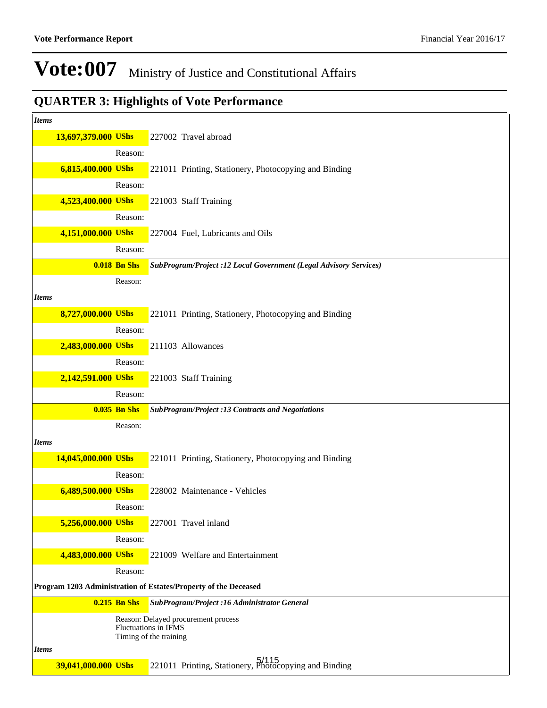| <b>Items</b>        |                                                                                                           |
|---------------------|-----------------------------------------------------------------------------------------------------------|
| 13,697,379.000 UShs | 227002 Travel abroad                                                                                      |
| Reason:             |                                                                                                           |
| 6,815,400.000 UShs  | 221011 Printing, Stationery, Photocopying and Binding                                                     |
| Reason:             |                                                                                                           |
| 4,523,400.000 UShs  | 221003 Staff Training                                                                                     |
| Reason:             |                                                                                                           |
| 4,151,000.000 UShs  | 227004 Fuel, Lubricants and Oils                                                                          |
| Reason:             |                                                                                                           |
| <b>0.018 Bn Shs</b> | SubProgram/Project :12 Local Government (Legal Advisory Services)                                         |
| Reason:             |                                                                                                           |
| <b>Items</b>        |                                                                                                           |
| 8,727,000.000 UShs  | 221011 Printing, Stationery, Photocopying and Binding                                                     |
| Reason:             |                                                                                                           |
| 2,483,000.000 UShs  | 211103 Allowances                                                                                         |
| Reason:             |                                                                                                           |
| 2,142,591.000 UShs  | 221003 Staff Training                                                                                     |
| Reason:             |                                                                                                           |
| <b>0.035 Bn Shs</b> | <b>SubProgram/Project :13 Contracts and Negotiations</b>                                                  |
| Reason:             |                                                                                                           |
| <b>Items</b>        |                                                                                                           |
| 14,045,000.000 UShs | 221011 Printing, Stationery, Photocopying and Binding                                                     |
| Reason:             |                                                                                                           |
| 6,489,500.000 UShs  | 228002 Maintenance - Vehicles                                                                             |
| Reason:             |                                                                                                           |
| 5,256,000.000 UShs  | 227001 Travel inland                                                                                      |
| Reason:             |                                                                                                           |
| 4,483,000.000 UShs  | 221009 Welfare and Entertainment                                                                          |
| Reason:             | Program 1203 Administration of Estates/Property of the Deceased                                           |
| <b>0.215 Bn Shs</b> |                                                                                                           |
|                     | SubProgram/Project :16 Administrator General<br>Reason: Delayed procurement process                       |
|                     | Fluctuations in IFMS                                                                                      |
| <b>Items</b>        | Timing of the training                                                                                    |
| 39,041,000.000 UShs | 221011 Printing, Stationery, <b>5/115</b><br>221011 Printing, Stationery, <b>Photocopying and Binding</b> |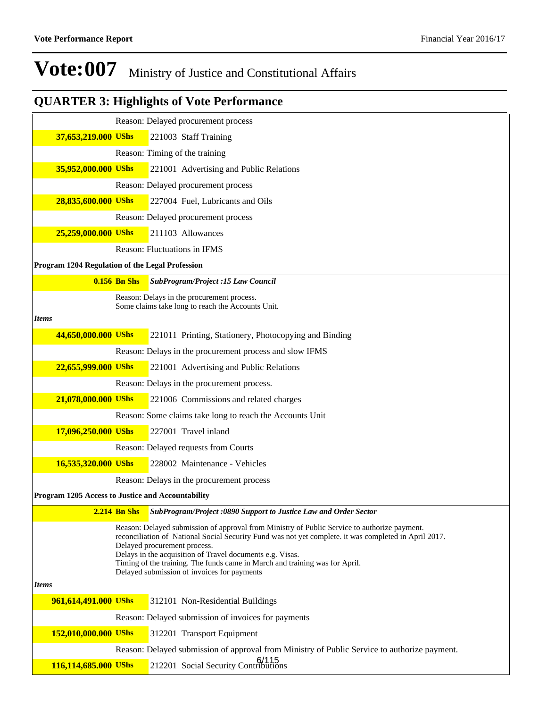|                                                   |                | Reason: Delayed procurement process                                                                                                                                                                                                                                                                                                                                                                                              |
|---------------------------------------------------|----------------|----------------------------------------------------------------------------------------------------------------------------------------------------------------------------------------------------------------------------------------------------------------------------------------------------------------------------------------------------------------------------------------------------------------------------------|
| 37,653,219.000 UShs                               |                | 221003 Staff Training                                                                                                                                                                                                                                                                                                                                                                                                            |
|                                                   |                | Reason: Timing of the training                                                                                                                                                                                                                                                                                                                                                                                                   |
| 35,952,000.000 UShs                               |                | 221001 Advertising and Public Relations                                                                                                                                                                                                                                                                                                                                                                                          |
|                                                   |                | Reason: Delayed procurement process                                                                                                                                                                                                                                                                                                                                                                                              |
| 28,835,600.000 UShs                               |                | 227004 Fuel, Lubricants and Oils                                                                                                                                                                                                                                                                                                                                                                                                 |
|                                                   |                | Reason: Delayed procurement process                                                                                                                                                                                                                                                                                                                                                                                              |
| 25,259,000.000 UShs                               |                | 211103 Allowances                                                                                                                                                                                                                                                                                                                                                                                                                |
|                                                   |                | Reason: Fluctuations in IFMS                                                                                                                                                                                                                                                                                                                                                                                                     |
| Program 1204 Regulation of the Legal Profession   |                |                                                                                                                                                                                                                                                                                                                                                                                                                                  |
|                                                   | $0.156$ Bn Shs | SubProgram/Project :15 Law Council                                                                                                                                                                                                                                                                                                                                                                                               |
|                                                   |                | Reason: Delays in the procurement process.<br>Some claims take long to reach the Accounts Unit.                                                                                                                                                                                                                                                                                                                                  |
| <b>Items</b>                                      |                |                                                                                                                                                                                                                                                                                                                                                                                                                                  |
| 44,650,000.000 UShs                               |                | 221011 Printing, Stationery, Photocopying and Binding                                                                                                                                                                                                                                                                                                                                                                            |
|                                                   |                | Reason: Delays in the procurement process and slow IFMS                                                                                                                                                                                                                                                                                                                                                                          |
| 22,655,999.000 UShs                               |                | 221001 Advertising and Public Relations                                                                                                                                                                                                                                                                                                                                                                                          |
|                                                   |                | Reason: Delays in the procurement process.                                                                                                                                                                                                                                                                                                                                                                                       |
| 21,078,000.000 UShs                               |                | 221006 Commissions and related charges                                                                                                                                                                                                                                                                                                                                                                                           |
|                                                   |                | Reason: Some claims take long to reach the Accounts Unit                                                                                                                                                                                                                                                                                                                                                                         |
| 17,096,250.000 UShs                               |                | 227001 Travel inland                                                                                                                                                                                                                                                                                                                                                                                                             |
|                                                   |                | Reason: Delayed requests from Courts                                                                                                                                                                                                                                                                                                                                                                                             |
| 16,535,320.000 UShs                               |                | 228002 Maintenance - Vehicles                                                                                                                                                                                                                                                                                                                                                                                                    |
|                                                   |                | Reason: Delays in the procurement process                                                                                                                                                                                                                                                                                                                                                                                        |
| Program 1205 Access to Justice and Accountability |                |                                                                                                                                                                                                                                                                                                                                                                                                                                  |
|                                                   |                | 2.214 Bn Shs SubProgram/Project :0890 Support to Justice Law and Order Sector                                                                                                                                                                                                                                                                                                                                                    |
| <i>Items</i>                                      |                | Reason: Delayed submission of approval from Ministry of Public Service to authorize payment.<br>reconciliation of National Social Security Fund was not yet complete. it was completed in April 2017.<br>Delayed procurement process.<br>Delays in the acquisition of Travel documents e.g. Visas.<br>Timing of the training. The funds came in March and training was for April.<br>Delayed submission of invoices for payments |
| 961,614,491.000 UShs                              |                | 312101 Non-Residential Buildings                                                                                                                                                                                                                                                                                                                                                                                                 |
|                                                   |                | Reason: Delayed submission of invoices for payments                                                                                                                                                                                                                                                                                                                                                                              |
| 152,010,000.000 UShs                              |                | 312201 Transport Equipment                                                                                                                                                                                                                                                                                                                                                                                                       |
|                                                   |                | Reason: Delayed submission of approval from Ministry of Public Service to authorize payment.                                                                                                                                                                                                                                                                                                                                     |
| 116,114,685.000 UShs                              |                | 212201 Social Security Contributions                                                                                                                                                                                                                                                                                                                                                                                             |
|                                                   |                |                                                                                                                                                                                                                                                                                                                                                                                                                                  |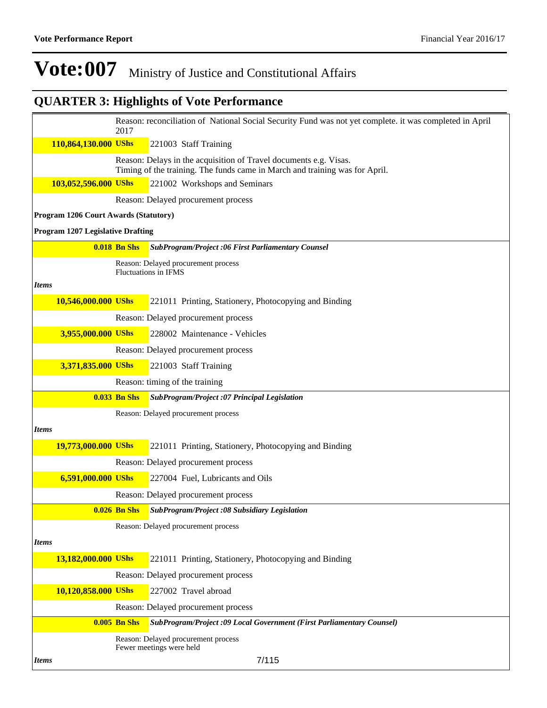|                                          | 2017                | Reason: reconciliation of National Social Security Fund was not yet complete. it was completed in April                                          |
|------------------------------------------|---------------------|--------------------------------------------------------------------------------------------------------------------------------------------------|
| 110,864,130.000 UShs                     |                     | 221003 Staff Training                                                                                                                            |
|                                          |                     | Reason: Delays in the acquisition of Travel documents e.g. Visas.<br>Timing of the training. The funds came in March and training was for April. |
| 103,052,596.000 UShs                     |                     | 221002 Workshops and Seminars                                                                                                                    |
|                                          |                     | Reason: Delayed procurement process                                                                                                              |
| Program 1206 Court Awards (Statutory)    |                     |                                                                                                                                                  |
| <b>Program 1207 Legislative Drafting</b> |                     |                                                                                                                                                  |
|                                          | <b>0.018 Bn Shs</b> | SubProgram/Project :06 First Parliamentary Counsel                                                                                               |
|                                          |                     | Reason: Delayed procurement process<br><b>Fluctuations in IFMS</b>                                                                               |
| <b>Items</b>                             |                     |                                                                                                                                                  |
| 10,546,000.000 UShs                      |                     | 221011 Printing, Stationery, Photocopying and Binding                                                                                            |
|                                          |                     | Reason: Delayed procurement process                                                                                                              |
| 3,955,000.000 UShs                       |                     | 228002 Maintenance - Vehicles                                                                                                                    |
|                                          |                     | Reason: Delayed procurement process                                                                                                              |
| 3,371,835.000 UShs                       |                     | 221003 Staff Training                                                                                                                            |
|                                          |                     | Reason: timing of the training                                                                                                                   |
|                                          | <b>0.033 Bn Shs</b> | SubProgram/Project :07 Principal Legislation                                                                                                     |
|                                          |                     | Reason: Delayed procurement process                                                                                                              |
| <b>Items</b>                             |                     |                                                                                                                                                  |
| 19,773,000.000 UShs                      |                     | 221011 Printing, Stationery, Photocopying and Binding                                                                                            |
|                                          |                     | Reason: Delayed procurement process                                                                                                              |
| 6,591,000.000 UShs                       |                     | 227004 Fuel, Lubricants and Oils                                                                                                                 |
|                                          |                     | Reason: Delayed procurement process                                                                                                              |
|                                          | $0.026$ Bn Shs      | SubProgram/Project :08 Subsidiary Legislation                                                                                                    |
|                                          |                     | Reason: Delayed procurement process                                                                                                              |
| <b>Items</b>                             |                     |                                                                                                                                                  |
| 13,182,000.000 UShs                      |                     | 221011 Printing, Stationery, Photocopying and Binding                                                                                            |
|                                          |                     | Reason: Delayed procurement process                                                                                                              |
| 10,120,858.000 UShs                      |                     | 227002 Travel abroad                                                                                                                             |
|                                          |                     | Reason: Delayed procurement process                                                                                                              |
|                                          | $0.005$ Bn Shs      | SubProgram/Project :09 Local Government (First Parliamentary Counsel)                                                                            |
|                                          |                     | Reason: Delayed procurement process<br>Fewer meetings were held                                                                                  |
| <i>Items</i>                             |                     | 7/115                                                                                                                                            |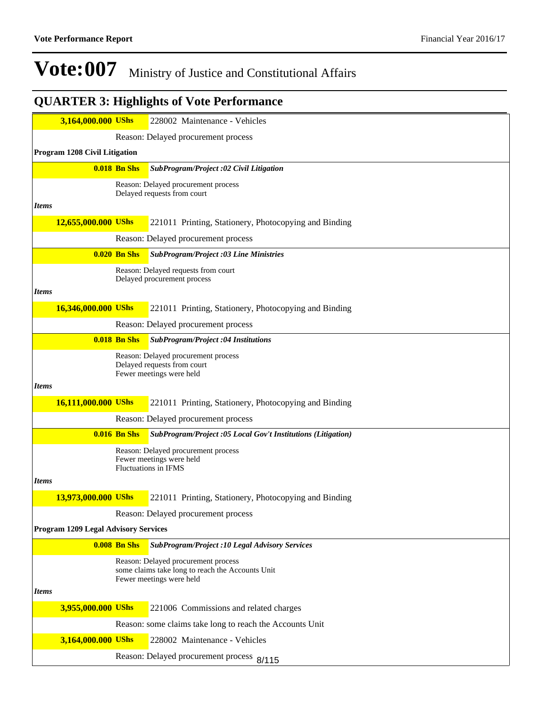### **3,164,000.000 UShs** 228002 Maintenance - Vehicles Reason: Delayed procurement process **Program 1208 Civil Litigation 0.018 Bn Shs** *SubProgram/Project :02 Civil Litigation* Reason: Delayed procurement process Delayed requests from court *Items* **12,655,000.000 UShs** 221011 Printing, Stationery, Photocopying and Binding Reason: Delayed procurement process **0.020 Bn Shs** *SubProgram/Project :03 Line Ministries* Reason: Delayed requests from court Delayed procurement process *Items* **16,346,000.000 UShs** 221011 Printing, Stationery, Photocopying and Binding Reason: Delayed procurement process **0.018 Bn Shs** *SubProgram/Project :04 Institutions* Reason: Delayed procurement process Delayed requests from court Fewer meetings were held *Items* **16,111,000.000 UShs** 221011 Printing, Stationery, Photocopying and Binding Reason: Delayed procurement process **0.016 Bn Shs** *SubProgram/Project :05 Local Gov't Institutions (Litigation)* Reason: Delayed procurement process Fewer meetings were held Fluctuations in IFMS *Items* **13,973,000.000 UShs** 221011 Printing, Stationery, Photocopying and Binding Reason: Delayed procurement process **Program 1209 Legal Advisory Services 0.008 Bn Shs** *SubProgram/Project :10 Legal Advisory Services* Reason: Delayed procurement process some claims take long to reach the Accounts Unit Fewer meetings were held *Items* **3,955,000.000 UShs** 221006 Commissions and related charges Reason: some claims take long to reach the Accounts Unit **3,164,000.000 UShs** 228002 Maintenance - Vehicles Reason: Delayed procurement process 8/115**QUARTER 3: Highlights of Vote Performance**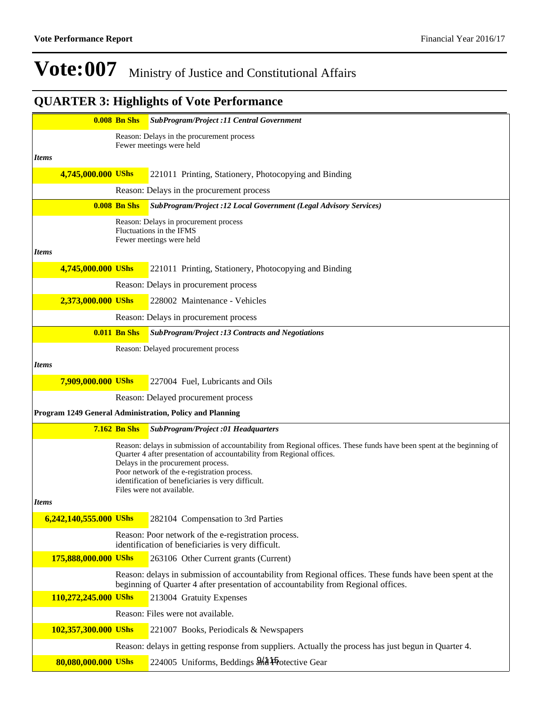|                        | <b>0.008 Bn Shs</b> | SubProgram/Project :11 Central Government                                                                                                                                                      |
|------------------------|---------------------|------------------------------------------------------------------------------------------------------------------------------------------------------------------------------------------------|
|                        |                     | Reason: Delays in the procurement process                                                                                                                                                      |
| <b>Items</b>           |                     | Fewer meetings were held                                                                                                                                                                       |
| 4,745,000.000 UShs     |                     | 221011 Printing, Stationery, Photocopying and Binding                                                                                                                                          |
|                        |                     | Reason: Delays in the procurement process                                                                                                                                                      |
|                        | <b>0.008 Bn Shs</b> | SubProgram/Project :12 Local Government (Legal Advisory Services)                                                                                                                              |
|                        |                     | Reason: Delays in procurement process                                                                                                                                                          |
|                        |                     | Fluctuations in the IFMS<br>Fewer meetings were held                                                                                                                                           |
| <b>Items</b>           |                     |                                                                                                                                                                                                |
| 4,745,000.000 UShs     |                     | 221011 Printing, Stationery, Photocopying and Binding                                                                                                                                          |
|                        |                     | Reason: Delays in procurement process                                                                                                                                                          |
| 2,373,000.000 UShs     |                     | 228002 Maintenance - Vehicles                                                                                                                                                                  |
|                        |                     | Reason: Delays in procurement process                                                                                                                                                          |
|                        | $0.011$ Bn Shs      | <b>SubProgram/Project :13 Contracts and Negotiations</b>                                                                                                                                       |
|                        |                     | Reason: Delayed procurement process                                                                                                                                                            |
| <b>Items</b>           |                     |                                                                                                                                                                                                |
| 7,909,000.000 UShs     |                     | 227004 Fuel, Lubricants and Oils                                                                                                                                                               |
|                        |                     | Reason: Delayed procurement process                                                                                                                                                            |
|                        |                     | Program 1249 General Administration, Policy and Planning                                                                                                                                       |
|                        | $7.162$ Bn Shs      | <b>SubProgram/Project :01 Headquarters</b>                                                                                                                                                     |
|                        |                     | Reason: delays in submission of accountability from Regional offices. These funds have been spent at the beginning of<br>Quarter 4 after presentation of accountability from Regional offices. |
|                        |                     | Delays in the procurement process.<br>Poor network of the e-registration process.                                                                                                              |
|                        |                     | identification of beneficiaries is very difficult.                                                                                                                                             |
| <b>Items</b>           |                     | Files were not available.                                                                                                                                                                      |
| 6,242,140,555.000 UShs |                     | 282104 Compensation to 3rd Parties                                                                                                                                                             |
|                        |                     | Reason: Poor network of the e-registration process.                                                                                                                                            |
|                        |                     | identification of beneficiaries is very difficult.                                                                                                                                             |
| 175,888,000.000 UShs   |                     | 263106 Other Current grants (Current)                                                                                                                                                          |
|                        |                     | Reason: delays in submission of accountability from Regional offices. These funds have been spent at the<br>beginning of Quarter 4 after presentation of accountability from Regional offices. |
| 110,272,245.000 UShs   |                     | 213004 Gratuity Expenses                                                                                                                                                                       |
|                        |                     | Reason: Files were not available.                                                                                                                                                              |
| 102,357,300.000 UShs   |                     | 221007 Books, Periodicals & Newspapers                                                                                                                                                         |
|                        |                     | Reason: delays in getting response from suppliers. Actually the process has just begun in Quarter 4.                                                                                           |
|                        |                     |                                                                                                                                                                                                |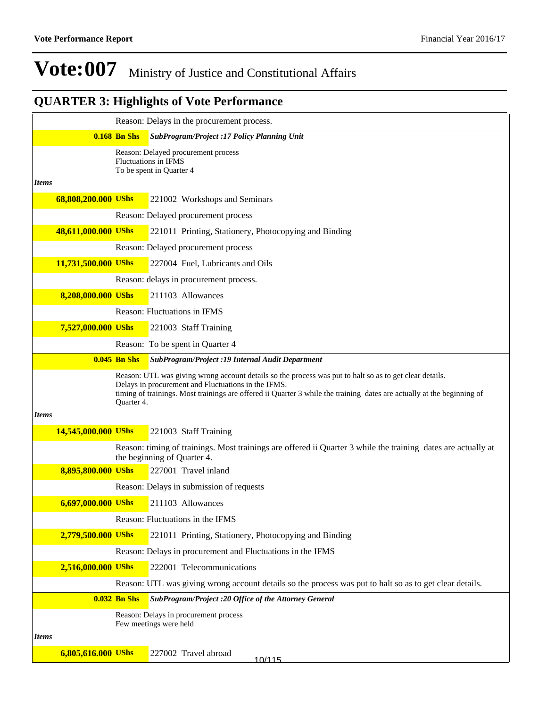|              |                     |                     | Reason: Delays in the procurement process.                                                                                                                                                                                                                                               |
|--------------|---------------------|---------------------|------------------------------------------------------------------------------------------------------------------------------------------------------------------------------------------------------------------------------------------------------------------------------------------|
|              |                     | <b>0.168 Bn Shs</b> | <b>SubProgram/Project :17 Policy Planning Unit</b>                                                                                                                                                                                                                                       |
| <b>Items</b> |                     |                     | Reason: Delayed procurement process<br>Fluctuations in IFMS<br>To be spent in Quarter 4                                                                                                                                                                                                  |
|              | 68,808,200.000 UShs |                     | 221002 Workshops and Seminars                                                                                                                                                                                                                                                            |
|              |                     |                     | Reason: Delayed procurement process                                                                                                                                                                                                                                                      |
|              | 48,611,000.000 UShs |                     | 221011 Printing, Stationery, Photocopying and Binding                                                                                                                                                                                                                                    |
|              |                     |                     | Reason: Delayed procurement process                                                                                                                                                                                                                                                      |
|              | 11,731,500.000 UShs |                     | 227004 Fuel, Lubricants and Oils                                                                                                                                                                                                                                                         |
|              |                     |                     | Reason: delays in procurement process.                                                                                                                                                                                                                                                   |
|              | 8,208,000.000 UShs  |                     | 211103 Allowances                                                                                                                                                                                                                                                                        |
|              |                     |                     | Reason: Fluctuations in IFMS                                                                                                                                                                                                                                                             |
|              | 7,527,000.000 UShs  |                     | 221003 Staff Training                                                                                                                                                                                                                                                                    |
|              |                     |                     | Reason: To be spent in Quarter 4                                                                                                                                                                                                                                                         |
|              |                     | $0.045$ Bn Shs      | SubProgram/Project : 19 Internal Audit Department                                                                                                                                                                                                                                        |
|              |                     | Quarter 4.          | Reason: UTL was giving wrong account details so the process was put to halt so as to get clear details.<br>Delays in procurement and Fluctuations in the IFMS.<br>timing of trainings. Most trainings are offered ii Quarter 3 while the training dates are actually at the beginning of |
| <b>Items</b> |                     |                     |                                                                                                                                                                                                                                                                                          |
|              | 14,545,000.000 UShs |                     | 221003 Staff Training                                                                                                                                                                                                                                                                    |
|              |                     |                     | Reason: timing of trainings. Most trainings are offered ii Quarter 3 while the training dates are actually at<br>the beginning of Quarter 4.                                                                                                                                             |
|              | 8,895,800.000 UShs  |                     | 227001 Travel inland                                                                                                                                                                                                                                                                     |
|              |                     |                     | Reason: Delays in submission of requests                                                                                                                                                                                                                                                 |
|              | 6,697,000.000 UShs  |                     | 211103 Allowances                                                                                                                                                                                                                                                                        |
|              |                     |                     | Reason: Fluctuations in the IFMS                                                                                                                                                                                                                                                         |
|              | 2,779,500.000 UShs  |                     | 221011 Printing, Stationery, Photocopying and Binding                                                                                                                                                                                                                                    |
|              |                     |                     | Reason: Delays in procurement and Fluctuations in the IFMS                                                                                                                                                                                                                               |
|              | 2,516,000.000 UShs  |                     | 222001 Telecommunications                                                                                                                                                                                                                                                                |
|              |                     |                     | Reason: UTL was giving wrong account details so the process was put to halt so as to get clear details.                                                                                                                                                                                  |
|              |                     | <b>0.032 Bn Shs</b> | SubProgram/Project :20 Office of the Attorney General                                                                                                                                                                                                                                    |
|              |                     |                     | Reason: Delays in procurement process<br>Few meetings were held                                                                                                                                                                                                                          |
| <i>Items</i> |                     |                     |                                                                                                                                                                                                                                                                                          |
|              | 6,805,616.000 UShs  |                     | 227002 Travel abroad<br>10/115                                                                                                                                                                                                                                                           |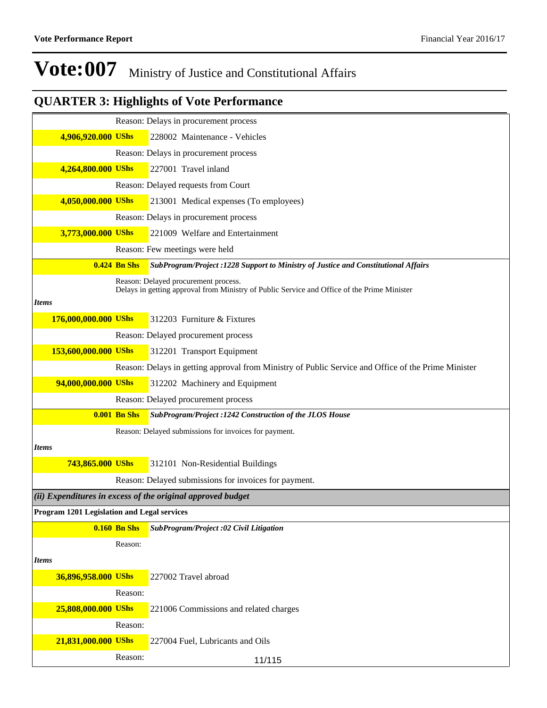|                                             |                     | Reason: Delays in procurement process                                                                                               |
|---------------------------------------------|---------------------|-------------------------------------------------------------------------------------------------------------------------------------|
| 4,906,920.000 UShs                          |                     | 228002 Maintenance - Vehicles                                                                                                       |
|                                             |                     | Reason: Delays in procurement process                                                                                               |
| 4,264,800.000 UShs                          |                     | 227001 Travel inland                                                                                                                |
|                                             |                     | Reason: Delayed requests from Court                                                                                                 |
| 4,050,000.000 UShs                          |                     | 213001 Medical expenses (To employees)                                                                                              |
|                                             |                     | Reason: Delays in procurement process                                                                                               |
| 3,773,000.000 UShs                          |                     | 221009 Welfare and Entertainment                                                                                                    |
|                                             |                     | Reason: Few meetings were held                                                                                                      |
|                                             | <b>0.424 Bn Shs</b> | SubProgram/Project :1228 Support to Ministry of Justice and Constitutional Affairs                                                  |
|                                             |                     | Reason: Delayed procurement process.<br>Delays in getting approval from Ministry of Public Service and Office of the Prime Minister |
| <b>Items</b>                                |                     |                                                                                                                                     |
| 176,000,000.000 UShs                        |                     | 312203 Furniture & Fixtures                                                                                                         |
|                                             |                     | Reason: Delayed procurement process                                                                                                 |
| 153,600,000.000 UShs                        |                     | 312201 Transport Equipment                                                                                                          |
|                                             |                     | Reason: Delays in getting approval from Ministry of Public Service and Office of the Prime Minister                                 |
| 94,000,000.000 UShs                         |                     | 312202 Machinery and Equipment                                                                                                      |
|                                             |                     | Reason: Delayed procurement process                                                                                                 |
|                                             | <b>0.001 Bn Shs</b> | SubProgram/Project :1242 Construction of the JLOS House                                                                             |
|                                             |                     | Reason: Delayed submissions for invoices for payment.                                                                               |
| <b>Items</b>                                |                     |                                                                                                                                     |
| 743,865.000 UShs                            |                     | 312101 Non-Residential Buildings                                                                                                    |
|                                             |                     | Reason: Delayed submissions for invoices for payment.                                                                               |
|                                             |                     | (ii) Expenditures in excess of the original approved budget                                                                         |
| Program 1201 Legislation and Legal services |                     |                                                                                                                                     |
|                                             | $0.160$ Bn Shs      | SubProgram/Project :02 Civil Litigation                                                                                             |
|                                             | Reason:             |                                                                                                                                     |
| <b>Items</b>                                |                     |                                                                                                                                     |
| 36,896,958.000 UShs                         |                     | 227002 Travel abroad                                                                                                                |
|                                             | Reason:             |                                                                                                                                     |
| 25,808,000.000 UShs                         |                     | 221006 Commissions and related charges                                                                                              |
|                                             | Reason:             |                                                                                                                                     |
| 21,831,000.000 UShs                         |                     | 227004 Fuel, Lubricants and Oils                                                                                                    |
|                                             | Reason:             | 11/115                                                                                                                              |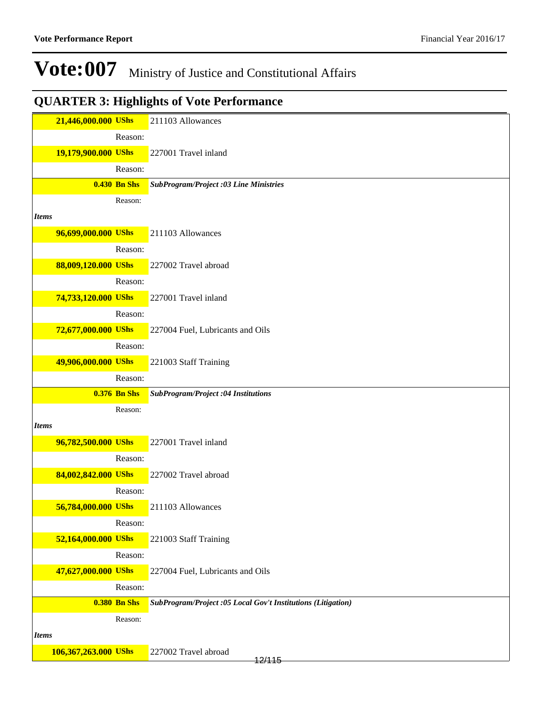|              | 21,446,000.000 UShs  |                     | 211103 Allowances                                            |
|--------------|----------------------|---------------------|--------------------------------------------------------------|
|              |                      | Reason:             |                                                              |
|              | 19,179,900.000 UShs  |                     | 227001 Travel inland                                         |
|              |                      | Reason:             |                                                              |
|              |                      | <b>0.430 Bn Shs</b> | <b>SubProgram/Project :03 Line Ministries</b>                |
|              |                      | Reason:             |                                                              |
| <i>Items</i> |                      |                     |                                                              |
|              | 96,699,000.000 UShs  |                     | 211103 Allowances                                            |
|              |                      | Reason:             |                                                              |
|              | 88,009,120.000 UShs  |                     | 227002 Travel abroad                                         |
|              |                      | Reason:             |                                                              |
|              | 74,733,120.000 UShs  |                     | 227001 Travel inland                                         |
|              |                      | Reason:             |                                                              |
|              | 72,677,000.000 UShs  |                     | 227004 Fuel, Lubricants and Oils                             |
|              |                      | Reason:             |                                                              |
|              | 49,906,000.000 UShs  |                     | 221003 Staff Training                                        |
|              |                      | Reason:             |                                                              |
|              |                      | <b>0.376 Bn Shs</b> | SubProgram/Project :04 Institutions                          |
|              |                      |                     |                                                              |
|              |                      | Reason:             |                                                              |
| <b>Items</b> |                      |                     |                                                              |
|              | 96,782,500.000 UShs  |                     | 227001 Travel inland                                         |
|              |                      | Reason:             |                                                              |
|              | 84,002,842.000 UShs  |                     | 227002 Travel abroad                                         |
|              |                      | Reason:             |                                                              |
|              | 56,784,000.000 UShs  |                     | 211103 Allowances                                            |
|              |                      | Reason:             |                                                              |
|              | 52,164,000.000 UShs  |                     | 221003 Staff Training                                        |
|              |                      | Reason:             |                                                              |
|              | 47,627,000.000 UShs  |                     | 227004 Fuel, Lubricants and Oils                             |
|              |                      | Reason:             |                                                              |
|              |                      | <b>0.380 Bn Shs</b> | SubProgram/Project :05 Local Gov't Institutions (Litigation) |
| <b>Items</b> |                      | Reason:             |                                                              |
|              | 106,367,263.000 UShs |                     | 227002 Travel abroad                                         |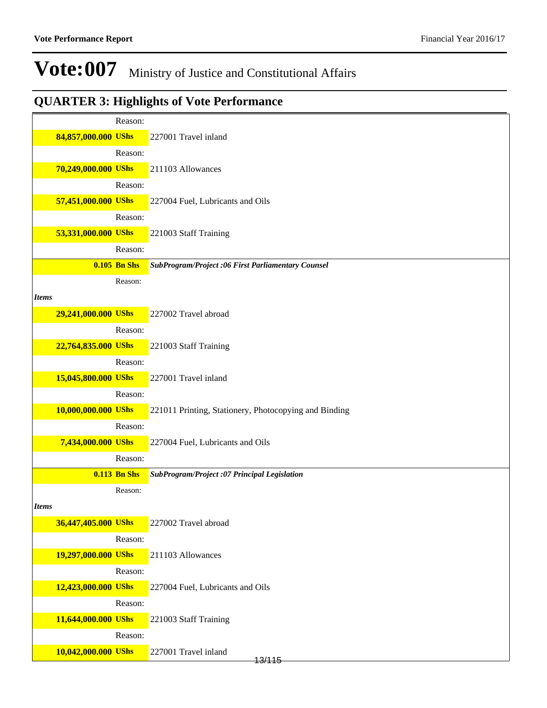|                     | Reason:             |                                                       |
|---------------------|---------------------|-------------------------------------------------------|
| 84,857,000.000 UShs |                     | 227001 Travel inland                                  |
|                     | Reason:             |                                                       |
| 70,249,000.000 UShs |                     | 211103 Allowances                                     |
|                     | Reason:             |                                                       |
| 57,451,000.000 UShs |                     | 227004 Fuel, Lubricants and Oils                      |
|                     | Reason:             |                                                       |
| 53,331,000.000 UShs |                     | 221003 Staff Training                                 |
|                     | Reason:             |                                                       |
|                     | $0.105$ Bn Shs      | SubProgram/Project:06 First Parliamentary Counsel     |
|                     | Reason:             |                                                       |
| <b>Items</b>        |                     |                                                       |
| 29,241,000.000 UShs |                     | 227002 Travel abroad                                  |
|                     | Reason:             |                                                       |
| 22,764,835.000 UShs |                     | 221003 Staff Training                                 |
|                     | Reason:             |                                                       |
| 15,045,800.000 UShs |                     | 227001 Travel inland                                  |
|                     | Reason:             |                                                       |
| 10,000,000.000 UShs |                     | 221011 Printing, Stationery, Photocopying and Binding |
|                     | Reason:             |                                                       |
| 7,434,000.000 UShs  |                     | 227004 Fuel, Lubricants and Oils                      |
|                     | Reason:             |                                                       |
|                     | <b>0.113 Bn Shs</b> | SubProgram/Project :07 Principal Legislation          |
|                     | Reason:             |                                                       |
| <b>Items</b>        |                     |                                                       |
| 36,447,405.000 UShs |                     | 227002 Travel abroad                                  |
|                     | Reason:             |                                                       |
| 19,297,000.000 UShs |                     | 211103 Allowances                                     |
|                     | Reason:             |                                                       |
| 12,423,000.000 UShs |                     | 227004 Fuel, Lubricants and Oils                      |
|                     | Reason:             |                                                       |
| 11,644,000.000 UShs |                     | 221003 Staff Training                                 |
|                     | Reason:             |                                                       |
| 10,042,000.000 UShs |                     | 227001 Travel inland<br>13/115                        |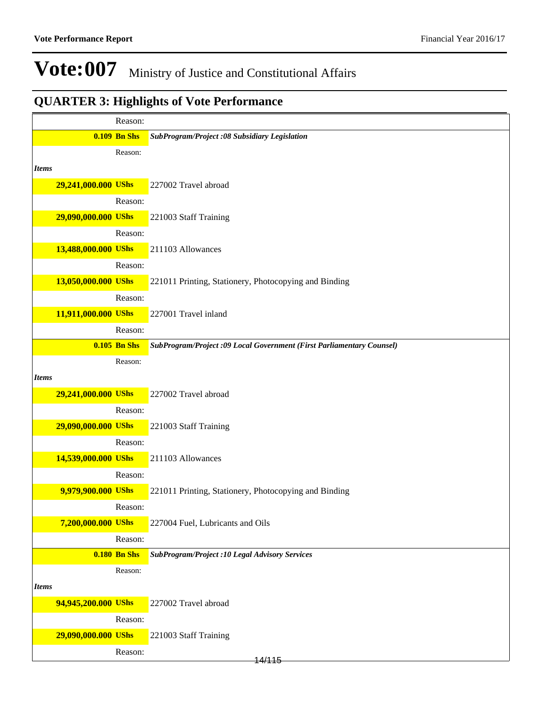|              |                     | Reason:             |                                                                       |
|--------------|---------------------|---------------------|-----------------------------------------------------------------------|
|              |                     | <b>0.109 Bn Shs</b> | SubProgram/Project :08 Subsidiary Legislation                         |
|              |                     | Reason:             |                                                                       |
| <b>Items</b> |                     |                     |                                                                       |
|              | 29,241,000.000 UShs |                     | 227002 Travel abroad                                                  |
|              |                     | Reason:             |                                                                       |
|              | 29,090,000.000 UShs |                     | 221003 Staff Training                                                 |
|              |                     | Reason:             |                                                                       |
|              | 13,488,000.000 UShs |                     | 211103 Allowances                                                     |
|              |                     | Reason:             |                                                                       |
|              | 13,050,000.000 UShs |                     | 221011 Printing, Stationery, Photocopying and Binding                 |
|              |                     | Reason:             |                                                                       |
|              | 11,911,000.000 UShs |                     | 227001 Travel inland                                                  |
|              |                     | Reason:             |                                                                       |
|              |                     | <b>0.105 Bn Shs</b> | SubProgram/Project :09 Local Government (First Parliamentary Counsel) |
|              |                     | Reason:             |                                                                       |
| <b>Items</b> |                     |                     |                                                                       |
|              | 29,241,000.000 UShs |                     | 227002 Travel abroad                                                  |
|              |                     | Reason:             |                                                                       |
|              | 29,090,000.000 UShs |                     | 221003 Staff Training                                                 |
|              |                     | Reason:             |                                                                       |
|              | 14,539,000.000 UShs |                     | 211103 Allowances                                                     |
|              |                     | Reason:             |                                                                       |
|              | 9,979,900.000 UShs  |                     | 221011 Printing, Stationery, Photocopying and Binding                 |
|              |                     | Reason:             |                                                                       |
|              | 7,200,000.000 UShs  |                     | 227004 Fuel, Lubricants and Oils                                      |
|              |                     | Reason:             |                                                                       |
|              |                     | <b>0.180 Bn Shs</b> | <b>SubProgram/Project :10 Legal Advisory Services</b>                 |
|              |                     | Reason:             |                                                                       |
| <b>Items</b> |                     |                     |                                                                       |
|              | 94,945,200.000 UShs |                     | 227002 Travel abroad                                                  |
|              |                     | Reason:             |                                                                       |
|              | 29,090,000.000 UShs |                     | 221003 Staff Training                                                 |
|              |                     | Reason:             | 14/115                                                                |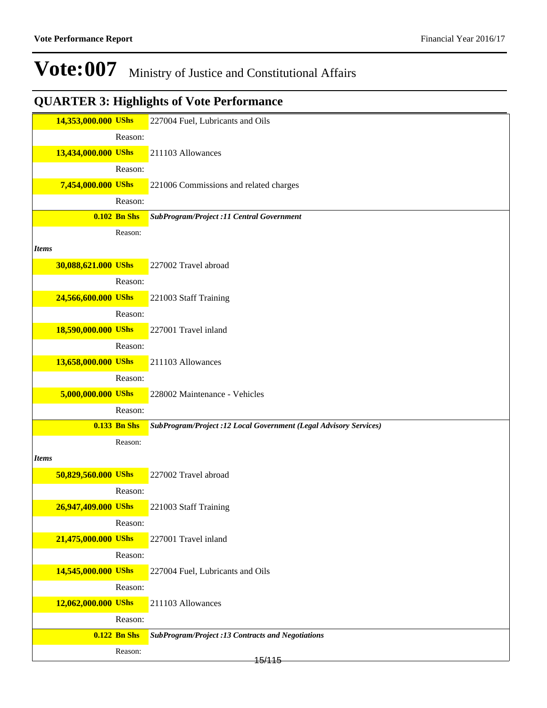|              | 14,353,000.000 UShs |                     | 227004 Fuel, Lubricants and Oils                                  |
|--------------|---------------------|---------------------|-------------------------------------------------------------------|
|              |                     |                     |                                                                   |
|              |                     | Reason:             |                                                                   |
|              | 13,434,000.000 UShs |                     | 211103 Allowances                                                 |
|              |                     | Reason:             |                                                                   |
|              | 7,454,000.000 UShs  |                     | 221006 Commissions and related charges                            |
|              |                     | Reason:             |                                                                   |
|              |                     | <b>0.102 Bn Shs</b> | SubProgram/Project :11 Central Government                         |
|              |                     | Reason:             |                                                                   |
| <i>Items</i> |                     |                     |                                                                   |
|              | 30,088,621.000 UShs |                     | 227002 Travel abroad                                              |
|              |                     |                     |                                                                   |
|              |                     | Reason:             |                                                                   |
|              | 24,566,600.000 UShs |                     | 221003 Staff Training                                             |
|              |                     | Reason:             |                                                                   |
|              | 18,590,000.000 UShs |                     | 227001 Travel inland                                              |
|              |                     | Reason:             |                                                                   |
|              | 13,658,000.000 UShs |                     | 211103 Allowances                                                 |
|              |                     | Reason:             |                                                                   |
|              | 5,000,000.000 UShs  |                     | 228002 Maintenance - Vehicles                                     |
|              |                     | Reason:             |                                                                   |
|              |                     | <b>0.133 Bn Shs</b> |                                                                   |
|              |                     |                     | SubProgram/Project :12 Local Government (Legal Advisory Services) |
|              |                     | Reason:             |                                                                   |
| <b>Items</b> |                     |                     |                                                                   |
|              | 50,829,560.000 UShs |                     | 227002 Travel abroad                                              |
|              |                     | Reason:             |                                                                   |
|              | 26,947,409.000 UShs |                     | 221003 Staff Training                                             |
|              |                     | Reason:             |                                                                   |
|              | 21,475,000.000 UShs |                     | 227001 Travel inland                                              |
|              |                     | Reason:             |                                                                   |
|              | 14,545,000.000 UShs |                     | 227004 Fuel, Lubricants and Oils                                  |
|              |                     |                     |                                                                   |
|              |                     | Reason:             |                                                                   |
|              | 12,062,000.000 UShs |                     | 211103 Allowances                                                 |
|              |                     | Reason:             |                                                                   |
|              |                     | 0.122 Bn Shs        | <b>SubProgram/Project :13 Contracts and Negotiations</b>          |
|              |                     | Reason:             |                                                                   |
|              |                     |                     | 15/115                                                            |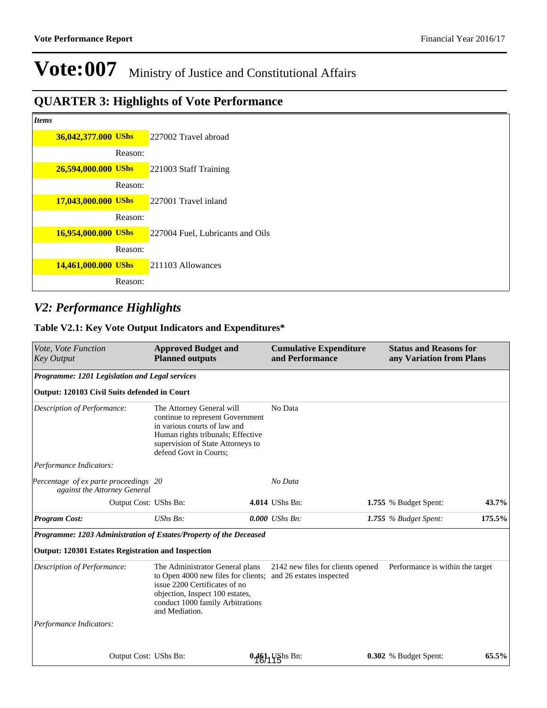## **QUARTER 3: Highlights of Vote Performance**

| and the<br>.,<br>۰.<br>۰.<br>× |
|--------------------------------|
|--------------------------------|

| 77 N |                     |         |                                  |
|------|---------------------|---------|----------------------------------|
|      | 36,042,377.000 UShs |         | 227002 Travel abroad             |
|      |                     | Reason: |                                  |
|      | 26,594,000.000 UShs |         | 221003 Staff Training            |
|      |                     | Reason: |                                  |
|      | 17,043,000.000 UShs |         | 227001 Travel inland             |
|      |                     | Reason: |                                  |
|      | 16,954,000.000 UShs |         | 227004 Fuel, Lubricants and Oils |
|      |                     | Reason: |                                  |
|      | 14,461,000.000 UShs |         | 211103 Allowances                |
|      |                     | Reason: |                                  |

### *V2: Performance Highlights*

#### **Table V2.1: Key Vote Output Indicators and Expenditures\***

| <i>Vote, Vote Function</i><br><b>Key Output</b>                                                                                 | <b>Approved Budget and</b><br><b>Planned outputs</b>                                                                                                                                              | <b>Cumulative Expenditure</b><br>and Performance              | <b>Status and Reasons for</b><br>any Variation from Plans |        |
|---------------------------------------------------------------------------------------------------------------------------------|---------------------------------------------------------------------------------------------------------------------------------------------------------------------------------------------------|---------------------------------------------------------------|-----------------------------------------------------------|--------|
| Programme: 1201 Legislation and Legal services                                                                                  |                                                                                                                                                                                                   |                                                               |                                                           |        |
| Output: 120103 Civil Suits defended in Court                                                                                    |                                                                                                                                                                                                   |                                                               |                                                           |        |
| Description of Performance:                                                                                                     | The Attorney General will<br>continue to represent Government<br>in various courts of law and<br>Human rights tribunals; Effective<br>supervision of State Attorneys to<br>defend Govt in Courts: | No Data                                                       |                                                           |        |
| Performance Indicators:                                                                                                         |                                                                                                                                                                                                   |                                                               |                                                           |        |
| Percentage of exparte proceedings 20<br>against the Attorney General                                                            |                                                                                                                                                                                                   | No Data                                                       |                                                           |        |
| Output Cost: UShs Bn:                                                                                                           |                                                                                                                                                                                                   | 4.014 UShs Bn:                                                | 1.755 % Budget Spent:                                     | 43.7%  |
| <b>Program Cost:</b>                                                                                                            | $UShs Bn$ :                                                                                                                                                                                       | $0.000$ UShs Bn:                                              | 1.755 $%$ Budget Spent:                                   | 175.5% |
| Programme: 1203 Administration of Estates/Property of the Deceased<br><b>Output: 120301 Estates Registration and Inspection</b> |                                                                                                                                                                                                   |                                                               |                                                           |        |
| Description of Performance:                                                                                                     | The Administrator General plans<br>to Open 4000 new files for clients;<br>issue 2200 Certificates of no<br>objection, Inspect 100 estates,<br>conduct 1000 family Arbitrations<br>and Mediation.  | 2142 new files for clients opened<br>and 26 estates inspected | Performance is within the target                          |        |
| Performance Indicators:                                                                                                         |                                                                                                                                                                                                   |                                                               |                                                           |        |
| Output Cost: UShs Bn:                                                                                                           |                                                                                                                                                                                                   | 0.461 UShs Bn:                                                | 0.302 % Budget Spent:                                     | 65.5%  |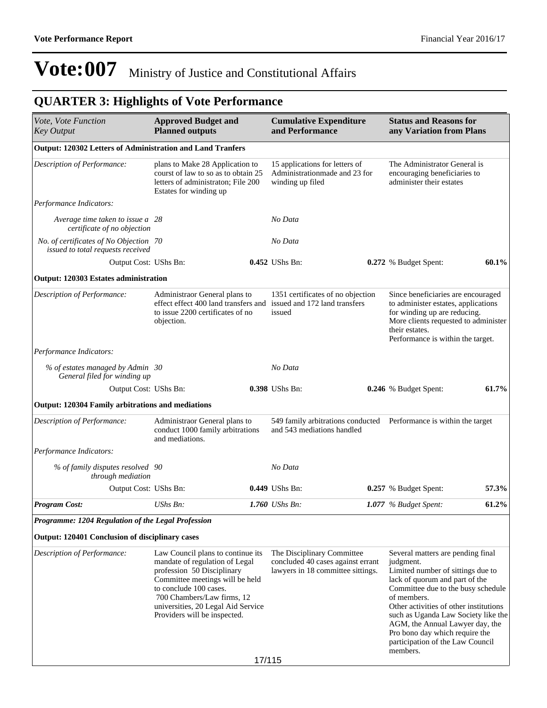| Vote, Vote Function<br><b>Key Output</b>                                    | <b>Approved Budget and</b><br><b>Planned outputs</b>                                                                                                                                                                                                               |        | <b>Cumulative Expenditure</b><br>and Performance                                                                  | <b>Status and Reasons for</b><br>any Variation from Plans                                                                                                                                                                                                                                                                                                                        |       |
|-----------------------------------------------------------------------------|--------------------------------------------------------------------------------------------------------------------------------------------------------------------------------------------------------------------------------------------------------------------|--------|-------------------------------------------------------------------------------------------------------------------|----------------------------------------------------------------------------------------------------------------------------------------------------------------------------------------------------------------------------------------------------------------------------------------------------------------------------------------------------------------------------------|-------|
| Output: 120302 Letters of Administration and Land Tranfers                  |                                                                                                                                                                                                                                                                    |        |                                                                                                                   |                                                                                                                                                                                                                                                                                                                                                                                  |       |
| Description of Performance:                                                 | plans to Make 28 Application to<br>courst of law to so as to obtain 25<br>letters of administraton; File 200<br>Estates for winding up                                                                                                                             |        | 15 applications for letters of<br>Administrationmade and 23 for<br>winding up filed                               | The Administrator General is<br>encouraging beneficiaries to<br>administer their estates                                                                                                                                                                                                                                                                                         |       |
| Performance Indicators:                                                     |                                                                                                                                                                                                                                                                    |        |                                                                                                                   |                                                                                                                                                                                                                                                                                                                                                                                  |       |
| Average time taken to issue a 28<br>certificate of no objection             |                                                                                                                                                                                                                                                                    |        | No Data                                                                                                           |                                                                                                                                                                                                                                                                                                                                                                                  |       |
| No. of certificates of No Objection 70<br>issued to total requests received |                                                                                                                                                                                                                                                                    |        | No Data                                                                                                           |                                                                                                                                                                                                                                                                                                                                                                                  |       |
| Output Cost: UShs Bn:                                                       |                                                                                                                                                                                                                                                                    |        | 0.452 UShs Bn:                                                                                                    | 0.272 % Budget Spent:                                                                                                                                                                                                                                                                                                                                                            | 60.1% |
| Output: 120303 Estates administration                                       |                                                                                                                                                                                                                                                                    |        |                                                                                                                   |                                                                                                                                                                                                                                                                                                                                                                                  |       |
| <b>Description of Performance:</b>                                          | Administraor General plans to<br>to issue 2200 certificates of no<br>objection.                                                                                                                                                                                    |        | 1351 certificates of no objection<br>effect effect 400 land transfers and issued and 172 land transfers<br>issued | Since beneficiaries are encouraged<br>to administer estates, applications<br>for winding up are reducing.<br>More clients requested to administer<br>their estates.<br>Performance is within the target.                                                                                                                                                                         |       |
| Performance Indicators:                                                     |                                                                                                                                                                                                                                                                    |        |                                                                                                                   |                                                                                                                                                                                                                                                                                                                                                                                  |       |
| % of estates managed by Admin 30<br>General filed for winding up            |                                                                                                                                                                                                                                                                    |        | No Data                                                                                                           |                                                                                                                                                                                                                                                                                                                                                                                  |       |
| Output Cost: UShs Bn:                                                       |                                                                                                                                                                                                                                                                    |        | 0.398 UShs Bn:                                                                                                    | 0.246 % Budget Spent:                                                                                                                                                                                                                                                                                                                                                            | 61.7% |
| <b>Output: 120304 Family arbitrations and mediations</b>                    |                                                                                                                                                                                                                                                                    |        |                                                                                                                   |                                                                                                                                                                                                                                                                                                                                                                                  |       |
| Description of Performance:                                                 | Administraor General plans to<br>conduct 1000 family arbitrations<br>and mediations.                                                                                                                                                                               |        | 549 family arbitrations conducted Performance is within the target<br>and 543 mediations handled                  |                                                                                                                                                                                                                                                                                                                                                                                  |       |
| Performance Indicators:                                                     |                                                                                                                                                                                                                                                                    |        |                                                                                                                   |                                                                                                                                                                                                                                                                                                                                                                                  |       |
| % of family disputes resolved 90<br>through mediation                       |                                                                                                                                                                                                                                                                    |        | No Data                                                                                                           |                                                                                                                                                                                                                                                                                                                                                                                  |       |
| Output Cost: UShs Bn:                                                       |                                                                                                                                                                                                                                                                    |        | 0.449 UShs Bn:                                                                                                    | 0.257 % Budget Spent:                                                                                                                                                                                                                                                                                                                                                            | 57.3% |
| <b>Program Cost:</b>                                                        | UShs Bn:                                                                                                                                                                                                                                                           |        | 1.760 UShs Bn:                                                                                                    | 1.077 % Budget Spent:                                                                                                                                                                                                                                                                                                                                                            | 61.2% |
| Programme: 1204 Regulation of the Legal Profession                          |                                                                                                                                                                                                                                                                    |        |                                                                                                                   |                                                                                                                                                                                                                                                                                                                                                                                  |       |
| Output: 120401 Conclusion of disciplinary cases                             |                                                                                                                                                                                                                                                                    |        |                                                                                                                   |                                                                                                                                                                                                                                                                                                                                                                                  |       |
| Description of Performance:                                                 | Law Council plans to continue its<br>mandate of regulation of Legal<br>profession 50 Disciplinary<br>Committee meetings will be held<br>to conclude 100 cases.<br>700 Chambers/Law firms, 12<br>universities, 20 Legal Aid Service<br>Providers will be inspected. |        | The Disciplinary Committee<br>concluded 40 cases against errant<br>lawyers in 18 committee sittings.              | Several matters are pending final<br>judgment.<br>Limited number of sittings due to<br>lack of quorum and part of the<br>Committee due to the busy schedule<br>of members.<br>Other activities of other institutions<br>such as Uganda Law Society like the<br>AGM, the Annual Lawyer day, the<br>Pro bono day which require the<br>participation of the Law Council<br>members. |       |
|                                                                             |                                                                                                                                                                                                                                                                    | 17/115 |                                                                                                                   |                                                                                                                                                                                                                                                                                                                                                                                  |       |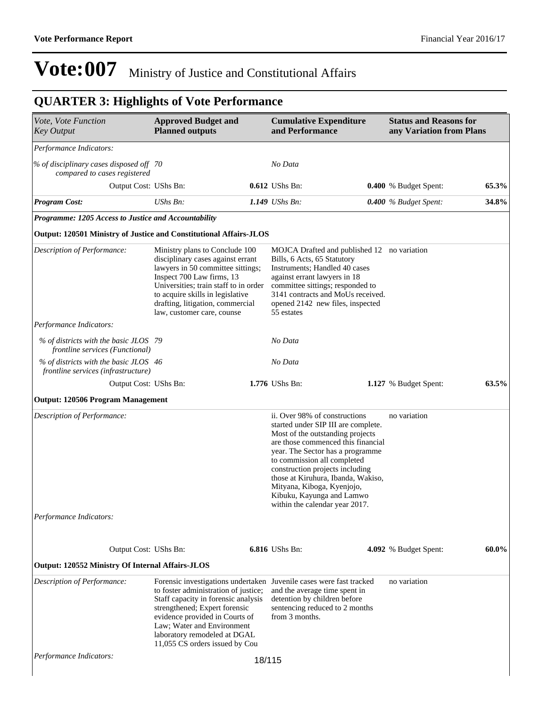| Vote, Vote Function<br><b>Key Output</b>                                     | <b>Approved Budget and</b><br><b>Planned outputs</b>                                                                                                                                                                                                                                 |        | <b>Cumulative Expenditure</b><br>and Performance                                                                                                                                                                                                                                                                                                                                        | <b>Status and Reasons for</b><br>any Variation from Plans |       |
|------------------------------------------------------------------------------|--------------------------------------------------------------------------------------------------------------------------------------------------------------------------------------------------------------------------------------------------------------------------------------|--------|-----------------------------------------------------------------------------------------------------------------------------------------------------------------------------------------------------------------------------------------------------------------------------------------------------------------------------------------------------------------------------------------|-----------------------------------------------------------|-------|
| Performance Indicators:                                                      |                                                                                                                                                                                                                                                                                      |        |                                                                                                                                                                                                                                                                                                                                                                                         |                                                           |       |
| % of disciplinary cases disposed off 70<br>compared to cases registered      |                                                                                                                                                                                                                                                                                      |        | No Data                                                                                                                                                                                                                                                                                                                                                                                 |                                                           |       |
| Output Cost: UShs Bn:                                                        |                                                                                                                                                                                                                                                                                      |        | 0.612 UShs Bn:                                                                                                                                                                                                                                                                                                                                                                          | 0.400 % Budget Spent:                                     | 65.3% |
| <b>Program Cost:</b>                                                         | $UShs Bn$ :                                                                                                                                                                                                                                                                          |        | 1.149 UShs Bn:                                                                                                                                                                                                                                                                                                                                                                          | 0.400 % Budget Spent:                                     | 34.8% |
| Programme: 1205 Access to Justice and Accountability                         |                                                                                                                                                                                                                                                                                      |        |                                                                                                                                                                                                                                                                                                                                                                                         |                                                           |       |
| <b>Output: 120501 Ministry of Justice and Constitutional Affairs-JLOS</b>    |                                                                                                                                                                                                                                                                                      |        |                                                                                                                                                                                                                                                                                                                                                                                         |                                                           |       |
| Description of Performance:                                                  | Ministry plans to Conclude 100<br>disciplinary cases against errant<br>lawyers in 50 committee sittings;<br>Inspect 700 Law firms, 13<br>Universities; train staff to in order<br>to acquire skills in legislative<br>drafting, litigation, commercial<br>law, customer care, counse |        | MOJCA Drafted and published 12 no variation<br>Bills, 6 Acts, 65 Statutory<br>Instruments; Handled 40 cases<br>against errant lawyers in 18<br>committee sittings; responded to<br>3141 contracts and MoUs received.<br>opened 2142 new files, inspected<br>55 estates                                                                                                                  |                                                           |       |
| Performance Indicators:                                                      |                                                                                                                                                                                                                                                                                      |        |                                                                                                                                                                                                                                                                                                                                                                                         |                                                           |       |
| % of districts with the basic JLOS 79<br>frontline services (Functional)     |                                                                                                                                                                                                                                                                                      |        | No Data                                                                                                                                                                                                                                                                                                                                                                                 |                                                           |       |
| % of districts with the basic JLOS 46<br>frontline services (infrastructure) |                                                                                                                                                                                                                                                                                      |        | No Data                                                                                                                                                                                                                                                                                                                                                                                 |                                                           |       |
| Output Cost: UShs Bn:                                                        |                                                                                                                                                                                                                                                                                      |        | 1.776 UShs Bn:                                                                                                                                                                                                                                                                                                                                                                          | 1.127 % Budget Spent:                                     | 63.5% |
| <b>Output: 120506 Program Management</b>                                     |                                                                                                                                                                                                                                                                                      |        |                                                                                                                                                                                                                                                                                                                                                                                         |                                                           |       |
| Description of Performance:                                                  |                                                                                                                                                                                                                                                                                      |        | ii. Over 98% of constructions<br>started under SIP III are complete.<br>Most of the outstanding projects<br>are those commenced this financial<br>year. The Sector has a programme<br>to commission all completed<br>construction projects including<br>those at Kiruhura, Ibanda, Wakiso,<br>Mityana, Kiboga, Kyenjojo,<br>Kibuku, Kayunga and Lamwo<br>within the calendar year 2017. | no variation                                              |       |
| Performance Indicators:                                                      |                                                                                                                                                                                                                                                                                      |        |                                                                                                                                                                                                                                                                                                                                                                                         |                                                           |       |
| Output Cost: UShs Bn:                                                        |                                                                                                                                                                                                                                                                                      |        | 6.816 UShs Bn:                                                                                                                                                                                                                                                                                                                                                                          | 4.092 % Budget Spent:                                     | 60.0% |
| <b>Output: 120552 Ministry Of Internal Affairs-JLOS</b>                      |                                                                                                                                                                                                                                                                                      |        |                                                                                                                                                                                                                                                                                                                                                                                         |                                                           |       |
| Description of Performance:                                                  | to foster administration of justice;<br>Staff capacity in forensic analysis<br>strengthened; Expert forensic<br>evidence provided in Courts of<br>Law; Water and Environment<br>laboratory remodeled at DGAL<br>11,055 CS orders issued by Cou                                       |        | Forensic investigations undertaken Juvenile cases were fast tracked<br>and the average time spent in<br>detention by children before<br>sentencing reduced to 2 months<br>from 3 months.                                                                                                                                                                                                | no variation                                              |       |
| Performance Indicators:                                                      |                                                                                                                                                                                                                                                                                      | 18/115 |                                                                                                                                                                                                                                                                                                                                                                                         |                                                           |       |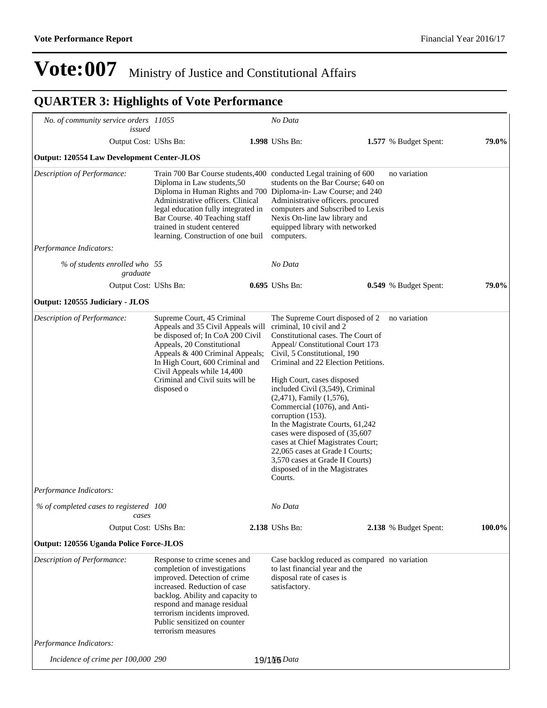|                                                               |                                                                                                                                                                                                                                                                                                                                                        | No Data                                                                                                                                                                                                                                                                                                                                                                                                                                                                                                                                                                                             |                       |        |
|---------------------------------------------------------------|--------------------------------------------------------------------------------------------------------------------------------------------------------------------------------------------------------------------------------------------------------------------------------------------------------------------------------------------------------|-----------------------------------------------------------------------------------------------------------------------------------------------------------------------------------------------------------------------------------------------------------------------------------------------------------------------------------------------------------------------------------------------------------------------------------------------------------------------------------------------------------------------------------------------------------------------------------------------------|-----------------------|--------|
| No. of community service orders 11055<br>issued               |                                                                                                                                                                                                                                                                                                                                                        |                                                                                                                                                                                                                                                                                                                                                                                                                                                                                                                                                                                                     |                       |        |
| Output Cost: UShs Bn:                                         |                                                                                                                                                                                                                                                                                                                                                        | 1.998 UShs Bn:                                                                                                                                                                                                                                                                                                                                                                                                                                                                                                                                                                                      | 1.577 % Budget Spent: | 79.0%  |
| <b>Output: 120554 Law Development Center-JLOS</b>             |                                                                                                                                                                                                                                                                                                                                                        |                                                                                                                                                                                                                                                                                                                                                                                                                                                                                                                                                                                                     |                       |        |
| Description of Performance:                                   | Train 700 Bar Course students, 400 conducted Legal training of 600<br>Diploma in Law students, 50<br>Diploma in Human Rights and 700 Diploma-in- Law Course; and 240<br>Administrative officers. Clinical<br>legal education fully integrated in<br>Bar Course. 40 Teaching staff<br>trained in student centered<br>learning. Construction of one buil | students on the Bar Course; 640 on<br>Administrative officers. procured<br>computers and Subscribed to Lexis<br>Nexis On-line law library and<br>equipped library with networked<br>computers.                                                                                                                                                                                                                                                                                                                                                                                                      | no variation          |        |
| Performance Indicators:                                       |                                                                                                                                                                                                                                                                                                                                                        |                                                                                                                                                                                                                                                                                                                                                                                                                                                                                                                                                                                                     |                       |        |
| % of students enrolled who 55<br>graduate                     |                                                                                                                                                                                                                                                                                                                                                        | No Data                                                                                                                                                                                                                                                                                                                                                                                                                                                                                                                                                                                             |                       |        |
| Output Cost: UShs Bn:                                         |                                                                                                                                                                                                                                                                                                                                                        | 0.695 UShs Bn:                                                                                                                                                                                                                                                                                                                                                                                                                                                                                                                                                                                      | 0.549 % Budget Spent: | 79.0%  |
| Output: 120555 Judiciary - JLOS                               |                                                                                                                                                                                                                                                                                                                                                        |                                                                                                                                                                                                                                                                                                                                                                                                                                                                                                                                                                                                     |                       |        |
| Description of Performance:<br><i>Performance Indicators:</i> | Supreme Court, 45 Criminal<br>Appeals and 35 Civil Appeals will<br>be disposed of; In CoA 200 Civil<br>Appeals, 20 Constitutional<br>Appeals & 400 Criminal Appeals;<br>In High Court, 600 Criminal and<br>Civil Appeals while 14,400<br>Criminal and Civil suits will be<br>disposed o                                                                | The Supreme Court disposed of 2<br>criminal, 10 civil and 2<br>Constitutional cases. The Court of<br>Appeal/ Constitutional Court 173<br>Civil, 5 Constitutional, 190<br>Criminal and 22 Election Petitions.<br>High Court, cases disposed<br>included Civil (3,549), Criminal<br>$(2,471)$ , Family $(1,576)$ ,<br>Commercial (1076), and Anti-<br>corruption (153).<br>In the Magistrate Courts, 61,242<br>cases were disposed of (35,607<br>cases at Chief Magistrates Court;<br>22,065 cases at Grade I Courts;<br>3,570 cases at Grade II Courts)<br>disposed of in the Magistrates<br>Courts. | no variation          |        |
| % of completed cases to registered 100                        |                                                                                                                                                                                                                                                                                                                                                        | No Data                                                                                                                                                                                                                                                                                                                                                                                                                                                                                                                                                                                             |                       |        |
| cases                                                         |                                                                                                                                                                                                                                                                                                                                                        |                                                                                                                                                                                                                                                                                                                                                                                                                                                                                                                                                                                                     |                       |        |
| Output Cost: UShs Bn:                                         |                                                                                                                                                                                                                                                                                                                                                        | 2.138 UShs Bn:                                                                                                                                                                                                                                                                                                                                                                                                                                                                                                                                                                                      | 2.138 % Budget Spent: | 100.0% |
| Output: 120556 Uganda Police Force-JLOS                       |                                                                                                                                                                                                                                                                                                                                                        |                                                                                                                                                                                                                                                                                                                                                                                                                                                                                                                                                                                                     |                       |        |
| Description of Performance:                                   | Response to crime scenes and<br>completion of investigations<br>improved. Detection of crime<br>increased. Reduction of case<br>backlog. Ability and capacity to<br>respond and manage residual<br>terrorism incidents improved.<br>Public sensitized on counter<br>terrorism measures                                                                 | Case backlog reduced as compared no variation<br>to last financial year and the<br>disposal rate of cases is<br>satisfactory.                                                                                                                                                                                                                                                                                                                                                                                                                                                                       |                       |        |
| Performance Indicators:                                       |                                                                                                                                                                                                                                                                                                                                                        |                                                                                                                                                                                                                                                                                                                                                                                                                                                                                                                                                                                                     |                       |        |
| Incidence of crime per 100,000 290                            |                                                                                                                                                                                                                                                                                                                                                        | 19/1N <sub>5</sub> Data                                                                                                                                                                                                                                                                                                                                                                                                                                                                                                                                                                             |                       |        |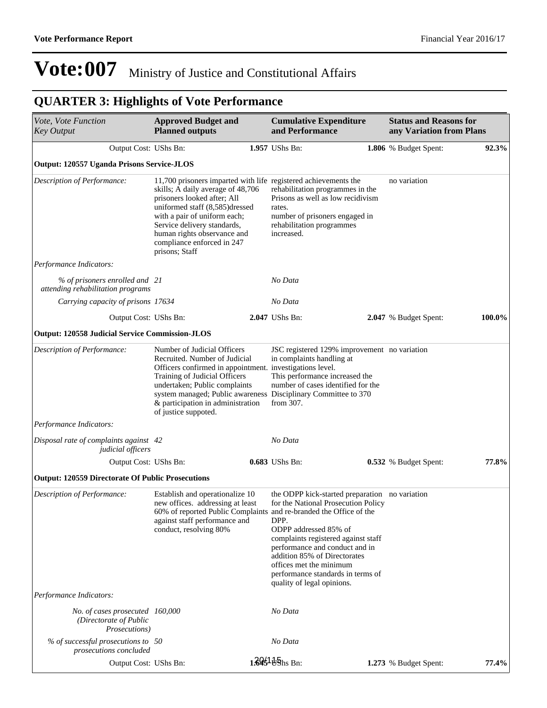| Vote, Vote Function<br><b>Key Output</b>                                   | <b>Approved Budget and</b><br><b>Planned outputs</b>                                                                                                                                                                                                                                                                | <b>Cumulative Expenditure</b><br>and Performance                                                                                                                                                                                                                                                                                                                                                    | <b>Status and Reasons for</b><br>any Variation from Plans |        |
|----------------------------------------------------------------------------|---------------------------------------------------------------------------------------------------------------------------------------------------------------------------------------------------------------------------------------------------------------------------------------------------------------------|-----------------------------------------------------------------------------------------------------------------------------------------------------------------------------------------------------------------------------------------------------------------------------------------------------------------------------------------------------------------------------------------------------|-----------------------------------------------------------|--------|
| Output Cost: UShs Bn:                                                      |                                                                                                                                                                                                                                                                                                                     | 1.957 UShs Bn:                                                                                                                                                                                                                                                                                                                                                                                      | 1.806 % Budget Spent:                                     | 92.3%  |
| Output: 120557 Uganda Prisons Service-JLOS                                 |                                                                                                                                                                                                                                                                                                                     |                                                                                                                                                                                                                                                                                                                                                                                                     |                                                           |        |
| Description of Performance:                                                | 11,700 prisoners imparted with life registered achievements the<br>skills; A daily average of 48,706<br>prisoners looked after; All<br>uniformed staff (8,585)dressed<br>with a pair of uniform each;<br>Service delivery standards,<br>human rights observance and<br>compliance enforced in 247<br>prisons; Staff | rehabilitation programmes in the<br>Prisons as well as low recidivism<br>rates.<br>number of prisoners engaged in<br>rehabilitation programmes<br>increased.                                                                                                                                                                                                                                        | no variation                                              |        |
| Performance Indicators:                                                    |                                                                                                                                                                                                                                                                                                                     |                                                                                                                                                                                                                                                                                                                                                                                                     |                                                           |        |
| % of prisoners enrolled and 21<br>attending rehabilitation programs        |                                                                                                                                                                                                                                                                                                                     | No Data                                                                                                                                                                                                                                                                                                                                                                                             |                                                           |        |
| Carrying capacity of prisons 17634                                         |                                                                                                                                                                                                                                                                                                                     | No Data                                                                                                                                                                                                                                                                                                                                                                                             |                                                           |        |
| Output Cost: UShs Bn:                                                      |                                                                                                                                                                                                                                                                                                                     | 2.047 UShs Bn:                                                                                                                                                                                                                                                                                                                                                                                      | 2.047 % Budget Spent:                                     | 100.0% |
| <b>Output: 120558 Judicial Service Commission-JLOS</b>                     |                                                                                                                                                                                                                                                                                                                     |                                                                                                                                                                                                                                                                                                                                                                                                     |                                                           |        |
| Description of Performance:                                                | Number of Judicial Officers<br>Recruited. Number of Judicial<br>Officers confirmed in appointment. investigations level.<br>Training of Judicial Officers<br>undertaken; Public complaints<br>& participation in administration<br>of justice suppoted.                                                             | JSC registered 129% improvement no variation<br>in complaints handling at<br>This performance increased the<br>number of cases identified for the<br>system managed; Public awareness Disciplinary Committee to 370<br>from 307.                                                                                                                                                                    |                                                           |        |
| Performance Indicators:                                                    |                                                                                                                                                                                                                                                                                                                     |                                                                                                                                                                                                                                                                                                                                                                                                     |                                                           |        |
| Disposal rate of complaints against 42<br>judicial officers                |                                                                                                                                                                                                                                                                                                                     | No Data                                                                                                                                                                                                                                                                                                                                                                                             |                                                           |        |
| Output Cost: UShs Bn:                                                      |                                                                                                                                                                                                                                                                                                                     | 0.683 UShs Bn:                                                                                                                                                                                                                                                                                                                                                                                      | 0.532 % Budget Spent:                                     | 77.8%  |
| <b>Output: 120559 Directorate Of Public Prosecutions</b>                   |                                                                                                                                                                                                                                                                                                                     |                                                                                                                                                                                                                                                                                                                                                                                                     |                                                           |        |
| Description of Performance:                                                | Establish and operationalize 10<br>new offices. addressing at least<br>against staff performance and<br>conduct, resolving 80%                                                                                                                                                                                      | the ODPP kick-started preparation no variation<br>for the National Prosecution Policy<br>60% of reported Public Complaints and re-branded the Office of the<br>DPP.<br>ODPP addressed 85% of<br>complaints registered against staff<br>performance and conduct and in<br>addition 85% of Directorates<br>offices met the minimum<br>performance standards in terms of<br>quality of legal opinions. |                                                           |        |
| Performance Indicators:                                                    |                                                                                                                                                                                                                                                                                                                     |                                                                                                                                                                                                                                                                                                                                                                                                     |                                                           |        |
| No. of cases prosecuted 160,000<br>(Directorate of Public<br>Prosecutions) |                                                                                                                                                                                                                                                                                                                     | No Data                                                                                                                                                                                                                                                                                                                                                                                             |                                                           |        |
| $%$ of successful prosecutions to 50<br>prosecutions concluded             |                                                                                                                                                                                                                                                                                                                     | No Data                                                                                                                                                                                                                                                                                                                                                                                             |                                                           |        |
| Output Cost: UShs Bn:                                                      |                                                                                                                                                                                                                                                                                                                     | 1.3951 Ushs Bn:                                                                                                                                                                                                                                                                                                                                                                                     | 1.273 % Budget Spent:                                     | 77.4%  |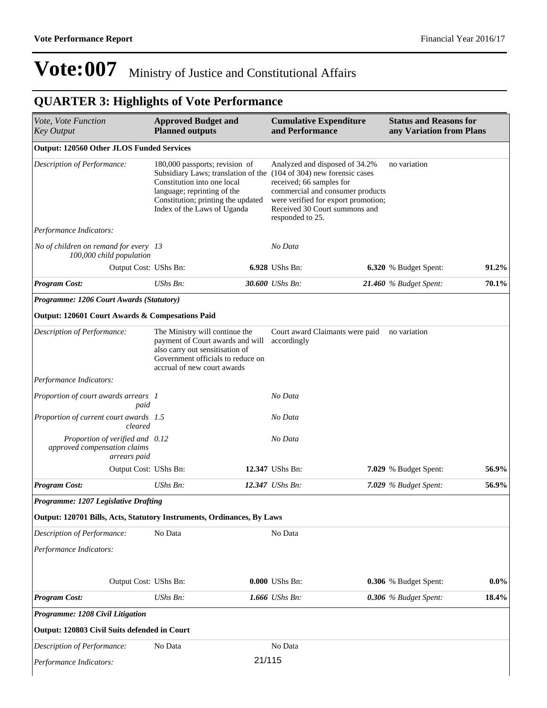| Vote, Vote Function<br><b>Key Output</b>                                        | <b>Approved Budget and</b><br><b>Planned outputs</b>                                                                                                                      |        | <b>Cumulative Expenditure</b><br>and Performance                                                                                                                                                                                                                  | <b>Status and Reasons for</b><br>any Variation from Plans |          |
|---------------------------------------------------------------------------------|---------------------------------------------------------------------------------------------------------------------------------------------------------------------------|--------|-------------------------------------------------------------------------------------------------------------------------------------------------------------------------------------------------------------------------------------------------------------------|-----------------------------------------------------------|----------|
| <b>Output: 120560 Other JLOS Funded Services</b>                                |                                                                                                                                                                           |        |                                                                                                                                                                                                                                                                   |                                                           |          |
| Description of Performance:                                                     | 180,000 passports; revision of<br>Constitution into one local<br>language; reprinting of the<br>Constitution; printing the updated<br>Index of the Laws of Uganda         |        | Analyzed and disposed of 34.2%<br>Subsidiary Laws; translation of the (104 of 304) new forensic cases<br>received; 66 samples for<br>commercial and consumer products<br>were verified for export promotion;<br>Received 30 Court summons and<br>responded to 25. | no variation                                              |          |
| Performance Indicators:                                                         |                                                                                                                                                                           |        |                                                                                                                                                                                                                                                                   |                                                           |          |
| No of children on remand for every 13<br>100,000 child population               |                                                                                                                                                                           |        | No Data                                                                                                                                                                                                                                                           |                                                           |          |
| Output Cost: UShs Bn:                                                           |                                                                                                                                                                           |        | 6.928 UShs Bn:                                                                                                                                                                                                                                                    | 6.320 % Budget Spent:                                     | $91.2\%$ |
| <b>Program Cost:</b>                                                            | UShs Bn:                                                                                                                                                                  |        | 30.600 UShs Bn:                                                                                                                                                                                                                                                   | 21.460 % Budget Spent:                                    | 70.1%    |
| Programme: 1206 Court Awards (Statutory)                                        |                                                                                                                                                                           |        |                                                                                                                                                                                                                                                                   |                                                           |          |
| Output: 120601 Court Awards & Compesations Paid                                 |                                                                                                                                                                           |        |                                                                                                                                                                                                                                                                   |                                                           |          |
| Description of Performance:                                                     | The Ministry will continue the<br>payment of Court awards and will<br>also carry out sensitisation of<br>Government officials to reduce on<br>accrual of new court awards |        | Court award Claimants were paid<br>accordingly                                                                                                                                                                                                                    | no variation                                              |          |
| Performance Indicators:                                                         |                                                                                                                                                                           |        |                                                                                                                                                                                                                                                                   |                                                           |          |
| Proportion of court awards arrears 1<br>paid                                    |                                                                                                                                                                           |        | No Data                                                                                                                                                                                                                                                           |                                                           |          |
| Proportion of current court awards 1.5<br>cleared                               |                                                                                                                                                                           |        | No Data                                                                                                                                                                                                                                                           |                                                           |          |
| Proportion of verified and 0.12<br>approved compensation claims<br>arrears paid |                                                                                                                                                                           |        | No Data                                                                                                                                                                                                                                                           |                                                           |          |
| Output Cost: UShs Bn:                                                           |                                                                                                                                                                           |        | 12.347 UShs Bn:                                                                                                                                                                                                                                                   | 7.029 % Budget Spent:                                     | 56.9%    |
| <b>Program Cost:</b>                                                            | UShs Bn:                                                                                                                                                                  |        | 12.347 UShs Bn:                                                                                                                                                                                                                                                   | 7.029 % Budget Spent:                                     | 56.9%    |
| Programme: 1207 Legislative Drafting                                            |                                                                                                                                                                           |        |                                                                                                                                                                                                                                                                   |                                                           |          |
| Output: 120701 Bills, Acts, Statutory Instruments, Ordinances, By Laws          |                                                                                                                                                                           |        |                                                                                                                                                                                                                                                                   |                                                           |          |
| Description of Performance:                                                     | No Data                                                                                                                                                                   |        | No Data                                                                                                                                                                                                                                                           |                                                           |          |
| Performance Indicators:                                                         |                                                                                                                                                                           |        |                                                                                                                                                                                                                                                                   |                                                           |          |
| Output Cost: UShs Bn:                                                           |                                                                                                                                                                           |        | 0.000 UShs Bn:                                                                                                                                                                                                                                                    | 0.306 % Budget Spent:                                     | $0.0\%$  |
| <b>Program Cost:</b>                                                            | UShs Bn:                                                                                                                                                                  |        | 1.666 UShs Bn:                                                                                                                                                                                                                                                    | 0.306 % Budget Spent:                                     | 18.4%    |
| Programme: 1208 Civil Litigation                                                |                                                                                                                                                                           |        |                                                                                                                                                                                                                                                                   |                                                           |          |
| Output: 120803 Civil Suits defended in Court                                    |                                                                                                                                                                           |        |                                                                                                                                                                                                                                                                   |                                                           |          |
| Description of Performance:                                                     | No Data                                                                                                                                                                   |        | No Data                                                                                                                                                                                                                                                           |                                                           |          |
| Performance Indicators:                                                         |                                                                                                                                                                           | 21/115 |                                                                                                                                                                                                                                                                   |                                                           |          |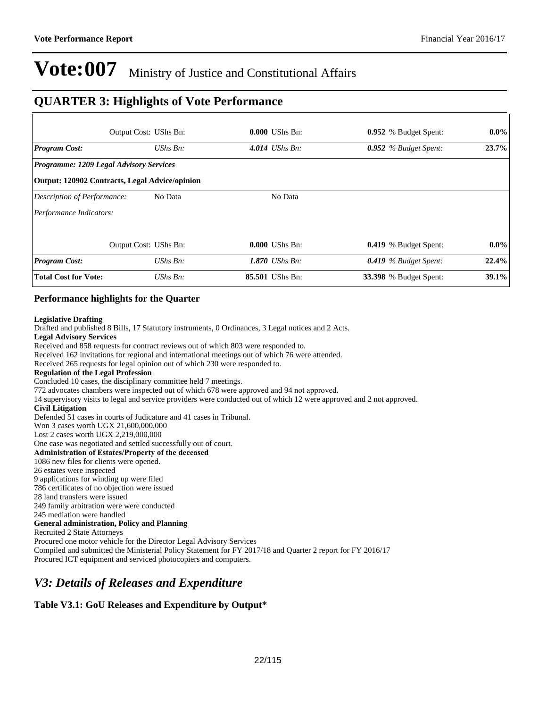### **QUARTER 3: Highlights of Vote Performance**

|                                                       | Output Cost: UShs Bn: | $0.000$ UShs Bn:  | 0.952 % Budget Spent:         | $0.0\%$ |
|-------------------------------------------------------|-----------------------|-------------------|-------------------------------|---------|
| <b>Program Cost:</b>                                  | UShs Bn:              | 4.014 UShs Bn:    | 0.952 % Budget Spent:         | 23.7%   |
| <b>Programme: 1209 Legal Advisory Services</b>        |                       |                   |                               |         |
| <b>Output: 120902 Contracts, Legal Advice/opinion</b> |                       |                   |                               |         |
| Description of Performance:                           | No Data               | No Data           |                               |         |
| Performance Indicators:                               |                       |                   |                               |         |
|                                                       | Output Cost: UShs Bn: | $0.000$ UShs Bn:  | <b>0.419</b> % Budget Spent:  | $0.0\%$ |
| <b>Program Cost:</b>                                  | $UShs Bn$ :           | 1.870 UShs $Bn$ : | $0.419$ % Budget Spent:       | 22.4%   |
| <b>Total Cost for Vote:</b>                           | $UShs Bn$ :           | 85.501 UShs Bn:   | <b>33.398</b> % Budget Spent: | 39.1%   |

#### **Performance highlights for the Quarter**

#### **Legislative Drafting**

Drafted and published 8 Bills, 17 Statutory instruments, 0 Ordinances, 3 Legal notices and 2 Acts. **Legal Advisory Services** Received and 858 requests for contract reviews out of which 803 were responded to. Received 162 invitations for regional and international meetings out of which 76 were attended. Received 265 requests for legal opinion out of which 230 were responded to. **Regulation of the Legal Profession** Concluded 10 cases, the disciplinary committee held 7 meetings. 772 advocates chambers were inspected out of which 678 were approved and 94 not approved. 14 supervisory visits to legal and service providers were conducted out of which 12 were approved and 2 not approved. **Civil Litigation** Defended 51 cases in courts of Judicature and 41 cases in Tribunal. Won 3 cases worth UGX 21,600,000,000 Lost 2 cases worth UGX 2,219,000,000 One case was negotiated and settled successfully out of court. Administration of Estates/Property of the deceased 1086 new files for clients were opened. 26 estates were inspected 9 applications for winding up were filed 786 certificates of no objection were issued 28 land transfers were issued 249 family arbitration were were conducted 245 mediation were handled **General administration, Policy and Planning** Recruited 2 State Attorneys Procured one motor vehicle for the Director Legal Advisory Services Compiled and submitted the Ministerial Policy Statement for FY 2017/18 and Quarter 2 report for FY 2016/17 Procured ICT equipment and serviced photocopiers and computers.

### *V3: Details of Releases and Expenditure*

#### **Table V3.1: GoU Releases and Expenditure by Output\***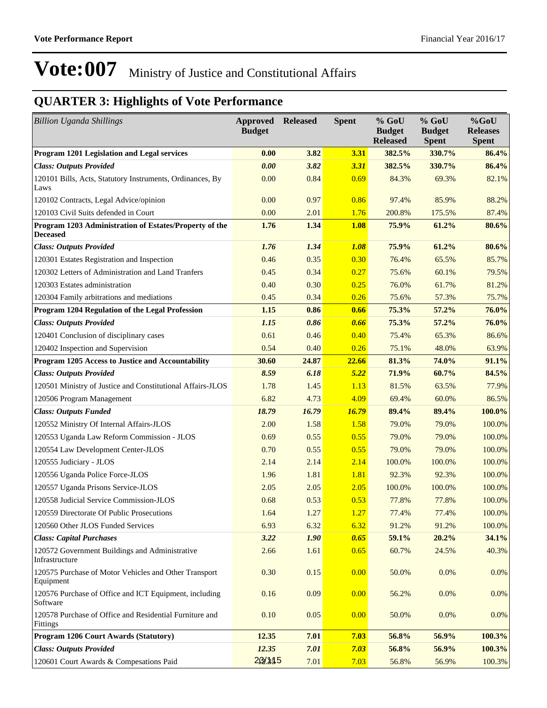| <b>Billion Uganda Shillings</b>                                           | <b>Approved Released</b><br><b>Budget</b> |       | <b>Spent</b> | $%$ GoU<br><b>Budget</b><br><b>Released</b> | % GoU<br><b>Budget</b><br><b>Spent</b> | $%$ GoU<br><b>Releases</b><br><b>Spent</b> |
|---------------------------------------------------------------------------|-------------------------------------------|-------|--------------|---------------------------------------------|----------------------------------------|--------------------------------------------|
| Program 1201 Legislation and Legal services                               | 0.00                                      | 3.82  | <b>3.31</b>  | 382.5%                                      | 330.7%                                 | 86.4%                                      |
| <b>Class: Outputs Provided</b>                                            | 0.00                                      | 3.82  | 3.31         | 382.5%                                      | 330.7%                                 | 86.4%                                      |
| 120101 Bills, Acts, Statutory Instruments, Ordinances, By<br>Laws         | 0.00                                      | 0.84  | 0.69         | 84.3%                                       | 69.3%                                  | 82.1%                                      |
| 120102 Contracts, Legal Advice/opinion                                    | 0.00                                      | 0.97  | 0.86         | 97.4%                                       | 85.9%                                  | 88.2%                                      |
| 120103 Civil Suits defended in Court                                      | 0.00                                      | 2.01  | 1.76         | 200.8%                                      | 175.5%                                 | 87.4%                                      |
| Program 1203 Administration of Estates/Property of the<br><b>Deceased</b> | 1.76                                      | 1.34  | <b>1.08</b>  | 75.9%                                       | 61.2%                                  | 80.6%                                      |
| <b>Class: Outputs Provided</b>                                            | 1.76                                      | 1.34  | 1.08         | 75.9%                                       | 61.2%                                  | 80.6%                                      |
| 120301 Estates Registration and Inspection                                | 0.46                                      | 0.35  | 0.30         | 76.4%                                       | 65.5%                                  | 85.7%                                      |
| 120302 Letters of Administration and Land Tranfers                        | 0.45                                      | 0.34  | 0.27         | 75.6%                                       | 60.1%                                  | 79.5%                                      |
| 120303 Estates administration                                             | 0.40                                      | 0.30  | 0.25         | 76.0%                                       | 61.7%                                  | 81.2%                                      |
| 120304 Family arbitrations and mediations                                 | 0.45                                      | 0.34  | 0.26         | 75.6%                                       | 57.3%                                  | 75.7%                                      |
| Program 1204 Regulation of the Legal Profession                           | 1.15                                      | 0.86  | 0.66         | 75.3%                                       | 57.2%                                  | 76.0%                                      |
| <b>Class: Outputs Provided</b>                                            | 1.15                                      | 0.86  | 0.66         | 75.3%                                       | 57.2%                                  | 76.0%                                      |
| 120401 Conclusion of disciplinary cases                                   | 0.61                                      | 0.46  | 0.40         | 75.4%                                       | 65.3%                                  | 86.6%                                      |
| 120402 Inspection and Supervision                                         | 0.54                                      | 0.40  | 0.26         | 75.1%                                       | 48.0%                                  | 63.9%                                      |
| Program 1205 Access to Justice and Accountability                         | 30.60                                     | 24.87 | 22.66        | 81.3%                                       | 74.0%                                  | 91.1%                                      |
| <b>Class: Outputs Provided</b>                                            | 8.59                                      | 6.18  | 5.22         | 71.9%                                       | 60.7%                                  | 84.5%                                      |
| 120501 Ministry of Justice and Constitutional Affairs-JLOS                | 1.78                                      | 1.45  | 1.13         | 81.5%                                       | 63.5%                                  | 77.9%                                      |
| 120506 Program Management                                                 | 6.82                                      | 4.73  | 4.09         | 69.4%                                       | 60.0%                                  | 86.5%                                      |
| <b>Class: Outputs Funded</b>                                              | 18.79                                     | 16.79 | 16.79        | 89.4%                                       | 89.4%                                  | 100.0%                                     |
| 120552 Ministry Of Internal Affairs-JLOS                                  | 2.00                                      | 1.58  | 1.58         | 79.0%                                       | 79.0%                                  | 100.0%                                     |
| 120553 Uganda Law Reform Commission - JLOS                                | 0.69                                      | 0.55  | 0.55         | 79.0%                                       | 79.0%                                  | 100.0%                                     |
| 120554 Law Development Center-JLOS                                        | 0.70                                      | 0.55  | 0.55         | 79.0%                                       | 79.0%                                  | 100.0%                                     |
| 120555 Judiciary - JLOS                                                   | 2.14                                      | 2.14  | 2.14         | 100.0%                                      | 100.0%                                 | 100.0%                                     |
| 120556 Uganda Police Force-JLOS                                           | 1.96                                      | 1.81  | 1.81         | 92.3%                                       | 92.3%                                  | 100.0%                                     |
| 120557 Uganda Prisons Service-JLOS                                        | 2.05                                      | 2.05  | 2.05         | 100.0%                                      | 100.0%                                 | 100.0%                                     |
| 120558 Judicial Service Commission-JLOS                                   | 0.68                                      | 0.53  | 0.53         | 77.8%                                       | 77.8%                                  | 100.0%                                     |
| 120559 Directorate Of Public Prosecutions                                 | 1.64                                      | 1.27  | 1.27         | 77.4%                                       | 77.4%                                  | 100.0%                                     |
| 120560 Other JLOS Funded Services                                         | 6.93                                      | 6.32  | 6.32         | 91.2%                                       | 91.2%                                  | 100.0%                                     |
| <b>Class: Capital Purchases</b>                                           | 3.22                                      | 1.90  | 0.65         | 59.1%                                       | 20.2%                                  | 34.1%                                      |
| 120572 Government Buildings and Administrative<br>Infrastructure          | 2.66                                      | 1.61  | 0.65         | 60.7%                                       | 24.5%                                  | 40.3%                                      |
| 120575 Purchase of Motor Vehicles and Other Transport<br>Equipment        | 0.30                                      | 0.15  | 0.00         | 50.0%                                       | 0.0%                                   | 0.0%                                       |
| 120576 Purchase of Office and ICT Equipment, including<br>Software        | 0.16                                      | 0.09  | 0.00         | 56.2%                                       | 0.0%                                   | 0.0%                                       |
| 120578 Purchase of Office and Residential Furniture and<br>Fittings       | 0.10                                      | 0.05  | 0.00         | 50.0%                                       | 0.0%                                   | 0.0%                                       |
| Program 1206 Court Awards (Statutory)                                     | 12.35                                     | 7.01  | 7.03         | 56.8%                                       | 56.9%                                  | 100.3%                                     |
| <b>Class: Outputs Provided</b>                                            | 12.35                                     | 7.01  | 7.03         | 56.8%                                       | 56.9%                                  | 100.3%                                     |
| 120601 Court Awards & Compesations Paid                                   | 20/115                                    | 7.01  | 7.03         | 56.8%                                       | 56.9%                                  | 100.3%                                     |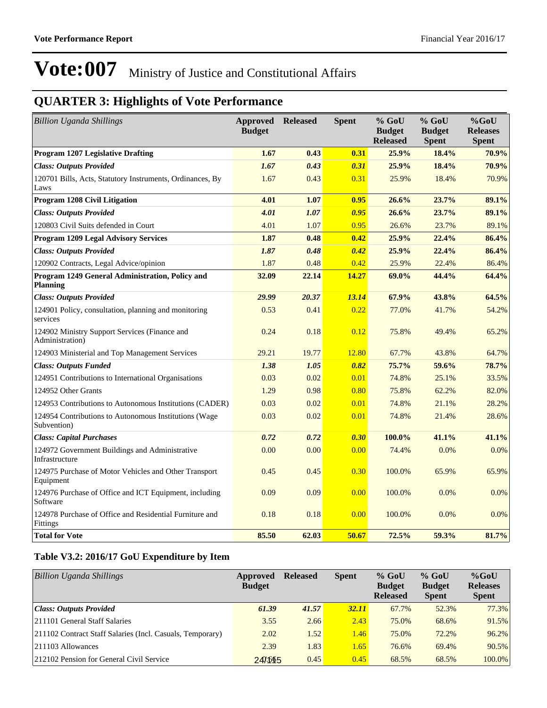## **QUARTER 3: Highlights of Vote Performance**

| <b>Billion Uganda Shillings</b>                                      | <b>Approved</b><br><b>Budget</b> | <b>Released</b> | <b>Spent</b> | % GoU<br><b>Budget</b><br><b>Released</b> | $%$ GoU<br><b>Budget</b><br><b>Spent</b> | %GoU<br><b>Releases</b><br><b>Spent</b> |
|----------------------------------------------------------------------|----------------------------------|-----------------|--------------|-------------------------------------------|------------------------------------------|-----------------------------------------|
| <b>Program 1207 Legislative Drafting</b>                             | 1.67                             | 0.43            | 0.31         | 25.9%                                     | 18.4%                                    | 70.9%                                   |
| <b>Class: Outputs Provided</b>                                       | 1.67                             | 0.43            | 0.31         | 25.9%                                     | 18.4%                                    | 70.9%                                   |
| 120701 Bills, Acts, Statutory Instruments, Ordinances, By<br>Laws    | 1.67                             | 0.43            | 0.31         | 25.9%                                     | 18.4%                                    | 70.9%                                   |
| Program 1208 Civil Litigation                                        | 4.01                             | 1.07            | 0.95         | 26.6%                                     | 23.7%                                    | 89.1%                                   |
| <b>Class: Outputs Provided</b>                                       | 4.01                             | 1.07            | 0.95         | 26.6%                                     | 23.7%                                    | 89.1%                                   |
| 120803 Civil Suits defended in Court                                 | 4.01                             | 1.07            | 0.95         | 26.6%                                     | 23.7%                                    | 89.1%                                   |
| <b>Program 1209 Legal Advisory Services</b>                          | 1.87                             | 0.48            | 0.42         | 25.9%                                     | 22.4%                                    | 86.4%                                   |
| <b>Class: Outputs Provided</b>                                       | 1.87                             | 0.48            | 0.42         | 25.9%                                     | 22.4%                                    | 86.4%                                   |
| 120902 Contracts, Legal Advice/opinion                               | 1.87                             | 0.48            | 0.42         | 25.9%                                     | 22.4%                                    | 86.4%                                   |
| Program 1249 General Administration, Policy and<br><b>Planning</b>   | 32.09                            | 22.14           | 14.27        | 69.0%                                     | 44.4%                                    | 64.4%                                   |
| <b>Class: Outputs Provided</b>                                       | 29.99                            | 20.37           | 13.14        | 67.9%                                     | 43.8%                                    | 64.5%                                   |
| 124901 Policy, consultation, planning and monitoring<br>services     | 0.53                             | 0.41            | 0.22         | 77.0%                                     | 41.7%                                    | 54.2%                                   |
| 124902 Ministry Support Services (Finance and<br>Administration)     | 0.24                             | 0.18            | 0.12         | 75.8%                                     | 49.4%                                    | 65.2%                                   |
| 124903 Ministerial and Top Management Services                       | 29.21                            | 19.77           | 12.80        | 67.7%                                     | 43.8%                                    | 64.7%                                   |
| <b>Class: Outputs Funded</b>                                         | 1.38                             | 1.05            | 0.82         | 75.7%                                     | 59.6%                                    | 78.7%                                   |
| 124951 Contributions to International Organisations                  | 0.03                             | 0.02            | 0.01         | 74.8%                                     | 25.1%                                    | 33.5%                                   |
| 124952 Other Grants                                                  | 1.29                             | 0.98            | 0.80         | 75.8%                                     | 62.2%                                    | 82.0%                                   |
| 124953 Contributions to Autonomous Institutions (CADER)              | 0.03                             | 0.02            | 0.01         | 74.8%                                     | 21.1%                                    | 28.2%                                   |
| 124954 Contributions to Autonomous Institutions (Wage<br>Subvention) | 0.03                             | 0.02            | 0.01         | 74.8%                                     | 21.4%                                    | 28.6%                                   |
| <b>Class: Capital Purchases</b>                                      | 0.72                             | 0.72            | 0.30         | 100.0%                                    | 41.1%                                    | 41.1%                                   |
| 124972 Government Buildings and Administrative<br>Infrastructure     | 0.00                             | 0.00            | 0.00         | 74.4%                                     | 0.0%                                     | $0.0\%$                                 |
| 124975 Purchase of Motor Vehicles and Other Transport<br>Equipment   | 0.45                             | 0.45            | 0.30         | 100.0%                                    | 65.9%                                    | 65.9%                                   |
| 124976 Purchase of Office and ICT Equipment, including<br>Software   | 0.09                             | 0.09            | 0.00         | 100.0%                                    | 0.0%                                     | 0.0%                                    |
| 124978 Purchase of Office and Residential Furniture and<br>Fittings  | 0.18                             | 0.18            | 0.00         | 100.0%                                    | 0.0%                                     | $0.0\%$                                 |
| <b>Total for Vote</b>                                                | 85.50                            | 62.03           | 50.67        | 72.5%                                     | 59.3%                                    | 81.7%                                   |

#### **Table V3.2: 2016/17 GoU Expenditure by Item**

| <b>Billion Uganda Shillings</b>                           | Approved<br><b>Budget</b> | <b>Released</b> | <b>Spent</b> | $%$ GoU<br><b>Budget</b><br><b>Released</b> | $%$ GoU<br><b>Budget</b><br><b>Spent</b> | $%$ GoU<br><b>Releases</b><br><b>Spent</b> |
|-----------------------------------------------------------|---------------------------|-----------------|--------------|---------------------------------------------|------------------------------------------|--------------------------------------------|
| Class: Outputs Provided                                   | 61.39                     | 41.57           | <b>32.11</b> | 67.7%                                       | 52.3%                                    | 77.3%                                      |
| 211101 General Staff Salaries                             | 3.55                      | 2.66            | 2.43         | 75.0%                                       | 68.6%                                    | 91.5%                                      |
| 211102 Contract Staff Salaries (Incl. Casuals, Temporary) | 2.02                      | 1.52            | 1.46         | 75.0%                                       | 72.2%                                    | $96.2\%$                                   |
| $ 211103$ Allowances                                      | 2.39                      | 1.83            | 1.65         | 76.6%                                       | 69.4%                                    | $90.5\%$                                   |
| 212102 Pension for General Civil Service                  | 240.645                   | 0.45            | 0.45         | 68.5%                                       | 68.5%                                    | 100.0%                                     |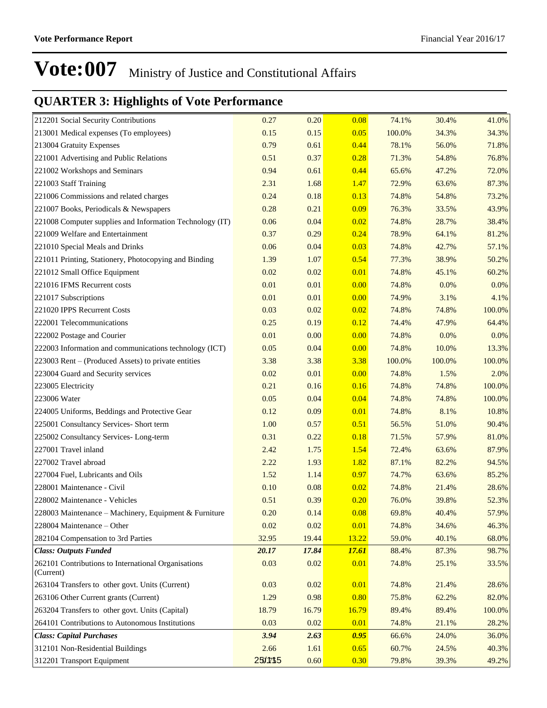| 212201 Social Security Contributions                             | 0.27    | 0.20  | 0.08         | 74.1%  | 30.4%  | 41.0%   |
|------------------------------------------------------------------|---------|-------|--------------|--------|--------|---------|
| 213001 Medical expenses (To employees)                           | 0.15    | 0.15  | 0.05         | 100.0% | 34.3%  | 34.3%   |
| 213004 Gratuity Expenses                                         | 0.79    | 0.61  | 0.44         | 78.1%  | 56.0%  | 71.8%   |
| 221001 Advertising and Public Relations                          | 0.51    | 0.37  | 0.28         | 71.3%  | 54.8%  | 76.8%   |
| 221002 Workshops and Seminars                                    | 0.94    | 0.61  | 0.44         | 65.6%  | 47.2%  | 72.0%   |
| 221003 Staff Training                                            | 2.31    | 1.68  | 1.47         | 72.9%  | 63.6%  | 87.3%   |
| 221006 Commissions and related charges                           | 0.24    | 0.18  | 0.13         | 74.8%  | 54.8%  | 73.2%   |
| 221007 Books, Periodicals & Newspapers                           | 0.28    | 0.21  | 0.09         | 76.3%  | 33.5%  | 43.9%   |
| 221008 Computer supplies and Information Technology (IT)         | 0.06    | 0.04  | 0.02         | 74.8%  | 28.7%  | 38.4%   |
| 221009 Welfare and Entertainment                                 | 0.37    | 0.29  | 0.24         | 78.9%  | 64.1%  | 81.2%   |
| 221010 Special Meals and Drinks                                  | 0.06    | 0.04  | 0.03         | 74.8%  | 42.7%  | 57.1%   |
| 221011 Printing, Stationery, Photocopying and Binding            | 1.39    | 1.07  | 0.54         | 77.3%  | 38.9%  | 50.2%   |
| 221012 Small Office Equipment                                    | 0.02    | 0.02  | 0.01         | 74.8%  | 45.1%  | 60.2%   |
| 221016 IFMS Recurrent costs                                      | 0.01    | 0.01  | 0.00         | 74.8%  | 0.0%   | $0.0\%$ |
| 221017 Subscriptions                                             | 0.01    | 0.01  | 0.00         | 74.9%  | 3.1%   | 4.1%    |
| 221020 IPPS Recurrent Costs                                      | 0.03    | 0.02  | 0.02         | 74.8%  | 74.8%  | 100.0%  |
| 222001 Telecommunications                                        | 0.25    | 0.19  | 0.12         | 74.4%  | 47.9%  | 64.4%   |
| 222002 Postage and Courier                                       | 0.01    | 0.00  | 0.00         | 74.8%  | 0.0%   | $0.0\%$ |
| 222003 Information and communications technology (ICT)           | 0.05    | 0.04  | 0.00         | 74.8%  | 10.0%  | 13.3%   |
| 223003 Rent – (Produced Assets) to private entities              | 3.38    | 3.38  | 3.38         | 100.0% | 100.0% | 100.0%  |
| 223004 Guard and Security services                               | 0.02    | 0.01  | 0.00         | 74.8%  | 1.5%   | 2.0%    |
| 223005 Electricity                                               | 0.21    | 0.16  | 0.16         | 74.8%  | 74.8%  | 100.0%  |
| 223006 Water                                                     | 0.05    | 0.04  | 0.04         | 74.8%  | 74.8%  | 100.0%  |
| 224005 Uniforms, Beddings and Protective Gear                    | 0.12    | 0.09  | 0.01         | 74.8%  | 8.1%   | 10.8%   |
| 225001 Consultancy Services- Short term                          | 1.00    | 0.57  | 0.51         | 56.5%  | 51.0%  | 90.4%   |
| 225002 Consultancy Services-Long-term                            | 0.31    | 0.22  | 0.18         | 71.5%  | 57.9%  | 81.0%   |
| 227001 Travel inland                                             | 2.42    | 1.75  | 1.54         | 72.4%  | 63.6%  | 87.9%   |
| 227002 Travel abroad                                             | 2.22    | 1.93  | 1.82         | 87.1%  | 82.2%  | 94.5%   |
| 227004 Fuel, Lubricants and Oils                                 | 1.52    | 1.14  | 0.97         | 74.7%  | 63.6%  | 85.2%   |
| 228001 Maintenance - Civil                                       | 0.10    | 0.08  | 0.02         | 74.8%  | 21.4%  | 28.6%   |
| 228002 Maintenance - Vehicles                                    | 0.51    | 0.39  | 0.20         | 76.0%  | 39.8%  | 52.3%   |
| 228003 Maintenance - Machinery, Equipment & Furniture            | 0.20    | 0.14  | 0.08         | 69.8%  | 40.4%  | 57.9%   |
| 228004 Maintenance – Other                                       | 0.02    | 0.02  | 0.01         | 74.8%  | 34.6%  | 46.3%   |
| 282104 Compensation to 3rd Parties                               | 32.95   | 19.44 | 13.22        | 59.0%  | 40.1%  | 68.0%   |
| <b>Class: Outputs Funded</b>                                     | 20.17   | 17.84 | <b>17.61</b> | 88.4%  | 87.3%  | 98.7%   |
| 262101 Contributions to International Organisations<br>(Current) | 0.03    | 0.02  | 0.01         | 74.8%  | 25.1%  | 33.5%   |
| 263104 Transfers to other govt. Units (Current)                  | 0.03    | 0.02  | 0.01         | 74.8%  | 21.4%  | 28.6%   |
| 263106 Other Current grants (Current)                            | 1.29    | 0.98  | 0.80         | 75.8%  | 62.2%  | 82.0%   |
| 263204 Transfers to other govt. Units (Capital)                  | 18.79   | 16.79 | 16.79        | 89.4%  | 89.4%  | 100.0%  |
| 264101 Contributions to Autonomous Institutions                  | 0.03    | 0.02  | 0.01         | 74.8%  | 21.1%  | 28.2%   |
| <b>Class: Capital Purchases</b>                                  | 3.94    | 2.63  | 0.95         | 66.6%  | 24.0%  | 36.0%   |
| 312101 Non-Residential Buildings                                 | 2.66    | 1.61  | 0.65         | 60.7%  | 24.5%  | 40.3%   |
| 312201 Transport Equipment                                       | 25/1715 | 0.60  | 0.30         | 79.8%  | 39.3%  | 49.2%   |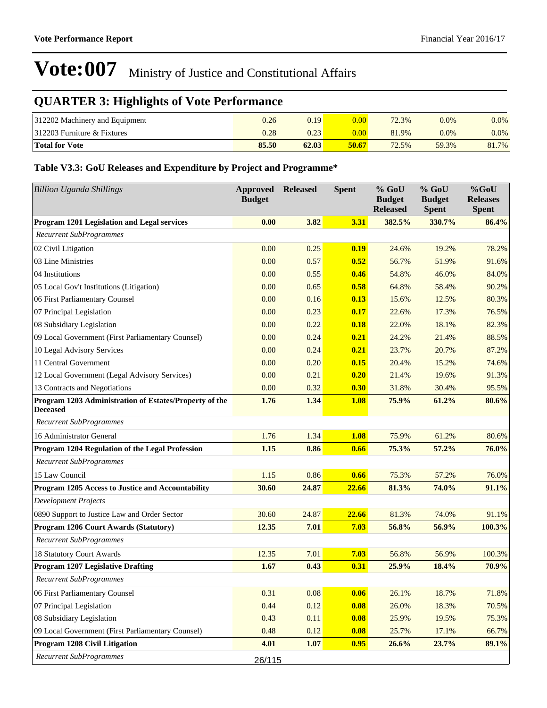## **QUARTER 3: Highlights of Vote Performance**

| 312202 Machinery and Equipment | 0.26  | 0.19  | 0.001       | 72.3% | $0.0\%$ | $0.0\%$ |
|--------------------------------|-------|-------|-------------|-------|---------|---------|
| $ 312203$ Furniture & Fixtures | 0.28  | 0.23  | $0.00^{11}$ | 81.9% | $0.0\%$ | $0.0\%$ |
| <b>Total for Vote</b>          | 85.50 | 62.03 | 50.67       | 72.5% | 59.3%   | 81.7%   |

#### **Table V3.3: GoU Releases and Expenditure by Project and Programme\***

| <b>Billion Uganda Shillings</b>                                           | <b>Approved</b><br><b>Budget</b> | <b>Released</b> | <b>Spent</b> | % GoU<br><b>Budget</b><br><b>Released</b> | $%$ GoU<br><b>Budget</b><br><b>Spent</b> | %GoU<br><b>Releases</b><br><b>Spent</b> |
|---------------------------------------------------------------------------|----------------------------------|-----------------|--------------|-------------------------------------------|------------------------------------------|-----------------------------------------|
| Program 1201 Legislation and Legal services                               | 0.00                             | 3.82            | 3.31         | 382.5%                                    | 330.7%                                   | 86.4%                                   |
| <b>Recurrent SubProgrammes</b>                                            |                                  |                 |              |                                           |                                          |                                         |
| 02 Civil Litigation                                                       | 0.00                             | 0.25            | 0.19         | 24.6%                                     | 19.2%                                    | 78.2%                                   |
| 03 Line Ministries                                                        | 0.00                             | 0.57            | 0.52         | 56.7%                                     | 51.9%                                    | 91.6%                                   |
| 04 Institutions                                                           | 0.00                             | 0.55            | 0.46         | 54.8%                                     | 46.0%                                    | 84.0%                                   |
| 05 Local Gov't Institutions (Litigation)                                  | 0.00                             | 0.65            | 0.58         | 64.8%                                     | 58.4%                                    | 90.2%                                   |
| 06 First Parliamentary Counsel                                            | 0.00                             | 0.16            | 0.13         | 15.6%                                     | 12.5%                                    | 80.3%                                   |
| 07 Principal Legislation                                                  | 0.00                             | 0.23            | 0.17         | 22.6%                                     | 17.3%                                    | 76.5%                                   |
| 08 Subsidiary Legislation                                                 | 0.00                             | 0.22            | 0.18         | 22.0%                                     | 18.1%                                    | 82.3%                                   |
| 09 Local Government (First Parliamentary Counsel)                         | 0.00                             | 0.24            | 0.21         | 24.2%                                     | 21.4%                                    | 88.5%                                   |
| 10 Legal Advisory Services                                                | 0.00                             | 0.24            | 0.21         | 23.7%                                     | 20.7%                                    | 87.2%                                   |
| 11 Central Government                                                     | 0.00                             | 0.20            | 0.15         | 20.4%                                     | 15.2%                                    | 74.6%                                   |
| 12 Local Government (Legal Advisory Services)                             | 0.00                             | 0.21            | 0.20         | 21.4%                                     | 19.6%                                    | 91.3%                                   |
| 13 Contracts and Negotiations                                             | 0.00                             | 0.32            | 0.30         | 31.8%                                     | 30.4%                                    | 95.5%                                   |
| Program 1203 Administration of Estates/Property of the<br><b>Deceased</b> | 1.76                             | 1.34            | 1.08         | 75.9%                                     | 61.2%                                    | 80.6%                                   |
| <b>Recurrent SubProgrammes</b>                                            |                                  |                 |              |                                           |                                          |                                         |
| 16 Administrator General                                                  | 1.76                             | 1.34            | 1.08         | 75.9%                                     | 61.2%                                    | 80.6%                                   |
| Program 1204 Regulation of the Legal Profession                           | 1.15                             | 0.86            | 0.66         | 75.3%                                     | 57.2%                                    | 76.0%                                   |
| <b>Recurrent SubProgrammes</b>                                            |                                  |                 |              |                                           |                                          |                                         |
| 15 Law Council                                                            | 1.15                             | 0.86            | 0.66         | 75.3%                                     | 57.2%                                    | 76.0%                                   |
| Program 1205 Access to Justice and Accountability                         | 30.60                            | 24.87           | 22.66        | 81.3%                                     | 74.0%                                    | 91.1%                                   |
| <b>Development Projects</b>                                               |                                  |                 |              |                                           |                                          |                                         |
| 0890 Support to Justice Law and Order Sector                              | 30.60                            | 24.87           | 22.66        | 81.3%                                     | 74.0%                                    | 91.1%                                   |
| Program 1206 Court Awards (Statutory)                                     | 12.35                            | 7.01            | 7.03         | 56.8%                                     | 56.9%                                    | 100.3%                                  |
| <b>Recurrent SubProgrammes</b>                                            |                                  |                 |              |                                           |                                          |                                         |
| 18 Statutory Court Awards                                                 | 12.35                            | 7.01            | 7.03         | 56.8%                                     | 56.9%                                    | 100.3%                                  |
| <b>Program 1207 Legislative Drafting</b>                                  | 1.67                             | 0.43            | 0.31         | 25.9%                                     | 18.4%                                    | 70.9%                                   |
| <b>Recurrent SubProgrammes</b>                                            |                                  |                 |              |                                           |                                          |                                         |
| 06 First Parliamentary Counsel                                            | 0.31                             | 0.08            | 0.06         | 26.1%                                     | 18.7%                                    | 71.8%                                   |
| 07 Principal Legislation                                                  | 0.44                             | 0.12            | 0.08         | 26.0%                                     | 18.3%                                    | 70.5%                                   |
| 08 Subsidiary Legislation                                                 | 0.43                             | 0.11            | 0.08         | 25.9%                                     | 19.5%                                    | 75.3%                                   |
| 09 Local Government (First Parliamentary Counsel)                         | 0.48                             | 0.12            | 0.08         | 25.7%                                     | 17.1%                                    | 66.7%                                   |
| Program 1208 Civil Litigation                                             | 4.01                             | 1.07            | 0.95         | 26.6%                                     | 23.7%                                    | 89.1%                                   |
| <b>Recurrent SubProgrammes</b>                                            | 26/115                           |                 |              |                                           |                                          |                                         |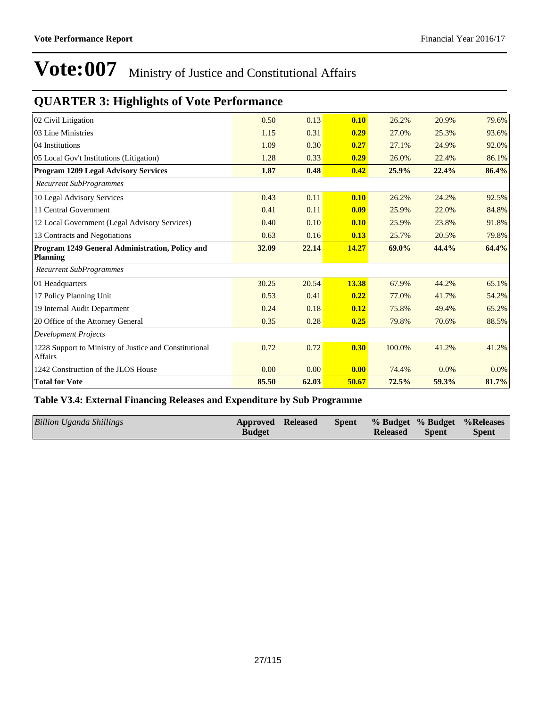## **QUARTER 3: Highlights of Vote Performance**

| 02 Civil Litigation                                                      | 0.50  | 0.13  | 0.10  | 26.2%  | 20.9% | 79.6% |
|--------------------------------------------------------------------------|-------|-------|-------|--------|-------|-------|
| 03 Line Ministries                                                       | 1.15  | 0.31  | 0.29  | 27.0%  | 25.3% | 93.6% |
| 04 Institutions                                                          | 1.09  | 0.30  | 0.27  | 27.1%  | 24.9% | 92.0% |
| 05 Local Gov't Institutions (Litigation)                                 | 1.28  | 0.33  | 0.29  | 26.0%  | 22.4% | 86.1% |
| <b>Program 1209 Legal Advisory Services</b>                              | 1.87  | 0.48  | 0.42  | 25.9%  | 22.4% | 86.4% |
| <b>Recurrent SubProgrammes</b>                                           |       |       |       |        |       |       |
| 10 Legal Advisory Services                                               | 0.43  | 0.11  | 0.10  | 26.2%  | 24.2% | 92.5% |
| 11 Central Government                                                    | 0.41  | 0.11  | 0.09  | 25.9%  | 22.0% | 84.8% |
| 12 Local Government (Legal Advisory Services)                            | 0.40  | 0.10  | 0.10  | 25.9%  | 23.8% | 91.8% |
| 13 Contracts and Negotiations                                            | 0.63  | 0.16  | 0.13  | 25.7%  | 20.5% | 79.8% |
| Program 1249 General Administration, Policy and<br><b>Planning</b>       | 32.09 | 22.14 | 14.27 | 69.0%  | 44.4% | 64.4% |
| <b>Recurrent SubProgrammes</b>                                           |       |       |       |        |       |       |
| 01 Headquarters                                                          | 30.25 | 20.54 | 13.38 | 67.9%  | 44.2% | 65.1% |
| 17 Policy Planning Unit                                                  | 0.53  | 0.41  | 0.22  | 77.0%  | 41.7% | 54.2% |
| 19 Internal Audit Department                                             | 0.24  | 0.18  | 0.12  | 75.8%  | 49.4% | 65.2% |
| 20 Office of the Attorney General                                        | 0.35  | 0.28  | 0.25  | 79.8%  | 70.6% | 88.5% |
| <b>Development Projects</b>                                              |       |       |       |        |       |       |
| 1228 Support to Ministry of Justice and Constitutional<br><b>Affairs</b> | 0.72  | 0.72  | 0.30  | 100.0% | 41.2% | 41.2% |
| 1242 Construction of the JLOS House                                      | 0.00  | 0.00  | 0.00  | 74.4%  | 0.0%  | 0.0%  |
| <b>Total for Vote</b>                                                    | 85.50 | 62.03 | 50.67 | 72.5%  | 59.3% | 81.7% |

#### **Table V3.4: External Financing Releases and Expenditure by Sub Programme**

| Billion Uganda Shillings<br>Spent % Budget % Budget % Releases<br>Approved Released<br><b>Budget</b><br>Spent<br><b>Released</b> |
|----------------------------------------------------------------------------------------------------------------------------------|
|----------------------------------------------------------------------------------------------------------------------------------|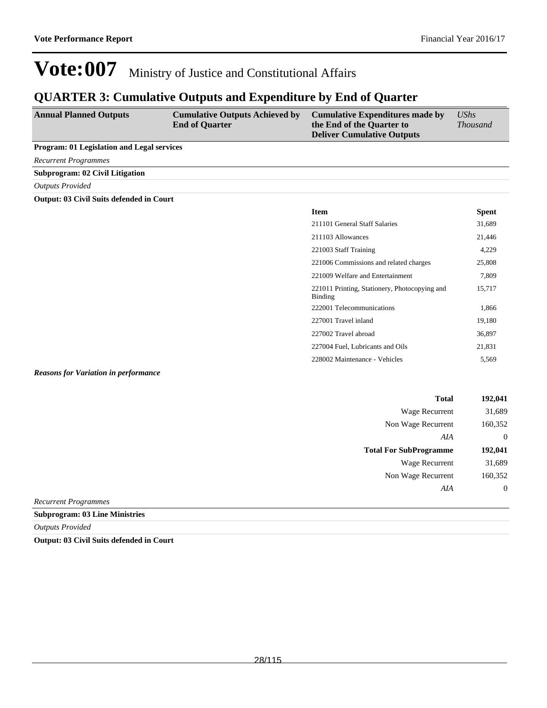15,717

221006 Commissions and related charges 25,808 221009 Welfare and Entertainment 7,809

222001 Telecommunications 1,866 227001 Travel inland 19,180 227002 Travel abroad 36,897 227004 Fuel, Lubricants and Oils 21,831 228002 Maintenance - Vehicles 5,569

221011 Printing, Stationery, Photocopying and

## **Vote:007** Ministry of Justice and Constitutional Affairs

### **QUARTER 3: Cumulative Outputs and Expenditure by End of Quarter**

| <b>Annual Planned Outputs</b>                     | <b>Cumulative Outputs Achieved by</b><br><b>End of Quarter</b> | <b>Cumulative Expenditures made by</b><br>the End of the Quarter to<br><b>Deliver Cumulative Outputs</b> | $\mathit{UShs}$<br><i>Thousand</i> |
|---------------------------------------------------|----------------------------------------------------------------|----------------------------------------------------------------------------------------------------------|------------------------------------|
| <b>Program: 01 Legislation and Legal services</b> |                                                                |                                                                                                          |                                    |
| <b>Recurrent Programmes</b>                       |                                                                |                                                                                                          |                                    |
| <b>Subprogram: 02 Civil Litigation</b>            |                                                                |                                                                                                          |                                    |
| <b>Outputs Provided</b>                           |                                                                |                                                                                                          |                                    |
| <b>Output: 03 Civil Suits defended in Court</b>   |                                                                |                                                                                                          |                                    |
|                                                   |                                                                | <b>Item</b>                                                                                              | <b>Spent</b>                       |
|                                                   |                                                                | 211101 General Staff Salaries                                                                            | 31,689                             |
|                                                   |                                                                | 211103 Allowances                                                                                        | 21,446                             |
|                                                   |                                                                | 221003 Staff Training                                                                                    | 4,229                              |

#### *Reasons for Variation in performance*

| 192,041        | <b>Total</b>                  |
|----------------|-------------------------------|
| 31,689         | Wage Recurrent                |
| 160,352        | Non Wage Recurrent            |
| $\overline{0}$ | AIA                           |
| 192,041        | <b>Total For SubProgramme</b> |
| 31,689         | <b>Wage Recurrent</b>         |
| 160,352        | Non Wage Recurrent            |
| $\overline{0}$ | AIA                           |
|                |                               |

Binding

*Recurrent Programmes*

**Subprogram: 03 Line Ministries**

*Outputs Provided*

**Output: 03 Civil Suits defended in Court**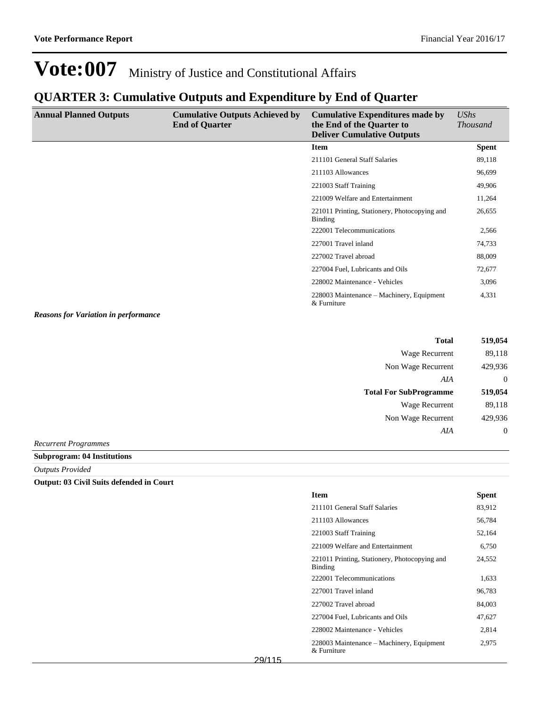## **QUARTER 3: Cumulative Outputs and Expenditure by End of Quarter**

| <b>Annual Planned Outputs</b>               | <b>Cumulative Outputs Achieved by</b><br><b>End of Quarter</b> | <b>Cumulative Expenditures made by</b><br>the End of the Quarter to<br><b>Deliver Cumulative Outputs</b> | UShs<br><i>Thousand</i> |
|---------------------------------------------|----------------------------------------------------------------|----------------------------------------------------------------------------------------------------------|-------------------------|
|                                             |                                                                | <b>Item</b>                                                                                              | <b>Spent</b>            |
|                                             |                                                                | 211101 General Staff Salaries                                                                            | 89,118                  |
|                                             |                                                                | 211103 Allowances                                                                                        | 96,699                  |
|                                             |                                                                | 221003 Staff Training                                                                                    | 49,906                  |
|                                             |                                                                | 221009 Welfare and Entertainment                                                                         | 11,264                  |
|                                             |                                                                | 221011 Printing, Stationery, Photocopying and<br>Binding                                                 | 26,655                  |
|                                             |                                                                | 222001 Telecommunications                                                                                | 2,566                   |
|                                             |                                                                | 227001 Travel inland                                                                                     | 74,733                  |
|                                             |                                                                | 227002 Travel abroad                                                                                     | 88,009                  |
|                                             |                                                                | 227004 Fuel, Lubricants and Oils                                                                         | 72,677                  |
|                                             |                                                                | 228002 Maintenance - Vehicles                                                                            | 3,096                   |
|                                             |                                                                | 228003 Maintenance – Machinery, Equipment<br>& Furniture                                                 | 4,331                   |
| <b>Reasons for Variation in performance</b> |                                                                |                                                                                                          |                         |

| <b>Total</b>                  | 519,054  |
|-------------------------------|----------|
| Wage Recurrent                | 89,118   |
| Non Wage Recurrent            | 429,936  |
| AIA                           | $\Omega$ |
|                               |          |
| <b>Total For SubProgramme</b> | 519,054  |
| Wage Recurrent                | 89,118   |
| Non Wage Recurrent            | 429,936  |
| AIA                           | 0        |

*Recurrent Programmes*

**Subprogram: 04 Institutions**

*Outputs Provided*

#### **Output: 03 Civil Suits defended in Court**

| <b>Item</b>                                                 | <b>Spent</b> |
|-------------------------------------------------------------|--------------|
| 211101 General Staff Salaries                               | 83,912       |
| 211103 Allowances                                           | 56,784       |
| 221003 Staff Training                                       | 52,164       |
| 221009 Welfare and Entertainment                            | 6,750        |
| 221011 Printing, Stationery, Photocopying and<br>Binding    | 24,552       |
| 222001 Telecommunications                                   | 1,633        |
| 227001 Travel inland                                        | 96,783       |
| 227002 Travel abroad                                        | 84,003       |
| 227004 Fuel, Lubricants and Oils                            | 47,627       |
| 228002 Maintenance - Vehicles                               | 2,814        |
| 228003 Maintenance – Machinery, Equipment<br>$\&$ Furniture | 2,975        |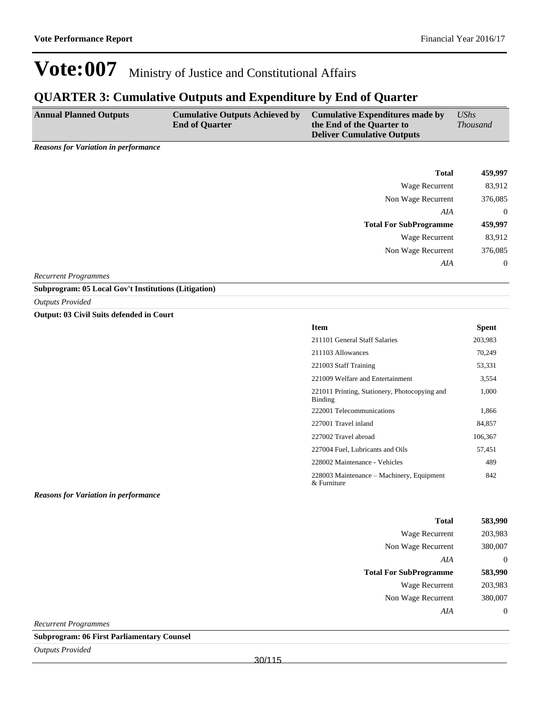### **QUARTER 3: Cumulative Outputs and Expenditure by End of Quarter**

| <b>Annual Planned Outputs</b> | <b>Cumulative Outputs Achieved by</b><br><b>End of Ouarter</b> | Cumulative Expenditures made by<br>the End of the Quarter to<br><b>Deliver Cumulative Outputs</b> | <b>UShs</b><br><i>Thousand</i> |
|-------------------------------|----------------------------------------------------------------|---------------------------------------------------------------------------------------------------|--------------------------------|
|                               |                                                                |                                                                                                   |                                |

*Reasons for Variation in performance*

| 459,997        | <b>Total</b>                  |
|----------------|-------------------------------|
| 83,912         | Wage Recurrent                |
| 376,085        | Non Wage Recurrent            |
| $\overline{0}$ | AIA                           |
| 459,997        | <b>Total For SubProgramme</b> |
| 83,912         | Wage Recurrent                |
| 376,085        | Non Wage Recurrent            |
| $\overline{0}$ | AIA                           |
|                |                               |

*Recurrent Programmes*

**Subprogram: 05 Local Gov't Institutions (Litigation)**

*Outputs Provided*

**Output: 03 Civil Suits defended in Court**

| <b>Item</b>                                              | <b>Spent</b> |
|----------------------------------------------------------|--------------|
| 211101 General Staff Salaries                            | 203,983      |
| 211103 Allowances                                        | 70,249       |
| 221003 Staff Training                                    | 53,331       |
| 221009 Welfare and Entertainment                         | 3,554        |
| 221011 Printing, Stationery, Photocopying and<br>Binding | 1,000        |
| 222001 Telecommunications                                | 1,866        |
| 227001 Travel inland                                     | 84.857       |
| 227002 Travel abroad                                     | 106,367      |
| 227004 Fuel, Lubricants and Oils                         | 57,451       |
| 228002 Maintenance - Vehicles                            | 489          |
| 228003 Maintenance – Machinery, Equipment<br>& Furniture | 842          |

#### *Reasons for Variation in performance*

| <b>Total</b>                  | 583,990 |
|-------------------------------|---------|
| Wage Recurrent                | 203,983 |
| Non Wage Recurrent            | 380,007 |
| AIA                           | 0       |
|                               |         |
| <b>Total For SubProgramme</b> | 583,990 |
| Wage Recurrent                | 203,983 |
| Non Wage Recurrent            | 380,007 |

*Recurrent Programmes*

**Subprogram: 06 First Parliamentary Counsel**

*Outputs Provided*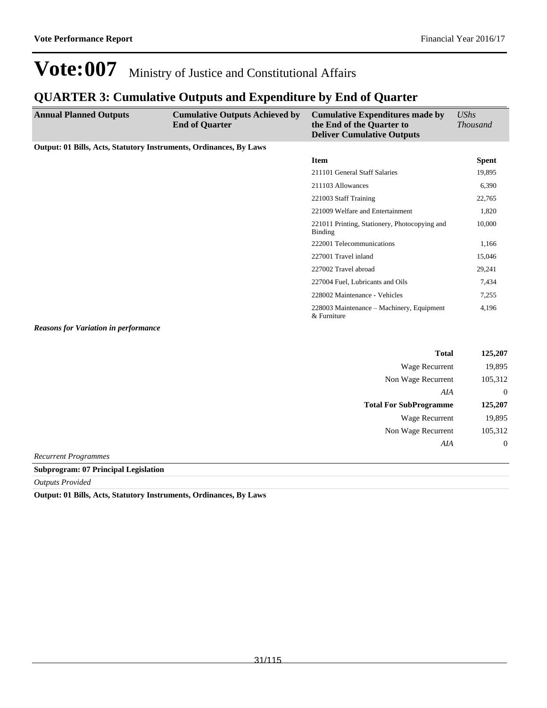### **QUARTER 3: Cumulative Outputs and Expenditure by End of Quarter**

| <b>Annual Planned Outputs</b>                                             | <b>Cumulative Outputs Achieved by</b><br><b>End of Quarter</b> | <b>Cumulative Expenditures made by</b><br>the End of the Quarter to<br><b>Deliver Cumulative Outputs</b> | <b>UShs</b><br><b>Thousand</b> |
|---------------------------------------------------------------------------|----------------------------------------------------------------|----------------------------------------------------------------------------------------------------------|--------------------------------|
| <b>Output: 01 Bills, Acts, Statutory Instruments, Ordinances, By Laws</b> |                                                                |                                                                                                          |                                |
|                                                                           |                                                                | <b>Item</b>                                                                                              | <b>Spent</b>                   |
|                                                                           |                                                                | 211101 General Staff Salaries                                                                            | 19,895                         |
|                                                                           |                                                                | 211103 Allowances                                                                                        | 6,390                          |
|                                                                           |                                                                | 221003 Staff Training                                                                                    | 22,765                         |
|                                                                           |                                                                | 221009 Welfare and Entertainment                                                                         | 1,820                          |
|                                                                           |                                                                | 221011 Printing, Stationery, Photocopying and<br>Binding                                                 | 10,000                         |
|                                                                           |                                                                | 222001 Telecommunications                                                                                | 1,166                          |
|                                                                           |                                                                | 227001 Travel inland                                                                                     | 15,046                         |
|                                                                           |                                                                | 227002 Travel abroad                                                                                     | 29,241                         |
|                                                                           |                                                                | 227004 Fuel, Lubricants and Oils                                                                         | 7,434                          |
|                                                                           |                                                                | 228002 Maintenance - Vehicles                                                                            | 7,255                          |
|                                                                           |                                                                | 228003 Maintenance – Machinery, Equipment<br>& Furniture                                                 | 4,196                          |
| <b>Reasons for Variation in performance</b>                               |                                                                |                                                                                                          |                                |

| <b>Total</b>                  | 125,207          |
|-------------------------------|------------------|
| <b>Wage Recurrent</b>         | 19,895           |
| Non Wage Recurrent            | 105,312          |
| AIA                           | $\overline{0}$   |
| <b>Total For SubProgramme</b> | 125,207          |
| Wage Recurrent                | 19,895           |
| Non Wage Recurrent            | 105,312          |
| AIA                           | $\boldsymbol{0}$ |
|                               |                  |

*Recurrent Programmes*

**Subprogram: 07 Principal Legislation**

*Outputs Provided*

**Output: 01 Bills, Acts, Statutory Instruments, Ordinances, By Laws**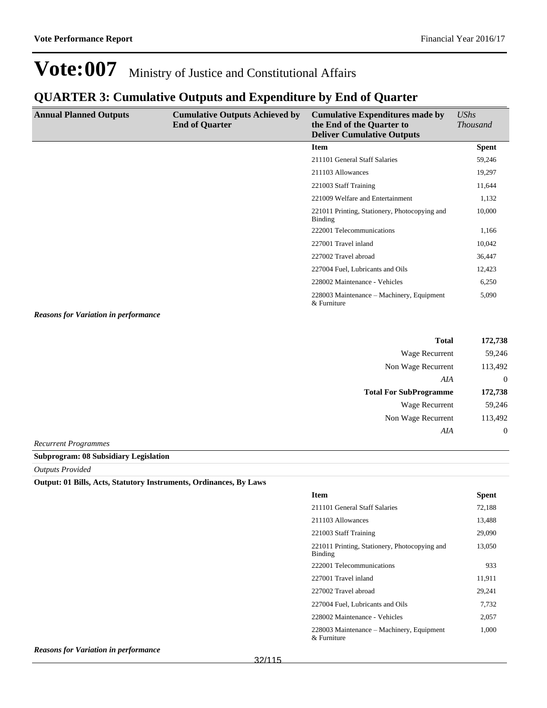### **QUARTER 3: Cumulative Outputs and Expenditure by End of Quarter**

| <b>Annual Planned Outputs</b> | <b>Cumulative Outputs Achieved by</b><br><b>End of Quarter</b> | <b>Cumulative Expenditures made by</b><br>the End of the Quarter to<br><b>Deliver Cumulative Outputs</b> | <b>UShs</b><br><i>Thousand</i> |
|-------------------------------|----------------------------------------------------------------|----------------------------------------------------------------------------------------------------------|--------------------------------|
|                               |                                                                | <b>Item</b>                                                                                              | <b>Spent</b>                   |
|                               |                                                                | 211101 General Staff Salaries                                                                            | 59,246                         |
|                               |                                                                | 211103 Allowances                                                                                        | 19,297                         |
|                               |                                                                | 221003 Staff Training                                                                                    | 11,644                         |
|                               |                                                                | 221009 Welfare and Entertainment                                                                         | 1,132                          |
|                               |                                                                | 221011 Printing, Stationery, Photocopying and<br><b>Binding</b>                                          | 10,000                         |
|                               |                                                                | 222001 Telecommunications                                                                                | 1,166                          |
|                               |                                                                | 227001 Travel inland                                                                                     | 10,042                         |
|                               |                                                                | 227002 Travel abroad                                                                                     | 36,447                         |
|                               |                                                                | 227004 Fuel, Lubricants and Oils                                                                         | 12,423                         |
|                               |                                                                | 228002 Maintenance - Vehicles                                                                            | 6,250                          |
|                               |                                                                | 228003 Maintenance – Machinery, Equipment<br>& Furniture                                                 | 5,090                          |

*Reasons for Variation in performance*

| <b>Total</b>                  | 172,738           |
|-------------------------------|-------------------|
| Wage Recurrent                | 59,246            |
| Non Wage Recurrent            | 113,492           |
| AIA                           | 0                 |
|                               |                   |
| <b>Total For SubProgramme</b> | 172,738           |
| Wage Recurrent                | 59.246            |
| Non Wage Recurrent            | 113,492           |
| AIA                           | $\mathbf{\Omega}$ |

*Recurrent Programmes*

**Subprogram: 08 Subsidiary Legislation**

*Outputs Provided*

#### **Output: 01 Bills, Acts, Statutory Instruments, Ordinances, By Laws**

| <b>Item</b>                                                 | <b>Spent</b> |
|-------------------------------------------------------------|--------------|
| 211101 General Staff Salaries                               | 72,188       |
| 211103 Allowances                                           | 13,488       |
| 221003 Staff Training                                       | 29,090       |
| 221011 Printing, Stationery, Photocopying and<br>Binding    | 13,050       |
| 222001 Telecommunications                                   | 933          |
| 227001 Travel inland                                        | 11,911       |
| 227002 Travel abroad                                        | 29,241       |
| 227004 Fuel, Lubricants and Oils                            | 7,732        |
| 228002 Maintenance - Vehicles                               | 2,057        |
| 228003 Maintenance – Machinery, Equipment<br>$\&$ Furniture | 1,000        |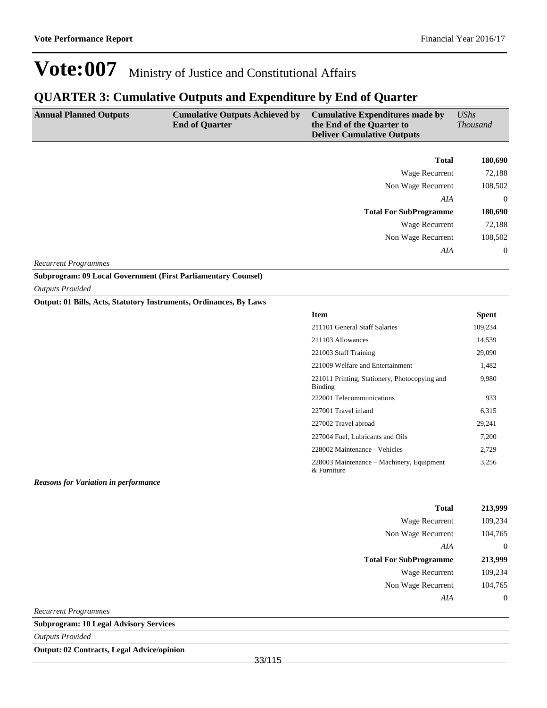### **QUARTER 3: Cumulative Outputs and Expenditure by End of Quarter**

| <b>Annual Planned Outputs</b> | <b>Cumulative Outputs Achieved by</b><br><b>End of Quarter</b> | <b>Cumulative Expenditures made by</b><br>the End of the Quarter to<br><b>Deliver Cumulative Outputs</b> | UShs<br><b>Thousand</b> |
|-------------------------------|----------------------------------------------------------------|----------------------------------------------------------------------------------------------------------|-------------------------|
|                               |                                                                | <b>Total</b>                                                                                             | 180,690                 |
|                               |                                                                | Wage Recurrent                                                                                           | 72,188                  |
|                               |                                                                | Non Wage Recurrent                                                                                       | 108,502                 |
|                               |                                                                | AIA                                                                                                      | $\mathbf{0}$            |
|                               |                                                                | <b>Total For SubProgramme</b>                                                                            | 180,690                 |
|                               |                                                                | Wage Recurrent                                                                                           | 72,188                  |
|                               |                                                                | Non Wage Recurrent                                                                                       | 108,502                 |
|                               |                                                                | AIA                                                                                                      | $\Omega$                |

#### *Recurrent Programmes*

**Subprogram: 09 Local Government (First Parliamentary Counsel)**

*Outputs Provided*

#### **Output: 01 Bills, Acts, Statutory Instruments, Ordinances, By Laws**

| <b>Item</b>                                              | <b>Spent</b> |
|----------------------------------------------------------|--------------|
| 211101 General Staff Salaries                            | 109,234      |
| 211103 Allowances                                        | 14,539       |
| 221003 Staff Training                                    | 29,090       |
| 221009 Welfare and Entertainment                         | 1,482        |
| 221011 Printing, Stationery, Photocopying and<br>Binding | 9,980        |
| 222001 Telecommunications                                | 933          |
| 227001 Travel inland                                     | 6,315        |
| 227002 Travel abroad                                     | 29,241       |
| 227004 Fuel, Lubricants and Oils                         | 7,200        |
| 228002 Maintenance - Vehicles                            | 2,729        |
| 228003 Maintenance – Machinery, Equipment<br>& Furniture | 3,256        |

#### *Reasons for Variation in performance*

| <b>Total</b>                  | 213,999 |
|-------------------------------|---------|
| Wage Recurrent                | 109,234 |
| Non Wage Recurrent            | 104,765 |
| AIA                           | 0       |
|                               |         |
| <b>Total For SubProgramme</b> | 213,999 |
| Wage Recurrent                | 109,234 |
| Non Wage Recurrent            | 104,765 |
| AIA                           |         |

*Recurrent Programmes*

**Subprogram: 10 Legal Advisory Services**

*Outputs Provided*

**Output: 02 Contracts, Legal Advice/opinion**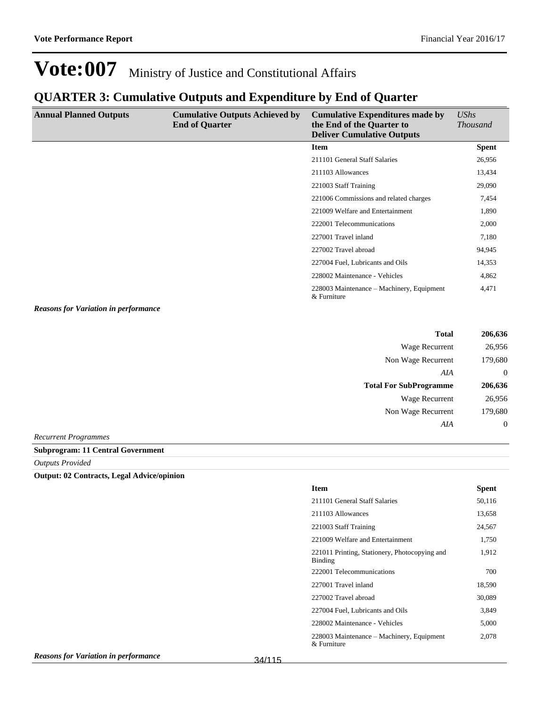### **QUARTER 3: Cumulative Outputs and Expenditure by End of Quarter**

| <b>Annual Planned Outputs</b> | <b>Cumulative Outputs Achieved by</b><br><b>End of Quarter</b> | <b>Cumulative Expenditures made by</b><br>the End of the Quarter to<br><b>Deliver Cumulative Outputs</b> | UShs<br><i>Thousand</i> |
|-------------------------------|----------------------------------------------------------------|----------------------------------------------------------------------------------------------------------|-------------------------|
|                               |                                                                | Item                                                                                                     | <b>Spent</b>            |
|                               |                                                                | 211101 General Staff Salaries                                                                            | 26,956                  |
|                               |                                                                | 211103 Allowances                                                                                        | 13,434                  |
|                               |                                                                | 221003 Staff Training                                                                                    | 29,090                  |
|                               |                                                                | 221006 Commissions and related charges                                                                   | 7,454                   |
|                               |                                                                | 221009 Welfare and Entertainment                                                                         | 1,890                   |
|                               |                                                                | 222001 Telecommunications                                                                                | 2,000                   |
|                               |                                                                | 227001 Travel inland                                                                                     | 7,180                   |
|                               |                                                                | 227002 Travel abroad                                                                                     | 94,945                  |
|                               |                                                                | 227004 Fuel, Lubricants and Oils                                                                         | 14,353                  |
|                               |                                                                | 228002 Maintenance - Vehicles                                                                            | 4,862                   |
|                               |                                                                | 228003 Maintenance – Machinery, Equipment<br>& Furniture                                                 | 4,471                   |

*Reasons for Variation in performance*

| <b>Total</b>                  | 206,636          |
|-------------------------------|------------------|
| Wage Recurrent                | 26,956           |
| Non Wage Recurrent            | 179,680          |
| AIA                           | $\theta$         |
| <b>Total For SubProgramme</b> | 206,636          |
| Wage Recurrent                | 26,956           |
| Non Wage Recurrent            | 179,680          |
| AIA                           | $\boldsymbol{0}$ |
| $D_{\text{a}}$                |                  |

*Recurrent Programmes* **Subprogram: 11 Central Government**

*Outputs Provided*

**Output: 02 Contracts, Legal Advice/opinion**

| <b>Item</b>                                                | Spent  |
|------------------------------------------------------------|--------|
| 211101 General Staff Salaries                              | 50,116 |
| 211103 Allowances                                          | 13,658 |
| 221003 Staff Training                                      | 24,567 |
| 221009 Welfare and Entertainment                           | 1,750  |
| 221011 Printing, Stationery, Photocopying and<br>Binding   | 1,912  |
| 222001 Telecommunications                                  | 700    |
| 227001 Travel inland                                       | 18,590 |
| 227002 Travel abroad                                       | 30,089 |
| 227004 Fuel, Lubricants and Oils                           | 3,849  |
| 228002 Maintenance - Vehicles                              | 5,000  |
| 228003 Maintenance – Machinery, Equipment<br>$&$ Furniture | 2,078  |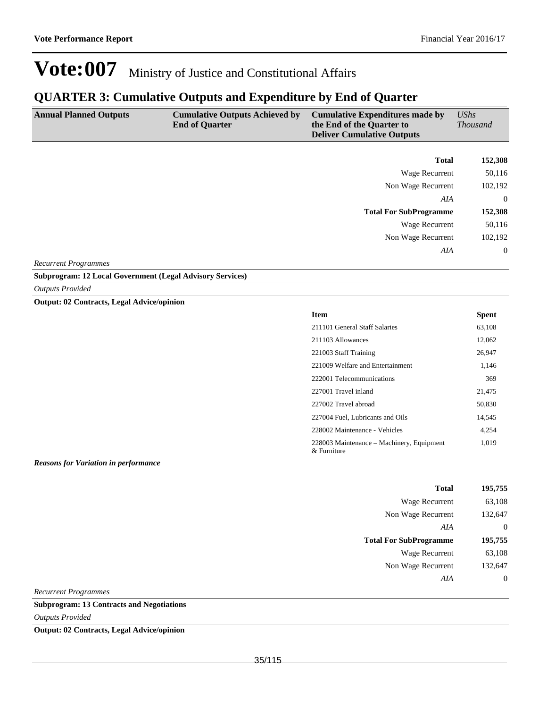### **QUARTER 3: Cumulative Outputs and Expenditure by End of Quarter**

| <b>Annual Planned Outputs</b> | <b>Cumulative Outputs Achieved by</b><br><b>End of Quarter</b> | <b>Cumulative Expenditures made by</b><br>the End of the Quarter to<br><b>Deliver Cumulative Outputs</b> | UShs<br><b>Thousand</b> |
|-------------------------------|----------------------------------------------------------------|----------------------------------------------------------------------------------------------------------|-------------------------|
|                               |                                                                | <b>Total</b>                                                                                             | 152,308                 |
|                               |                                                                | Wage Recurrent                                                                                           | 50,116                  |
|                               |                                                                | Non Wage Recurrent                                                                                       | 102,192                 |
|                               |                                                                | AIA                                                                                                      | $\Omega$                |
|                               |                                                                | <b>Total For SubProgramme</b>                                                                            | 152,308                 |
|                               |                                                                | Wage Recurrent                                                                                           | 50,116                  |
|                               |                                                                | Non Wage Recurrent                                                                                       | 102,192                 |
|                               |                                                                | AIA                                                                                                      | $\Omega$                |

*Recurrent Programmes*

**Subprogram: 12 Local Government (Legal Advisory Services)**

*Outputs Provided*

**Output: 02 Contracts, Legal Advice/opinion**

| <b>Item</b>                                                | <b>Spent</b> |
|------------------------------------------------------------|--------------|
| 211101 General Staff Salaries                              | 63,108       |
| 211103 Allowances                                          | 12,062       |
| 221003 Staff Training                                      | 26,947       |
| 221009 Welfare and Entertainment                           | 1,146        |
| 222001 Telecommunications                                  | 369          |
| 227001 Travel inland                                       | 21,475       |
| 227002 Travel abroad                                       | 50,830       |
| 227004 Fuel, Lubricants and Oils                           | 14,545       |
| 228002 Maintenance - Vehicles                              | 4.254        |
| 228003 Maintenance – Machinery, Equipment<br>$&$ Furniture | 1,019        |

*Reasons for Variation in performance*

| Total                         | 195,755 |
|-------------------------------|---------|
| Wage Recurrent                | 63,108  |
| Non Wage Recurrent            | 132,647 |
| AIA                           | 0       |
|                               |         |
| <b>Total For SubProgramme</b> | 195,755 |
| Wage Recurrent                | 63,108  |
| Non Wage Recurrent            | 132,647 |

*Recurrent Programmes*

**Subprogram: 13 Contracts and Negotiations**

*Outputs Provided*

**Output: 02 Contracts, Legal Advice/opinion**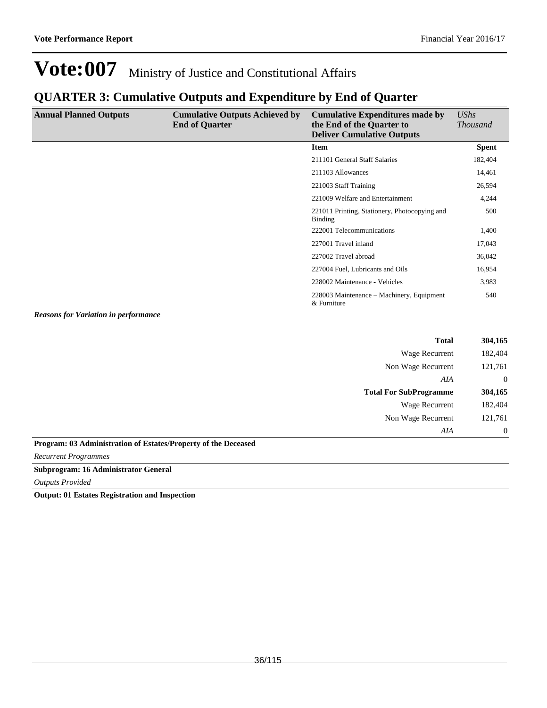### **QUARTER 3: Cumulative Outputs and Expenditure by End of Quarter**

| <b>Annual Planned Outputs</b> | <b>Cumulative Outputs Achieved by</b><br><b>End of Quarter</b> | <b>Cumulative Expenditures made by</b><br>the End of the Quarter to<br><b>Deliver Cumulative Outputs</b> | UShs<br><b>Thousand</b> |
|-------------------------------|----------------------------------------------------------------|----------------------------------------------------------------------------------------------------------|-------------------------|
|                               |                                                                | <b>Item</b>                                                                                              | <b>Spent</b>            |
|                               |                                                                | 211101 General Staff Salaries                                                                            | 182,404                 |
|                               |                                                                | 211103 Allowances                                                                                        | 14,461                  |
|                               |                                                                | 221003 Staff Training                                                                                    | 26,594                  |
|                               |                                                                | 221009 Welfare and Entertainment                                                                         | 4,244                   |
|                               |                                                                | 221011 Printing, Stationery, Photocopying and<br><b>Binding</b>                                          | 500                     |
|                               |                                                                | 222001 Telecommunications                                                                                | 1,400                   |
|                               |                                                                | 227001 Travel inland                                                                                     | 17,043                  |
|                               |                                                                | 227002 Travel abroad                                                                                     | 36,042                  |
|                               |                                                                | 227004 Fuel, Lubricants and Oils                                                                         | 16,954                  |
|                               |                                                                | 228002 Maintenance - Vehicles                                                                            | 3,983                   |
| _______                       |                                                                | 228003 Maintenance – Machinery, Equipment<br>& Furniture                                                 | 540                     |

*Reasons for Variation in performance*

| <b>Total</b>                                                   | 304,165        |
|----------------------------------------------------------------|----------------|
| Wage Recurrent                                                 | 182,404        |
| Non Wage Recurrent                                             | 121,761        |
| AIA                                                            | $\theta$       |
| <b>Total For SubProgramme</b>                                  | 304,165        |
| Wage Recurrent                                                 | 182,404        |
| Non Wage Recurrent                                             | 121,761        |
| AIA                                                            | $\overline{0}$ |
| Program: 03 Administration of Estates/Property of the Deceased |                |

*Recurrent Programmes*

**Subprogram: 16 Administrator General**

#### *Outputs Provided*

**Output: 01 Estates Registration and Inspection**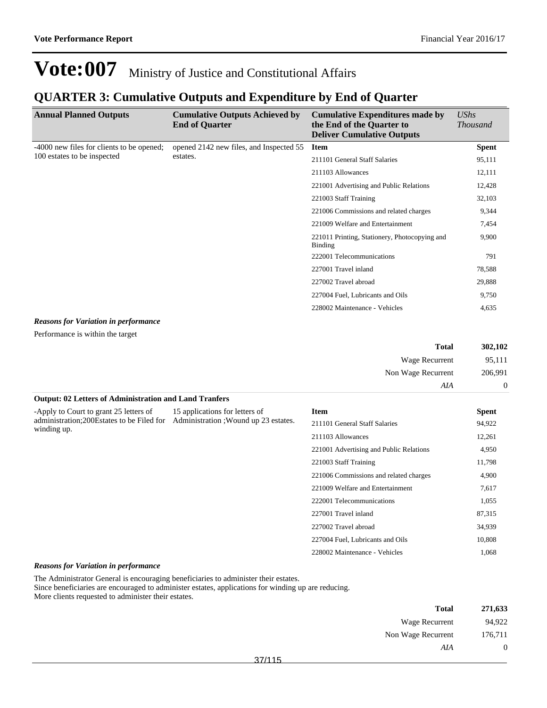## **QUARTER 3: Cumulative Outputs and Expenditure by End of Quarter**

| <b>Annual Planned Outputs</b>               | <b>Cumulative Outputs Achieved by</b><br><b>End of Quarter</b> | <b>Cumulative Expenditures made by</b><br>the End of the Quarter to<br><b>Deliver Cumulative Outputs</b> | UShs<br><b>Thousand</b> |
|---------------------------------------------|----------------------------------------------------------------|----------------------------------------------------------------------------------------------------------|-------------------------|
| -4000 new files for clients to be opened;   | opened 2142 new files, and Inspected 55                        | <b>Item</b>                                                                                              | <b>Spent</b>            |
| 100 estates to be inspected                 | estates.                                                       | 211101 General Staff Salaries                                                                            | 95,111                  |
|                                             |                                                                | 211103 Allowances                                                                                        | 12,111                  |
|                                             |                                                                | 221001 Advertising and Public Relations                                                                  | 12,428                  |
|                                             |                                                                | 221003 Staff Training                                                                                    | 32,103                  |
|                                             |                                                                | 221006 Commissions and related charges                                                                   | 9,344                   |
|                                             |                                                                | 221009 Welfare and Entertainment                                                                         | 7,454                   |
|                                             |                                                                | 221011 Printing, Stationery, Photocopying and<br>Binding                                                 | 9,900                   |
|                                             |                                                                | 222001 Telecommunications                                                                                | 791                     |
|                                             |                                                                | 227001 Travel inland                                                                                     | 78,588                  |
|                                             |                                                                | 227002 Travel abroad                                                                                     | 29,888                  |
|                                             |                                                                | 227004 Fuel, Lubricants and Oils                                                                         | 9,750                   |
|                                             |                                                                | 228002 Maintenance - Vehicles                                                                            | 4,635                   |
| <b>Reasons for Variation in performance</b> |                                                                |                                                                                                          |                         |

Performance is within the target

| 302,102  | <b>Total</b>       |
|----------|--------------------|
| 95,111   | Wage Recurrent     |
| 206,991  | Non Wage Recurrent |
| $\theta$ | AIA                |

#### **Output: 02 Letters of Administration and Land Tranfers**

| -Apply to Court to grant 25 letters of<br>administration; 200 Estates to be Filed for<br>winding up. | 15 applications for letters of<br>Administration : Wound up 23 estates. | <b>Item</b>                             | <b>Spent</b> |
|------------------------------------------------------------------------------------------------------|-------------------------------------------------------------------------|-----------------------------------------|--------------|
|                                                                                                      |                                                                         | 211101 General Staff Salaries           | 94,922       |
|                                                                                                      |                                                                         | 211103 Allowances                       | 12,261       |
|                                                                                                      |                                                                         | 221001 Advertising and Public Relations | 4,950        |
|                                                                                                      |                                                                         | 221003 Staff Training                   | 11,798       |
|                                                                                                      |                                                                         | 221006 Commissions and related charges  | 4,900        |
|                                                                                                      |                                                                         | 221009 Welfare and Entertainment        | 7,617        |
|                                                                                                      |                                                                         | 222001 Telecommunications               | 1,055        |
|                                                                                                      |                                                                         | 227001 Travel inland                    | 87,315       |
|                                                                                                      |                                                                         | 227002 Travel abroad                    | 34,939       |
|                                                                                                      |                                                                         | 227004 Fuel, Lubricants and Oils        | 10,808       |
|                                                                                                      |                                                                         | 228002 Maintenance - Vehicles           | 1.068        |

#### *Reasons for Variation in performance*

The Administrator General is encouraging beneficiaries to administer their estates.

Since beneficiaries are encouraged to administer estates, applications for winding up are reducing. More clients requested to administer their estates.

| <b>Total</b>       | 271,633        |
|--------------------|----------------|
| Wage Recurrent     | 94,922         |
| Non Wage Recurrent | 176,711        |
| AIA                | $\overline{0}$ |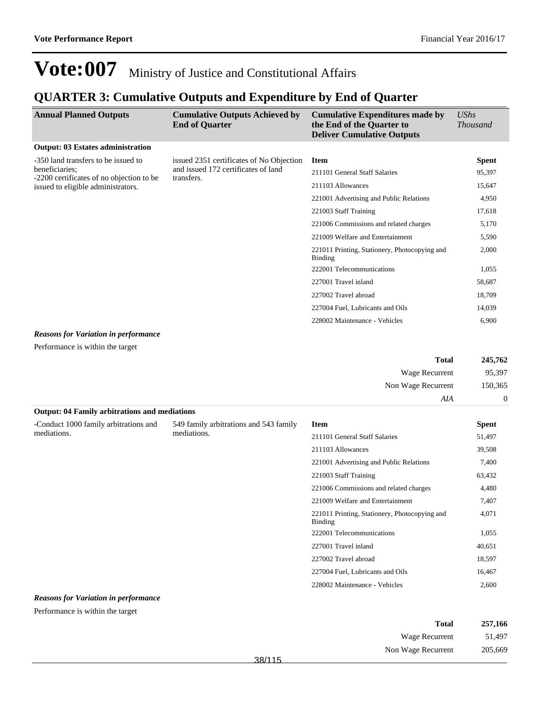### **QUARTER 3: Cumulative Outputs and Expenditure by End of Quarter**

| <b>Annual Planned Outputs</b>                              | <b>Cumulative Outputs Achieved by</b><br><b>End of Quarter</b>                                | <b>Cumulative Expenditures made by</b><br>the End of the Quarter to<br><b>Deliver Cumulative Outputs</b> | <b>UShs</b><br><i>Thousand</i> |
|------------------------------------------------------------|-----------------------------------------------------------------------------------------------|----------------------------------------------------------------------------------------------------------|--------------------------------|
| <b>Output: 03 Estates administration</b>                   |                                                                                               |                                                                                                          |                                |
| -350 land transfers to be issued to                        | issued 2351 certificates of No Objection<br>and issued 172 certificates of land<br>transfers. | <b>Item</b>                                                                                              | <b>Spent</b>                   |
| beneficiaries;<br>-2200 certificates of no objection to be |                                                                                               | 211101 General Staff Salaries                                                                            | 95,397                         |
| issued to eligible administrators.                         |                                                                                               | 211103 Allowances                                                                                        | 15,647                         |
|                                                            |                                                                                               | 221001 Advertising and Public Relations                                                                  | 4,950                          |
|                                                            |                                                                                               | 221003 Staff Training                                                                                    | 17,618                         |
|                                                            |                                                                                               | 221006 Commissions and related charges                                                                   | 5,170                          |
|                                                            |                                                                                               | 221009 Welfare and Entertainment                                                                         | 5,590                          |
|                                                            |                                                                                               | 221011 Printing, Stationery, Photocopying and<br>Binding                                                 | 2,000                          |
|                                                            |                                                                                               | 222001 Telecommunications                                                                                | 1,055                          |
|                                                            |                                                                                               | 227001 Travel inland                                                                                     | 58,687                         |
|                                                            |                                                                                               | 227002 Travel abroad                                                                                     | 18,709                         |
|                                                            |                                                                                               | 227004 Fuel, Lubricants and Oils                                                                         | 14,039                         |
|                                                            |                                                                                               | 228002 Maintenance - Vehicles                                                                            | 6,900                          |

#### *Reasons for Variation in performance*

Performance is within the target

| 245,762  | <b>Total</b>       |
|----------|--------------------|
| 95,397   | Wage Recurrent     |
| 150,365  | Non Wage Recurrent |
| $\theta$ | AIA                |

## **Output: 04 Family arbitrations and mediations**

| 549 family arbitrations and 543 family | <b>Item</b>                                                     | <b>Spent</b> |
|----------------------------------------|-----------------------------------------------------------------|--------------|
|                                        | 211101 General Staff Salaries                                   | 51,497       |
|                                        | 211103 Allowances                                               | 39,508       |
|                                        | 221001 Advertising and Public Relations                         | 7,400        |
|                                        | 221003 Staff Training                                           | 63,432       |
|                                        | 221006 Commissions and related charges                          | 4,480        |
|                                        | 221009 Welfare and Entertainment                                | 7,407        |
|                                        | 221011 Printing, Stationery, Photocopying and<br><b>Binding</b> | 4,071        |
|                                        | 222001 Telecommunications                                       | 1,055        |
|                                        | 227001 Travel inland                                            | 40,651       |
|                                        | 227002 Travel abroad                                            | 18,597       |
|                                        | 227004 Fuel, Lubricants and Oils                                | 16,467       |
|                                        | 228002 Maintenance - Vehicles                                   | 2,600        |
|                                        | mediations.                                                     |              |

#### *Reasons for Variation in performance*

Performance is within the target

| Total              | 257,166 |
|--------------------|---------|
| Wage Recurrent     | 51.497  |
| Non Wage Recurrent | 205,669 |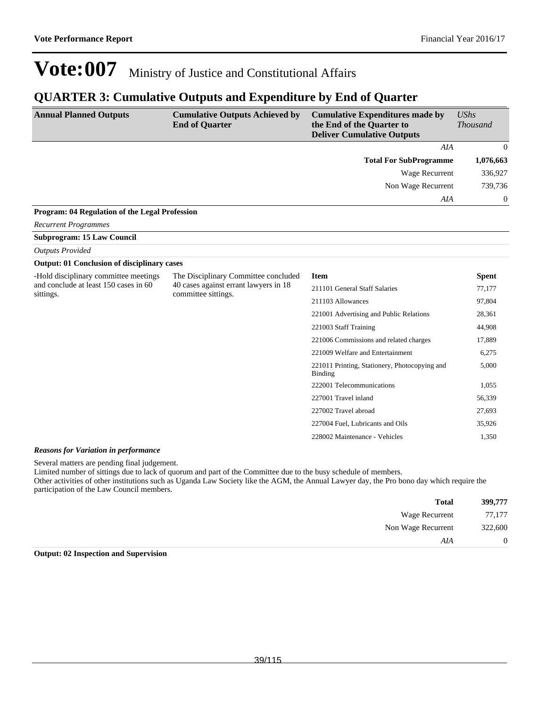### **QUARTER 3: Cumulative Outputs and Expenditure by End of Quarter**

| <b>Annual Planned Outputs</b>                         | <b>Cumulative Outputs Achieved by</b><br><b>End of Quarter</b> | <b>Cumulative Expenditures made by</b><br>the End of the Quarter to<br><b>Deliver Cumulative Outputs</b> | UShs<br><b>Thousand</b> |
|-------------------------------------------------------|----------------------------------------------------------------|----------------------------------------------------------------------------------------------------------|-------------------------|
|                                                       |                                                                | AIA                                                                                                      | $\left($                |
|                                                       |                                                                | <b>Total For SubProgramme</b>                                                                            | 1,076,663               |
|                                                       |                                                                | Wage Recurrent                                                                                           | 336,927                 |
|                                                       |                                                                | Non Wage Recurrent                                                                                       | 739,736                 |
|                                                       |                                                                | AIA                                                                                                      | $\bf{0}$                |
| <b>Program: 04 Regulation of the Legal Profession</b> |                                                                |                                                                                                          |                         |
| <b>Recurrent Programmes</b>                           |                                                                |                                                                                                          |                         |
| <b>Subprogram: 15 Law Council</b>                     |                                                                |                                                                                                          |                         |
| <b>Outputs Provided</b>                               |                                                                |                                                                                                          |                         |
| <b>Output: 01 Conclusion of disciplinary cases</b>    |                                                                |                                                                                                          |                         |
| -Hold disciplinary committee meetings                 | The Disciplinary Committee concluded                           | Item.                                                                                                    | Snent                   |

| -Hold disciplinary committee meetings<br>The Disciplinary Committee concluded | <b>Item</b>                                                  | <b>Spent</b>                                             |        |
|-------------------------------------------------------------------------------|--------------------------------------------------------------|----------------------------------------------------------|--------|
| and conclude at least 150 cases in 60<br>sittings.                            | 40 cases against errant lawyers in 18<br>committee sittings. | 211101 General Staff Salaries                            | 77,177 |
|                                                                               |                                                              | 211103 Allowances                                        | 97,804 |
|                                                                               |                                                              | 221001 Advertising and Public Relations                  | 28,361 |
|                                                                               |                                                              | 221003 Staff Training                                    | 44,908 |
|                                                                               |                                                              | 221006 Commissions and related charges                   | 17,889 |
|                                                                               |                                                              | 221009 Welfare and Entertainment                         | 6,275  |
|                                                                               |                                                              | 221011 Printing, Stationery, Photocopying and<br>Binding | 5,000  |
|                                                                               |                                                              | 222001 Telecommunications                                | 1,055  |
|                                                                               |                                                              | 227001 Travel inland                                     | 56,339 |
|                                                                               |                                                              | 227002 Travel abroad                                     | 27,693 |
|                                                                               |                                                              | 227004 Fuel, Lubricants and Oils                         | 35,926 |
|                                                                               |                                                              | 228002 Maintenance - Vehicles                            | 1,350  |

#### *Reasons for Variation in performance*

Several matters are pending final judgement.

Limited number of sittings due to lack of quorum and part of the Committee due to the busy schedule of members.

Other activities of other institutions such as Uganda Law Society like the AGM, the Annual Lawyer day, the Pro bono day which require the participation of the Law Council members.

| 399,777        | <b>Total</b>       |  |
|----------------|--------------------|--|
| 77,177         | Wage Recurrent     |  |
| 322,600        | Non Wage Recurrent |  |
| $\overline{0}$ | AIA                |  |

#### **Output: 02 Inspection and Supervision**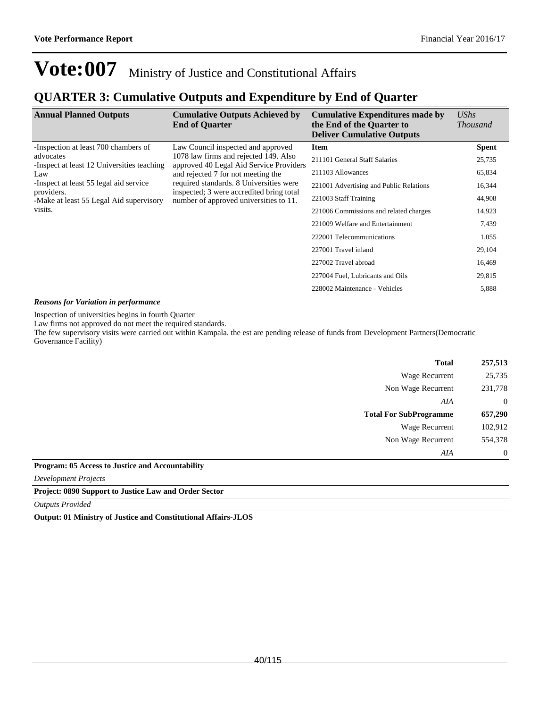### **QUARTER 3: Cumulative Outputs and Expenditure by End of Quarter**

| <b>Annual Planned Outputs</b>                                                                                                                                                                                                               | <b>Cumulative Outputs Achieved by</b><br><b>End of Quarter</b>                   | <b>Cumulative Expenditures made by</b><br>the End of the Quarter to<br><b>Deliver Cumulative Outputs</b> | UShs<br><i>Thousand</i> |
|---------------------------------------------------------------------------------------------------------------------------------------------------------------------------------------------------------------------------------------------|----------------------------------------------------------------------------------|----------------------------------------------------------------------------------------------------------|-------------------------|
| -Inspection at least 700 chambers of                                                                                                                                                                                                        | Law Council inspected and approved                                               | <b>Item</b>                                                                                              | <b>Spent</b>            |
| advocates<br>-Inspect at least 12 Universities teaching                                                                                                                                                                                     | 1078 law firms and rejected 149. Also<br>approved 40 Legal Aid Service Providers | 211101 General Staff Salaries                                                                            | 25,735                  |
| Law                                                                                                                                                                                                                                         | and rejected 7 for not meeting the                                               | 211103 Allowances                                                                                        | 65,834                  |
| required standards. 8 Universities were<br>-Inspect at least 55 legal aid service<br>inspected; 3 were accredited bring total<br>providers.<br>number of approved universities to 11.<br>-Make at least 55 Legal Aid supervisory<br>visits. |                                                                                  | 221001 Advertising and Public Relations                                                                  | 16,344                  |
|                                                                                                                                                                                                                                             |                                                                                  | 221003 Staff Training                                                                                    | 44,908                  |
|                                                                                                                                                                                                                                             | 221006 Commissions and related charges                                           | 14,923                                                                                                   |                         |
|                                                                                                                                                                                                                                             |                                                                                  | 221009 Welfare and Entertainment                                                                         | 7,439                   |
|                                                                                                                                                                                                                                             |                                                                                  | 222001 Telecommunications                                                                                | 1,055                   |
|                                                                                                                                                                                                                                             |                                                                                  | 227001 Travel inland                                                                                     | 29,104                  |
|                                                                                                                                                                                                                                             |                                                                                  | 227002 Travel abroad                                                                                     | 16,469                  |
|                                                                                                                                                                                                                                             |                                                                                  | 227004 Fuel, Lubricants and Oils                                                                         | 29,815                  |
|                                                                                                                                                                                                                                             |                                                                                  | 228002 Maintenance - Vehicles                                                                            | 5,888                   |

#### *Reasons for Variation in performance*

Inspection of universities begins in fourth Quarter

Law firms not approved do not meet the required standards.

The few supervisory visits were carried out within Kampala. the est are pending release of funds from Development Partners(Democratic Governance Facility)

| 257,513        | <b>Total</b>                  |
|----------------|-------------------------------|
| 25,735         | Wage Recurrent                |
| 231,778        | Non Wage Recurrent            |
| $\overline{0}$ | AIA                           |
| 657,290        | <b>Total For SubProgramme</b> |
| 102,912        | Wage Recurrent                |
| 554,378        | Non Wage Recurrent            |
| $\Omega$       | AIA                           |

#### **Program: 05 Access to Justice and Accountability**

*Development Projects*

**Project: 0890 Support to Justice Law and Order Sector**

*Outputs Provided*

**Output: 01 Ministry of Justice and Constitutional Affairs-JLOS**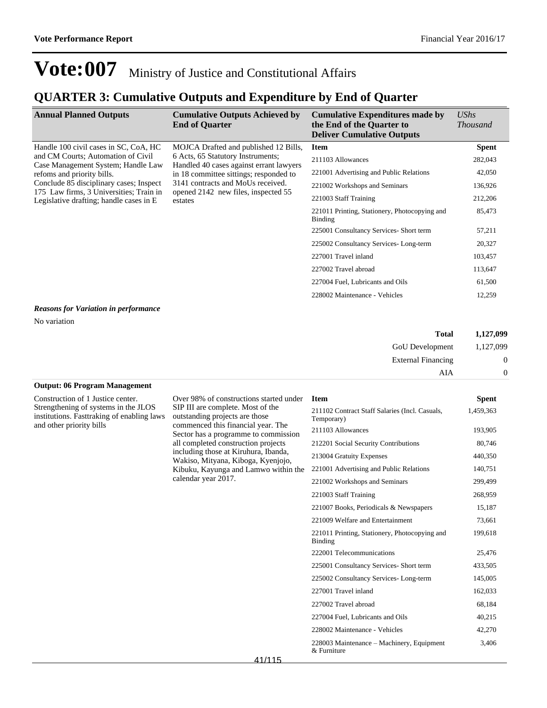### **QUARTER 3: Cumulative Outputs and Expenditure by End of Quarter**

| <b>Annual Planned Outputs</b>                                                                                                                                                                                                                                                    | <b>Cumulative Outputs Achieved by</b><br><b>End of Quarter</b>                                                                                                                                                                                         | <b>Cumulative Expenditures made by</b><br>the End of the Quarter to<br><b>Deliver Cumulative Outputs</b>                                                                                                                                                                                                                                                                                                   | UShs<br><i>Thousand</i>                                                                                                         |
|----------------------------------------------------------------------------------------------------------------------------------------------------------------------------------------------------------------------------------------------------------------------------------|--------------------------------------------------------------------------------------------------------------------------------------------------------------------------------------------------------------------------------------------------------|------------------------------------------------------------------------------------------------------------------------------------------------------------------------------------------------------------------------------------------------------------------------------------------------------------------------------------------------------------------------------------------------------------|---------------------------------------------------------------------------------------------------------------------------------|
| Handle 100 civil cases in SC, CoA, HC<br>and CM Courts; Automation of Civil<br>Case Management System; Handle Law<br>refoms and priority bills.<br>Conclude 85 disciplinary cases; Inspect<br>175 Law firms, 3 Universities; Train in<br>Legislative drafting; handle cases in E | MOJCA Drafted and published 12 Bills,<br>6 Acts, 65 Statutory Instruments;<br>Handled 40 cases against errant lawyers<br>in 18 committee sittings; responded to<br>3141 contracts and MoUs received.<br>opened 2142 new files, inspected 55<br>estates | <b>Item</b><br>211103 Allowances<br>221001 Advertising and Public Relations<br>221002 Workshops and Seminars<br>221003 Staff Training<br>221011 Printing, Stationery, Photocopying and<br>Binding<br>225001 Consultancy Services- Short term<br>225002 Consultancy Services-Long-term<br>227001 Travel inland<br>227002 Travel abroad<br>227004 Fuel, Lubricants and Oils<br>228002 Maintenance - Vehicles | <b>Spent</b><br>282,043<br>42,050<br>136,926<br>212,206<br>85,473<br>57,211<br>20,327<br>103,457<br>113,647<br>61,500<br>12,259 |
| Reasons for Variation in performance                                                                                                                                                                                                                                             |                                                                                                                                                                                                                                                        |                                                                                                                                                                                                                                                                                                                                                                                                            |                                                                                                                                 |

#### *Reasons for Variation in performance*

No variation

| Total                     | 1,127,099 |
|---------------------------|-----------|
| GoU Development           | 1,127,099 |
| <b>External Financing</b> | $\theta$  |
| AIA                       |           |

#### **Output: 06 Program Management**

Construction of 1 Justice center. Strengthening of systems in the JLOS institutions. Fasttraking of enabling laws and other priority bills

Over 98% of constructions started under SIP III are complete. Most of the outstanding projects are those commenced this financial year. The Sector has a programme to commission all completed construction projects including those at Kiruhura, Ibanda, Wakiso, Mityana, Kiboga, Kyenjojo, Kibuku, Kayunga and Lamwo within the calendar year 2017.

| <b>Item</b>                                                  | Spent     |
|--------------------------------------------------------------|-----------|
| 211102 Contract Staff Salaries (Incl. Casuals,<br>Temporary) | 1,459,363 |
| 211103 Allowances                                            | 193,905   |
| 212201 Social Security Contributions                         | 80,746    |
| 213004 Gratuity Expenses                                     | 440,350   |
| 221001 Advertising and Public Relations                      | 140,751   |
| 221002 Workshops and Seminars                                | 299,499   |
| 221003 Staff Training                                        | 268,959   |
| 221007 Books, Periodicals & Newspapers                       | 15,187    |
| 221009 Welfare and Entertainment                             | 73,661    |
| 221011 Printing, Stationery, Photocopying and<br>Binding     | 199,618   |
| 222001 Telecommunications                                    | 25,476    |
| 225001 Consultancy Services- Short term                      | 433,505   |
| 225002 Consultancy Services-Long-term                        | 145,005   |
| 227001 Travel inland                                         | 162,033   |
| 227002 Travel abroad                                         | 68,184    |
| 227004 Fuel, Lubricants and Oils                             | 40,215    |
| 228002 Maintenance - Vehicles                                | 42,270    |
| 228003 Maintenance – Machinery, Equipment<br>$&$ Furniture   | 3,406     |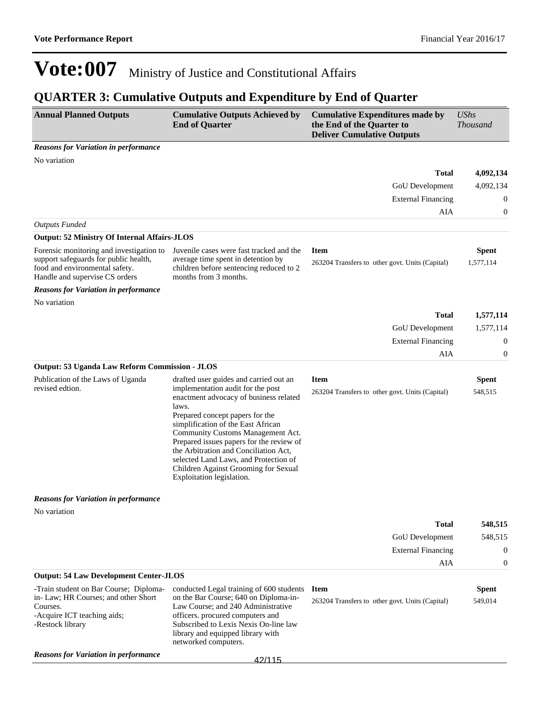## **QUARTER 3: Cumulative Outputs and Expenditure by End of Quarter**

| <b>Annual Planned Outputs</b>                                                                                                                         | <b>Cumulative Outputs Achieved by</b><br><b>End of Quarter</b>                                                                                                                                                                                                                                                                                                                                                                                  | <b>Cumulative Expenditures made by</b><br>the End of the Quarter to<br><b>Deliver Cumulative Outputs</b> | <b>UShs</b><br><b>Thousand</b> |
|-------------------------------------------------------------------------------------------------------------------------------------------------------|-------------------------------------------------------------------------------------------------------------------------------------------------------------------------------------------------------------------------------------------------------------------------------------------------------------------------------------------------------------------------------------------------------------------------------------------------|----------------------------------------------------------------------------------------------------------|--------------------------------|
| <b>Reasons for Variation in performance</b>                                                                                                           |                                                                                                                                                                                                                                                                                                                                                                                                                                                 |                                                                                                          |                                |
| No variation                                                                                                                                          |                                                                                                                                                                                                                                                                                                                                                                                                                                                 |                                                                                                          |                                |
|                                                                                                                                                       |                                                                                                                                                                                                                                                                                                                                                                                                                                                 | <b>Total</b>                                                                                             | 4,092,134                      |
|                                                                                                                                                       |                                                                                                                                                                                                                                                                                                                                                                                                                                                 | GoU Development                                                                                          | 4,092,134                      |
|                                                                                                                                                       |                                                                                                                                                                                                                                                                                                                                                                                                                                                 | <b>External Financing</b>                                                                                | $\boldsymbol{0}$               |
|                                                                                                                                                       |                                                                                                                                                                                                                                                                                                                                                                                                                                                 | AIA                                                                                                      | $\mathbf{0}$                   |
| <b>Outputs Funded</b>                                                                                                                                 |                                                                                                                                                                                                                                                                                                                                                                                                                                                 |                                                                                                          |                                |
| <b>Output: 52 Ministry Of Internal Affairs-JLOS</b>                                                                                                   |                                                                                                                                                                                                                                                                                                                                                                                                                                                 |                                                                                                          |                                |
| Forensic monitoring and investigation to<br>support safeguards for public health,<br>food and environmental safety.<br>Handle and supervise CS orders | Juvenile cases were fast tracked and the<br>average time spent in detention by<br>children before sentencing reduced to 2<br>months from 3 months.                                                                                                                                                                                                                                                                                              | <b>Item</b><br>263204 Transfers to other govt. Units (Capital)                                           | <b>Spent</b><br>1,577,114      |
| <b>Reasons for Variation in performance</b>                                                                                                           |                                                                                                                                                                                                                                                                                                                                                                                                                                                 |                                                                                                          |                                |
| No variation                                                                                                                                          |                                                                                                                                                                                                                                                                                                                                                                                                                                                 |                                                                                                          |                                |
|                                                                                                                                                       |                                                                                                                                                                                                                                                                                                                                                                                                                                                 | <b>Total</b>                                                                                             | 1,577,114                      |
|                                                                                                                                                       |                                                                                                                                                                                                                                                                                                                                                                                                                                                 | GoU Development                                                                                          | 1,577,114                      |
|                                                                                                                                                       |                                                                                                                                                                                                                                                                                                                                                                                                                                                 | <b>External Financing</b>                                                                                | $\boldsymbol{0}$               |
|                                                                                                                                                       |                                                                                                                                                                                                                                                                                                                                                                                                                                                 | AIA                                                                                                      | $\boldsymbol{0}$               |
| Output: 53 Uganda Law Reform Commission - JLOS                                                                                                        |                                                                                                                                                                                                                                                                                                                                                                                                                                                 |                                                                                                          |                                |
| Publication of the Laws of Uganda<br>revised edtion.                                                                                                  | drafted user guides and carried out an<br>implementation audit for the post<br>enactment advocacy of business related<br>laws.<br>Prepared concept papers for the<br>simplification of the East African<br>Community Customs Management Act.<br>Prepared issues papers for the review of<br>the Arbitration and Conciliation Act,<br>selected Land Laws, and Protection of<br>Children Against Grooming for Sexual<br>Exploitation legislation. | <b>Item</b><br>263204 Transfers to other govt. Units (Capital)                                           | <b>Spent</b><br>548,515        |
| <b>Reasons for Variation in performance</b>                                                                                                           |                                                                                                                                                                                                                                                                                                                                                                                                                                                 |                                                                                                          |                                |
| No variation                                                                                                                                          |                                                                                                                                                                                                                                                                                                                                                                                                                                                 |                                                                                                          |                                |
|                                                                                                                                                       |                                                                                                                                                                                                                                                                                                                                                                                                                                                 | <b>Total</b>                                                                                             | 548,515                        |
|                                                                                                                                                       |                                                                                                                                                                                                                                                                                                                                                                                                                                                 | GoU Development                                                                                          | 548,515                        |
|                                                                                                                                                       |                                                                                                                                                                                                                                                                                                                                                                                                                                                 | <b>External Financing</b>                                                                                | $\boldsymbol{0}$               |
|                                                                                                                                                       |                                                                                                                                                                                                                                                                                                                                                                                                                                                 | AIA                                                                                                      | $\boldsymbol{0}$               |
| <b>Output: 54 Law Development Center-JLOS</b>                                                                                                         |                                                                                                                                                                                                                                                                                                                                                                                                                                                 |                                                                                                          |                                |
| -Train student on Bar Course; Diploma-<br>in-Law; HR Courses; and other Short<br>Courses.<br>-Acquire ICT teaching aids;<br>-Restock library          | conducted Legal training of 600 students<br>on the Bar Course; 640 on Diploma-in-<br>Law Course: and 240 Administrative<br>officers. procured computers and<br>Subscribed to Lexis Nexis On-line law<br>library and equipped library with<br>networked computers.                                                                                                                                                                               | <b>Item</b><br>263204 Transfers to other govt. Units (Capital)                                           | <b>Spent</b><br>549,014        |
| <b>Reasons for Variation in performance</b>                                                                                                           | 42/115                                                                                                                                                                                                                                                                                                                                                                                                                                          |                                                                                                          |                                |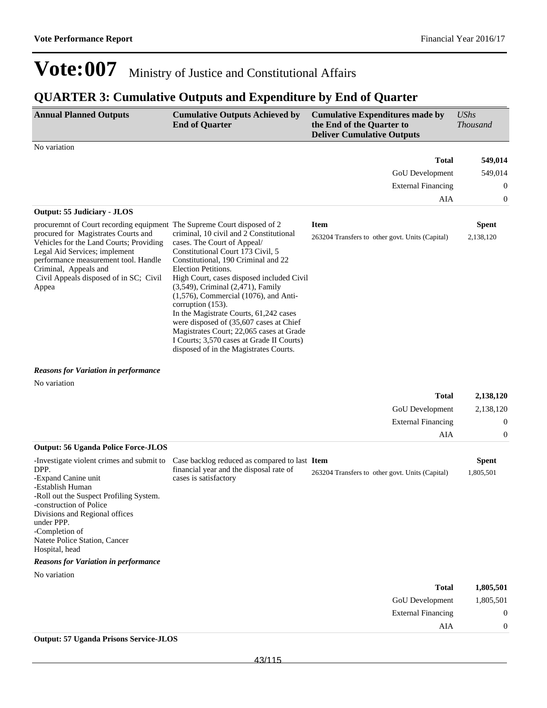External Financing 0

AIA 0

## **Vote:007** Ministry of Justice and Constitutional Affairs

### **QUARTER 3: Cumulative Outputs and Expenditure by End of Quarter**

| <b>Annual Planned Outputs</b>                                                                                                                                                                                                       | <b>Cumulative Outputs Achieved by</b><br><b>End of Quarter</b>                                                                                                                                                                                                                                                                                                                                                                                                                                                                                                   | <b>Cumulative Expenditures made by</b><br>the End of the Quarter to<br><b>Deliver Cumulative Outputs</b> | <b>UShs</b><br><b>Thousand</b> |
|-------------------------------------------------------------------------------------------------------------------------------------------------------------------------------------------------------------------------------------|------------------------------------------------------------------------------------------------------------------------------------------------------------------------------------------------------------------------------------------------------------------------------------------------------------------------------------------------------------------------------------------------------------------------------------------------------------------------------------------------------------------------------------------------------------------|----------------------------------------------------------------------------------------------------------|--------------------------------|
| No variation                                                                                                                                                                                                                        |                                                                                                                                                                                                                                                                                                                                                                                                                                                                                                                                                                  |                                                                                                          |                                |
|                                                                                                                                                                                                                                     |                                                                                                                                                                                                                                                                                                                                                                                                                                                                                                                                                                  | <b>Total</b>                                                                                             | 549,014                        |
|                                                                                                                                                                                                                                     |                                                                                                                                                                                                                                                                                                                                                                                                                                                                                                                                                                  | GoU Development                                                                                          | 549,014                        |
|                                                                                                                                                                                                                                     |                                                                                                                                                                                                                                                                                                                                                                                                                                                                                                                                                                  | <b>External Financing</b>                                                                                | $\theta$                       |
|                                                                                                                                                                                                                                     |                                                                                                                                                                                                                                                                                                                                                                                                                                                                                                                                                                  | AIA                                                                                                      | 0                              |
| <b>Output: 55 Judiciary - JLOS</b>                                                                                                                                                                                                  |                                                                                                                                                                                                                                                                                                                                                                                                                                                                                                                                                                  |                                                                                                          |                                |
| procuremnt of Court recording equipment. The Supreme Court disposed of 2                                                                                                                                                            |                                                                                                                                                                                                                                                                                                                                                                                                                                                                                                                                                                  | <b>Item</b>                                                                                              | <b>Spent</b>                   |
| procured for Magistrates Courts and<br>Vehicles for the Land Courts; Providing<br>Legal Aid Services; implement<br>performance measurement tool. Handle<br>Criminal, Appeals and<br>Civil Appeals disposed of in SC; Civil<br>Appea | criminal, 10 civil and 2 Constitutional<br>cases. The Court of Appeal/<br>Constitutional Court 173 Civil, 5<br>Constitutional, 190 Criminal and 22<br>Election Petitions.<br>High Court, cases disposed included Civil<br>$(3,549)$ , Criminal $(2,471)$ , Family<br>$(1,576)$ , Commercial $(1076)$ , and Anti-<br>corruption $(153)$ .<br>In the Magistrate Courts, 61,242 cases<br>were disposed of (35,607 cases at Chief<br>Magistrates Court; 22,065 cases at Grade<br>I Courts; 3,570 cases at Grade II Courts)<br>disposed of in the Magistrates Courts. | 263204 Transfers to other govt. Units (Capital)                                                          | 2,138,120                      |

#### *Reasons for Variation in performance*

| No variation |  |
|--------------|--|
|              |  |

|                                                                                                                                                                                                                                            |                                                                  | <b>Total</b>                                    | 2,138,120        |
|--------------------------------------------------------------------------------------------------------------------------------------------------------------------------------------------------------------------------------------------|------------------------------------------------------------------|-------------------------------------------------|------------------|
|                                                                                                                                                                                                                                            |                                                                  | <b>GoU</b> Development                          | 2,138,120        |
|                                                                                                                                                                                                                                            |                                                                  | <b>External Financing</b>                       | $\theta$         |
|                                                                                                                                                                                                                                            |                                                                  | AIA                                             | $\boldsymbol{0}$ |
| <b>Output: 56 Uganda Police Force-JLOS</b>                                                                                                                                                                                                 |                                                                  |                                                 |                  |
| -Investigate violent crimes and submit to                                                                                                                                                                                                  | Case backlog reduced as compared to last Item                    |                                                 | <b>Spent</b>     |
| DPP.<br>-Expand Canine unit<br>-Establish Human<br>-Roll out the Suspect Profiling System.<br>-construction of Police<br>Divisions and Regional offices<br>under PPP.<br>-Completion of<br>Natete Police Station, Cancer<br>Hospital, head | financial year and the disposal rate of<br>cases is satisfactory | 263204 Transfers to other govt. Units (Capital) | 1,805,501        |
| <b>Reasons for Variation in performance</b>                                                                                                                                                                                                |                                                                  |                                                 |                  |
| No variation                                                                                                                                                                                                                               |                                                                  |                                                 |                  |
|                                                                                                                                                                                                                                            |                                                                  | <b>Total</b>                                    | 1,805,501        |
|                                                                                                                                                                                                                                            |                                                                  | <b>GoU</b> Development                          | 1,805,501        |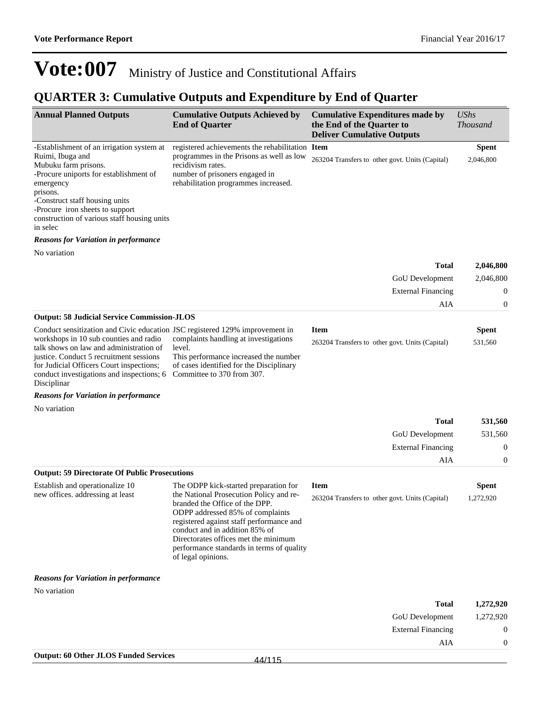AIA 0

## **Vote:007** Ministry of Justice and Constitutional Affairs

### **QUARTER 3: Cumulative Outputs and Expenditure by End of Quarter**

| <b>Annual Planned Outputs</b>                                                                                                                                                                                                                                                                                        | <b>Cumulative Outputs Achieved by</b><br><b>End of Quarter</b>                                                                                                                                                            | <b>Cumulative Expenditures made by</b><br>the End of the Quarter to<br><b>Deliver Cumulative Outputs</b> | <b>UShs</b><br><b>Thousand</b> |
|----------------------------------------------------------------------------------------------------------------------------------------------------------------------------------------------------------------------------------------------------------------------------------------------------------------------|---------------------------------------------------------------------------------------------------------------------------------------------------------------------------------------------------------------------------|----------------------------------------------------------------------------------------------------------|--------------------------------|
| -Establishment of an irrigation system at<br>Ruimi, Ibuga and<br>Mubuku farm prisons.<br>-Procure uniports for establishment of<br>emergency<br>prisons.<br>-Construct staff housing units<br>-Procure iron sheets to support<br>construction of various staff housing units                                         | registered achievements the rehabilitation Item<br>programmes in the Prisons as well as low<br>recidivism rates.<br>number of prisoners engaged in<br>rehabilitation programmes increased.                                | 263204 Transfers to other govt. Units (Capital)                                                          | <b>Spent</b><br>2,046,800      |
| in selec<br><b>Reasons for Variation in performance</b>                                                                                                                                                                                                                                                              |                                                                                                                                                                                                                           |                                                                                                          |                                |
| No variation                                                                                                                                                                                                                                                                                                         |                                                                                                                                                                                                                           |                                                                                                          |                                |
|                                                                                                                                                                                                                                                                                                                      |                                                                                                                                                                                                                           | <b>Total</b>                                                                                             | 2,046,800                      |
|                                                                                                                                                                                                                                                                                                                      |                                                                                                                                                                                                                           | GoU Development                                                                                          | 2,046,800                      |
|                                                                                                                                                                                                                                                                                                                      |                                                                                                                                                                                                                           | <b>External Financing</b>                                                                                | 0                              |
|                                                                                                                                                                                                                                                                                                                      |                                                                                                                                                                                                                           | AIA                                                                                                      | $\boldsymbol{0}$               |
| <b>Output: 58 Judicial Service Commission-JLOS</b>                                                                                                                                                                                                                                                                   |                                                                                                                                                                                                                           |                                                                                                          |                                |
| Conduct sensitization and Civic education JSC registered 129% improvement in<br>workshops in 10 sub counties and radio<br>talk shows on law and administration of<br>justice. Conduct 5 recruitment sessions<br>for Judicial Officers Court inspections;<br>conduct investigations and inspections; 6<br>Disciplinar | complaints handling at investigations<br>level.<br>This performance increased the number<br>of cases identified for the Disciplinary<br>Committee to 370 from 307.                                                        | <b>Item</b><br>263204 Transfers to other govt. Units (Capital)                                           | <b>Spent</b><br>531,560        |
| <b>Reasons for Variation in performance</b>                                                                                                                                                                                                                                                                          |                                                                                                                                                                                                                           |                                                                                                          |                                |
| No variation                                                                                                                                                                                                                                                                                                         |                                                                                                                                                                                                                           |                                                                                                          |                                |
|                                                                                                                                                                                                                                                                                                                      |                                                                                                                                                                                                                           | <b>Total</b>                                                                                             | 531,560                        |
|                                                                                                                                                                                                                                                                                                                      |                                                                                                                                                                                                                           | GoU Development                                                                                          | 531,560                        |
|                                                                                                                                                                                                                                                                                                                      |                                                                                                                                                                                                                           | <b>External Financing</b>                                                                                | $\boldsymbol{0}$               |
|                                                                                                                                                                                                                                                                                                                      |                                                                                                                                                                                                                           | AIA                                                                                                      | $\boldsymbol{0}$               |
| <b>Output: 59 Directorate Of Public Prosecutions</b><br>Establish and operationalize 10<br>new offices. addressing at least                                                                                                                                                                                          | The ODPP kick-started preparation for<br>the National Prosecution Policy and re-<br>branded the Office of the DPP.                                                                                                        | <b>Item</b><br>263204 Transfers to other govt. Units (Capital)                                           | <b>Spent</b><br>1,272,920      |
|                                                                                                                                                                                                                                                                                                                      | ODPP addressed 85% of complaints<br>registered against staff performance and<br>conduct and in addition 85% of<br>Directorates offices met the minimum<br>performance standards in terms of quality<br>of legal opinions. |                                                                                                          |                                |
| <b>Reasons for Variation in performance</b>                                                                                                                                                                                                                                                                          |                                                                                                                                                                                                                           |                                                                                                          |                                |
| No variation                                                                                                                                                                                                                                                                                                         |                                                                                                                                                                                                                           |                                                                                                          |                                |
|                                                                                                                                                                                                                                                                                                                      |                                                                                                                                                                                                                           | <b>Total</b>                                                                                             | 1,272,920                      |
|                                                                                                                                                                                                                                                                                                                      |                                                                                                                                                                                                                           | <b>GoU</b> Development                                                                                   | 1,272,920                      |
|                                                                                                                                                                                                                                                                                                                      |                                                                                                                                                                                                                           | <b>External Financing</b>                                                                                | $\overline{0}$                 |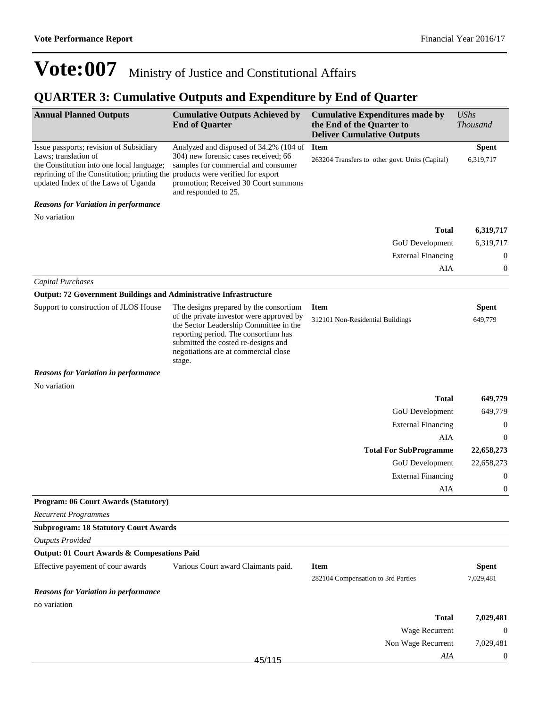## **QUARTER 3: Cumulative Outputs and Expenditure by End of Quarter**

| <b>Annual Planned Outputs</b>                                                                                                                                                                       | <b>Cumulative Outputs Achieved by</b><br><b>End of Quarter</b>                                                                                                                                                                                                | <b>Cumulative Expenditures made by</b><br>the End of the Quarter to<br><b>Deliver Cumulative Outputs</b> | <b>UShs</b><br><b>Thousand</b> |
|-----------------------------------------------------------------------------------------------------------------------------------------------------------------------------------------------------|---------------------------------------------------------------------------------------------------------------------------------------------------------------------------------------------------------------------------------------------------------------|----------------------------------------------------------------------------------------------------------|--------------------------------|
| Issue passports; revision of Subsidiary<br>Laws; translation of<br>the Constitution into one local language;<br>reprinting of the Constitution; printing the<br>updated Index of the Laws of Uganda | Analyzed and disposed of 34.2% (104 of<br>304) new forensic cases received; 66<br>samples for commercial and consumer<br>products were verified for export<br>promotion; Received 30 Court summons<br>and responded to 25.                                    | <b>Item</b><br>263204 Transfers to other govt. Units (Capital)                                           | <b>Spent</b><br>6,319,717      |
| <b>Reasons for Variation in performance</b><br>No variation                                                                                                                                         |                                                                                                                                                                                                                                                               |                                                                                                          |                                |
|                                                                                                                                                                                                     |                                                                                                                                                                                                                                                               | <b>Total</b>                                                                                             | 6,319,717                      |
|                                                                                                                                                                                                     |                                                                                                                                                                                                                                                               | GoU Development                                                                                          | 6,319,717                      |
|                                                                                                                                                                                                     |                                                                                                                                                                                                                                                               | <b>External Financing</b>                                                                                | $\boldsymbol{0}$               |
|                                                                                                                                                                                                     |                                                                                                                                                                                                                                                               | AIA                                                                                                      | $\boldsymbol{0}$               |
| <b>Capital Purchases</b>                                                                                                                                                                            |                                                                                                                                                                                                                                                               |                                                                                                          |                                |
| <b>Output: 72 Government Buildings and Administrative Infrastructure</b>                                                                                                                            |                                                                                                                                                                                                                                                               |                                                                                                          |                                |
| Support to construction of JLOS House                                                                                                                                                               | The designs prepared by the consortium<br>of the private investor were approved by<br>the Sector Leadership Committee in the<br>reporting period. The consortium has<br>submitted the costed re-designs and<br>negotiations are at commercial close<br>stage. | <b>Item</b><br>312101 Non-Residential Buildings                                                          | <b>Spent</b><br>649,779        |
| <b>Reasons for Variation in performance</b>                                                                                                                                                         |                                                                                                                                                                                                                                                               |                                                                                                          |                                |
| No variation                                                                                                                                                                                        |                                                                                                                                                                                                                                                               |                                                                                                          |                                |
|                                                                                                                                                                                                     |                                                                                                                                                                                                                                                               | <b>Total</b>                                                                                             | 649,779                        |
|                                                                                                                                                                                                     |                                                                                                                                                                                                                                                               | GoU Development                                                                                          | 649,779                        |
|                                                                                                                                                                                                     |                                                                                                                                                                                                                                                               | <b>External Financing</b>                                                                                | $\boldsymbol{0}$               |
|                                                                                                                                                                                                     |                                                                                                                                                                                                                                                               | AIA                                                                                                      | $\boldsymbol{0}$               |
|                                                                                                                                                                                                     |                                                                                                                                                                                                                                                               | <b>Total For SubProgramme</b>                                                                            | 22,658,273                     |
|                                                                                                                                                                                                     |                                                                                                                                                                                                                                                               | GoU Development                                                                                          | 22,658,273<br>$\boldsymbol{0}$ |
|                                                                                                                                                                                                     |                                                                                                                                                                                                                                                               | <b>External Financing</b><br>AIA                                                                         | $\boldsymbol{0}$               |
| Program: 06 Court Awards (Statutory)                                                                                                                                                                |                                                                                                                                                                                                                                                               |                                                                                                          |                                |
| <b>Recurrent Programmes</b>                                                                                                                                                                         |                                                                                                                                                                                                                                                               |                                                                                                          |                                |
| <b>Subprogram: 18 Statutory Court Awards</b>                                                                                                                                                        |                                                                                                                                                                                                                                                               |                                                                                                          |                                |
| <b>Outputs Provided</b>                                                                                                                                                                             |                                                                                                                                                                                                                                                               |                                                                                                          |                                |
| Output: 01 Court Awards & Compesations Paid                                                                                                                                                         |                                                                                                                                                                                                                                                               |                                                                                                          |                                |
| Effective payement of cour awards                                                                                                                                                                   | Various Court award Claimants paid.                                                                                                                                                                                                                           | <b>Item</b>                                                                                              | <b>Spent</b>                   |
| <b>Reasons for Variation in performance</b>                                                                                                                                                         |                                                                                                                                                                                                                                                               | 282104 Compensation to 3rd Parties                                                                       | 7,029,481                      |
| no variation                                                                                                                                                                                        |                                                                                                                                                                                                                                                               |                                                                                                          |                                |
|                                                                                                                                                                                                     |                                                                                                                                                                                                                                                               | <b>Total</b>                                                                                             | 7,029,481                      |
|                                                                                                                                                                                                     |                                                                                                                                                                                                                                                               | Wage Recurrent                                                                                           | $\boldsymbol{0}$               |
|                                                                                                                                                                                                     |                                                                                                                                                                                                                                                               | Non Wage Recurrent                                                                                       | 7,029,481                      |
|                                                                                                                                                                                                     | 45/115                                                                                                                                                                                                                                                        | AIA                                                                                                      | $\boldsymbol{0}$               |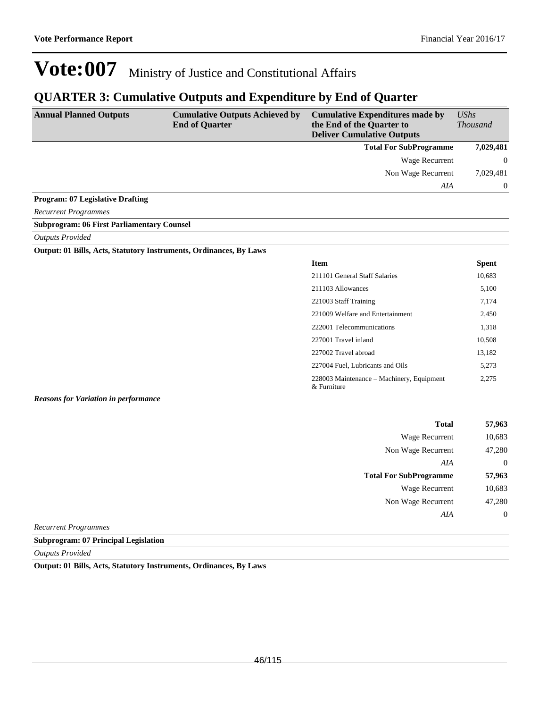### **QUARTER 3: Cumulative Outputs and Expenditure by End of Quarter**

| <b>Annual Planned Outputs</b>           | <b>Cumulative Outputs Achieved by</b><br><b>End of Quarter</b> | <b>Cumulative Expenditures made by</b><br>the End of the Quarter to<br><b>Deliver Cumulative Outputs</b> | <b>UShs</b><br><b>Thousand</b> |
|-----------------------------------------|----------------------------------------------------------------|----------------------------------------------------------------------------------------------------------|--------------------------------|
|                                         |                                                                | <b>Total For SubProgramme</b>                                                                            | 7,029,481                      |
|                                         |                                                                | Wage Recurrent                                                                                           | $\Omega$                       |
|                                         |                                                                | Non Wage Recurrent                                                                                       | 7,029,481                      |
|                                         |                                                                | AIA                                                                                                      | $\Omega$                       |
| <b>Program: 07 Legislative Drafting</b> |                                                                |                                                                                                          |                                |
| <b>Recurrent Programmes</b>             |                                                                |                                                                                                          |                                |

#### **Subprogram: 06 First Parliamentary Counsel**

*Outputs Provided*

#### **Output: 01 Bills, Acts, Statutory Instruments, Ordinances, By Laws**

| <b>Item</b>                                              | Spent  |
|----------------------------------------------------------|--------|
| 211101 General Staff Salaries                            | 10,683 |
| 211103 Allowances                                        | 5,100  |
| 221003 Staff Training                                    | 7,174  |
| 221009 Welfare and Entertainment                         | 2,450  |
| 222001 Telecommunications                                | 1,318  |
| 227001 Travel inland                                     | 10,508 |
| 227002 Travel abroad                                     | 13,182 |
| 227004 Fuel, Lubricants and Oils                         | 5,273  |
| 228003 Maintenance – Machinery, Equipment<br>& Furniture | 2.275  |

#### *Reasons for Variation in performance*

| <b>Total</b>                  | 57,963         |
|-------------------------------|----------------|
| <b>Wage Recurrent</b>         | 10,683         |
| Non Wage Recurrent            | 47,280         |
| AIA                           | $\overline{0}$ |
| <b>Total For SubProgramme</b> | 57,963         |
| <b>Wage Recurrent</b>         | 10,683         |
| Non Wage Recurrent            | 47,280         |
| AIA                           | $\overline{0}$ |
|                               |                |

*Recurrent Programmes*

**Subprogram: 07 Principal Legislation**

*Outputs Provided*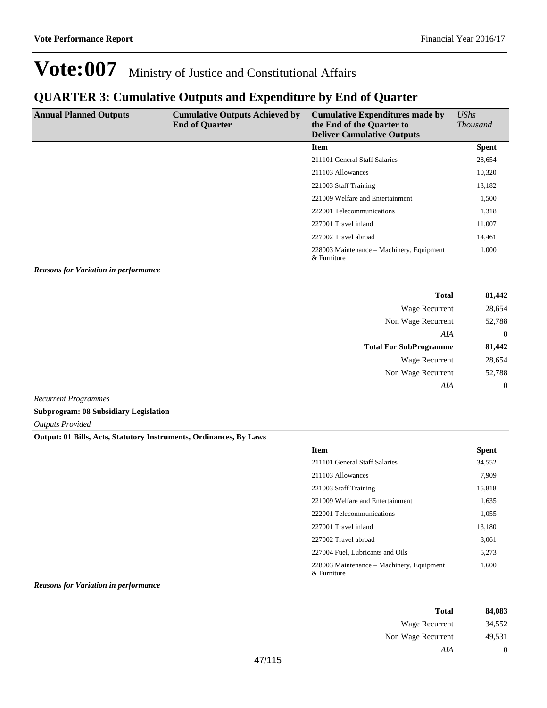### **QUARTER 3: Cumulative Outputs and Expenditure by End of Quarter**

| <b>Annual Planned Outputs</b> | <b>Cumulative Outputs Achieved by</b><br><b>End of Quarter</b> | <b>Cumulative Expenditures made by</b><br>the End of the Quarter to<br><b>Deliver Cumulative Outputs</b> | $\mathit{UShs}$<br><b>Thousand</b> |
|-------------------------------|----------------------------------------------------------------|----------------------------------------------------------------------------------------------------------|------------------------------------|
|                               |                                                                | <b>Item</b>                                                                                              | <b>Spent</b>                       |
|                               |                                                                | 211101 General Staff Salaries                                                                            | 28,654                             |
|                               |                                                                | 211103 Allowances                                                                                        | 10,320                             |
|                               |                                                                | 221003 Staff Training                                                                                    | 13,182                             |
|                               |                                                                | 221009 Welfare and Entertainment                                                                         | 1,500                              |
|                               |                                                                | 222001 Telecommunications                                                                                | 1,318                              |
|                               |                                                                | 227001 Travel inland                                                                                     | 11,007                             |
|                               |                                                                | 227002 Travel abroad                                                                                     | 14,461                             |
|                               |                                                                | 228003 Maintenance – Machinery, Equipment<br>& Furniture                                                 | 1,000                              |

*Reasons for Variation in performance*

| 81,442       | <b>Total</b>                  |
|--------------|-------------------------------|
| 28,654       | Wage Recurrent                |
| 52,788       | Non Wage Recurrent            |
| $\mathbf{0}$ | AIA                           |
| 81,442       | <b>Total For SubProgramme</b> |
|              |                               |
| 28,654       | Wage Recurrent                |
| 52,788       | Non Wage Recurrent            |
| $\mathbf{0}$ | AIA                           |

*Recurrent Programmes*

#### **Subprogram: 08 Subsidiary Legislation**

*Outputs Provided*

#### **Output: 01 Bills, Acts, Statutory Instruments, Ordinances, By Laws**

| <b>Item</b>                                              | <b>Spent</b> |
|----------------------------------------------------------|--------------|
| 211101 General Staff Salaries                            | 34,552       |
| 211103 Allowances                                        | 7,909        |
| 221003 Staff Training                                    | 15,818       |
| 221009 Welfare and Entertainment                         | 1,635        |
| 222001 Telecommunications                                | 1.055        |
| 227001 Travel inland                                     | 13.180       |
| 227002 Travel abroad                                     | 3.061        |
| 227004 Fuel, Lubricants and Oils                         | 5.273        |
| 228003 Maintenance – Machinery, Equipment<br>& Furniture | 1,600        |

*Reasons for Variation in performance*

| 84,083         | <b>Total</b>       |        |
|----------------|--------------------|--------|
| 34,552         | Wage Recurrent     |        |
| 49,531         | Non Wage Recurrent |        |
| $\overline{0}$ | AIA                |        |
|                |                    | 47/115 |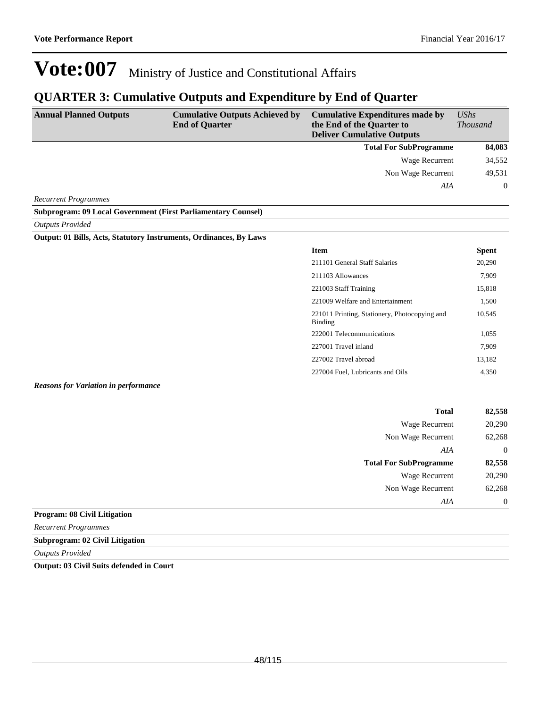### **QUARTER 3: Cumulative Outputs and Expenditure by End of Quarter**

| <b>Annual Planned Outputs</b>                                             | <b>Cumulative Outputs Achieved by</b><br><b>End of Quarter</b> | <b>Cumulative Expenditures made by</b><br>the End of the Quarter to<br><b>Deliver Cumulative Outputs</b> | UShs<br><b>Thousand</b> |
|---------------------------------------------------------------------------|----------------------------------------------------------------|----------------------------------------------------------------------------------------------------------|-------------------------|
|                                                                           |                                                                | <b>Total For SubProgramme</b>                                                                            | 84,083                  |
|                                                                           |                                                                | Wage Recurrent                                                                                           | 34,552                  |
|                                                                           |                                                                | Non Wage Recurrent                                                                                       | 49,531                  |
|                                                                           |                                                                | AIA                                                                                                      | $\theta$                |
| <b>Recurrent Programmes</b>                                               |                                                                |                                                                                                          |                         |
| <b>Subprogram: 09 Local Government (First Parliamentary Counsel)</b>      |                                                                |                                                                                                          |                         |
| <b>Outputs Provided</b>                                                   |                                                                |                                                                                                          |                         |
| <b>Output: 01 Bills, Acts, Statutory Instruments, Ordinances, By Laws</b> |                                                                |                                                                                                          |                         |
|                                                                           |                                                                | <b>Item</b>                                                                                              | <b>Spent</b>            |
|                                                                           |                                                                | 211101 General Staff Salaries                                                                            | 20,290                  |
|                                                                           |                                                                | 211103 Allowances                                                                                        | 7,909                   |
|                                                                           |                                                                | 221003 Staff Training                                                                                    | 15,818                  |
|                                                                           |                                                                | 221009 Welfare and Entertainment                                                                         | 1,500                   |
|                                                                           |                                                                | 221011 Printing, Stationery, Photocopying and                                                            | 10,545                  |

Binding

222001 Telecommunications 1,055 227001 Travel inland 7,909 227002 Travel abroad 13,182 227004 Fuel, Lubricants and Oils 4,350

*Reasons for Variation in performance*

| <b>Total</b>                  | 82,558         |
|-------------------------------|----------------|
| <b>Wage Recurrent</b>         | 20,290         |
| Non Wage Recurrent            | 62,268         |
| AIA                           | $\overline{0}$ |
| <b>Total For SubProgramme</b> | 82,558         |
| <b>Wage Recurrent</b>         | 20,290         |
| Non Wage Recurrent            | 62,268         |
| AIA                           | $\theta$       |
| .                             |                |

**Program: 08 Civil Litigation**

*Recurrent Programmes*

**Subprogram: 02 Civil Litigation**

*Outputs Provided*

**Output: 03 Civil Suits defended in Court**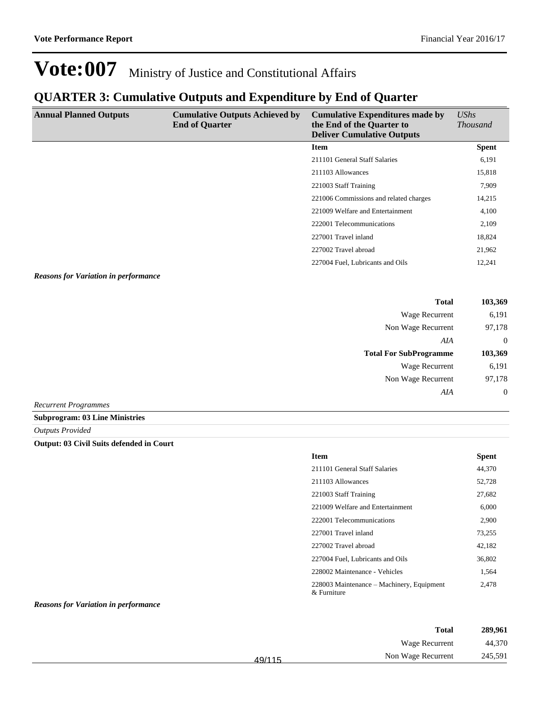## **QUARTER 3: Cumulative Outputs and Expenditure by End of Quarter**

| <b>Annual Planned Outputs</b> | <b>Cumulative Outputs Achieved by</b><br><b>End of Quarter</b> | <b>Cumulative Expenditures made by</b><br>the End of the Quarter to<br><b>Deliver Cumulative Outputs</b> | UShs<br><b>Thousand</b> |
|-------------------------------|----------------------------------------------------------------|----------------------------------------------------------------------------------------------------------|-------------------------|
|                               |                                                                | <b>Item</b>                                                                                              | <b>Spent</b>            |
|                               |                                                                | 211101 General Staff Salaries                                                                            | 6,191                   |
|                               |                                                                | 211103 Allowances                                                                                        | 15,818                  |
|                               |                                                                | 221003 Staff Training                                                                                    | 7,909                   |
|                               |                                                                | 221006 Commissions and related charges                                                                   | 14,215                  |
|                               |                                                                | 221009 Welfare and Entertainment                                                                         | 4,100                   |
|                               |                                                                | 222001 Telecommunications                                                                                | 2,109                   |
|                               |                                                                | 227001 Travel inland                                                                                     | 18,824                  |
|                               |                                                                | 227002 Travel abroad                                                                                     | 21,962                  |
|                               |                                                                | 227004 Fuel, Lubricants and Oils                                                                         | 12,241                  |

#### *Reasons for Variation in performance*

| <b>Total</b>                  | 103,369        |
|-------------------------------|----------------|
| Wage Recurrent                | 6,191          |
| Non Wage Recurrent            | 97,178         |
| AIA                           | $\overline{0}$ |
| <b>Total For SubProgramme</b> | 103,369        |
| <b>Wage Recurrent</b>         | 6,191          |
| Non Wage Recurrent            | 97,178         |
| AIA                           | $\overline{0}$ |
| <b>Recurrent Programmes</b>   |                |

#### **Subprogram: 03 Line Ministries**

*Outputs Provided*

#### **Output: 03 Civil Suits defended in Court**

| <b>Item</b>                                              | <b>Spent</b> |
|----------------------------------------------------------|--------------|
| 211101 General Staff Salaries                            | 44,370       |
| 211103 Allowances                                        | 52,728       |
| 221003 Staff Training                                    | 27.682       |
| 221009 Welfare and Entertainment                         | 6,000        |
| 222001 Telecommunications                                | 2,900        |
| 227001 Travel inland                                     | 73,255       |
| 227002 Travel abroad                                     | 42,182       |
| 227004 Fuel, Lubricants and Oils                         | 36,802       |
| 228002 Maintenance - Vehicles                            | 1,564        |
| 228003 Maintenance – Machinery, Equipment<br>& Furniture | 2.478        |

#### *Reasons for Variation in performance*

| 289,961 | <b>Total</b>       |        |
|---------|--------------------|--------|
| 44,370  | Wage Recurrent     |        |
| 245,591 | Non Wage Recurrent | 49/115 |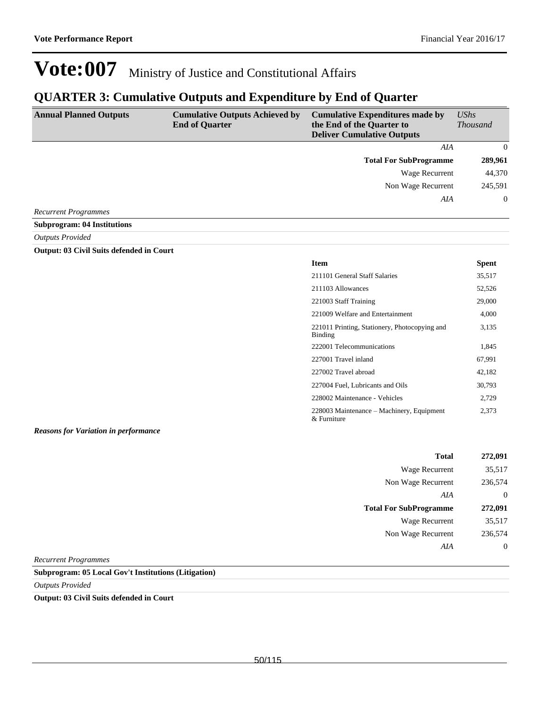### **QUARTER 3: Cumulative Outputs and Expenditure by End of Quarter**

| <b>Annual Planned Outputs</b> | <b>Cumulative Outputs Achieved by</b><br><b>End of Quarter</b> | <b>Cumulative Expenditures made by</b><br>the End of the Quarter to<br><b>Deliver Cumulative Outputs</b> | $\mathit{UShs}$<br><b>Thousand</b> |
|-------------------------------|----------------------------------------------------------------|----------------------------------------------------------------------------------------------------------|------------------------------------|
|                               |                                                                | AIA                                                                                                      | $\Omega$                           |
|                               |                                                                | <b>Total For SubProgramme</b>                                                                            | 289,961                            |
|                               |                                                                | Wage Recurrent                                                                                           | 44,370                             |
|                               |                                                                | Non Wage Recurrent                                                                                       | 245,591                            |
|                               |                                                                | AIA                                                                                                      | $\overline{0}$                     |
| <b>Recurrent Programmes</b>   |                                                                |                                                                                                          |                                    |

**Subprogram: 04 Institutions**

*Outputs Provided*

#### **Output: 03 Civil Suits defended in Court**

| <b>Item</b>                                              | <b>Spent</b> |
|----------------------------------------------------------|--------------|
| 211101 General Staff Salaries                            | 35,517       |
| 211103 Allowances                                        | 52,526       |
| 221003 Staff Training                                    | 29,000       |
| 221009 Welfare and Entertainment                         | 4,000        |
| 221011 Printing, Stationery, Photocopying and<br>Binding | 3,135        |
| 222001 Telecommunications                                | 1,845        |
| 227001 Travel inland                                     | 67,991       |
| 227002 Travel abroad                                     | 42,182       |
| 227004 Fuel, Lubricants and Oils                         | 30,793       |
| 228002 Maintenance - Vehicles                            | 2,729        |
| 228003 Maintenance – Machinery, Equipment<br>& Furniture | 2,373        |

*Reasons for Variation in performance*

| 272,091        | <b>Total</b>                  |
|----------------|-------------------------------|
| 35,517         | Wage Recurrent                |
| 236,574        | Non Wage Recurrent            |
| $\theta$       | AIA                           |
| 272,091        | <b>Total For SubProgramme</b> |
| 35,517         | <b>Wage Recurrent</b>         |
|                |                               |
| 236,574        | Non Wage Recurrent            |
| $\overline{0}$ | AIA                           |

*Recurrent Programmes*

#### **Subprogram: 05 Local Gov't Institutions (Litigation)**

*Outputs Provided*

#### **Output: 03 Civil Suits defended in Court**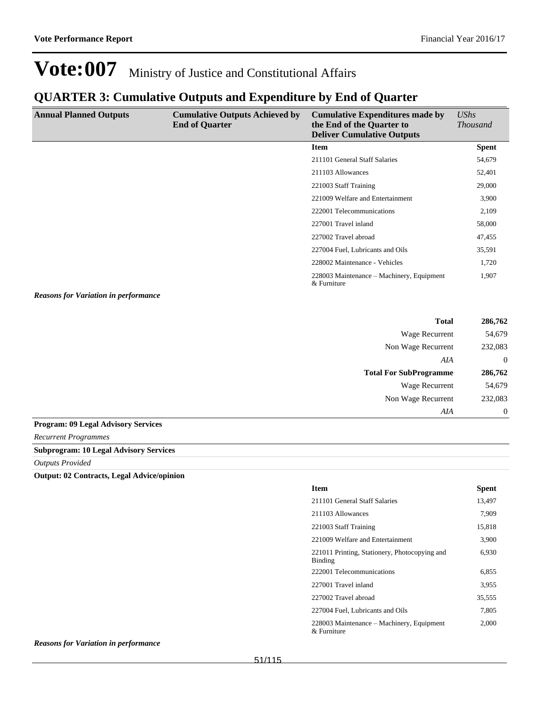## **QUARTER 3: Cumulative Outputs and Expenditure by End of Quarter**

| <b>Annual Planned Outputs</b>               | <b>Cumulative Outputs Achieved by</b><br><b>End of Quarter</b> | <b>Cumulative Expenditures made by</b><br>the End of the Quarter to<br><b>Deliver Cumulative Outputs</b> | UShs<br><i>Thousand</i> |
|---------------------------------------------|----------------------------------------------------------------|----------------------------------------------------------------------------------------------------------|-------------------------|
|                                             |                                                                | <b>Item</b>                                                                                              | <b>Spent</b>            |
|                                             |                                                                | 211101 General Staff Salaries                                                                            | 54,679                  |
|                                             |                                                                | 211103 Allowances                                                                                        | 52,401                  |
|                                             |                                                                | 221003 Staff Training                                                                                    | 29,000                  |
|                                             |                                                                | 221009 Welfare and Entertainment                                                                         | 3,900                   |
|                                             |                                                                | 222001 Telecommunications                                                                                | 2,109                   |
|                                             |                                                                | 227001 Travel inland                                                                                     | 58,000                  |
|                                             |                                                                | 227002 Travel abroad                                                                                     | 47,455                  |
|                                             |                                                                | 227004 Fuel, Lubricants and Oils                                                                         | 35,591                  |
|                                             |                                                                | 228002 Maintenance - Vehicles                                                                            | 1,720                   |
|                                             |                                                                | 228003 Maintenance – Machinery, Equipment<br>& Furniture                                                 | 1,907                   |
| <b>Reasons for Variation in performance</b> |                                                                |                                                                                                          |                         |

| <b>Total</b>                  | 286,762  |
|-------------------------------|----------|
| <b>Wage Recurrent</b>         | 54,679   |
| Non Wage Recurrent            | 232,083  |
| AIA                           | $\theta$ |
| <b>Total For SubProgramme</b> | 286,762  |
| <b>Wage Recurrent</b>         | 54,679   |
| Non Wage Recurrent            | 232,083  |
| AIA                           | $\theta$ |
|                               |          |

#### **Program: 09 Legal Advisory Services**

*Recurrent Programmes*

#### **Subprogram: 10 Legal Advisory Services**

*Outputs Provided*

**Output: 02 Contracts, Legal Advice/opinion**

| <b>Item</b>                                                     | <b>Spent</b> |
|-----------------------------------------------------------------|--------------|
| 211101 General Staff Salaries                                   | 13,497       |
| 211103 Allowances                                               | 7,909        |
| 221003 Staff Training                                           | 15,818       |
| 221009 Welfare and Entertainment                                | 3,900        |
| 221011 Printing, Stationery, Photocopying and<br><b>Binding</b> | 6,930        |
| 222001 Telecommunications                                       | 6.855        |
| 227001 Travel inland                                            | 3,955        |
| 227002 Travel abroad                                            | 35,555       |
| 227004 Fuel, Lubricants and Oils                                | 7,805        |
| 228003 Maintenance – Machinery, Equipment<br>$\&$ Furniture     | 2,000        |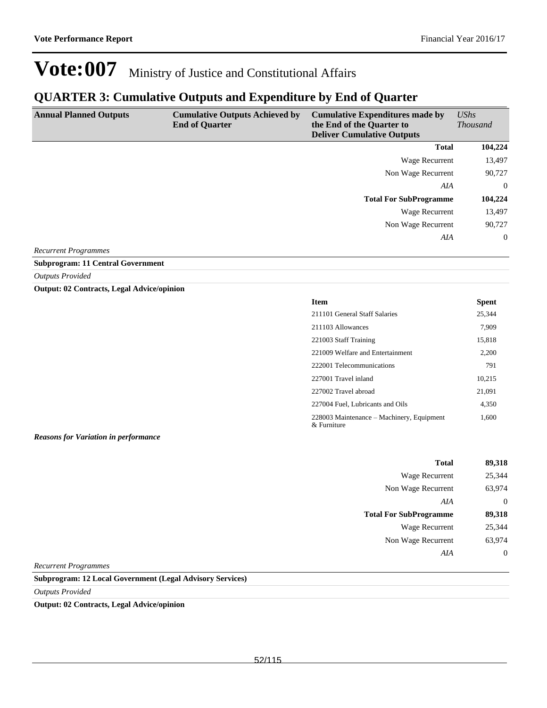### **QUARTER 3: Cumulative Outputs and Expenditure by End of Quarter**

| <b>Annual Planned Outputs</b> | <b>Cumulative Outputs Achieved by</b><br><b>End of Quarter</b> | <b>Cumulative Expenditures made by</b><br>the End of the Quarter to<br><b>Deliver Cumulative Outputs</b> | $\mathit{UShs}$<br><i>Thousand</i> |
|-------------------------------|----------------------------------------------------------------|----------------------------------------------------------------------------------------------------------|------------------------------------|
|                               |                                                                | <b>Total</b>                                                                                             | 104,224                            |
|                               |                                                                | Wage Recurrent                                                                                           | 13,497                             |
|                               |                                                                | Non Wage Recurrent                                                                                       | 90,727                             |
|                               |                                                                | AIA                                                                                                      | $\overline{0}$                     |
|                               |                                                                | <b>Total For SubProgramme</b>                                                                            | 104,224                            |
|                               |                                                                | Wage Recurrent                                                                                           | 13,497                             |
|                               |                                                                | Non Wage Recurrent                                                                                       | 90,727                             |
|                               |                                                                | AIA                                                                                                      | $\overline{0}$                     |

*Recurrent Programmes*

**Subprogram: 11 Central Government**

*Outputs Provided*

**Output: 02 Contracts, Legal Advice/opinion**

| Item                                                        | <b>Spent</b> |
|-------------------------------------------------------------|--------------|
| 211101 General Staff Salaries                               | 25,344       |
| 211103 Allowances                                           | 7,909        |
| 221003 Staff Training                                       | 15,818       |
| 221009 Welfare and Entertainment                            | 2,200        |
| 222001 Telecommunications                                   | 791          |
| 227001 Travel inland                                        | 10.215       |
| 227002 Travel abroad                                        | 21,091       |
| 227004 Fuel, Lubricants and Oils                            | 4,350        |
| 228003 Maintenance – Machinery, Equipment<br>$\&$ Furniture | 1,600        |

*Reasons for Variation in performance*

| <b>Total</b>                  | 89,318         |
|-------------------------------|----------------|
| Wage Recurrent                | 25,344         |
| Non Wage Recurrent            | 63,974         |
| AIA                           | $\overline{0}$ |
|                               |                |
| <b>Total For SubProgramme</b> | 89,318         |
| <b>Wage Recurrent</b>         | 25,344         |
| Non Wage Recurrent            | 63,974         |
| AIA                           | $\overline{0}$ |

*Recurrent Programmes*

**Subprogram: 12 Local Government (Legal Advisory Services)**

*Outputs Provided*

**Output: 02 Contracts, Legal Advice/opinion**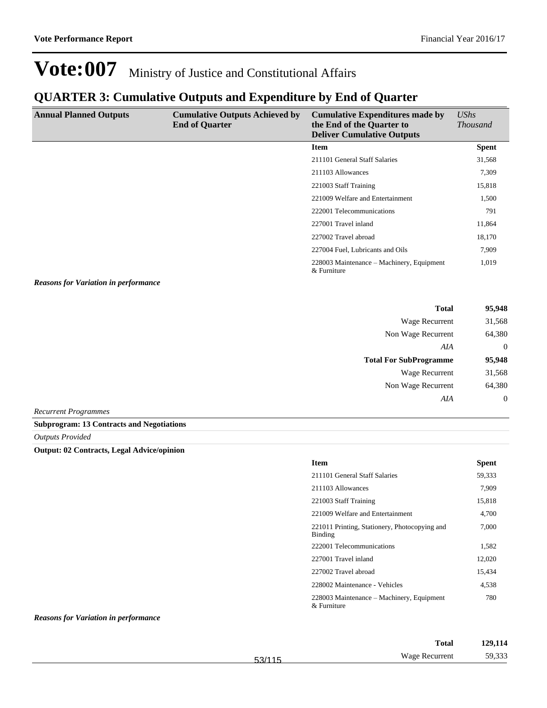### **QUARTER 3: Cumulative Outputs and Expenditure by End of Quarter**

| <b>Annual Planned Outputs</b> | <b>Cumulative Outputs Achieved by</b><br><b>End of Quarter</b> | <b>Cumulative Expenditures made by</b><br>the End of the Quarter to<br><b>Deliver Cumulative Outputs</b> | UShs<br><b>Thousand</b> |
|-------------------------------|----------------------------------------------------------------|----------------------------------------------------------------------------------------------------------|-------------------------|
|                               |                                                                | <b>Item</b>                                                                                              | <b>Spent</b>            |
|                               |                                                                | 211101 General Staff Salaries                                                                            | 31,568                  |
|                               |                                                                | 211103 Allowances                                                                                        | 7,309                   |
|                               |                                                                | 221003 Staff Training                                                                                    | 15,818                  |
|                               |                                                                | 221009 Welfare and Entertainment                                                                         | 1,500                   |
|                               |                                                                | 222001 Telecommunications                                                                                | 791                     |
|                               |                                                                | 227001 Travel inland                                                                                     | 11,864                  |
|                               |                                                                | 227002 Travel abroad                                                                                     | 18,170                  |
|                               |                                                                | 227004 Fuel, Lubricants and Oils                                                                         | 7,909                   |
|                               |                                                                | 228003 Maintenance – Machinery, Equipment<br>& Furniture                                                 | 1,019                   |

*Reasons for Variation in performance*

| 95,948 |
|--------|
| 31,568 |
| 64,380 |
| 0      |
| 95,948 |
| 31,568 |
| 64,380 |
|        |
|        |

*Recurrent Programmes*

**Subprogram: 13 Contracts and Negotiations**

*Outputs Provided*

#### **Output: 02 Contracts, Legal Advice/opinion**

| <b>Item</b>                                              | <b>Spent</b> |
|----------------------------------------------------------|--------------|
| 211101 General Staff Salaries                            | 59,333       |
| 211103 Allowances                                        | 7,909        |
| 221003 Staff Training                                    | 15,818       |
| 221009 Welfare and Entertainment                         | 4.700        |
| 221011 Printing, Stationery, Photocopying and<br>Binding | 7,000        |
| 222001 Telecommunications                                | 1,582        |
| 227001 Travel inland                                     | 12,020       |
| 227002 Travel abroad                                     | 15.434       |
| 228002 Maintenance - Vehicles                            | 4,538        |
| 228003 Maintenance – Machinery, Equipment<br>& Furniture | 780          |

#### *Reasons for Variation in performance*

| <b>Total</b>                    | 129,114 |
|---------------------------------|---------|
| <b>Wage Recurrent</b><br>53/115 | 59,333  |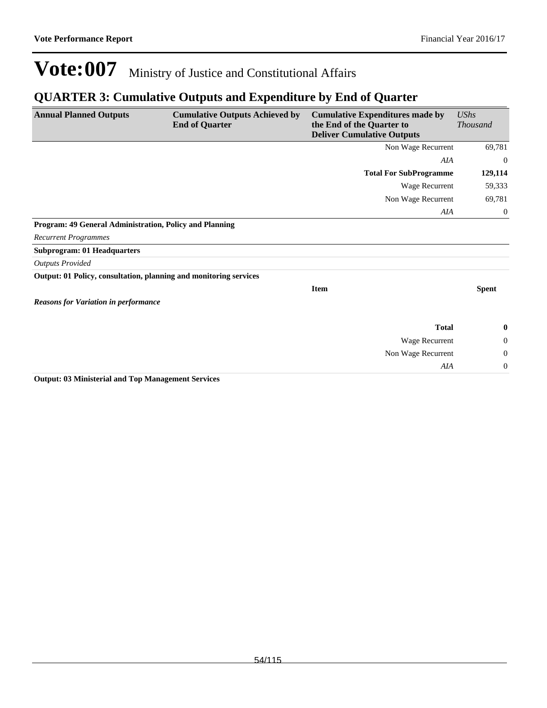### **QUARTER 3: Cumulative Outputs and Expenditure by End of Quarter**

| <b>Annual Planned Outputs</b>                                     | <b>Cumulative Outputs Achieved by</b><br><b>End of Quarter</b> | <b>Cumulative Expenditures made by</b><br>the End of the Quarter to<br><b>Deliver Cumulative Outputs</b> | <b>UShs</b><br><b>Thousand</b> |
|-------------------------------------------------------------------|----------------------------------------------------------------|----------------------------------------------------------------------------------------------------------|--------------------------------|
|                                                                   |                                                                | Non Wage Recurrent                                                                                       | 69,781                         |
|                                                                   |                                                                | AIA                                                                                                      | $\theta$                       |
|                                                                   |                                                                | <b>Total For SubProgramme</b>                                                                            | 129,114                        |
|                                                                   |                                                                | Wage Recurrent                                                                                           | 59,333                         |
|                                                                   |                                                                | Non Wage Recurrent                                                                                       | 69,781                         |
|                                                                   |                                                                | AIA                                                                                                      | $\overline{0}$                 |
| Program: 49 General Administration, Policy and Planning           |                                                                |                                                                                                          |                                |
| <b>Recurrent Programmes</b>                                       |                                                                |                                                                                                          |                                |
| <b>Subprogram: 01 Headquarters</b>                                |                                                                |                                                                                                          |                                |
| <b>Outputs Provided</b>                                           |                                                                |                                                                                                          |                                |
| Output: 01 Policy, consultation, planning and monitoring services |                                                                |                                                                                                          |                                |
|                                                                   |                                                                | <b>Item</b>                                                                                              | <b>Spent</b>                   |
| <b>Reasons for Variation in performance</b>                       |                                                                |                                                                                                          |                                |
|                                                                   |                                                                | <b>Total</b>                                                                                             | $\bf{0}$                       |
|                                                                   |                                                                | Wage Recurrent                                                                                           | $\theta$                       |
|                                                                   |                                                                | Non Wage Recurrent                                                                                       | $\overline{0}$                 |
|                                                                   |                                                                | AIA                                                                                                      | $\boldsymbol{0}$               |

**Output: 03 Ministerial and Top Management Services**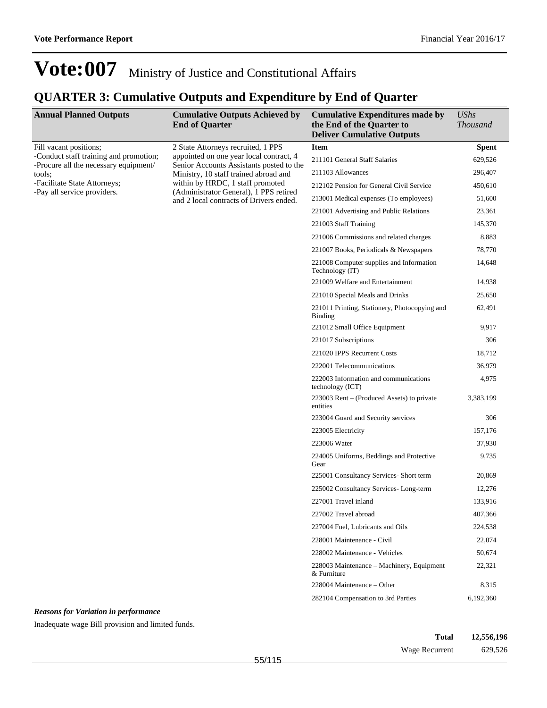## **QUARTER 3: Cumulative Outputs and Expenditure by End of Quarter**

| <b>Annual Planned Outputs</b>                                                   | <b>Cumulative Outputs Achieved by</b><br><b>End of Quarter</b>                                                                                                 | <b>Cumulative Expenditures made by</b><br>the End of the Quarter to<br><b>Deliver Cumulative Outputs</b> | <b>UShs</b><br><b>Thousand</b> |
|---------------------------------------------------------------------------------|----------------------------------------------------------------------------------------------------------------------------------------------------------------|----------------------------------------------------------------------------------------------------------|--------------------------------|
| Fill vacant positions;                                                          | 2 State Attorneys recruited, 1 PPS                                                                                                                             | <b>Item</b>                                                                                              | <b>Spent</b>                   |
| -Conduct staff training and promotion;<br>-Procure all the necessary equipment/ | appointed on one year local contract, 4<br>Senior Accounts Assistants posted to the                                                                            | 211101 General Staff Salaries                                                                            | 629,526                        |
| tools;                                                                          | Ministry, 10 staff trained abroad and<br>within by HRDC, 1 staff promoted<br>(Administrator General), 1 PPS retired<br>and 2 local contracts of Drivers ended. | 211103 Allowances                                                                                        | 296,407                        |
| -Facilitate State Attorneys;                                                    |                                                                                                                                                                | 212102 Pension for General Civil Service                                                                 | 450,610                        |
| -Pay all service providers.                                                     |                                                                                                                                                                | 213001 Medical expenses (To employees)                                                                   | 51,600                         |
|                                                                                 |                                                                                                                                                                | 221001 Advertising and Public Relations                                                                  | 23,361                         |
|                                                                                 |                                                                                                                                                                | 221003 Staff Training                                                                                    | 145,370                        |
|                                                                                 |                                                                                                                                                                | 221006 Commissions and related charges                                                                   | 8,883                          |
|                                                                                 |                                                                                                                                                                | 221007 Books, Periodicals & Newspapers                                                                   | 78,770                         |
|                                                                                 |                                                                                                                                                                | 221008 Computer supplies and Information<br>Technology (IT)                                              | 14,648                         |
|                                                                                 |                                                                                                                                                                | 221009 Welfare and Entertainment                                                                         | 14,938                         |
|                                                                                 |                                                                                                                                                                | 221010 Special Meals and Drinks                                                                          | 25,650                         |
|                                                                                 |                                                                                                                                                                | 221011 Printing, Stationery, Photocopying and<br>Binding                                                 | 62,491                         |
|                                                                                 |                                                                                                                                                                | 221012 Small Office Equipment                                                                            | 9,917                          |
|                                                                                 |                                                                                                                                                                | 221017 Subscriptions                                                                                     | 306                            |
|                                                                                 |                                                                                                                                                                | 221020 IPPS Recurrent Costs                                                                              | 18,712                         |
|                                                                                 |                                                                                                                                                                | 222001 Telecommunications                                                                                | 36,979                         |
|                                                                                 |                                                                                                                                                                | 222003 Information and communications<br>technology (ICT)                                                | 4,975                          |
|                                                                                 |                                                                                                                                                                | $223003$ Rent – (Produced Assets) to private<br>entities                                                 | 3,383,199                      |
|                                                                                 |                                                                                                                                                                | 223004 Guard and Security services                                                                       | 306                            |
|                                                                                 |                                                                                                                                                                | 223005 Electricity                                                                                       | 157,176                        |
|                                                                                 |                                                                                                                                                                | 223006 Water                                                                                             | 37,930                         |
|                                                                                 |                                                                                                                                                                | 224005 Uniforms, Beddings and Protective<br>Gear                                                         | 9,735                          |
|                                                                                 |                                                                                                                                                                | 225001 Consultancy Services- Short term                                                                  | 20,869                         |
|                                                                                 |                                                                                                                                                                | 225002 Consultancy Services-Long-term                                                                    | 12,276                         |
|                                                                                 |                                                                                                                                                                | 227001 Travel inland                                                                                     | 133,916                        |
|                                                                                 |                                                                                                                                                                | 227002 Travel abroad                                                                                     | 407,366                        |
|                                                                                 |                                                                                                                                                                | 227004 Fuel, Lubricants and Oils                                                                         | 224,538                        |
|                                                                                 |                                                                                                                                                                | 228001 Maintenance - Civil                                                                               | 22,074                         |
|                                                                                 |                                                                                                                                                                | 228002 Maintenance - Vehicles                                                                            | 50,674                         |
|                                                                                 |                                                                                                                                                                | 228003 Maintenance – Machinery, Equipment<br>& Furniture                                                 | 22,321                         |
|                                                                                 |                                                                                                                                                                | $228004$ Maintenance – Other                                                                             | 8,315                          |
|                                                                                 |                                                                                                                                                                | 282104 Compensation to 3rd Parties                                                                       | 6,192,360                      |

*Reasons for Variation in performance*

Inadequate wage Bill provision and limited funds.

| Total          | 12,556,196 |
|----------------|------------|
| Wage Recurrent | 629,526    |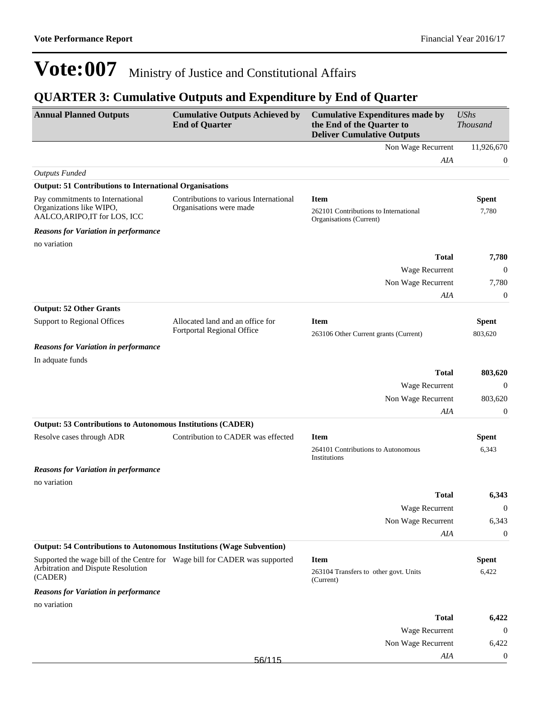## **QUARTER 3: Cumulative Outputs and Expenditure by End of Quarter**

| <b>Annual Planned Outputs</b>                                                                 | <b>Cumulative Outputs Achieved by</b><br><b>End of Quarter</b>    | <b>Cumulative Expenditures made by</b><br>the End of the Quarter to<br><b>Deliver Cumulative Outputs</b> | <b>UShs</b><br><b>Thousand</b> |
|-----------------------------------------------------------------------------------------------|-------------------------------------------------------------------|----------------------------------------------------------------------------------------------------------|--------------------------------|
|                                                                                               |                                                                   | Non Wage Recurrent                                                                                       | 11,926,670                     |
|                                                                                               |                                                                   | AIA                                                                                                      | $\boldsymbol{0}$               |
| <b>Outputs Funded</b>                                                                         |                                                                   |                                                                                                          |                                |
| <b>Output: 51 Contributions to International Organisations</b>                                |                                                                   |                                                                                                          |                                |
| Pay commitments to International<br>Organizations like WIPO,<br>AALCO, ARIPO, IT for LOS, ICC | Contributions to various International<br>Organisations were made | <b>Item</b><br>262101 Contributions to International<br>Organisations (Current)                          | <b>Spent</b><br>7,780          |
| <b>Reasons for Variation in performance</b>                                                   |                                                                   |                                                                                                          |                                |
| no variation                                                                                  |                                                                   |                                                                                                          |                                |
|                                                                                               |                                                                   | <b>Total</b>                                                                                             | 7,780                          |
|                                                                                               |                                                                   | Wage Recurrent                                                                                           | $\boldsymbol{0}$               |
|                                                                                               |                                                                   | Non Wage Recurrent                                                                                       | 7,780                          |
|                                                                                               |                                                                   | AIA                                                                                                      | $\boldsymbol{0}$               |
| <b>Output: 52 Other Grants</b>                                                                |                                                                   |                                                                                                          |                                |
| Support to Regional Offices                                                                   | Allocated land and an office for                                  | <b>Item</b>                                                                                              | <b>Spent</b>                   |
|                                                                                               | Fortportal Regional Office                                        | 263106 Other Current grants (Current)                                                                    | 803,620                        |
| <b>Reasons for Variation in performance</b>                                                   |                                                                   |                                                                                                          |                                |
| In adquate funds                                                                              |                                                                   |                                                                                                          |                                |
|                                                                                               |                                                                   | <b>Total</b>                                                                                             | 803,620                        |
|                                                                                               |                                                                   | Wage Recurrent                                                                                           | $\boldsymbol{0}$               |
|                                                                                               |                                                                   | Non Wage Recurrent                                                                                       | 803,620                        |
|                                                                                               |                                                                   | AIA                                                                                                      | $\boldsymbol{0}$               |
| <b>Output: 53 Contributions to Autonomous Institutions (CADER)</b>                            |                                                                   |                                                                                                          |                                |
| Resolve cases through ADR                                                                     | Contribution to CADER was effected                                | <b>Item</b>                                                                                              | <b>Spent</b>                   |
|                                                                                               |                                                                   | 264101 Contributions to Autonomous<br>Institutions                                                       | 6,343                          |
| <b>Reasons for Variation in performance</b>                                                   |                                                                   |                                                                                                          |                                |
| no variation                                                                                  |                                                                   |                                                                                                          |                                |
|                                                                                               |                                                                   | <b>Total</b>                                                                                             | 6,343                          |
|                                                                                               |                                                                   | Wage Recurrent                                                                                           | $\mathbf{0}$                   |
|                                                                                               |                                                                   | Non Wage Recurrent                                                                                       | 6,343                          |
|                                                                                               |                                                                   | AIA                                                                                                      | $\mathbf{0}$                   |
| <b>Output: 54 Contributions to Autonomous Institutions (Wage Subvention)</b>                  |                                                                   |                                                                                                          |                                |
| Supported the wage bill of the Centre for Wage bill for CADER was supported                   |                                                                   | <b>Item</b>                                                                                              | <b>Spent</b>                   |
| Arbitration and Dispute Resolution<br>(CADER)                                                 |                                                                   | 263104 Transfers to other govt. Units<br>(Current)                                                       | 6,422                          |
| <b>Reasons for Variation in performance</b>                                                   |                                                                   |                                                                                                          |                                |
| no variation                                                                                  |                                                                   |                                                                                                          |                                |
|                                                                                               |                                                                   | <b>Total</b>                                                                                             | 6,422                          |
|                                                                                               |                                                                   | Wage Recurrent                                                                                           | $\mathbf{0}$                   |
|                                                                                               |                                                                   | Non Wage Recurrent                                                                                       | 6,422                          |
|                                                                                               | 56/115                                                            | AIA                                                                                                      | $\boldsymbol{0}$               |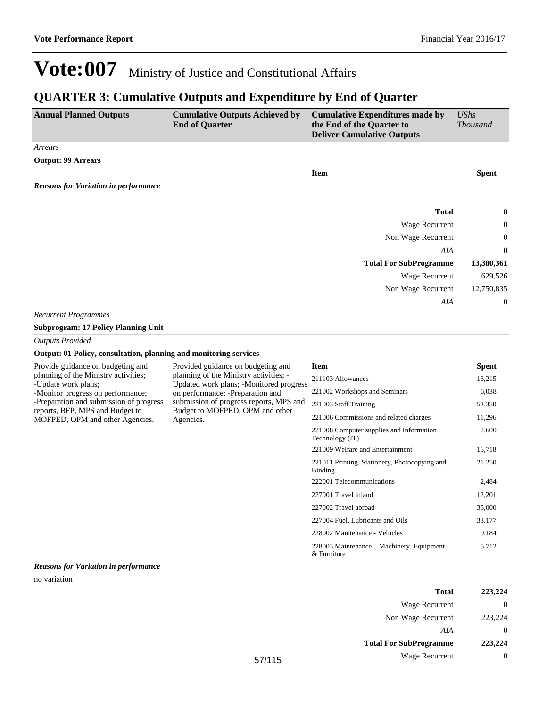### **QUARTER 3: Cumulative Outputs and Expenditure by End of Quarter**

| <b>Annual Planned Outputs</b>                                      | <b>Cumulative Outputs Achieved by</b><br><b>End of Quarter</b>                                                                                                                                                   | <b>Cumulative Expenditures made by</b><br>the End of the Quarter to<br><b>Deliver Cumulative Outputs</b> | <b>UShs</b><br><b>Thousand</b> |
|--------------------------------------------------------------------|------------------------------------------------------------------------------------------------------------------------------------------------------------------------------------------------------------------|----------------------------------------------------------------------------------------------------------|--------------------------------|
| Arrears                                                            |                                                                                                                                                                                                                  |                                                                                                          |                                |
| <b>Output: 99 Arrears</b>                                          |                                                                                                                                                                                                                  |                                                                                                          |                                |
|                                                                    |                                                                                                                                                                                                                  | <b>Item</b>                                                                                              | <b>Spent</b>                   |
| <b>Reasons for Variation in performance</b>                        |                                                                                                                                                                                                                  |                                                                                                          |                                |
|                                                                    |                                                                                                                                                                                                                  | <b>Total</b>                                                                                             |                                |
|                                                                    |                                                                                                                                                                                                                  | Wage Recurrent                                                                                           | 0<br>0                         |
|                                                                    |                                                                                                                                                                                                                  | Non Wage Recurrent                                                                                       | 0                              |
|                                                                    |                                                                                                                                                                                                                  | AIA                                                                                                      | 0                              |
|                                                                    |                                                                                                                                                                                                                  | <b>Total For SubProgramme</b>                                                                            | 13,380,361                     |
|                                                                    |                                                                                                                                                                                                                  | Wage Recurrent                                                                                           | 629,526                        |
|                                                                    |                                                                                                                                                                                                                  | Non Wage Recurrent                                                                                       | 12,750,835                     |
|                                                                    |                                                                                                                                                                                                                  | AIA                                                                                                      | $\theta$                       |
| <b>Recurrent Programmes</b>                                        |                                                                                                                                                                                                                  |                                                                                                          |                                |
| <b>Subprogram: 17 Policy Planning Unit</b>                         |                                                                                                                                                                                                                  |                                                                                                          |                                |
| <b>Outputs Provided</b>                                            |                                                                                                                                                                                                                  |                                                                                                          |                                |
| Output: 01 Policy, consultation, planning and monitoring services  |                                                                                                                                                                                                                  |                                                                                                          |                                |
| Provide guidance on budgeting and                                  | Provided guidance on budgeting and                                                                                                                                                                               | <b>Item</b>                                                                                              | <b>Spent</b>                   |
| planning of the Ministry activities;                               | planning of the Ministry activities; -<br>Updated work plans; -Monitored progress<br>on performance; -Preparation and<br>submission of progress reports, MPS and<br>Budget to MOFPED, OPM and other<br>Agencies. | 211103 Allowances                                                                                        | 16,215                         |
| -Update work plans;<br>-Monitor progress on performance;           |                                                                                                                                                                                                                  | 221002 Workshops and Seminars                                                                            | 6,038                          |
| -Preparation and submission of progress                            |                                                                                                                                                                                                                  | 221003 Staff Training                                                                                    | 52,350                         |
| reports, BFP, MPS and Budget to<br>MOFPED, OPM and other Agencies. |                                                                                                                                                                                                                  | 221006 Commissions and related charges                                                                   | 11,296                         |
|                                                                    |                                                                                                                                                                                                                  | 221008 Computer supplies and Information<br>Technology (IT)                                              | 2,600                          |
|                                                                    |                                                                                                                                                                                                                  | 221009 Welfare and Entertainment                                                                         | 15,718                         |
|                                                                    |                                                                                                                                                                                                                  | 221011 Printing, Stationery, Photocopying and<br><b>Binding</b>                                          | 21,250                         |
|                                                                    |                                                                                                                                                                                                                  | 222001 Telecommunications                                                                                | 2,484                          |
|                                                                    |                                                                                                                                                                                                                  | 227001 Travel inland                                                                                     | 12,201                         |
|                                                                    |                                                                                                                                                                                                                  | 227002 Travel abroad                                                                                     | 35,000                         |
|                                                                    |                                                                                                                                                                                                                  | 227004 Fuel, Lubricants and Oils                                                                         | 33,177                         |
|                                                                    |                                                                                                                                                                                                                  | 228002 Maintenance - Vehicles                                                                            | 9,184                          |
|                                                                    |                                                                                                                                                                                                                  | 228003 Maintenance – Machinery, Equipment<br>& Furniture                                                 | 5,712                          |
| <b>Reasons for Variation in performance</b>                        |                                                                                                                                                                                                                  |                                                                                                          |                                |
| no variation                                                       |                                                                                                                                                                                                                  |                                                                                                          |                                |
|                                                                    |                                                                                                                                                                                                                  | <b>Total</b>                                                                                             | 223,224                        |

| 443,444  | 1 otal                        |
|----------|-------------------------------|
| $\theta$ | Wage Recurrent                |
| 223,224  | Non Wage Recurrent            |
|          | AIA                           |
| 223,224  | <b>Total For SubProgramme</b> |
|          | Wage Recurrent                |
|          |                               |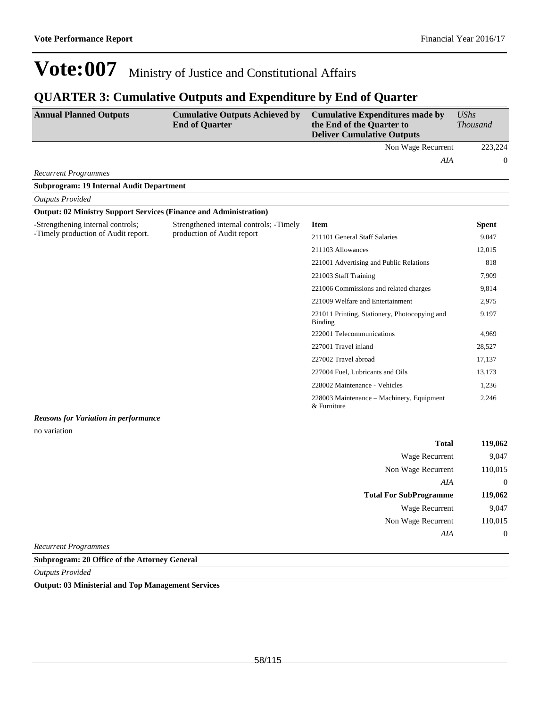### **QUARTER 3: Cumulative Outputs and Expenditure by End of Quarter**

| <b>Annual Planned Outputs</b>                                            | <b>Cumulative Outputs Achieved by</b><br><b>End of Quarter</b> | <b>Cumulative Expenditures made by</b><br>the End of the Quarter to<br><b>Deliver Cumulative Outputs</b> | <b>UShs</b><br>Thousand |
|--------------------------------------------------------------------------|----------------------------------------------------------------|----------------------------------------------------------------------------------------------------------|-------------------------|
|                                                                          |                                                                | Non Wage Recurrent                                                                                       | 223,224                 |
|                                                                          |                                                                | AIA                                                                                                      | $\theta$                |
| <b>Recurrent Programmes</b>                                              |                                                                |                                                                                                          |                         |
| <b>Subprogram: 19 Internal Audit Department</b>                          |                                                                |                                                                                                          |                         |
| <b>Outputs Provided</b>                                                  |                                                                |                                                                                                          |                         |
| <b>Output: 02 Ministry Support Services (Finance and Administration)</b> |                                                                |                                                                                                          |                         |
| -Strengthening internal controls;                                        | Strengthened internal controls; -Timely                        | <b>Item</b>                                                                                              | <b>Spent</b>            |
| -Timely production of Audit report.                                      | production of Audit report                                     | 211101 General Staff Salaries                                                                            | 9,047                   |
|                                                                          |                                                                | 211103 Allowances                                                                                        | 12,015                  |
|                                                                          |                                                                | 221001 Advertising and Public Relations                                                                  | 818                     |
|                                                                          |                                                                | 221003 Staff Training                                                                                    | 7,909                   |
|                                                                          |                                                                | 221006 Commissions and related charges                                                                   | 9,814                   |
|                                                                          |                                                                | 221009 Welfare and Entertainment                                                                         | 2,975                   |
|                                                                          |                                                                | 221011 Printing, Stationery, Photocopying and<br>Binding                                                 | 9,197                   |
|                                                                          |                                                                | 222001 Telecommunications                                                                                | 4,969                   |
|                                                                          |                                                                | 227001 Travel inland                                                                                     | 28,527                  |
|                                                                          |                                                                | 227002 Travel abroad                                                                                     | 17,137                  |
|                                                                          |                                                                | 227004 Fuel, Lubricants and Oils                                                                         | 13,173                  |
|                                                                          |                                                                | 228002 Maintenance - Vehicles                                                                            | 1,236                   |
|                                                                          |                                                                | 228003 Maintenance – Machinery, Equipment<br>& Furniture                                                 | 2,246                   |
| <b>Reasons for Variation in performance</b>                              |                                                                |                                                                                                          |                         |
| no variation                                                             |                                                                |                                                                                                          |                         |
|                                                                          |                                                                | <b>Total</b>                                                                                             | 119,062                 |
|                                                                          |                                                                | Wage Recurrent                                                                                           | 9,047                   |
|                                                                          |                                                                | Non Wage Recurrent                                                                                       | 110,015                 |
|                                                                          |                                                                | AIA                                                                                                      | $\boldsymbol{0}$        |
|                                                                          |                                                                | <b>Total For SubProgramme</b>                                                                            | 119,062                 |
|                                                                          |                                                                | Wage Recurrent                                                                                           | 9,047                   |
|                                                                          |                                                                | Non Wage Recurrent                                                                                       | 110,015                 |
|                                                                          |                                                                | AIA                                                                                                      | $\boldsymbol{0}$        |

*Recurrent Programmes*

**Subprogram: 20 Office of the Attorney General**

*Outputs Provided*

**Output: 03 Ministerial and Top Management Services**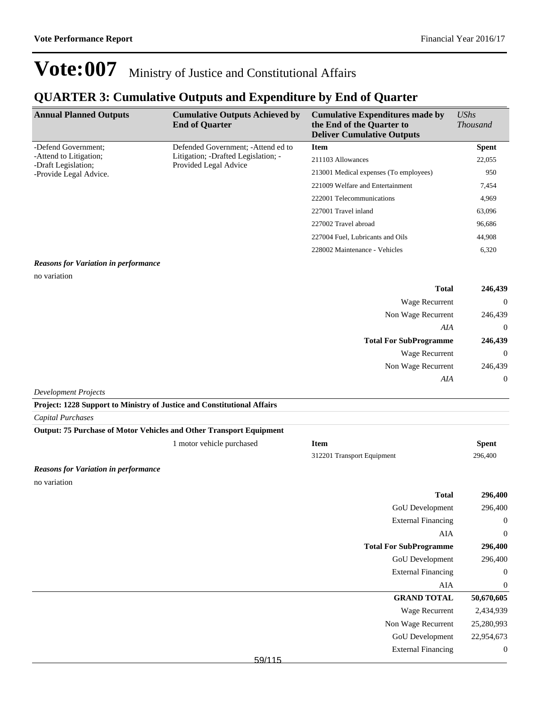## **QUARTER 3: Cumulative Outputs and Expenditure by End of Quarter**

| <b>Annual Planned Outputs</b>                 | <b>Cumulative Outputs Achieved by</b><br><b>End of Quarter</b>                                      | <b>Cumulative Expenditures made by</b><br>the End of the Quarter to<br><b>Deliver Cumulative Outputs</b> | $\mathit{UShs}$<br><i>Thousand</i> |
|-----------------------------------------------|-----------------------------------------------------------------------------------------------------|----------------------------------------------------------------------------------------------------------|------------------------------------|
| -Defend Government:                           | Defended Government; - Attend ed to<br>Litigation; -Drafted Legislation; -<br>Provided Legal Advice | <b>Item</b>                                                                                              | <b>Spent</b>                       |
| -Attend to Litigation;<br>-Draft Legislation; |                                                                                                     | 211103 Allowances                                                                                        | 22,055                             |
| -Provide Legal Advice.                        |                                                                                                     | 213001 Medical expenses (To employees)                                                                   | 950                                |
|                                               |                                                                                                     | 221009 Welfare and Entertainment                                                                         | 7,454                              |
|                                               |                                                                                                     | 222001 Telecommunications                                                                                | 4,969                              |
|                                               |                                                                                                     | 227001 Travel inland                                                                                     | 63,096                             |
|                                               |                                                                                                     | 227002 Travel abroad                                                                                     | 96,686                             |
|                                               |                                                                                                     | 227004 Fuel, Lubricants and Oils                                                                         | 44,908                             |
|                                               |                                                                                                     | 228002 Maintenance - Vehicles                                                                            | 6,320                              |

#### *Reasons for Variation in performance*

no variation

| 246,439        | <b>Total</b>                  |
|----------------|-------------------------------|
| $\overline{0}$ | <b>Wage Recurrent</b>         |
| 246,439        | Non Wage Recurrent            |
| $\overline{0}$ | AIA                           |
| 246,439        | <b>Total For SubProgramme</b> |
| $\overline{0}$ | <b>Wage Recurrent</b>         |
| 246,439        | Non Wage Recurrent            |
|                |                               |
| $\overline{0}$ | AIA                           |

*Development Projects*

**Project: 1228 Support to Ministry of Justice and Constitutional Affairs**

*Capital Purchases*

| Output: 75 Purchase of Motor Vehicles and Other Transport Equipment |                           |                               |                  |
|---------------------------------------------------------------------|---------------------------|-------------------------------|------------------|
|                                                                     | 1 motor vehicle purchased | <b>Item</b>                   | <b>Spent</b>     |
|                                                                     |                           |                               | 296,400          |
|                                                                     |                           | 312201 Transport Equipment    |                  |
| <b>Reasons for Variation in performance</b>                         |                           |                               |                  |
| no variation                                                        |                           |                               |                  |
|                                                                     |                           | <b>Total</b>                  | 296,400          |
|                                                                     |                           | GoU Development               | 296,400          |
|                                                                     |                           | <b>External Financing</b>     | $\boldsymbol{0}$ |
|                                                                     |                           | AIA                           | $\boldsymbol{0}$ |
|                                                                     |                           | <b>Total For SubProgramme</b> | 296,400          |
|                                                                     |                           | GoU Development               | 296,400          |
|                                                                     |                           | <b>External Financing</b>     | $\boldsymbol{0}$ |
|                                                                     |                           | AIA                           | $\boldsymbol{0}$ |
|                                                                     |                           | <b>GRAND TOTAL</b>            | 50,670,605       |
|                                                                     |                           | Wage Recurrent                | 2,434,939        |
|                                                                     |                           | Non Wage Recurrent            | 25,280,993       |
|                                                                     |                           | GoU Development               | 22,954,673       |
|                                                                     |                           | <b>External Financing</b>     | $\boldsymbol{0}$ |
|                                                                     | 59/115                    |                               |                  |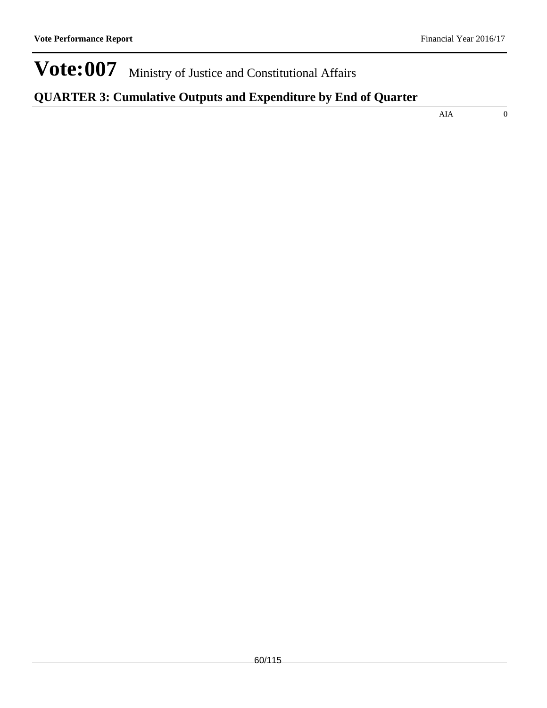## **QUARTER 3: Cumulative Outputs and Expenditure by End of Quarter**

AIA 0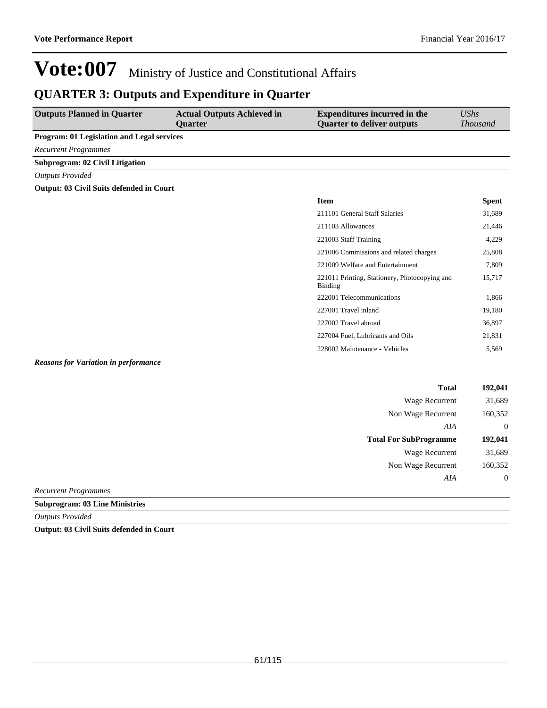Wage Recurrent 31,689 Non Wage Recurrent 160,352

*AIA* 0

# **Vote:007** Ministry of Justice and Constitutional Affairs

### **QUARTER 3: Outputs and Expenditure in Quarter**

| <b>Outputs Planned in Quarter</b>           | <b>Actual Outputs Achieved in</b><br><b>Quarter</b> | <b>Expenditures incurred in the</b><br><b>Quarter to deliver outputs</b> | <b>UShs</b><br><b>Thousand</b> |
|---------------------------------------------|-----------------------------------------------------|--------------------------------------------------------------------------|--------------------------------|
| Program: 01 Legislation and Legal services  |                                                     |                                                                          |                                |
| <b>Recurrent Programmes</b>                 |                                                     |                                                                          |                                |
| <b>Subprogram: 02 Civil Litigation</b>      |                                                     |                                                                          |                                |
| <b>Outputs Provided</b>                     |                                                     |                                                                          |                                |
| Output: 03 Civil Suits defended in Court    |                                                     |                                                                          |                                |
|                                             |                                                     | <b>Item</b>                                                              | <b>Spent</b>                   |
|                                             |                                                     | 211101 General Staff Salaries                                            | 31,689                         |
|                                             |                                                     | 211103 Allowances                                                        | 21,446                         |
|                                             |                                                     | 221003 Staff Training                                                    | 4,229                          |
|                                             |                                                     | 221006 Commissions and related charges                                   | 25,808                         |
|                                             |                                                     | 221009 Welfare and Entertainment                                         | 7,809                          |
|                                             |                                                     | 221011 Printing, Stationery, Photocopying and<br>Binding                 | 15,717                         |
|                                             |                                                     | 222001 Telecommunications                                                | 1,866                          |
|                                             |                                                     | 227001 Travel inland                                                     | 19,180                         |
|                                             |                                                     | 227002 Travel abroad                                                     | 36,897                         |
|                                             |                                                     | 227004 Fuel, Lubricants and Oils                                         | 21,831                         |
|                                             |                                                     | 228002 Maintenance - Vehicles                                            | 5,569                          |
| <b>Reasons for Variation in performance</b> |                                                     |                                                                          |                                |
|                                             |                                                     | <b>Total</b>                                                             | 192,041                        |
|                                             |                                                     | Wage Recurrent                                                           | 31,689                         |
|                                             |                                                     | Non Wage Recurrent                                                       | 160,352                        |
|                                             |                                                     | AIA                                                                      | $\mathbf{0}$                   |
|                                             |                                                     | <b>Total For SubProgramme</b>                                            | 192,041                        |

*Recurrent Programmes*

**Subprogram: 03 Line Ministries**

*Outputs Provided*

**Output: 03 Civil Suits defended in Court**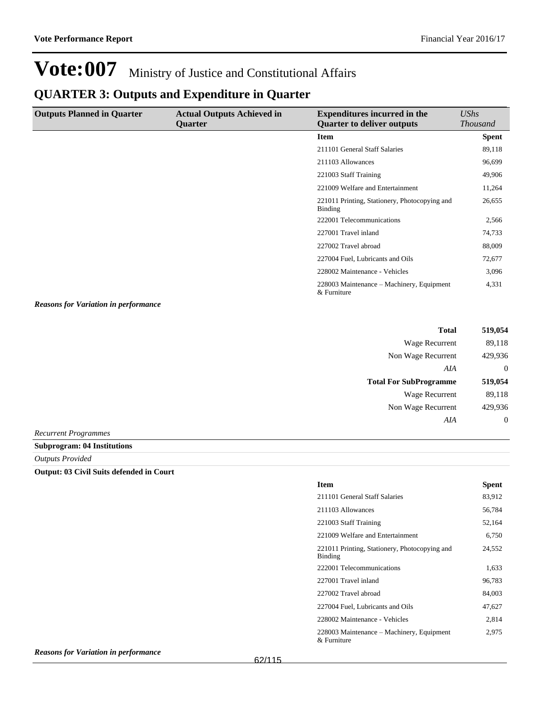### **QUARTER 3: Outputs and Expenditure in Quarter**

| <b>Outputs Planned in Quarter</b>                                                        | <b>Actual Outputs Achieved in</b><br>Quarter | <b>Expenditures incurred in the</b><br><b>Quarter to deliver outputs</b> | UShs<br><b>Thousand</b> |
|------------------------------------------------------------------------------------------|----------------------------------------------|--------------------------------------------------------------------------|-------------------------|
|                                                                                          |                                              | <b>Item</b>                                                              | <b>Spent</b>            |
|                                                                                          |                                              | 211101 General Staff Salaries                                            | 89,118                  |
|                                                                                          |                                              | 211103 Allowances                                                        | 96,699                  |
|                                                                                          |                                              | 221003 Staff Training                                                    | 49,906                  |
|                                                                                          |                                              | 221009 Welfare and Entertainment                                         | 11,264                  |
|                                                                                          |                                              | 221011 Printing, Stationery, Photocopying and<br><b>Binding</b>          | 26,655                  |
|                                                                                          |                                              | 222001 Telecommunications                                                | 2,566                   |
|                                                                                          |                                              | 227001 Travel inland                                                     | 74,733                  |
|                                                                                          |                                              | 227002 Travel abroad                                                     | 88,009                  |
|                                                                                          |                                              | 227004 Fuel, Lubricants and Oils                                         | 72,677                  |
|                                                                                          |                                              | 228002 Maintenance - Vehicles                                            | 3,096                   |
|                                                                                          |                                              | 228003 Maintenance – Machinery, Equipment<br>& Furniture                 | 4,331                   |
| $\mathbf{r}$ , $\mathbf{r}$ , $\mathbf{r}$ , $\mathbf{r}$ , $\mathbf{r}$<br>$\mathbf{r}$ |                                              |                                                                          |                         |

*Reasons for Variation in performance*

| <b>Total</b>                  | 519,054 |
|-------------------------------|---------|
| Wage Recurrent                | 89,118  |
| Non Wage Recurrent            | 429,936 |
| AIA                           | 0       |
|                               |         |
| <b>Total For SubProgramme</b> | 519,054 |
| Wage Recurrent                | 89,118  |
| Non Wage Recurrent            | 429,936 |
| A I A                         | 0       |

*Recurrent Programmes*

#### **Subprogram: 04 Institutions**

*Outputs Provided*

#### **Output: 03 Civil Suits defended in Court**

| <b>Item</b>                                              | <b>Spent</b> |
|----------------------------------------------------------|--------------|
| 211101 General Staff Salaries                            | 83,912       |
| 211103 Allowances                                        | 56,784       |
| 221003 Staff Training                                    | 52,164       |
| 221009 Welfare and Entertainment                         | 6,750        |
| 221011 Printing, Stationery, Photocopying and<br>Binding | 24,552       |
| 222001 Telecommunications                                | 1,633        |
| 227001 Travel inland                                     | 96,783       |
| 227002 Travel abroad                                     | 84.003       |
| 227004 Fuel, Lubricants and Oils                         | 47,627       |
| 228002 Maintenance - Vehicles                            | 2,814        |
| 228003 Maintenance – Machinery, Equipment<br>& Furniture | 2,975        |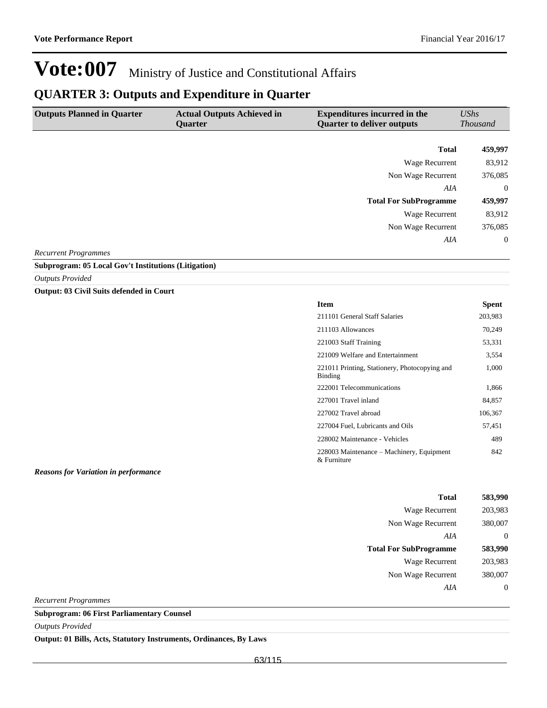### **QUARTER 3: Outputs and Expenditure in Quarter**

| <b>Outputs Planned in Quarter</b> | <b>Actual Outputs Achieved in</b> | <b>Expenditures incurred in the</b> | UShs            |
|-----------------------------------|-----------------------------------|-------------------------------------|-----------------|
|                                   | <b>Ouarter</b>                    | <b>Quarter to deliver outputs</b>   | <b>Thousand</b> |
|                                   |                                   |                                     |                 |
|                                   |                                   | <b>Total</b>                        | 459,997         |
|                                   |                                   | Wage Recurrent                      | 83,912          |
|                                   |                                   | Non Wage Recurrent                  | 376,085         |
|                                   |                                   | AIA                                 | $\overline{0}$  |
|                                   |                                   | <b>Total For SubProgramme</b>       | 459,997         |
|                                   |                                   | Wage Recurrent                      | 83,912          |
|                                   |                                   | Non Wage Recurrent                  | 376,085         |
|                                   |                                   | AIA                                 | $\overline{0}$  |
| <b>Recurrent Programmes</b>       |                                   |                                     |                 |

**Subprogram: 05 Local Gov't Institutions (Litigation)**

*Outputs Provided*

**Output: 03 Civil Suits defended in Court**

| <b>Item</b>                                              | Spent   |
|----------------------------------------------------------|---------|
| 211101 General Staff Salaries                            | 203,983 |
| 211103 Allowances                                        | 70,249  |
| 221003 Staff Training                                    | 53,331  |
| 221009 Welfare and Entertainment                         | 3,554   |
| 221011 Printing, Stationery, Photocopying and<br>Binding | 1,000   |
| 222001 Telecommunications                                | 1,866   |
| 227001 Travel inland                                     | 84,857  |
| 227002 Travel abroad                                     | 106,367 |
| 227004 Fuel, Lubricants and Oils                         | 57,451  |
| 228002 Maintenance - Vehicles                            | 489     |
| 228003 Maintenance – Machinery, Equipment<br>& Furniture | 842     |

*Reasons for Variation in performance*

| 583,990       |
|---------------|
| 203,983       |
| 380,007       |
| $\mathcal{O}$ |
| 583,990       |
| 203,983       |
| 380,007       |
|               |
|               |

*Recurrent Programmes*

**Subprogram: 06 First Parliamentary Counsel**

*Outputs Provided*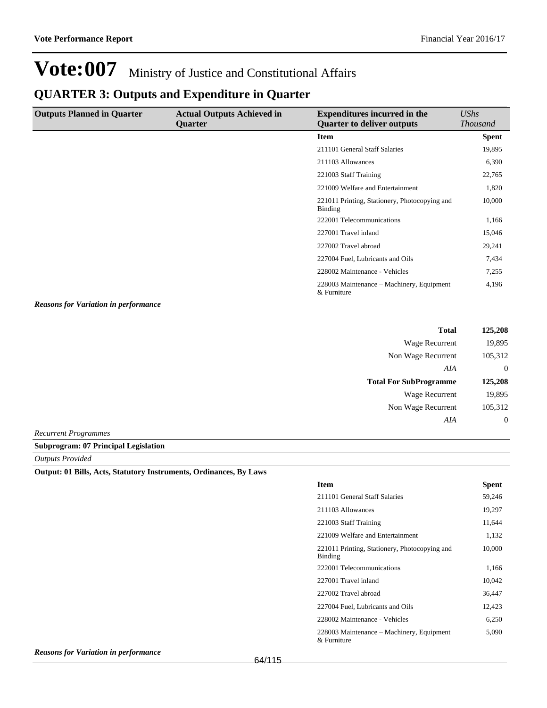### **QUARTER 3: Outputs and Expenditure in Quarter**

| <b>Outputs Planned in Quarter</b> | <b>Actual Outputs Achieved in</b><br>Quarter | <b>Expenditures incurred in the</b><br><b>Quarter to deliver outputs</b> | UShs<br><i>Thousand</i> |
|-----------------------------------|----------------------------------------------|--------------------------------------------------------------------------|-------------------------|
|                                   |                                              | <b>Item</b>                                                              | <b>Spent</b>            |
|                                   |                                              | 211101 General Staff Salaries                                            | 19,895                  |
|                                   |                                              | 211103 Allowances                                                        | 6,390                   |
|                                   |                                              | 221003 Staff Training                                                    | 22,765                  |
|                                   |                                              | 221009 Welfare and Entertainment                                         | 1,820                   |
|                                   |                                              | 221011 Printing, Stationery, Photocopying and<br>Binding                 | 10,000                  |
|                                   |                                              | 222001 Telecommunications                                                | 1,166                   |
|                                   |                                              | 227001 Travel inland                                                     | 15,046                  |
|                                   |                                              | 227002 Travel abroad                                                     | 29,241                  |
|                                   |                                              | 227004 Fuel, Lubricants and Oils                                         | 7,434                   |
|                                   |                                              | 228002 Maintenance - Vehicles                                            | 7,255                   |
|                                   |                                              | 228003 Maintenance – Machinery, Equipment<br>& Furniture                 | 4,196                   |

*Reasons for Variation in performance*

| Total                         | 125,208  |
|-------------------------------|----------|
| Wage Recurrent                | 19,895   |
| Non Wage Recurrent            | 105,312  |
| AIA                           | 0        |
|                               |          |
| <b>Total For SubProgramme</b> | 125,208  |
| Wage Recurrent                | 19,895   |
| Non Wage Recurrent            | 105,312  |
| AIA                           | $\theta$ |

*Recurrent Programmes*

**Subprogram: 07 Principal Legislation**

*Outputs Provided*

| <b>Item</b>                                              | Spent  |
|----------------------------------------------------------|--------|
| 211101 General Staff Salaries                            | 59,246 |
| 211103 Allowances                                        | 19,297 |
| 221003 Staff Training                                    | 11,644 |
| 221009 Welfare and Entertainment                         | 1,132  |
| 221011 Printing, Stationery, Photocopying and<br>Binding | 10,000 |
| 222001 Telecommunications                                | 1,166  |
| 227001 Travel inland                                     | 10.042 |
| 227002 Travel abroad                                     | 36,447 |
| 227004 Fuel, Lubricants and Oils                         | 12,423 |
| 228002 Maintenance - Vehicles                            | 6,250  |
| 228003 Maintenance – Machinery, Equipment<br>& Furniture | 5,090  |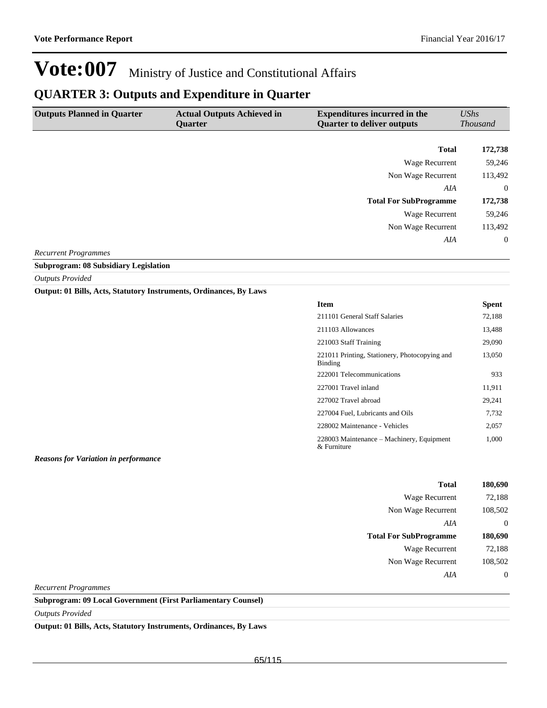### **QUARTER 3: Outputs and Expenditure in Quarter**

| <b>Outputs Planned in Quarter</b> | <b>Actual Outputs Achieved in</b><br>Quarter | <b>Expenditures incurred in the</b><br><b>Quarter to deliver outputs</b> | UShs<br><b>Thousand</b> |
|-----------------------------------|----------------------------------------------|--------------------------------------------------------------------------|-------------------------|
|                                   |                                              |                                                                          |                         |
|                                   |                                              | <b>Total</b>                                                             | 172,738                 |
|                                   |                                              | Wage Recurrent                                                           | 59,246                  |
|                                   |                                              | Non Wage Recurrent                                                       | 113,492                 |
|                                   |                                              | AIA                                                                      | $\overline{0}$          |
|                                   |                                              | <b>Total For SubProgramme</b>                                            | 172,738                 |
|                                   |                                              | Wage Recurrent                                                           | 59,246                  |
|                                   |                                              | Non Wage Recurrent                                                       | 113,492                 |
|                                   |                                              | AIA                                                                      | $\overline{0}$          |

*Recurrent Programmes*

**Subprogram: 08 Subsidiary Legislation**

*Outputs Provided*

**Output: 01 Bills, Acts, Statutory Instruments, Ordinances, By Laws**

| <b>Item</b>                                              | <b>Spent</b> |
|----------------------------------------------------------|--------------|
| 211101 General Staff Salaries                            | 72,188       |
| 211103 Allowances                                        | 13,488       |
| 221003 Staff Training                                    | 29,090       |
| 221011 Printing, Stationery, Photocopying and<br>Binding | 13,050       |
| 222001 Telecommunications                                | 933          |
| 227001 Travel inland                                     | 11,911       |
| 227002 Travel abroad                                     | 29,241       |
| 227004 Fuel, Lubricants and Oils                         | 7,732        |
| 228002 Maintenance - Vehicles                            | 2,057        |
| 228003 Maintenance – Machinery, Equipment<br>& Furniture | 1,000        |

*Reasons for Variation in performance*

| <b>Total</b>                  | 180,690  |
|-------------------------------|----------|
| Wage Recurrent                | 72,188   |
| Non Wage Recurrent            | 108,502  |
| AIA                           | 0        |
| <b>Total For SubProgramme</b> | 180,690  |
| Wage Recurrent                | 72,188   |
| Non Wage Recurrent            | 108,502  |
| AIA                           | $\theta$ |

*Recurrent Programmes*

**Subprogram: 09 Local Government (First Parliamentary Counsel)**

*Outputs Provided*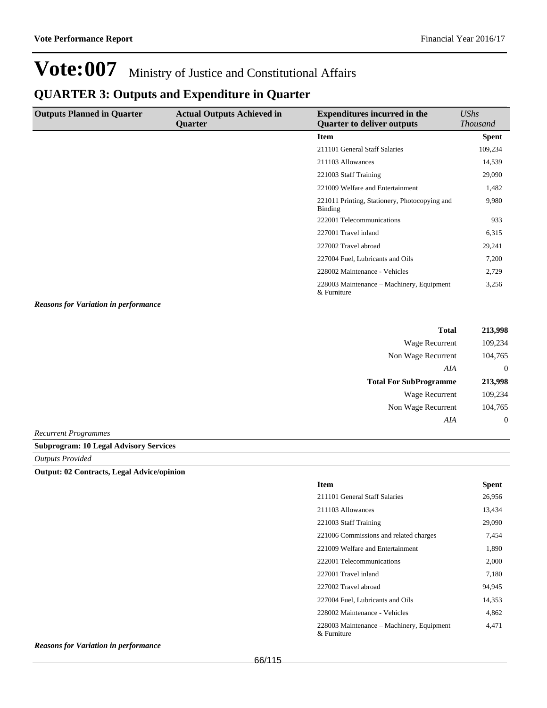### **QUARTER 3: Outputs and Expenditure in Quarter**

| <b>Outputs Planned in Quarter</b> | <b>Actual Outputs Achieved in</b><br><b>Ouarter</b> | <b>Expenditures incurred in the</b><br><b>Quarter to deliver outputs</b> | <b>UShs</b><br><i>Thousand</i> |
|-----------------------------------|-----------------------------------------------------|--------------------------------------------------------------------------|--------------------------------|
|                                   |                                                     | <b>Item</b>                                                              | <b>Spent</b>                   |
|                                   |                                                     | 211101 General Staff Salaries                                            | 109,234                        |
|                                   |                                                     | 211103 Allowances                                                        | 14,539                         |
|                                   |                                                     | 221003 Staff Training                                                    | 29,090                         |
|                                   |                                                     | 221009 Welfare and Entertainment                                         | 1,482                          |
|                                   |                                                     | 221011 Printing, Stationery, Photocopying and<br>Binding                 | 9,980                          |
|                                   |                                                     | 222001 Telecommunications                                                | 933                            |
|                                   |                                                     | 227001 Travel inland                                                     | 6,315                          |
|                                   |                                                     | 227002 Travel abroad                                                     | 29,241                         |
|                                   |                                                     | 227004 Fuel, Lubricants and Oils                                         | 7,200                          |
|                                   |                                                     | 228002 Maintenance - Vehicles                                            | 2,729                          |
|                                   |                                                     | 228003 Maintenance – Machinery, Equipment<br>& Furniture                 | 3,256                          |

*Reasons for Variation in performance*

| <b>Total</b>                  | 213,998 |
|-------------------------------|---------|
| Wage Recurrent                | 109,234 |
| Non Wage Recurrent            | 104,765 |
| AIA                           | 0       |
| <b>Total For SubProgramme</b> | 213,998 |
| Wage Recurrent                | 109,234 |
| Non Wage Recurrent            | 104,765 |
| AIA                           | 0       |

*Recurrent Programmes*

**Subprogram: 10 Legal Advisory Services**

*Outputs Provided*

**Output: 02 Contracts, Legal Advice/opinion**

| <b>Item</b>                                              | <b>Spent</b> |
|----------------------------------------------------------|--------------|
| 211101 General Staff Salaries                            | 26,956       |
| 211103 Allowances                                        | 13,434       |
| 221003 Staff Training                                    | 29,090       |
| 221006 Commissions and related charges                   | 7,454        |
| 221009 Welfare and Entertainment                         | 1,890        |
| 222001 Telecommunications                                | 2,000        |
| 227001 Travel inland                                     | 7.180        |
| 227002 Travel abroad                                     | 94,945       |
| 227004 Fuel, Lubricants and Oils                         | 14,353       |
| 228002 Maintenance - Vehicles                            | 4,862        |
| 228003 Maintenance – Machinery, Equipment<br>& Furniture | 4,471        |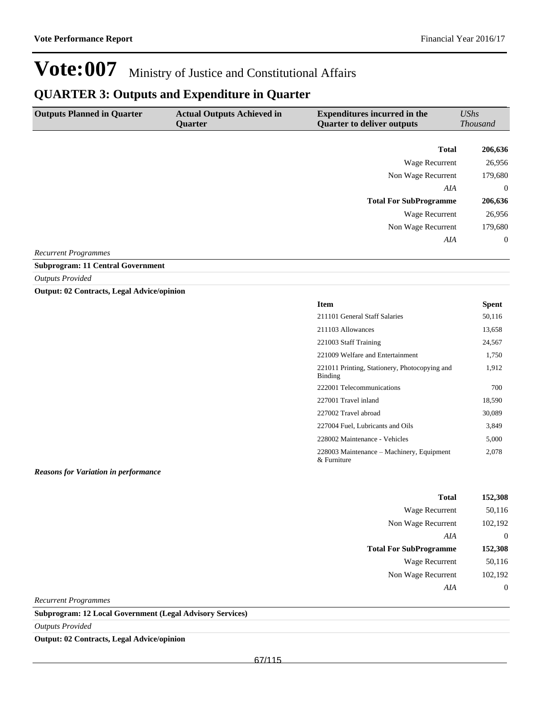### **QUARTER 3: Outputs and Expenditure in Quarter**

| <b>Outputs Planned in Quarter</b>                                                                                                                                                                                                                                                                                             | <b>Actual Outputs Achieved in</b><br><b>Ouarter</b> | <b>Expenditures incurred in the</b><br><b>Quarter to deliver outputs</b> | UShs<br><b>Thousand</b> |
|-------------------------------------------------------------------------------------------------------------------------------------------------------------------------------------------------------------------------------------------------------------------------------------------------------------------------------|-----------------------------------------------------|--------------------------------------------------------------------------|-------------------------|
|                                                                                                                                                                                                                                                                                                                               |                                                     |                                                                          |                         |
|                                                                                                                                                                                                                                                                                                                               |                                                     | <b>Total</b>                                                             | 206,636                 |
|                                                                                                                                                                                                                                                                                                                               |                                                     | Wage Recurrent                                                           | 26,956                  |
|                                                                                                                                                                                                                                                                                                                               |                                                     | Non Wage Recurrent                                                       | 179,680                 |
|                                                                                                                                                                                                                                                                                                                               |                                                     | AIA                                                                      | $\overline{0}$          |
|                                                                                                                                                                                                                                                                                                                               |                                                     | <b>Total For SubProgramme</b>                                            | 206,636                 |
|                                                                                                                                                                                                                                                                                                                               |                                                     | Wage Recurrent                                                           | 26,956                  |
|                                                                                                                                                                                                                                                                                                                               |                                                     | Non Wage Recurrent                                                       | 179,680                 |
|                                                                                                                                                                                                                                                                                                                               |                                                     | AIA                                                                      | $\overline{0}$          |
| $\mathbf{n}$ and $\mathbf{n}$ and $\mathbf{n}$ and $\mathbf{n}$ and $\mathbf{n}$ and $\mathbf{n}$ and $\mathbf{n}$ and $\mathbf{n}$ and $\mathbf{n}$ and $\mathbf{n}$ and $\mathbf{n}$ and $\mathbf{n}$ and $\mathbf{n}$ and $\mathbf{n}$ and $\mathbf{n}$ and $\mathbf{n}$ and $\mathbf{n}$ and $\mathbf{n}$ and $\mathbf{n$ |                                                     |                                                                          |                         |

*Recurrent Programmes*

#### **Subprogram: 11 Central Government**

*Outputs Provided*

**Output: 02 Contracts, Legal Advice/opinion**

| <b>Item</b>                                              | Spent  |
|----------------------------------------------------------|--------|
| 211101 General Staff Salaries                            | 50,116 |
| 211103 Allowances                                        | 13,658 |
| 221003 Staff Training                                    | 24,567 |
| 221009 Welfare and Entertainment                         | 1,750  |
| 221011 Printing, Stationery, Photocopying and<br>Binding | 1,912  |
| 222001 Telecommunications                                | 700    |
| 227001 Travel inland                                     | 18,590 |
| 227002 Travel abroad                                     | 30,089 |
| 227004 Fuel, Lubricants and Oils                         | 3,849  |
| 228002 Maintenance - Vehicles                            | 5,000  |
| 228003 Maintenance – Machinery, Equipment<br>& Furniture | 2,078  |

*Reasons for Variation in performance*

| Total                         | 152,308  |
|-------------------------------|----------|
| Wage Recurrent                | 50,116   |
| Non Wage Recurrent            | 102,192  |
| AIA                           | $\theta$ |
|                               |          |
| <b>Total For SubProgramme</b> | 152,308  |
| Wage Recurrent                | 50,116   |
| Non Wage Recurrent            | 102,192  |
| AIA                           | $\theta$ |

*Recurrent Programmes*

**Subprogram: 12 Local Government (Legal Advisory Services)**

*Outputs Provided*

**Output: 02 Contracts, Legal Advice/opinion**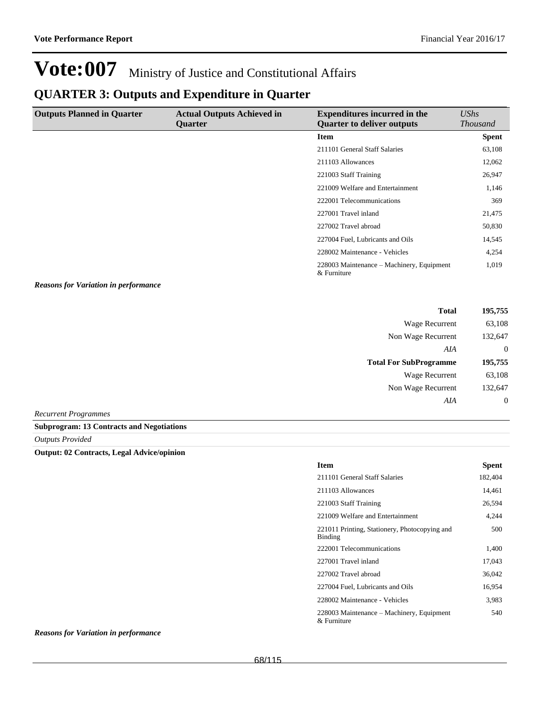### **QUARTER 3: Outputs and Expenditure in Quarter**

| <b>Outputs Planned in Quarter</b> | <b>Actual Outputs Achieved in</b><br><b>Ouarter</b> | <b>Expenditures incurred in the</b><br><b>Quarter to deliver outputs</b> | UShs<br><b>Thousand</b> |
|-----------------------------------|-----------------------------------------------------|--------------------------------------------------------------------------|-------------------------|
|                                   |                                                     | Item                                                                     | <b>Spent</b>            |
|                                   |                                                     | 211101 General Staff Salaries                                            | 63,108                  |
|                                   |                                                     | 211103 Allowances                                                        | 12,062                  |
|                                   |                                                     | 221003 Staff Training                                                    | 26,947                  |
|                                   |                                                     | 221009 Welfare and Entertainment                                         | 1,146                   |
|                                   |                                                     | 222001 Telecommunications                                                | 369                     |
|                                   |                                                     | 227001 Travel inland                                                     | 21,475                  |
|                                   |                                                     | 227002 Travel abroad                                                     | 50,830                  |
|                                   |                                                     | 227004 Fuel, Lubricants and Oils                                         | 14,545                  |
|                                   |                                                     | 228002 Maintenance - Vehicles                                            | 4,254                   |
|                                   |                                                     | 228003 Maintenance – Machinery, Equipment<br>& Furniture                 | 1,019                   |

*Reasons for Variation in performance*

|                               | <b>Total</b> | 195,755          |
|-------------------------------|--------------|------------------|
| <b>Wage Recurrent</b>         |              | 63,108           |
| Non Wage Recurrent            |              | 132,647          |
|                               | AIA          | $\theta$         |
| <b>Total For SubProgramme</b> |              | 195,755          |
| <b>Wage Recurrent</b>         |              | 63,108           |
| Non Wage Recurrent            |              | 132,647          |
|                               | AIA          | $\boldsymbol{0}$ |
| $\sim$ Due an amount and      |              |                  |

*Recurrent Programmes*

**Subprogram: 13 Contracts and Negotiations**

*Outputs Provided*

**Output: 02 Contracts, Legal Advice/opinion**

| <b>Item</b>                                              | Spent   |
|----------------------------------------------------------|---------|
| 211101 General Staff Salaries                            | 182,404 |
| 211103 Allowances                                        | 14,461  |
| 221003 Staff Training                                    | 26,594  |
| 221009 Welfare and Entertainment                         | 4,244   |
| 221011 Printing, Stationery, Photocopying and<br>Binding | 500     |
| 222001 Telecommunications                                | 1,400   |
| 227001 Travel inland                                     | 17,043  |
| 227002 Travel abroad                                     | 36,042  |
| 227004 Fuel, Lubricants and Oils                         | 16.954  |
| 228002 Maintenance - Vehicles                            | 3,983   |
| 228003 Maintenance – Machinery, Equipment<br>& Furniture | 540     |

*Reasons for Variation in performance*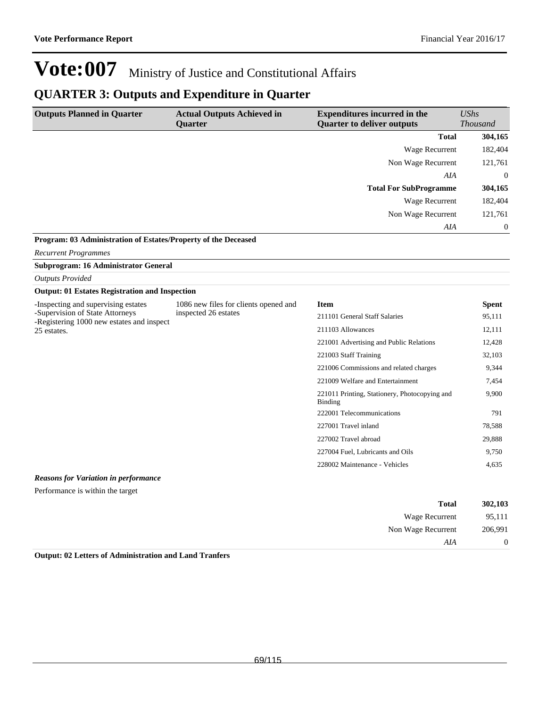### **QUARTER 3: Outputs and Expenditure in Quarter**

| <b>Outputs Planned in Quarter</b>                                            | <b>Actual Outputs Achieved in</b>     | <b>Expenditures incurred in the</b>                      | <b>UShs</b>      |
|------------------------------------------------------------------------------|---------------------------------------|----------------------------------------------------------|------------------|
|                                                                              | <b>Quarter</b>                        | <b>Quarter to deliver outputs</b>                        | <b>Thousand</b>  |
|                                                                              |                                       | <b>Total</b>                                             | 304,165          |
|                                                                              |                                       | <b>Wage Recurrent</b>                                    | 182,404          |
|                                                                              |                                       | Non Wage Recurrent                                       | 121,761          |
|                                                                              |                                       | AIA                                                      | $\overline{0}$   |
|                                                                              |                                       | <b>Total For SubProgramme</b>                            | 304,165          |
|                                                                              |                                       | <b>Wage Recurrent</b>                                    | 182,404          |
|                                                                              |                                       | Non Wage Recurrent                                       | 121,761          |
|                                                                              |                                       | AIA                                                      | $\boldsymbol{0}$ |
| Program: 03 Administration of Estates/Property of the Deceased               |                                       |                                                          |                  |
| <b>Recurrent Programmes</b>                                                  |                                       |                                                          |                  |
| Subprogram: 16 Administrator General                                         |                                       |                                                          |                  |
| <b>Outputs Provided</b>                                                      |                                       |                                                          |                  |
| <b>Output: 01 Estates Registration and Inspection</b>                        |                                       |                                                          |                  |
| -Inspecting and supervising estates                                          | 1086 new files for clients opened and | <b>Item</b>                                              | <b>Spent</b>     |
| -Supervision of State Attorneys<br>-Registering 1000 new estates and inspect | inspected 26 estates                  | 211101 General Staff Salaries                            | 95,111           |
| 25 estates.                                                                  |                                       | 211103 Allowances                                        | 12,111           |
|                                                                              |                                       | 221001 Advertising and Public Relations                  | 12,428           |
|                                                                              |                                       | 221003 Staff Training                                    | 32,103           |
|                                                                              |                                       | 221006 Commissions and related charges                   | 9,344            |
|                                                                              |                                       | 221009 Welfare and Entertainment                         | 7,454            |
|                                                                              |                                       | 221011 Printing, Stationery, Photocopying and<br>Binding | 9,900            |
|                                                                              |                                       | 222001 Telecommunications                                | 791              |
|                                                                              |                                       | 227001 Travel inland                                     | 78,588           |
|                                                                              |                                       | 227002 Travel abroad                                     | 29,888           |
|                                                                              |                                       | 227004 Fuel, Lubricants and Oils                         | 9,750            |
|                                                                              |                                       | 228002 Maintenance - Vehicles                            | 4,635            |
| $\bf{D}$ and an $\bf{C}$ and $\bf{D}$ and $\bf{C}$ and $\bf{C}$ and $\bf{C}$ |                                       |                                                          |                  |

#### *Reasons for Variation in performance*

Performance is within the target

| 302,103        | <b>Total</b>       |
|----------------|--------------------|
| 95,111         | Wage Recurrent     |
| 206,991        | Non Wage Recurrent |
| $\overline{0}$ | AIA                |

**Output: 02 Letters of Administration and Land Tranfers**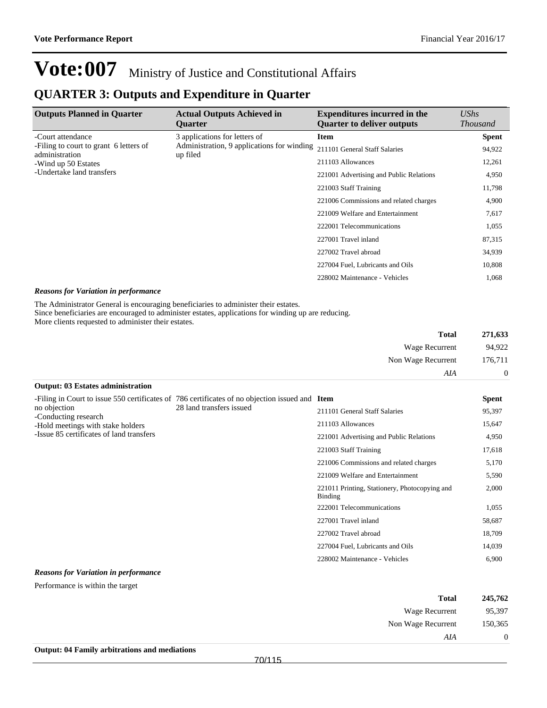### **QUARTER 3: Outputs and Expenditure in Quarter**

| <b>Outputs Planned in Quarter</b>                        | <b>Actual Outputs Achieved in</b><br><b>Ouarter</b>    | <b>Expenditures incurred in the</b><br><b>Quarter to deliver outputs</b> | $\mathit{UShs}$<br><i>Thousand</i> |
|----------------------------------------------------------|--------------------------------------------------------|--------------------------------------------------------------------------|------------------------------------|
| -Court attendance                                        | 3 applications for letters of                          | Item                                                                     | <b>Spent</b>                       |
| -Filing to court to grant 6 letters of<br>administration | Administration, 9 applications for winding<br>up filed | 211101 General Staff Salaries                                            | 94,922                             |
| -Wind up 50 Estates                                      |                                                        | 211103 Allowances                                                        | 12,261                             |
| -Undertake land transfers                                | 221001 Advertising and Public Relations                | 4,950                                                                    |                                    |
|                                                          | 221003 Staff Training                                  | 11,798                                                                   |                                    |
|                                                          |                                                        | 221006 Commissions and related charges                                   | 4,900                              |
|                                                          |                                                        | 221009 Welfare and Entertainment                                         | 7,617                              |
|                                                          |                                                        | 222001 Telecommunications                                                | 1,055                              |
|                                                          |                                                        | 227001 Travel inland                                                     | 87,315                             |
|                                                          |                                                        | 227002 Travel abroad                                                     | 34,939                             |
|                                                          |                                                        | 227004 Fuel, Lubricants and Oils                                         | 10,808                             |
|                                                          |                                                        | 228002 Maintenance - Vehicles                                            | 1,068                              |

#### *Reasons for Variation in performance*

The Administrator General is encouraging beneficiaries to administer their estates.

Since beneficiaries are encouraged to administer estates, applications for winding up are reducing. More clients requested to administer their estates.

| 271,633        | <b>Total</b>       |
|----------------|--------------------|
| 94,922         | Wage Recurrent     |
| 176,711        | Non Wage Recurrent |
| $\overline{0}$ | AIA                |

#### **Output: 03 Estates administration**

| no objection<br>-Conducting research<br>-Hold meetings with stake holders<br>-Issue 85 certificates of land transfers | -Filing in Court to issue 550 certificates of 786 certificates of no objection issued and Item<br>28 land transfers issued |                                                          | <b>Spent</b> |
|-----------------------------------------------------------------------------------------------------------------------|----------------------------------------------------------------------------------------------------------------------------|----------------------------------------------------------|--------------|
|                                                                                                                       |                                                                                                                            | 211101 General Staff Salaries                            | 95,397       |
|                                                                                                                       |                                                                                                                            | 211103 Allowances                                        | 15,647       |
|                                                                                                                       |                                                                                                                            | 221001 Advertising and Public Relations                  | 4,950        |
|                                                                                                                       |                                                                                                                            | 221003 Staff Training                                    | 17,618       |
|                                                                                                                       |                                                                                                                            | 221006 Commissions and related charges                   | 5,170        |
|                                                                                                                       |                                                                                                                            | 221009 Welfare and Entertainment                         | 5,590        |
|                                                                                                                       |                                                                                                                            | 221011 Printing, Stationery, Photocopying and<br>Binding | 2,000        |
|                                                                                                                       |                                                                                                                            | 222001 Telecommunications                                | 1,055        |
|                                                                                                                       |                                                                                                                            | 227001 Travel inland                                     | 58,687       |
|                                                                                                                       |                                                                                                                            | 227002 Travel abroad                                     | 18,709       |
|                                                                                                                       |                                                                                                                            | 227004 Fuel, Lubricants and Oils                         | 14,039       |
|                                                                                                                       |                                                                                                                            | 228002 Maintenance - Vehicles                            | 6,900        |

#### *Reasons for Variation in performance*

Performance is within the target

| 245,762  | <b>Total</b>       |
|----------|--------------------|
| 95,397   | Wage Recurrent     |
| 150,365  | Non Wage Recurrent |
| $\theta$ | AIA                |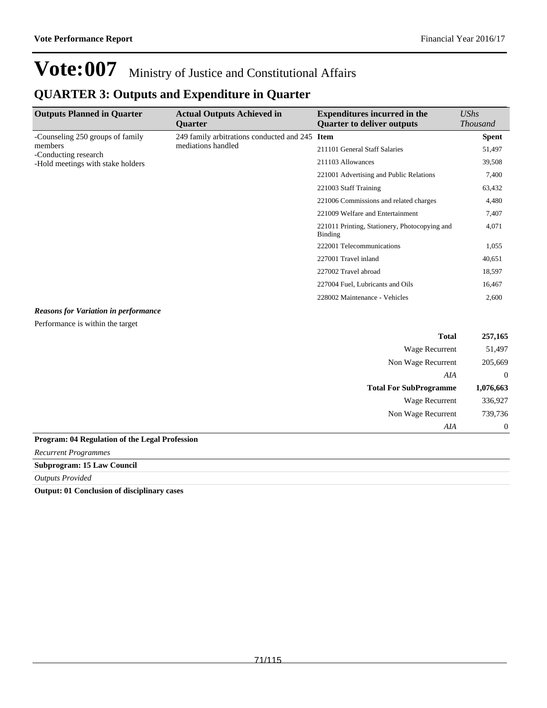Non Wage Recurrent 739,736

*AIA* 0

## **Vote:007** Ministry of Justice and Constitutional Affairs

### **QUARTER 3: Outputs and Expenditure in Quarter**

| <b>Outputs Planned in Quarter</b>                                                                        | <b>Actual Outputs Achieved in</b><br><b>Ouarter</b>                  | <b>Expenditures incurred in the</b><br><b>Quarter to deliver outputs</b> | <b>UShs</b><br><b>Thousand</b> |
|----------------------------------------------------------------------------------------------------------|----------------------------------------------------------------------|--------------------------------------------------------------------------|--------------------------------|
| -Counseling 250 groups of family<br>members<br>-Conducting research<br>-Hold meetings with stake holders | 249 family arbitrations conducted and 245 Item<br>mediations handled |                                                                          | <b>Spent</b>                   |
|                                                                                                          |                                                                      | 211101 General Staff Salaries                                            | 51,497                         |
|                                                                                                          |                                                                      | 211103 Allowances                                                        | 39,508                         |
|                                                                                                          |                                                                      | 221001 Advertising and Public Relations                                  | 7,400                          |
|                                                                                                          |                                                                      | 221003 Staff Training                                                    | 63,432                         |
|                                                                                                          |                                                                      | 221006 Commissions and related charges                                   | 4,480                          |
|                                                                                                          |                                                                      | 221009 Welfare and Entertainment                                         | 7,407                          |
|                                                                                                          |                                                                      | 221011 Printing, Stationery, Photocopying and<br><b>Binding</b>          | 4,071                          |
|                                                                                                          |                                                                      | 222001 Telecommunications                                                | 1,055                          |
|                                                                                                          |                                                                      | 227001 Travel inland                                                     | 40,651                         |
|                                                                                                          |                                                                      | 227002 Travel abroad                                                     | 18,597                         |
|                                                                                                          |                                                                      | 227004 Fuel, Lubricants and Oils                                         | 16,467                         |
|                                                                                                          |                                                                      | 228002 Maintenance - Vehicles                                            | 2,600                          |
| <b>Reasons for Variation in performance</b>                                                              |                                                                      |                                                                          |                                |
| Performance is within the target                                                                         |                                                                      |                                                                          |                                |
|                                                                                                          |                                                                      | <b>Total</b>                                                             | 257,165                        |
|                                                                                                          |                                                                      | Wage Recurrent                                                           | 51,497                         |
|                                                                                                          |                                                                      | Non Wage Recurrent                                                       | 205,669                        |
|                                                                                                          |                                                                      | AIA                                                                      | $\theta$                       |
|                                                                                                          |                                                                      | <b>Total For SubProgramme</b>                                            | 1,076,663                      |
|                                                                                                          |                                                                      | <b>Wage Recurrent</b>                                                    | 336,927                        |

**Program: 04 Regulation of the Legal Profession**

*Recurrent Programmes*

**Subprogram: 15 Law Council**

*Outputs Provided*

**Output: 01 Conclusion of disciplinary cases**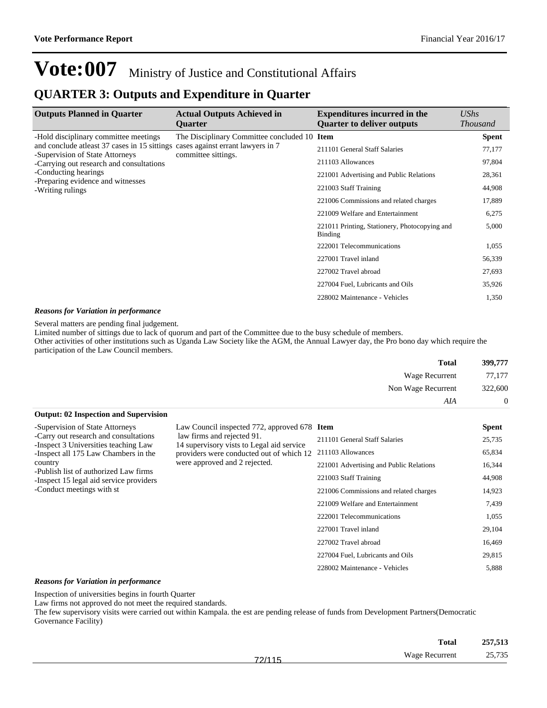### **QUARTER 3: Outputs and Expenditure in Quarter**

| <b>Outputs Planned in Quarter</b>                                                                                                                                                                                                                     | <b>Actual Outputs Achieved in</b><br><b>Ouarter</b>                                                      | <b>Expenditures incurred in the</b><br><b>Quarter to deliver outputs</b> | $\mathit{UShs}$<br><b>Thousand</b> |
|-------------------------------------------------------------------------------------------------------------------------------------------------------------------------------------------------------------------------------------------------------|----------------------------------------------------------------------------------------------------------|--------------------------------------------------------------------------|------------------------------------|
| -Hold disciplinary committee meetings<br>and conclude at east 37 cases in 15 sittings<br>-Supervision of State Attorneys<br>-Carrying out research and consultations<br>-Conducting hearings<br>-Preparing evidence and witnesses<br>-Writing rulings | The Disciplinary Committee concluded 10 Item<br>cases against errant lawyers in 7<br>committee sittings. |                                                                          | <b>Spent</b>                       |
|                                                                                                                                                                                                                                                       |                                                                                                          | 211101 General Staff Salaries                                            | 77,177                             |
|                                                                                                                                                                                                                                                       |                                                                                                          | 211103 Allowances                                                        | 97,804                             |
|                                                                                                                                                                                                                                                       |                                                                                                          | 221001 Advertising and Public Relations                                  | 28,361                             |
|                                                                                                                                                                                                                                                       |                                                                                                          | 221003 Staff Training                                                    | 44,908                             |
|                                                                                                                                                                                                                                                       |                                                                                                          | 221006 Commissions and related charges                                   | 17,889                             |
|                                                                                                                                                                                                                                                       |                                                                                                          | 221009 Welfare and Entertainment                                         | 6,275                              |
|                                                                                                                                                                                                                                                       |                                                                                                          | 221011 Printing, Stationery, Photocopying and<br><b>Binding</b>          | 5,000                              |
|                                                                                                                                                                                                                                                       |                                                                                                          | 222001 Telecommunications                                                | 1,055                              |
|                                                                                                                                                                                                                                                       |                                                                                                          | 227001 Travel inland                                                     | 56,339                             |
|                                                                                                                                                                                                                                                       |                                                                                                          | 227002 Travel abroad                                                     | 27,693                             |
|                                                                                                                                                                                                                                                       |                                                                                                          | 227004 Fuel, Lubricants and Oils                                         | 35,926                             |
|                                                                                                                                                                                                                                                       |                                                                                                          | 228002 Maintenance - Vehicles                                            | 1,350                              |
|                                                                                                                                                                                                                                                       |                                                                                                          |                                                                          |                                    |

#### *Reasons for Variation in performance*

Several matters are pending final judgement.

Limited number of sittings due to lack of quorum and part of the Committee due to the busy schedule of members.

Other activities of other institutions such as Uganda Law Society like the AGM, the Annual Lawyer day, the Pro bono day which require the participation of the Law Council members.

| <b>Total</b>                                 | 399,777        |
|----------------------------------------------|----------------|
| Wage Recurrent                               | 77,177         |
| Non Wage Recurrent                           | 322,600        |
| AIA                                          | $\overline{0}$ |
| <b>Output: 02 Inspection and Supervision</b> |                |

| -Supervision of State Attorneys<br>-Carry out research and consultations<br>-Inspect 3 Universities teaching Law<br>-Inspect all 175 Law Chambers in the<br>country<br>-Publish list of authorized Law firms<br>-Inspect 15 legal aid service providers | Law Council inspected 772, approved 678 Item<br>law firms and rejected 91.<br>14 supervisory vists to Legal aid service<br>providers were conducted out of which 12<br>were approved and 2 rejected. |                                         | <b>Spent</b> |
|---------------------------------------------------------------------------------------------------------------------------------------------------------------------------------------------------------------------------------------------------------|------------------------------------------------------------------------------------------------------------------------------------------------------------------------------------------------------|-----------------------------------------|--------------|
|                                                                                                                                                                                                                                                         |                                                                                                                                                                                                      | 211101 General Staff Salaries           | 25,735       |
|                                                                                                                                                                                                                                                         |                                                                                                                                                                                                      | 211103 Allowances                       | 65,834       |
|                                                                                                                                                                                                                                                         |                                                                                                                                                                                                      | 221001 Advertising and Public Relations | 16,344       |
|                                                                                                                                                                                                                                                         |                                                                                                                                                                                                      | 221003 Staff Training                   | 44,908       |
| -Conduct meetings with st                                                                                                                                                                                                                               |                                                                                                                                                                                                      | 221006 Commissions and related charges  | 14,923       |
|                                                                                                                                                                                                                                                         |                                                                                                                                                                                                      | 221009 Welfare and Entertainment        | 7,439        |
|                                                                                                                                                                                                                                                         |                                                                                                                                                                                                      | 222001 Telecommunications               | 1,055        |
|                                                                                                                                                                                                                                                         |                                                                                                                                                                                                      | 227001 Travel inland                    | 29,104       |
|                                                                                                                                                                                                                                                         |                                                                                                                                                                                                      | 227002 Travel abroad                    | 16.469       |
|                                                                                                                                                                                                                                                         |                                                                                                                                                                                                      | 227004 Fuel, Lubricants and Oils        | 29.815       |
|                                                                                                                                                                                                                                                         |                                                                                                                                                                                                      | 228002 Maintenance - Vehicles           | 5,888        |

#### *Reasons for Variation in performance*

Inspection of universities begins in fourth Quarter

Law firms not approved do not meet the required standards.

The few supervisory visits were carried out within Kampala. the est are pending release of funds from Development Partners(Democratic Governance Facility)

|                          | 257,513<br><b>Total</b> |
|--------------------------|-------------------------|
| Wage Recurrent<br>72/115 | 25,735                  |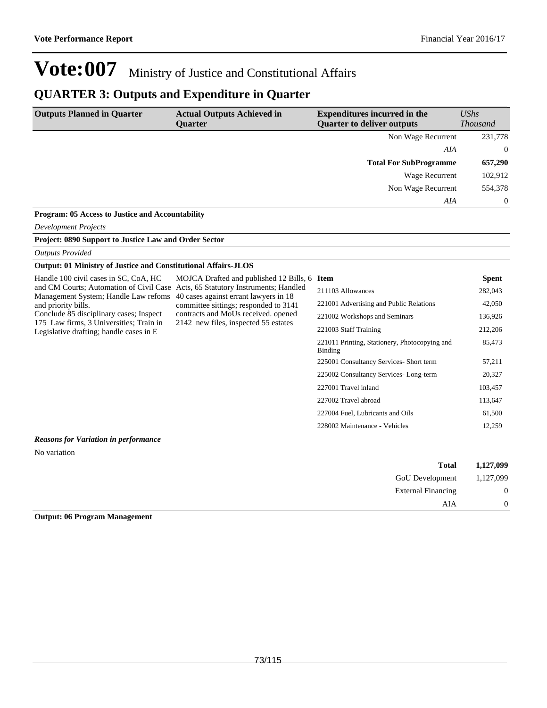225001 Consultancy Services- Short term 57,211 225002 Consultancy Services- Long-term 20,327 227001 Travel inland 103,457 227002 Travel abroad 113,647 227004 Fuel, Lubricants and Oils 61,500 228002 Maintenance - Vehicles 12,259

# **Vote:007** Ministry of Justice and Constitutional Affairs

### **QUARTER 3: Outputs and Expenditure in Quarter**

| <b>Outputs Planned in Quarter</b>                                                  | <b>Actual Outputs Achieved in</b><br>Quarter                                   | <b>Expenditures incurred in the</b><br><b>Quarter to deliver outputs</b> | UShs<br><b>Thousand</b> |
|------------------------------------------------------------------------------------|--------------------------------------------------------------------------------|--------------------------------------------------------------------------|-------------------------|
|                                                                                    |                                                                                | Non Wage Recurrent                                                       | 231,778                 |
|                                                                                    |                                                                                | AIA                                                                      | $\theta$                |
|                                                                                    |                                                                                | <b>Total For SubProgramme</b>                                            | 657,290                 |
|                                                                                    |                                                                                | Wage Recurrent                                                           | 102,912                 |
|                                                                                    |                                                                                | Non Wage Recurrent                                                       | 554,378                 |
|                                                                                    |                                                                                | AIA                                                                      | $\theta$                |
| Program: 05 Access to Justice and Accountability                                   |                                                                                |                                                                          |                         |
| <b>Development Projects</b>                                                        |                                                                                |                                                                          |                         |
| Project: 0890 Support to Justice Law and Order Sector                              |                                                                                |                                                                          |                         |
| <b>Outputs Provided</b>                                                            |                                                                                |                                                                          |                         |
| <b>Output: 01 Ministry of Justice and Constitutional Affairs-JLOS</b>              |                                                                                |                                                                          |                         |
| Handle 100 civil cases in SC, CoA, HC                                              | MOJCA Drafted and published 12 Bills, 6                                        | <b>Item</b>                                                              | <b>Spent</b>            |
| and CM Courts; Automation of Civil Case<br>Management System; Handle Law refoms    | Acts, 65 Statutory Instruments; Handled                                        | 211103 Allowances                                                        | 282,043                 |
| and priority bills.                                                                | 40 cases against errant lawyers in 18<br>committee sittings; responded to 3141 | 221001 Advertising and Public Relations                                  | 42,050                  |
| Conclude 85 disciplinary cases; Inspect                                            | contracts and MoUs received, opened                                            | 221002 Workshops and Seminars                                            | 136,926                 |
| 175 Law firms, 3 Universities; Train in<br>Legislative drafting; handle cases in E | 2142 new files, inspected 55 estates                                           | 221003 Staff Training                                                    | 212,206                 |
|                                                                                    |                                                                                | 221011 Printing, Stationery, Photocopying and<br>Binding                 | 85,473                  |

#### *Reasons for Variation in performance*

No variation

| 1,127,099      | <b>Total</b>              |
|----------------|---------------------------|
| 1,127,099      | <b>GoU</b> Development    |
| $\overline{0}$ | <b>External Financing</b> |
| $\overline{0}$ | AIA                       |

#### **Output: 06 Program Management**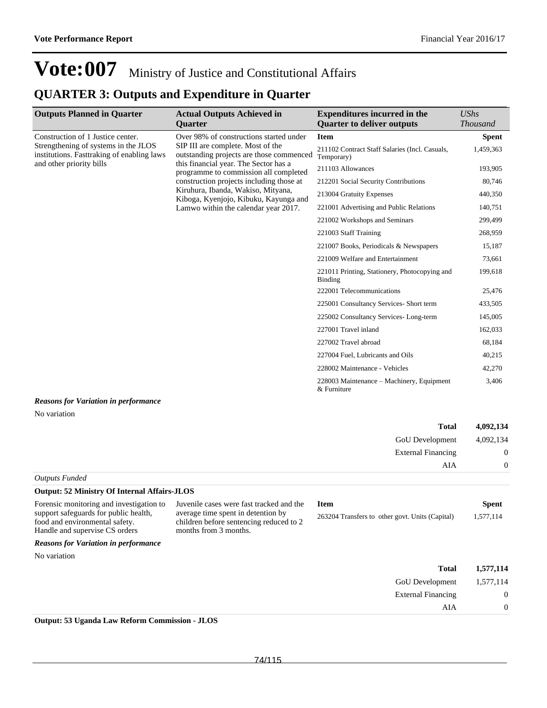External Financing 0

AIA 0

# **Vote:007** Ministry of Justice and Constitutional Affairs

### **QUARTER 3: Outputs and Expenditure in Quarter**

| <b>Outputs Planned in Quarter</b>                                                  | <b>Actual Outputs Achieved in</b><br><b>Ouarter</b>                                                                                                                                                         | <b>Expenditures incurred in the</b><br><b>Quarter to deliver outputs</b> | <b>UShs</b><br><b>Thousand</b> |
|------------------------------------------------------------------------------------|-------------------------------------------------------------------------------------------------------------------------------------------------------------------------------------------------------------|--------------------------------------------------------------------------|--------------------------------|
| Construction of 1 Justice center.                                                  | Over 98% of constructions started under                                                                                                                                                                     | <b>Item</b>                                                              | <b>Spent</b>                   |
| Strengthening of systems in the JLOS<br>institutions. Fasttraking of enabling laws | SIP III are complete. Most of the<br>outstanding projects are those commenced<br>this financial year. The Sector has a<br>programme to commission all completed<br>construction projects including those at | 211102 Contract Staff Salaries (Incl. Casuals,<br>Temporary)             | 1,459,363                      |
| and other priority bills                                                           |                                                                                                                                                                                                             | 211103 Allowances                                                        | 193,905                        |
|                                                                                    |                                                                                                                                                                                                             | 212201 Social Security Contributions                                     | 80,746                         |
|                                                                                    | Kiruhura, Ibanda, Wakiso, Mityana,<br>Kiboga, Kyenjojo, Kibuku, Kayunga and                                                                                                                                 | 213004 Gratuity Expenses                                                 | 440,350                        |
|                                                                                    | Lamwo within the calendar year 2017.                                                                                                                                                                        | 221001 Advertising and Public Relations                                  | 140,751                        |
|                                                                                    |                                                                                                                                                                                                             | 221002 Workshops and Seminars                                            | 299,499                        |
|                                                                                    |                                                                                                                                                                                                             | 221003 Staff Training                                                    | 268,959                        |
|                                                                                    |                                                                                                                                                                                                             | 221007 Books, Periodicals & Newspapers                                   | 15,187                         |
|                                                                                    |                                                                                                                                                                                                             | 221009 Welfare and Entertainment                                         | 73,661                         |
|                                                                                    |                                                                                                                                                                                                             | 221011 Printing, Stationery, Photocopying and<br><b>Binding</b>          | 199,618                        |
|                                                                                    |                                                                                                                                                                                                             | 222001 Telecommunications                                                | 25,476                         |
|                                                                                    |                                                                                                                                                                                                             | 225001 Consultancy Services- Short term                                  | 433,505                        |
|                                                                                    |                                                                                                                                                                                                             | 225002 Consultancy Services-Long-term                                    | 145,005                        |
|                                                                                    |                                                                                                                                                                                                             | 227001 Travel inland                                                     | 162,033                        |
|                                                                                    |                                                                                                                                                                                                             | 227002 Travel abroad                                                     | 68,184                         |
|                                                                                    |                                                                                                                                                                                                             | 227004 Fuel, Lubricants and Oils                                         | 40,215                         |
|                                                                                    |                                                                                                                                                                                                             | 228002 Maintenance - Vehicles                                            | 42,270                         |
|                                                                                    |                                                                                                                                                                                                             | 228003 Maintenance – Machinery, Equipment<br>& Furniture                 | 3,406                          |
| <b>Reasons for Variation in performance</b>                                        |                                                                                                                                                                                                             |                                                                          |                                |
| No variation                                                                       |                                                                                                                                                                                                             |                                                                          |                                |

| 4,092,134      | <b>Total</b>              |                               |
|----------------|---------------------------|-------------------------------|
| 4,092,134      | <b>GoU</b> Development    |                               |
| $\mathbf{0}$   | <b>External Financing</b> |                               |
| $\overline{0}$ | AIA                       |                               |
|                |                           | $\alpha$ , $\beta$ , $\gamma$ |

| <b>Outputs Funded</b> |  |
|-----------------------|--|
|-----------------------|--|

| <b>Output: 52 Ministry Of Internal Affairs-JLOS</b>                               |                                                                                |                                                 |              |
|-----------------------------------------------------------------------------------|--------------------------------------------------------------------------------|-------------------------------------------------|--------------|
| Forensic monitoring and investigation to<br>support safeguards for public health, | Juvenile cases were fast tracked and the<br>average time spent in detention by | <b>Item</b>                                     | <b>Spent</b> |
| food and environmental safety.<br>Handle and supervise CS orders                  | children before sentencing reduced to 2<br>months from 3 months.               | 263204 Transfers to other govt. Units (Capital) | 1,577,114    |
| <b>Reasons for Variation in performance</b>                                       |                                                                                |                                                 |              |
| No variation                                                                      |                                                                                |                                                 |              |
|                                                                                   |                                                                                | <b>Total</b>                                    | 1,577,114    |
|                                                                                   |                                                                                | <b>GoU</b> Development                          | 1.577.114    |

**Output: 53 Uganda Law Reform Commission - JLOS**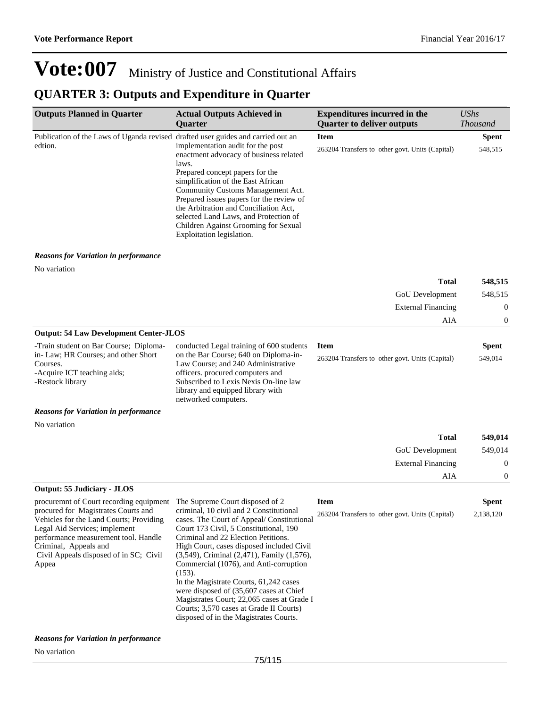### **QUARTER 3: Outputs and Expenditure in Quarter**

| <b>Outputs Planned in Quarter</b>                                                                                                                                                                                                   | <b>Actual Outputs Achieved in</b><br><b>Quarter</b>                                                                                                                                                                                                                                                                                                                                                                                                                                                                                             | <b>Expenditures incurred in the</b><br><b>Quarter to deliver outputs</b> | <b>UShs</b><br><b>Thousand</b> |
|-------------------------------------------------------------------------------------------------------------------------------------------------------------------------------------------------------------------------------------|-------------------------------------------------------------------------------------------------------------------------------------------------------------------------------------------------------------------------------------------------------------------------------------------------------------------------------------------------------------------------------------------------------------------------------------------------------------------------------------------------------------------------------------------------|--------------------------------------------------------------------------|--------------------------------|
| Publication of the Laws of Uganda revised drafted user guides and carried out an                                                                                                                                                    |                                                                                                                                                                                                                                                                                                                                                                                                                                                                                                                                                 | <b>Item</b>                                                              | <b>Spent</b>                   |
| edtion.                                                                                                                                                                                                                             | implementation audit for the post<br>enactment advocacy of business related<br>laws.<br>Prepared concept papers for the<br>simplification of the East African<br>Community Customs Management Act.<br>Prepared issues papers for the review of<br>the Arbitration and Conciliation Act,<br>selected Land Laws, and Protection of<br>Children Against Grooming for Sexual<br>Exploitation legislation.                                                                                                                                           | 263204 Transfers to other govt. Units (Capital)                          | 548,515                        |
| <b>Reasons for Variation in performance</b>                                                                                                                                                                                         |                                                                                                                                                                                                                                                                                                                                                                                                                                                                                                                                                 |                                                                          |                                |
| No variation                                                                                                                                                                                                                        |                                                                                                                                                                                                                                                                                                                                                                                                                                                                                                                                                 |                                                                          |                                |
|                                                                                                                                                                                                                                     |                                                                                                                                                                                                                                                                                                                                                                                                                                                                                                                                                 | Total                                                                    | 548,515                        |
|                                                                                                                                                                                                                                     |                                                                                                                                                                                                                                                                                                                                                                                                                                                                                                                                                 | GoU Development                                                          | 548,515                        |
|                                                                                                                                                                                                                                     |                                                                                                                                                                                                                                                                                                                                                                                                                                                                                                                                                 | <b>External Financing</b>                                                | $\boldsymbol{0}$               |
| <b>Output: 54 Law Development Center-JLOS</b>                                                                                                                                                                                       |                                                                                                                                                                                                                                                                                                                                                                                                                                                                                                                                                 | AIA                                                                      | $\boldsymbol{0}$               |
| -Train student on Bar Course; Diploma-                                                                                                                                                                                              | conducted Legal training of 600 students                                                                                                                                                                                                                                                                                                                                                                                                                                                                                                        | <b>Item</b>                                                              | <b>Spent</b>                   |
| in-Law; HR Courses; and other Short<br>Courses.<br>-Acquire ICT teaching aids;<br>-Restock library                                                                                                                                  | on the Bar Course; 640 on Diploma-in-<br>Law Course; and 240 Administrative<br>officers. procured computers and<br>Subscribed to Lexis Nexis On-line law<br>library and equipped library with<br>networked computers.                                                                                                                                                                                                                                                                                                                           | 263204 Transfers to other govt. Units (Capital)                          | 549,014                        |
| <b>Reasons for Variation in performance</b>                                                                                                                                                                                         |                                                                                                                                                                                                                                                                                                                                                                                                                                                                                                                                                 |                                                                          |                                |
| No variation                                                                                                                                                                                                                        |                                                                                                                                                                                                                                                                                                                                                                                                                                                                                                                                                 |                                                                          |                                |
|                                                                                                                                                                                                                                     |                                                                                                                                                                                                                                                                                                                                                                                                                                                                                                                                                 | <b>Total</b>                                                             | 549,014                        |
|                                                                                                                                                                                                                                     |                                                                                                                                                                                                                                                                                                                                                                                                                                                                                                                                                 | GoU Development                                                          | 549,014                        |
|                                                                                                                                                                                                                                     |                                                                                                                                                                                                                                                                                                                                                                                                                                                                                                                                                 | <b>External Financing</b>                                                | $\boldsymbol{0}$               |
| <b>Output: 55 Judiciary - JLOS</b>                                                                                                                                                                                                  |                                                                                                                                                                                                                                                                                                                                                                                                                                                                                                                                                 | AIA                                                                      | $\boldsymbol{0}$               |
| procuremnt of Court recording equipment The Supreme Court disposed of 2                                                                                                                                                             |                                                                                                                                                                                                                                                                                                                                                                                                                                                                                                                                                 | <b>Item</b>                                                              | Spent                          |
| procured for Magistrates Courts and<br>Vehicles for the Land Courts; Providing<br>Legal Aid Services; implement<br>performance measurement tool. Handle<br>Criminal, Appeals and<br>Civil Appeals disposed of in SC; Civil<br>Appea | criminal, 10 civil and 2 Constitutional<br>cases. The Court of Appeal/Constitutional<br>Court 173 Civil, 5 Constitutional, 190<br>Criminal and 22 Election Petitions.<br>High Court, cases disposed included Civil<br>(3,549), Criminal (2,471), Family (1,576),<br>Commercial (1076), and Anti-corruption<br>$(153)$ .<br>In the Magistrate Courts, 61,242 cases<br>were disposed of (35,607 cases at Chief<br>Magistrates Court; 22,065 cases at Grade I<br>Courts; 3,570 cases at Grade II Courts)<br>disposed of in the Magistrates Courts. | 263204 Transfers to other govt. Units (Capital)                          | 2,138,120                      |
| <b>Reasons for Variation in performance</b>                                                                                                                                                                                         |                                                                                                                                                                                                                                                                                                                                                                                                                                                                                                                                                 |                                                                          |                                |

No variation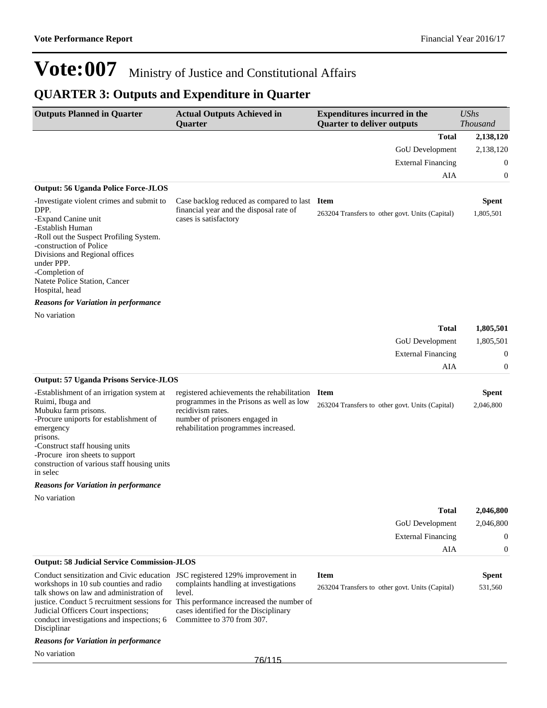## **QUARTER 3: Outputs and Expenditure in Quarter**

| <b>Outputs Planned in Quarter</b>                                                                                                                                                                                                                                                        | <b>Actual Outputs Achieved in</b><br><b>Quarter</b>                                                                                                                                                                                                  | <b>Expenditures incurred in the</b><br><b>Quarter to deliver outputs</b> | <b>UShs</b><br><b>Thousand</b>                         |
|------------------------------------------------------------------------------------------------------------------------------------------------------------------------------------------------------------------------------------------------------------------------------------------|------------------------------------------------------------------------------------------------------------------------------------------------------------------------------------------------------------------------------------------------------|--------------------------------------------------------------------------|--------------------------------------------------------|
|                                                                                                                                                                                                                                                                                          |                                                                                                                                                                                                                                                      | <b>Total</b>                                                             | 2,138,120                                              |
|                                                                                                                                                                                                                                                                                          |                                                                                                                                                                                                                                                      | GoU Development                                                          | 2,138,120                                              |
|                                                                                                                                                                                                                                                                                          |                                                                                                                                                                                                                                                      | <b>External Financing</b>                                                | $\mathbf 0$                                            |
|                                                                                                                                                                                                                                                                                          |                                                                                                                                                                                                                                                      | AIA                                                                      | $\boldsymbol{0}$                                       |
| <b>Output: 56 Uganda Police Force-JLOS</b>                                                                                                                                                                                                                                               |                                                                                                                                                                                                                                                      |                                                                          |                                                        |
| -Investigate violent crimes and submit to<br>DPP.<br>-Expand Canine unit<br>-Establish Human<br>-Roll out the Suspect Profiling System.<br>-construction of Police<br>Divisions and Regional offices<br>under PPP.                                                                       | Case backlog reduced as compared to last Item<br>financial year and the disposal rate of<br>cases is satisfactory                                                                                                                                    | 263204 Transfers to other govt. Units (Capital)                          | <b>Spent</b><br>1,805,501                              |
| -Completion of<br>Natete Police Station, Cancer<br>Hospital, head                                                                                                                                                                                                                        |                                                                                                                                                                                                                                                      |                                                                          |                                                        |
| <b>Reasons for Variation in performance</b>                                                                                                                                                                                                                                              |                                                                                                                                                                                                                                                      |                                                                          |                                                        |
| No variation                                                                                                                                                                                                                                                                             |                                                                                                                                                                                                                                                      |                                                                          |                                                        |
|                                                                                                                                                                                                                                                                                          |                                                                                                                                                                                                                                                      | <b>Total</b>                                                             | 1,805,501                                              |
|                                                                                                                                                                                                                                                                                          |                                                                                                                                                                                                                                                      | GoU Development                                                          | 1,805,501                                              |
|                                                                                                                                                                                                                                                                                          |                                                                                                                                                                                                                                                      | <b>External Financing</b>                                                | $\mathbf{0}$                                           |
|                                                                                                                                                                                                                                                                                          |                                                                                                                                                                                                                                                      | AIA                                                                      | $\mathbf{0}$                                           |
| <b>Output: 57 Uganda Prisons Service-JLOS</b>                                                                                                                                                                                                                                            |                                                                                                                                                                                                                                                      |                                                                          |                                                        |
| -Establishment of an irrigation system at<br>Ruimi, Ibuga and<br>Mubuku farm prisons.<br>-Procure uniports for establishment of<br>emergency<br>prisons.<br>-Construct staff housing units<br>-Procure iron sheets to support<br>construction of various staff housing units<br>in selec | registered achievements the rehabilitation<br>programmes in the Prisons as well as low<br>recidivism rates.<br>number of prisoners engaged in<br>rehabilitation programmes increased.                                                                | <b>Item</b><br>263204 Transfers to other govt. Units (Capital)           | <b>Spent</b><br>2,046,800                              |
| <b>Reasons for Variation in performance</b>                                                                                                                                                                                                                                              |                                                                                                                                                                                                                                                      |                                                                          |                                                        |
| No variation                                                                                                                                                                                                                                                                             |                                                                                                                                                                                                                                                      |                                                                          |                                                        |
|                                                                                                                                                                                                                                                                                          |                                                                                                                                                                                                                                                      | <b>Total</b><br>GoU Development<br><b>External Financing</b><br>AIA      | 2,046,800<br>2,046,800<br>$\theta$<br>$\boldsymbol{0}$ |
| <b>Output: 58 Judicial Service Commission-JLOS</b>                                                                                                                                                                                                                                       |                                                                                                                                                                                                                                                      |                                                                          |                                                        |
| Conduct sensitization and Civic education<br>workshops in 10 sub counties and radio<br>talk shows on law and administration of<br>Judicial Officers Court inspections;<br>conduct investigations and inspections; 6<br>Disciplinar                                                       | JSC registered 129% improvement in<br>complaints handling at investigations<br>level.<br>justice. Conduct 5 recruitment sessions for This performance increased the number of<br>cases identified for the Disciplinary<br>Committee to 370 from 307. | <b>Item</b><br>263204 Transfers to other govt. Units (Capital)           | <b>Spent</b><br>531,560                                |
| <b>Reasons for Variation in performance</b>                                                                                                                                                                                                                                              |                                                                                                                                                                                                                                                      |                                                                          |                                                        |
| No variation                                                                                                                                                                                                                                                                             |                                                                                                                                                                                                                                                      |                                                                          |                                                        |
|                                                                                                                                                                                                                                                                                          | 76/115                                                                                                                                                                                                                                               |                                                                          |                                                        |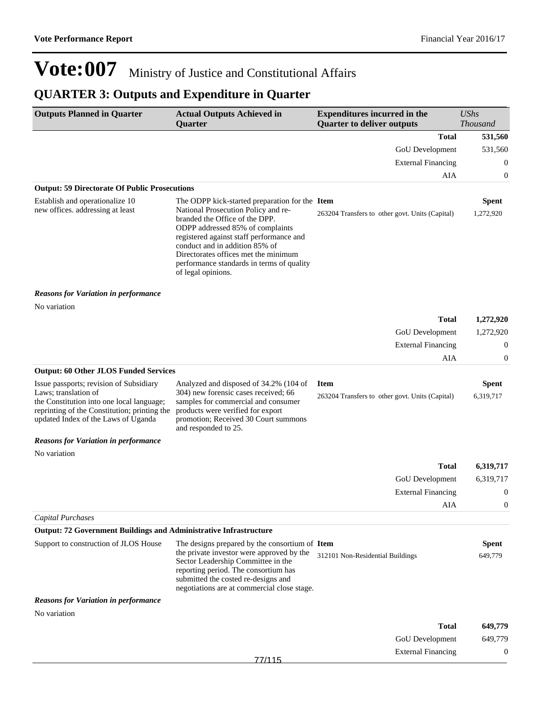## **QUARTER 3: Outputs and Expenditure in Quarter**

| <b>Outputs Planned in Quarter</b>                                                                                                                                                                   | <b>Actual Outputs Achieved in</b><br>Quarter                                                                                                                                                                                                                                                                                                         | <b>Expenditures incurred in the</b><br><b>Quarter to deliver outputs</b> | <b>UShs</b><br><b>Thousand</b> |
|-----------------------------------------------------------------------------------------------------------------------------------------------------------------------------------------------------|------------------------------------------------------------------------------------------------------------------------------------------------------------------------------------------------------------------------------------------------------------------------------------------------------------------------------------------------------|--------------------------------------------------------------------------|--------------------------------|
|                                                                                                                                                                                                     |                                                                                                                                                                                                                                                                                                                                                      | <b>Total</b>                                                             | 531,560                        |
|                                                                                                                                                                                                     |                                                                                                                                                                                                                                                                                                                                                      | GoU Development                                                          | 531,560                        |
|                                                                                                                                                                                                     |                                                                                                                                                                                                                                                                                                                                                      | <b>External Financing</b>                                                | 0                              |
|                                                                                                                                                                                                     |                                                                                                                                                                                                                                                                                                                                                      | AIA                                                                      | 0                              |
| <b>Output: 59 Directorate Of Public Prosecutions</b>                                                                                                                                                |                                                                                                                                                                                                                                                                                                                                                      |                                                                          |                                |
| Establish and operationalize 10<br>new offices. addressing at least                                                                                                                                 | The ODPP kick-started preparation for the Item<br>National Prosecution Policy and re-<br>branded the Office of the DPP.<br>ODPP addressed 85% of complaints<br>registered against staff performance and<br>conduct and in addition 85% of<br>Directorates offices met the minimum<br>performance standards in terms of quality<br>of legal opinions. | 263204 Transfers to other govt. Units (Capital)                          | <b>Spent</b><br>1,272,920      |
| <b>Reasons for Variation in performance</b>                                                                                                                                                         |                                                                                                                                                                                                                                                                                                                                                      |                                                                          |                                |
| No variation                                                                                                                                                                                        |                                                                                                                                                                                                                                                                                                                                                      |                                                                          |                                |
|                                                                                                                                                                                                     |                                                                                                                                                                                                                                                                                                                                                      | <b>Total</b>                                                             | 1,272,920                      |
|                                                                                                                                                                                                     |                                                                                                                                                                                                                                                                                                                                                      | GoU Development                                                          | 1,272,920                      |
|                                                                                                                                                                                                     |                                                                                                                                                                                                                                                                                                                                                      | <b>External Financing</b>                                                | 0                              |
|                                                                                                                                                                                                     |                                                                                                                                                                                                                                                                                                                                                      | AIA                                                                      | 0                              |
| <b>Output: 60 Other JLOS Funded Services</b>                                                                                                                                                        |                                                                                                                                                                                                                                                                                                                                                      |                                                                          |                                |
| Issue passports; revision of Subsidiary<br>Laws; translation of<br>the Constitution into one local language;<br>reprinting of the Constitution; printing the<br>updated Index of the Laws of Uganda | Analyzed and disposed of 34.2% (104 of<br>304) new forensic cases received; 66<br>samples for commercial and consumer<br>products were verified for export<br>promotion; Received 30 Court summons<br>and responded to 25.                                                                                                                           | <b>Item</b><br>263204 Transfers to other govt. Units (Capital)           | <b>Spent</b><br>6,319,717      |
| <b>Reasons for Variation in performance</b>                                                                                                                                                         |                                                                                                                                                                                                                                                                                                                                                      |                                                                          |                                |
| No variation                                                                                                                                                                                        |                                                                                                                                                                                                                                                                                                                                                      |                                                                          |                                |
|                                                                                                                                                                                                     |                                                                                                                                                                                                                                                                                                                                                      | <b>Total</b>                                                             | 6,319,717                      |
|                                                                                                                                                                                                     |                                                                                                                                                                                                                                                                                                                                                      | GoU Development                                                          | 6,319,717                      |
|                                                                                                                                                                                                     |                                                                                                                                                                                                                                                                                                                                                      | <b>External Financing</b><br>AIA                                         | 0<br>$\theta$                  |
| <b>Capital Purchases</b>                                                                                                                                                                            |                                                                                                                                                                                                                                                                                                                                                      |                                                                          |                                |
| <b>Output: 72 Government Buildings and Administrative Infrastructure</b>                                                                                                                            |                                                                                                                                                                                                                                                                                                                                                      |                                                                          |                                |
| Support to construction of JLOS House                                                                                                                                                               | The designs prepared by the consortium of Item                                                                                                                                                                                                                                                                                                       |                                                                          | <b>Spent</b>                   |
|                                                                                                                                                                                                     | the private investor were approved by the<br>Sector Leadership Committee in the<br>reporting period. The consortium has<br>submitted the costed re-designs and<br>negotiations are at commercial close stage.                                                                                                                                        | 312101 Non-Residential Buildings                                         | 649,779                        |
| <b>Reasons for Variation in performance</b>                                                                                                                                                         |                                                                                                                                                                                                                                                                                                                                                      |                                                                          |                                |
| No variation                                                                                                                                                                                        |                                                                                                                                                                                                                                                                                                                                                      |                                                                          |                                |
|                                                                                                                                                                                                     |                                                                                                                                                                                                                                                                                                                                                      | <b>Total</b>                                                             | 649,779                        |
|                                                                                                                                                                                                     |                                                                                                                                                                                                                                                                                                                                                      | GoU Development                                                          | 649,779                        |
|                                                                                                                                                                                                     |                                                                                                                                                                                                                                                                                                                                                      | <b>External Financing</b>                                                | $\mathbf{0}$                   |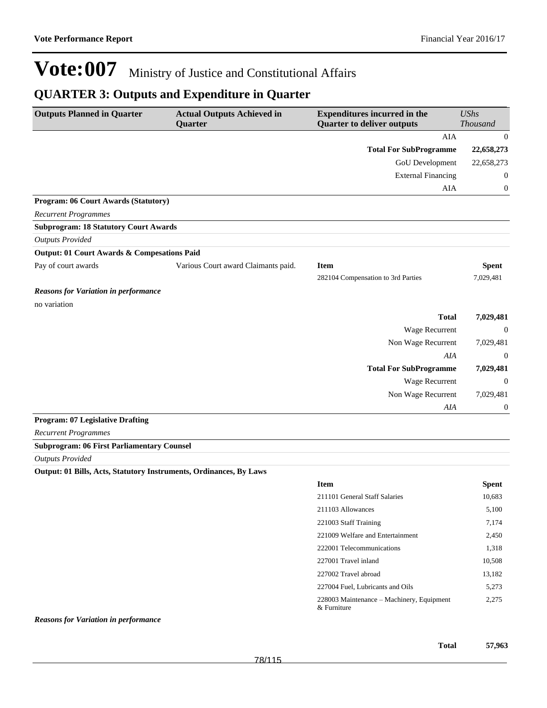### **QUARTER 3: Outputs and Expenditure in Quarter**

| <b>Outputs Planned in Quarter</b>            | <b>Actual Outputs Achieved in</b><br>Quarter | <b>Expenditures incurred in the</b><br><b>Quarter to deliver outputs</b> | <b>UShs</b><br><b>Thousand</b> |
|----------------------------------------------|----------------------------------------------|--------------------------------------------------------------------------|--------------------------------|
|                                              |                                              | <b>AIA</b>                                                               | $\theta$                       |
|                                              |                                              | <b>Total For SubProgramme</b>                                            | 22,658,273                     |
|                                              |                                              | GoU Development                                                          | 22,658,273                     |
|                                              |                                              | <b>External Financing</b>                                                | $\theta$                       |
|                                              |                                              | AIA                                                                      | 0                              |
| Program: 06 Court Awards (Statutory)         |                                              |                                                                          |                                |
| <b>Recurrent Programmes</b>                  |                                              |                                                                          |                                |
| <b>Subprogram: 18 Statutory Court Awards</b> |                                              |                                                                          |                                |
| <b>Outputs Provided</b>                      |                                              |                                                                          |                                |
| Output: 01 Court Awards & Compesations Paid  |                                              |                                                                          |                                |
| Pay of court awards                          | Various Court award Claimants paid.          | <b>Item</b>                                                              | <b>Spent</b>                   |
|                                              |                                              | 282104 Compensation to 3rd Parties                                       | 7,029,481                      |
| <b>Reasons for Variation in performance</b>  |                                              |                                                                          |                                |
| no variation                                 |                                              |                                                                          |                                |
|                                              |                                              | <b>Total</b>                                                             | 7,029,481                      |
|                                              |                                              | Wage Recurrent                                                           | $\theta$                       |
|                                              |                                              | Non Wage Recurrent                                                       | 7,029,481                      |
|                                              |                                              | AIA                                                                      | $\theta$                       |
|                                              |                                              | <b>Total For SubProgramme</b>                                            | 7,029,481                      |
|                                              |                                              | <b>Wage Recurrent</b>                                                    | $\Omega$                       |
|                                              |                                              | Non Wage Recurrent                                                       | 7,029,481                      |
|                                              |                                              | AIA                                                                      | $\boldsymbol{0}$               |
| <b>Program: 07 Legislative Drafting</b>      |                                              |                                                                          |                                |
| <b>Recurrent Programmes</b>                  |                                              |                                                                          |                                |

**Subprogram: 06 First Parliamentary Counsel**

*Outputs Provided*

**Output: 01 Bills, Acts, Statutory Instruments, Ordinances, By Laws**

| <b>Item</b>                                                 | Spent  |
|-------------------------------------------------------------|--------|
| 211101 General Staff Salaries                               | 10,683 |
| 211103 Allowances                                           | 5,100  |
| 221003 Staff Training                                       | 7.174  |
| 221009 Welfare and Entertainment                            | 2,450  |
| 222001 Telecommunications                                   | 1,318  |
| 227001 Travel inland                                        | 10,508 |
| 227002 Travel abroad                                        | 13,182 |
| 227004 Fuel, Lubricants and Oils                            | 5.273  |
| 228003 Maintenance – Machinery, Equipment<br>$\&$ Furniture | 2.275  |

*Reasons for Variation in performance*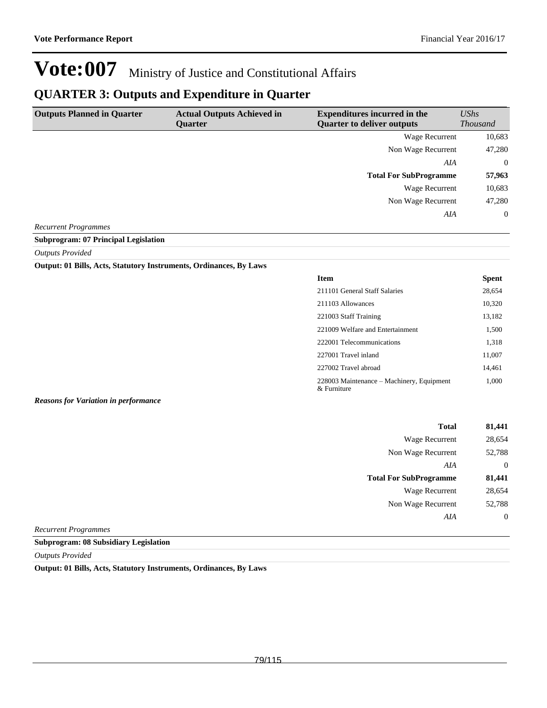### **QUARTER 3: Outputs and Expenditure in Quarter**

| <b>Outputs Planned in Quarter</b> | <b>Actual Outputs Achieved in</b><br><b>Ouarter</b> | <b>Expenditures incurred in the</b><br><b>Quarter to deliver outputs</b> | UShs<br><b>Thousand</b> |
|-----------------------------------|-----------------------------------------------------|--------------------------------------------------------------------------|-------------------------|
|                                   |                                                     | Wage Recurrent                                                           | 10,683                  |
|                                   |                                                     | Non Wage Recurrent                                                       | 47,280                  |
|                                   |                                                     | AIA                                                                      | $\overline{0}$          |
|                                   |                                                     | <b>Total For SubProgramme</b>                                            | 57,963                  |
|                                   |                                                     | Wage Recurrent                                                           | 10,683                  |
|                                   |                                                     | Non Wage Recurrent                                                       | 47,280                  |
|                                   |                                                     | AIA                                                                      | $\overline{0}$          |
| <b>Recurrent Programmes</b>       |                                                     |                                                                          |                         |

#### **Subprogram: 07 Principal Legislation**

#### *Outputs Provided*

#### **Output: 01 Bills, Acts, Statutory Instruments, Ordinances, By Laws**

| <b>Item</b>                                              | <b>Spent</b> |
|----------------------------------------------------------|--------------|
| 211101 General Staff Salaries                            | 28,654       |
| 211103 Allowances                                        | 10,320       |
| 221003 Staff Training                                    | 13,182       |
| 221009 Welfare and Entertainment                         | 1,500        |
| 222001 Telecommunications                                | 1,318        |
| 227001 Travel inland                                     | 11,007       |
| 227002 Travel abroad                                     | 14,461       |
| 228003 Maintenance – Machinery, Equipment<br>& Furniture | 1,000        |

#### *Reasons for Variation in performance*

| <b>Total</b>                  | 81,441         |
|-------------------------------|----------------|
| Wage Recurrent                | 28,654         |
| Non Wage Recurrent            | 52,788         |
| AIA                           | $\theta$       |
| <b>Total For SubProgramme</b> | 81,441         |
| <b>Wage Recurrent</b>         | 28,654         |
| Non Wage Recurrent            | 52,788         |
| AIA                           | $\overline{0}$ |
| 1.011111000                   |                |

*Recurrent Programmes*

**Subprogram: 08 Subsidiary Legislation**

*Outputs Provided*

**Output: 01 Bills, Acts, Statutory Instruments, Ordinances, By Laws**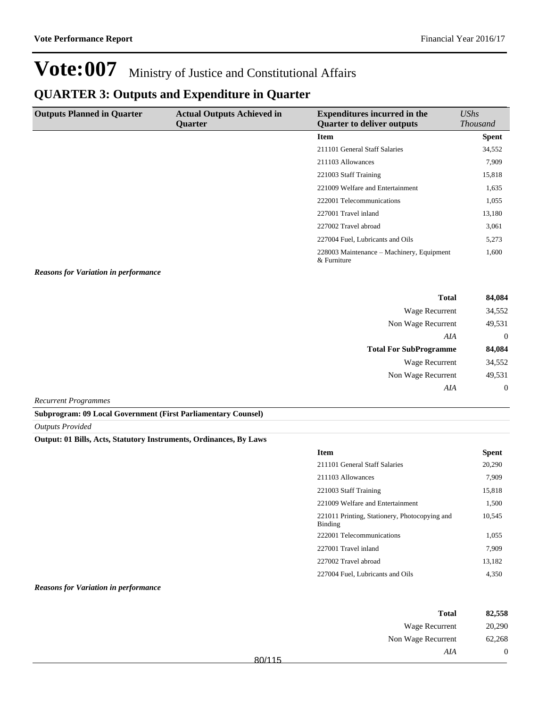### **QUARTER 3: Outputs and Expenditure in Quarter**

| <b>Outputs Planned in Quarter</b> | <b>Actual Outputs Achieved in</b><br><b>Ouarter</b> | <b>Expenditures incurred in the</b><br><b>Quarter to deliver outputs</b> | UShs<br><i>Thousand</i> |
|-----------------------------------|-----------------------------------------------------|--------------------------------------------------------------------------|-------------------------|
|                                   |                                                     | <b>Item</b>                                                              | <b>Spent</b>            |
|                                   |                                                     | 211101 General Staff Salaries                                            | 34,552                  |
|                                   |                                                     | 211103 Allowances                                                        | 7,909                   |
|                                   |                                                     | 221003 Staff Training                                                    | 15,818                  |
|                                   |                                                     | 221009 Welfare and Entertainment                                         | 1,635                   |
|                                   |                                                     | 222001 Telecommunications                                                | 1,055                   |
|                                   |                                                     | 227001 Travel inland                                                     | 13,180                  |
|                                   |                                                     | 227002 Travel abroad                                                     | 3,061                   |
|                                   |                                                     | 227004 Fuel, Lubricants and Oils                                         | 5,273                   |
|                                   |                                                     | 228003 Maintenance – Machinery, Equipment<br>& Furniture                 | 1,600                   |

#### *Reasons for Variation in performance*

| Wage Recurrent<br>Non Wage Recurrent<br>AIA<br><b>Total For SubProgramme</b><br><b>Wage Recurrent</b><br>Non Wage Recurrent<br>AIA | 84,084   | <b>Total</b> |
|------------------------------------------------------------------------------------------------------------------------------------|----------|--------------|
|                                                                                                                                    | 34,552   |              |
|                                                                                                                                    | 49,531   |              |
|                                                                                                                                    | $\theta$ |              |
|                                                                                                                                    | 84,084   |              |
|                                                                                                                                    | 34,552   |              |
|                                                                                                                                    | 49,531   |              |
|                                                                                                                                    | $\theta$ |              |

*Recurrent Programmes*

**Subprogram: 09 Local Government (First Parliamentary Counsel)**

*Outputs Provided*

#### **Output: 01 Bills, Acts, Statutory Instruments, Ordinances, By Laws**

| <b>Item</b>                                              | Spent  |
|----------------------------------------------------------|--------|
| 211101 General Staff Salaries                            | 20,290 |
| 211103 Allowances                                        | 7,909  |
| 221003 Staff Training                                    | 15,818 |
| 221009 Welfare and Entertainment                         | 1,500  |
| 221011 Printing, Stationery, Photocopying and<br>Binding | 10.545 |
| 222001 Telecommunications                                | 1,055  |
| 227001 Travel inland                                     | 7,909  |
| 227002 Travel abroad                                     | 13.182 |
| 227004 Fuel, Lubricants and Oils                         | 4.350  |

#### *Reasons for Variation in performance*

| 82,558         | <b>Total</b>          |        |
|----------------|-----------------------|--------|
| 20,290         | <b>Wage Recurrent</b> |        |
| 62,268         | Non Wage Recurrent    |        |
| $\overline{0}$ | AIA                   | 80/115 |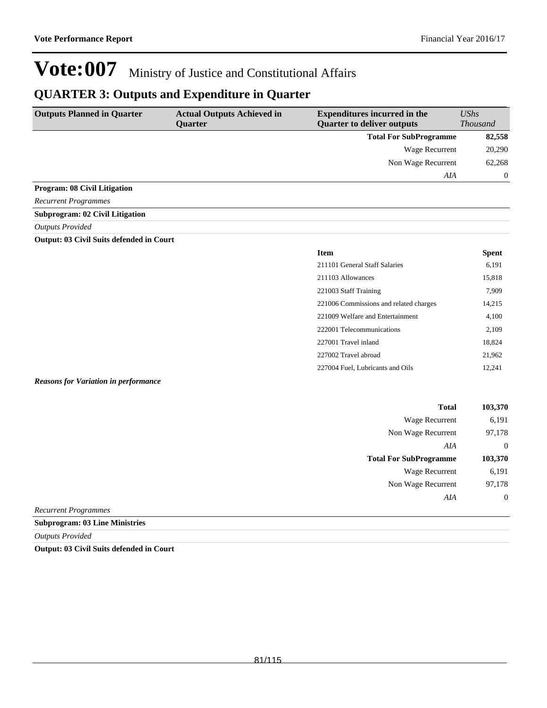**Total For SubProgramme 103,370**

Wage Recurrent 6,191 Non Wage Recurrent 97,178

*AIA* 0

# **Vote:007** Ministry of Justice and Constitutional Affairs

### **QUARTER 3: Outputs and Expenditure in Quarter**

| <b>Outputs Planned in Quarter</b>           | <b>Actual Outputs Achieved in</b><br>Quarter | <b>Expenditures incurred in the</b><br><b>Quarter to deliver outputs</b> | <b>UShs</b><br><b>Thousand</b> |
|---------------------------------------------|----------------------------------------------|--------------------------------------------------------------------------|--------------------------------|
|                                             |                                              | <b>Total For SubProgramme</b>                                            | 82,558                         |
|                                             |                                              | <b>Wage Recurrent</b>                                                    | 20,290                         |
|                                             |                                              | Non Wage Recurrent                                                       | 62,268                         |
|                                             |                                              | AIA                                                                      | $\mathbf{0}$                   |
| Program: 08 Civil Litigation                |                                              |                                                                          |                                |
| <b>Recurrent Programmes</b>                 |                                              |                                                                          |                                |
| <b>Subprogram: 02 Civil Litigation</b>      |                                              |                                                                          |                                |
| <b>Outputs Provided</b>                     |                                              |                                                                          |                                |
| Output: 03 Civil Suits defended in Court    |                                              |                                                                          |                                |
|                                             |                                              | <b>Item</b>                                                              | <b>Spent</b>                   |
|                                             |                                              | 211101 General Staff Salaries                                            | 6,191                          |
|                                             |                                              | 211103 Allowances                                                        | 15,818                         |
|                                             |                                              | 221003 Staff Training                                                    | 7,909                          |
|                                             |                                              | 221006 Commissions and related charges                                   | 14,215                         |
|                                             |                                              | 221009 Welfare and Entertainment                                         | 4,100                          |
|                                             |                                              | 222001 Telecommunications                                                | 2,109                          |
|                                             |                                              | 227001 Travel inland                                                     | 18,824                         |
|                                             |                                              | 227002 Travel abroad                                                     | 21,962                         |
|                                             |                                              | 227004 Fuel, Lubricants and Oils                                         | 12,241                         |
| <b>Reasons for Variation in performance</b> |                                              |                                                                          |                                |
|                                             |                                              | <b>Total</b>                                                             | 103,370                        |
|                                             |                                              | Wage Recurrent                                                           | 6,191                          |
|                                             |                                              | Non Wage Recurrent                                                       | 97,178                         |
|                                             |                                              | AIA                                                                      | $\boldsymbol{0}$               |

*Recurrent Programmes*

**Subprogram: 03 Line Ministries**

*Outputs Provided*

**Output: 03 Civil Suits defended in Court**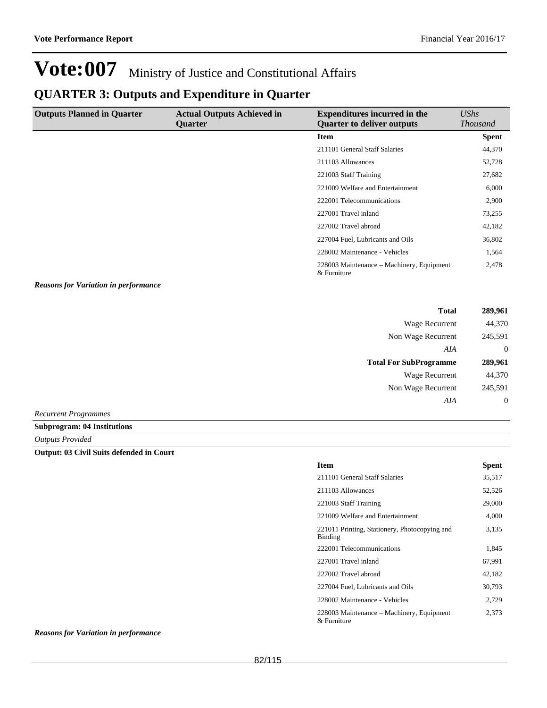### **QUARTER 3: Outputs and Expenditure in Quarter**

| <b>Outputs Planned in Quarter</b> | <b>Actual Outputs Achieved in</b><br><b>Ouarter</b> | <b>Expenditures incurred in the</b><br><b>Quarter to deliver outputs</b> | UShs<br><b>Thousand</b> |
|-----------------------------------|-----------------------------------------------------|--------------------------------------------------------------------------|-------------------------|
|                                   |                                                     | Item                                                                     | <b>Spent</b>            |
|                                   |                                                     | 211101 General Staff Salaries                                            | 44,370                  |
|                                   |                                                     | 211103 Allowances                                                        | 52,728                  |
|                                   |                                                     | 221003 Staff Training                                                    | 27,682                  |
|                                   |                                                     | 221009 Welfare and Entertainment                                         | 6,000                   |
|                                   |                                                     | 222001 Telecommunications                                                | 2,900                   |
|                                   |                                                     | 227001 Travel inland                                                     | 73,255                  |
|                                   |                                                     | 227002 Travel abroad                                                     | 42,182                  |
|                                   |                                                     | 227004 Fuel, Lubricants and Oils                                         | 36,802                  |
|                                   |                                                     | 228002 Maintenance - Vehicles                                            | 1,564                   |
|                                   |                                                     | 228003 Maintenance – Machinery, Equipment<br>& Furniture                 | 2,478                   |

*Reasons for Variation in performance*

| <b>Total</b>                  | 289,961        |
|-------------------------------|----------------|
| Wage Recurrent                | 44,370         |
| Non Wage Recurrent            | 245,591        |
| AIA                           | $\overline{0}$ |
| <b>Total For SubProgramme</b> | 289,961        |
| Wage Recurrent                | 44,370         |
| Non Wage Recurrent            | 245,591        |
| AIA                           | $\mathbf{0}$   |
|                               |                |

*Recurrent Programmes*

**Subprogram: 04 Institutions**

*Outputs Provided*

#### **Output: 03 Civil Suits defended in Court**

| <b>Item</b>                                              | Spent  |
|----------------------------------------------------------|--------|
| 211101 General Staff Salaries                            | 35,517 |
| 211103 Allowances                                        | 52,526 |
| 221003 Staff Training                                    | 29,000 |
| 221009 Welfare and Entertainment                         | 4.000  |
| 221011 Printing, Stationery, Photocopying and<br>Binding | 3,135  |
| 222001 Telecommunications                                | 1,845  |
| 227001 Travel inland                                     | 67.991 |
| 227002 Travel abroad                                     | 42,182 |
| 227004 Fuel, Lubricants and Oils                         | 30,793 |
| 228002 Maintenance - Vehicles                            | 2,729  |
| 228003 Maintenance – Machinery, Equipment<br>& Furniture | 2,373  |

#### *Reasons for Variation in performance*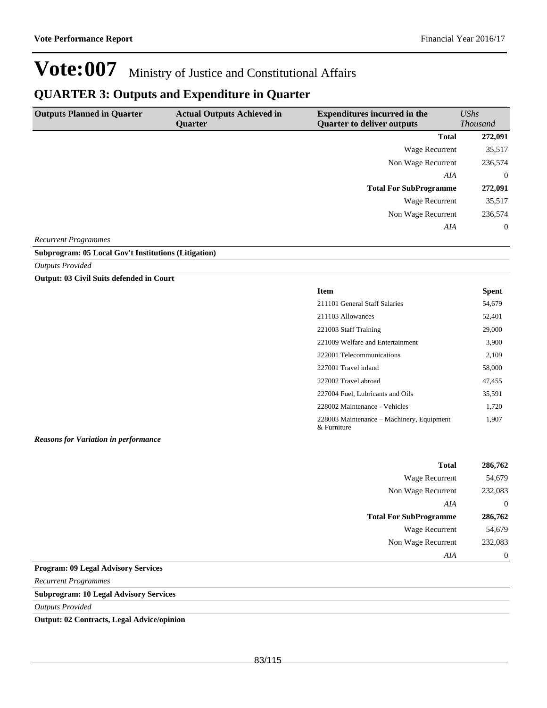### **QUARTER 3: Outputs and Expenditure in Quarter**

| <b>Outputs Planned in Quarter</b> | <b>Actual Outputs Achieved in</b><br><b>Ouarter</b> | <b>Expenditures incurred in the</b><br><b>Quarter to deliver outputs</b> | UShs<br><i>Thousand</i> |
|-----------------------------------|-----------------------------------------------------|--------------------------------------------------------------------------|-------------------------|
|                                   |                                                     | <b>Total</b>                                                             | 272,091                 |
|                                   |                                                     | Wage Recurrent                                                           | 35,517                  |
|                                   |                                                     | Non Wage Recurrent                                                       | 236,574                 |
|                                   |                                                     | AIA                                                                      | $\overline{0}$          |
|                                   |                                                     | <b>Total For SubProgramme</b>                                            | 272,091                 |
|                                   |                                                     | Wage Recurrent                                                           | 35,517                  |
|                                   |                                                     | Non Wage Recurrent                                                       | 236,574                 |
|                                   |                                                     | AIA                                                                      | $\overline{0}$          |
| $\sim$<br>$\sqrt{2}$              |                                                     |                                                                          |                         |

*Recurrent Programmes*

#### **Subprogram: 05 Local Gov't Institutions (Litigation)**

*Outputs Provided*

#### **Output: 03 Civil Suits defended in Court**

| Item |                                    | <b>Spent</b> |
|------|------------------------------------|--------------|
|      | $\sim$ $\sim$ $\sim$ $\sim$ $\sim$ | $-1$ $-2$    |

| 211101 General Staff Salaries                            | 54,679 |
|----------------------------------------------------------|--------|
| 211103 Allowances                                        | 52,401 |
| 221003 Staff Training                                    | 29,000 |
| 221009 Welfare and Entertainment                         | 3,900  |
| 222001 Telecommunications                                | 2,109  |
| 227001 Travel inland                                     | 58,000 |
| 227002 Travel abroad                                     | 47,455 |
| 227004 Fuel, Lubricants and Oils                         | 35,591 |
| 228002 Maintenance - Vehicles                            | 1,720  |
| 228003 Maintenance – Machinery, Equipment<br>& Furniture | 1,907  |

*Reasons for Variation in performance*

| 286,762  | <b>Total</b>                  |
|----------|-------------------------------|
| 54,679   | <b>Wage Recurrent</b>         |
| 232,083  | Non Wage Recurrent            |
| $\theta$ | AIA                           |
| 286,762  | <b>Total For SubProgramme</b> |
| 54,679   | <b>Wage Recurrent</b>         |
| 232,083  | Non Wage Recurrent            |
| $\theta$ | AIA                           |
|          |                               |

#### **Program: 09 Legal Advisory Services**

*Recurrent Programmes*

#### **Subprogram: 10 Legal Advisory Services**

*Outputs Provided*

**Output: 02 Contracts, Legal Advice/opinion**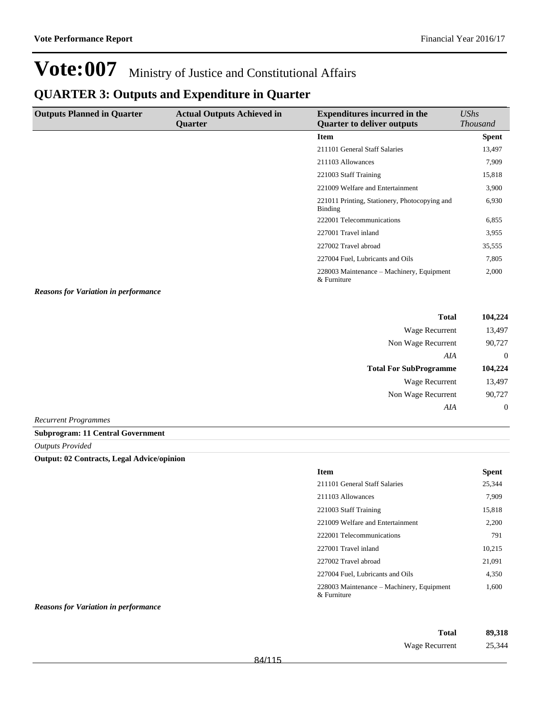### **QUARTER 3: Outputs and Expenditure in Quarter**

| <b>Outputs Planned in Quarter</b>           | <b>Actual Outputs Achieved in</b><br>Quarter | <b>Expenditures incurred in the</b><br><b>Quarter to deliver outputs</b> | <b>UShs</b><br><b>Thousand</b> |
|---------------------------------------------|----------------------------------------------|--------------------------------------------------------------------------|--------------------------------|
|                                             |                                              | <b>Item</b>                                                              | <b>Spent</b>                   |
|                                             |                                              | 211101 General Staff Salaries                                            | 13,497                         |
|                                             |                                              | 211103 Allowances                                                        | 7,909                          |
|                                             |                                              | 221003 Staff Training                                                    | 15,818                         |
|                                             |                                              | 221009 Welfare and Entertainment                                         | 3,900                          |
|                                             |                                              | 221011 Printing, Stationery, Photocopying and<br><b>Binding</b>          | 6,930                          |
|                                             |                                              | 222001 Telecommunications                                                | 6,855                          |
|                                             |                                              | 227001 Travel inland                                                     | 3,955                          |
|                                             |                                              | 227002 Travel abroad                                                     | 35,555                         |
|                                             |                                              | 227004 Fuel, Lubricants and Oils                                         | 7,805                          |
|                                             |                                              | 228003 Maintenance – Machinery, Equipment<br>& Furniture                 | 2,000                          |
| <b>Reasons for Variation in performance</b> |                                              |                                                                          |                                |
|                                             |                                              | <b>Total</b>                                                             | 104,224                        |
|                                             |                                              | Wage Recurrent                                                           | 13,497                         |
|                                             |                                              | Non Wage Recurrent                                                       | 90,727                         |
|                                             |                                              | AIA                                                                      | $\overline{0}$                 |
|                                             |                                              | <b>Total For SubProgramme</b>                                            | 104,224                        |
|                                             |                                              | Wage Recurrent                                                           | 13,497                         |

*Recurrent Programmes*

**Subprogram: 11 Central Government**

*Outputs Provided*

#### **Output: 02 Contracts, Legal Advice/opinion**

| <b>Item</b>                                              | Spent  |
|----------------------------------------------------------|--------|
| 211101 General Staff Salaries                            | 25,344 |
| 211103 Allowances                                        | 7,909  |
| 221003 Staff Training                                    | 15.818 |
| 221009 Welfare and Entertainment                         | 2,200  |
| 222001 Telecommunications                                | 791    |
| 227001 Travel inland                                     | 10,215 |
| 227002 Travel abroad                                     | 21,091 |
| 227004 Fuel, Lubricants and Oils                         | 4,350  |
| 228003 Maintenance – Machinery, Equipment<br>& Furniture | 1,600  |

#### *Reasons for Variation in performance*

| Total          | 89,318 |
|----------------|--------|
| Wage Recurrent | 25,344 |

Non Wage Recurrent 90,727

*AIA* 0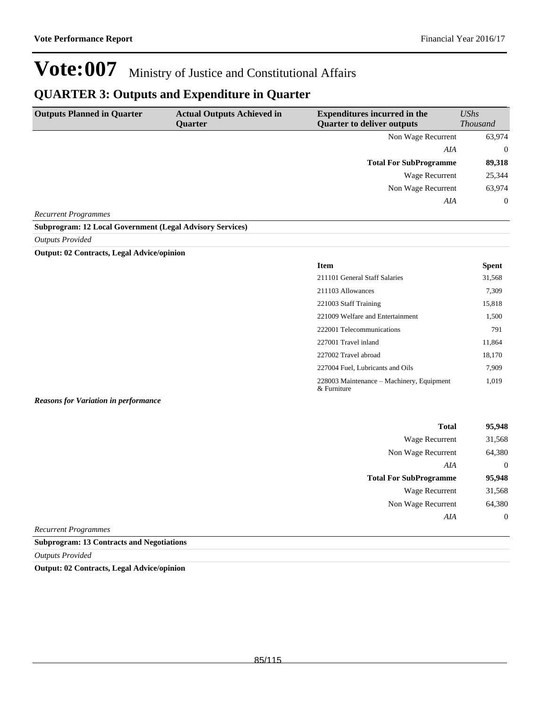### **QUARTER 3: Outputs and Expenditure in Quarter**

| <b>Outputs Planned in Quarter</b>                                | <b>Actual Outputs Achieved in</b><br><b>Ouarter</b> | <b>Expenditures incurred in the</b><br><b>Quarter to deliver outputs</b> | <b>UShs</b><br><b>Thousand</b> |
|------------------------------------------------------------------|-----------------------------------------------------|--------------------------------------------------------------------------|--------------------------------|
|                                                                  |                                                     | Non Wage Recurrent                                                       | 63,974                         |
|                                                                  |                                                     | AIA                                                                      | $\Omega$                       |
|                                                                  |                                                     | <b>Total For SubProgramme</b>                                            | 89,318                         |
|                                                                  |                                                     | Wage Recurrent                                                           | 25,344                         |
|                                                                  |                                                     | Non Wage Recurrent                                                       | 63,974                         |
|                                                                  |                                                     | AIA                                                                      | $\overline{0}$                 |
| <b>Recurrent Programmes</b>                                      |                                                     |                                                                          |                                |
| <b>Subprogram: 12 Local Government (Legal Advisory Services)</b> |                                                     |                                                                          |                                |

*Outputs Provided*

#### **Output: 02 Contracts, Legal Advice/opinion**

| <b>Item</b>                                              | Spent  |
|----------------------------------------------------------|--------|
| 211101 General Staff Salaries                            | 31,568 |
| 211103 Allowances                                        | 7,309  |
| 221003 Staff Training                                    | 15,818 |
| 221009 Welfare and Entertainment                         | 1,500  |
| 222001 Telecommunications                                | 791    |
| 227001 Travel inland                                     | 11,864 |
| 227002 Travel abroad                                     | 18,170 |
| 227004 Fuel, Lubricants and Oils                         | 7.909  |
| 228003 Maintenance – Machinery, Equipment<br>& Furniture | 1.019  |

#### *Reasons for Variation in performance*

| <b>Total</b>                  | 95,948         |
|-------------------------------|----------------|
| <b>Wage Recurrent</b>         | 31,568         |
| Non Wage Recurrent            | 64,380         |
| AIA                           | $\overline{0}$ |
| <b>Total For SubProgramme</b> | 95,948         |
| <b>Wage Recurrent</b>         | 31,568         |
| Non Wage Recurrent            | 64,380         |
| AIA                           | $\overline{0}$ |
| mos                           |                |

*Recurrent Programmes*

**Subprogram: 13 Contracts and Negotiations**

*Outputs Provided*

**Output: 02 Contracts, Legal Advice/opinion**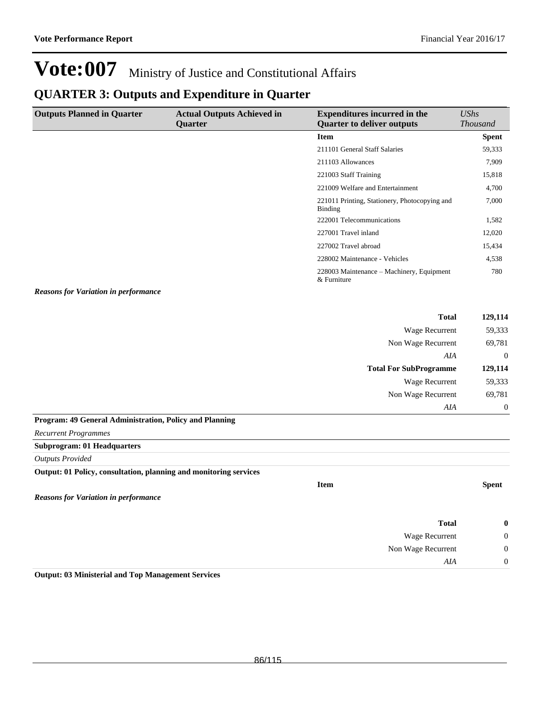## **QUARTER 3: Outputs and Expenditure in Quarter**

| <b>Outputs Planned in Quarter</b>                                 | <b>Actual Outputs Achieved in</b><br>Quarter | <b>Expenditures incurred in the</b><br><b>Quarter to deliver outputs</b> | <b>UShs</b><br><b>Thousand</b> |
|-------------------------------------------------------------------|----------------------------------------------|--------------------------------------------------------------------------|--------------------------------|
|                                                                   |                                              | <b>Item</b>                                                              | <b>Spent</b>                   |
|                                                                   |                                              | 211101 General Staff Salaries                                            | 59,333                         |
|                                                                   |                                              | 211103 Allowances                                                        | 7,909                          |
|                                                                   |                                              | 221003 Staff Training                                                    | 15,818                         |
|                                                                   |                                              | 221009 Welfare and Entertainment                                         | 4,700                          |
|                                                                   |                                              | 221011 Printing, Stationery, Photocopying and<br><b>Binding</b>          | 7,000                          |
|                                                                   |                                              | 222001 Telecommunications                                                | 1,582                          |
|                                                                   |                                              | 227001 Travel inland                                                     | 12,020                         |
|                                                                   |                                              | 227002 Travel abroad                                                     | 15,434                         |
|                                                                   |                                              | 228002 Maintenance - Vehicles                                            | 4,538                          |
|                                                                   |                                              | 228003 Maintenance - Machinery, Equipment<br>& Furniture                 | 780                            |
| <b>Reasons for Variation in performance</b>                       |                                              |                                                                          |                                |
|                                                                   |                                              | <b>Total</b>                                                             | 129,114                        |
|                                                                   |                                              | Wage Recurrent                                                           | 59,333                         |
|                                                                   |                                              | Non Wage Recurrent                                                       | 69,781                         |
|                                                                   |                                              | AIA                                                                      | $\mathbf{0}$                   |
|                                                                   |                                              | <b>Total For SubProgramme</b>                                            | 129,114                        |
|                                                                   |                                              | Wage Recurrent                                                           | 59,333                         |
|                                                                   |                                              | Non Wage Recurrent                                                       | 69,781                         |
|                                                                   |                                              | AIA                                                                      | $\boldsymbol{0}$               |
| Program: 49 General Administration, Policy and Planning           |                                              |                                                                          |                                |
| <b>Recurrent Programmes</b>                                       |                                              |                                                                          |                                |
| <b>Subprogram: 01 Headquarters</b>                                |                                              |                                                                          |                                |
| <b>Outputs Provided</b>                                           |                                              |                                                                          |                                |
| Output: 01 Policy, consultation, planning and monitoring services |                                              |                                                                          |                                |
|                                                                   |                                              | <b>Item</b>                                                              | <b>Spent</b>                   |
| <b>Reasons for Variation in performance</b>                       |                                              |                                                                          |                                |
|                                                                   |                                              | <b>Total</b>                                                             | $\boldsymbol{0}$               |
|                                                                   |                                              | Wage Recurrent                                                           | $\boldsymbol{0}$               |
|                                                                   |                                              | Non Wage Recurrent                                                       | $\boldsymbol{0}$               |
|                                                                   |                                              | AIA                                                                      | $\boldsymbol{0}$               |

**Output: 03 Ministerial and Top Management Services**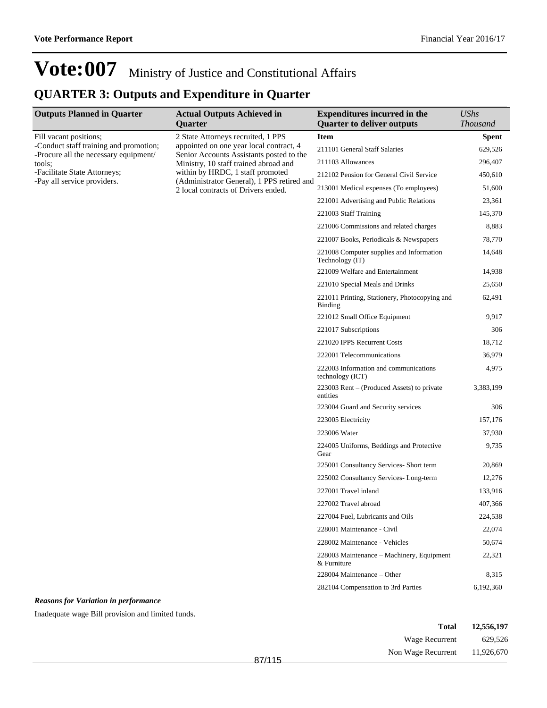### **QUARTER 3: Outputs and Expenditure in Quarter**

| <b>Outputs Planned in Quarter</b>                                                                         | <b>Actual Outputs Achieved in</b>                                                                                         | <b>Expenditures incurred in the</b>                         | <b>UShs</b>     |
|-----------------------------------------------------------------------------------------------------------|---------------------------------------------------------------------------------------------------------------------------|-------------------------------------------------------------|-----------------|
|                                                                                                           | Quarter                                                                                                                   | <b>Quarter to deliver outputs</b>                           | <b>Thousand</b> |
| Fill vacant positions;<br>-Conduct staff training and promotion;<br>-Procure all the necessary equipment/ | 2 State Attorneys recruited, 1 PPS<br>appointed on one year local contract, 4<br>Senior Accounts Assistants posted to the | <b>Item</b>                                                 | <b>Spent</b>    |
|                                                                                                           |                                                                                                                           | 211101 General Staff Salaries                               | 629,526         |
| tools;                                                                                                    | Ministry, 10 staff trained abroad and                                                                                     | 211103 Allowances                                           | 296,407         |
| -Facilitate State Attorneys;                                                                              | within by HRDC, 1 staff promoted                                                                                          | 212102 Pension for General Civil Service                    | 450,610         |
| -Pay all service providers.                                                                               | (Administrator General), 1 PPS retired and<br>2 local contracts of Drivers ended.                                         | 213001 Medical expenses (To employees)                      | 51,600          |
|                                                                                                           |                                                                                                                           | 221001 Advertising and Public Relations                     | 23,361          |
|                                                                                                           |                                                                                                                           | 221003 Staff Training                                       | 145,370         |
|                                                                                                           |                                                                                                                           | 221006 Commissions and related charges                      | 8,883           |
|                                                                                                           |                                                                                                                           | 221007 Books, Periodicals & Newspapers                      | 78,770          |
|                                                                                                           |                                                                                                                           | 221008 Computer supplies and Information<br>Technology (IT) | 14,648          |
|                                                                                                           |                                                                                                                           | 221009 Welfare and Entertainment                            | 14,938          |
|                                                                                                           |                                                                                                                           | 221010 Special Meals and Drinks                             | 25,650          |
|                                                                                                           |                                                                                                                           | 221011 Printing, Stationery, Photocopying and<br>Binding    | 62,491          |
|                                                                                                           |                                                                                                                           | 221012 Small Office Equipment                               | 9,917           |
|                                                                                                           |                                                                                                                           | 221017 Subscriptions                                        | 306             |
|                                                                                                           |                                                                                                                           | 221020 IPPS Recurrent Costs                                 | 18,712          |
|                                                                                                           |                                                                                                                           | 222001 Telecommunications                                   | 36,979          |
|                                                                                                           |                                                                                                                           | 222003 Information and communications<br>technology (ICT)   | 4,975           |
|                                                                                                           |                                                                                                                           | 223003 Rent – (Produced Assets) to private<br>entities      | 3,383,199       |
|                                                                                                           |                                                                                                                           | 223004 Guard and Security services                          | 306             |
|                                                                                                           |                                                                                                                           | 223005 Electricity                                          | 157,176         |
|                                                                                                           |                                                                                                                           | 223006 Water                                                | 37,930          |
|                                                                                                           |                                                                                                                           | 224005 Uniforms, Beddings and Protective<br>Gear            | 9,735           |
|                                                                                                           |                                                                                                                           | 225001 Consultancy Services- Short term                     | 20,869          |
|                                                                                                           |                                                                                                                           | 225002 Consultancy Services-Long-term                       | 12,276          |
|                                                                                                           |                                                                                                                           | 227001 Travel inland                                        | 133,916         |
|                                                                                                           |                                                                                                                           | 227002 Travel abroad                                        | 407,366         |
|                                                                                                           |                                                                                                                           | 227004 Fuel, Lubricants and Oils                            | 224,538         |
|                                                                                                           |                                                                                                                           | 228001 Maintenance - Civil                                  | 22,074          |
|                                                                                                           |                                                                                                                           | 228002 Maintenance - Vehicles                               | 50,674          |
|                                                                                                           |                                                                                                                           | 228003 Maintenance – Machinery, Equipment<br>& Furniture    | 22,321          |
|                                                                                                           |                                                                                                                           | 228004 Maintenance - Other                                  | 8,315           |
|                                                                                                           |                                                                                                                           | 282104 Compensation to 3rd Parties                          | 6,192,360       |
| <b>Reasons for Variation in performance</b>                                                               |                                                                                                                           |                                                             |                 |
| Inadequate wage Bill provision and limited funds.                                                         |                                                                                                                           |                                                             |                 |

| 12,556,197 | <b>Total</b>                  |        |
|------------|-------------------------------|--------|
| 629,526    | Wage Recurrent                |        |
|            | Non Wage Recurrent 11,926,670 | R7/115 |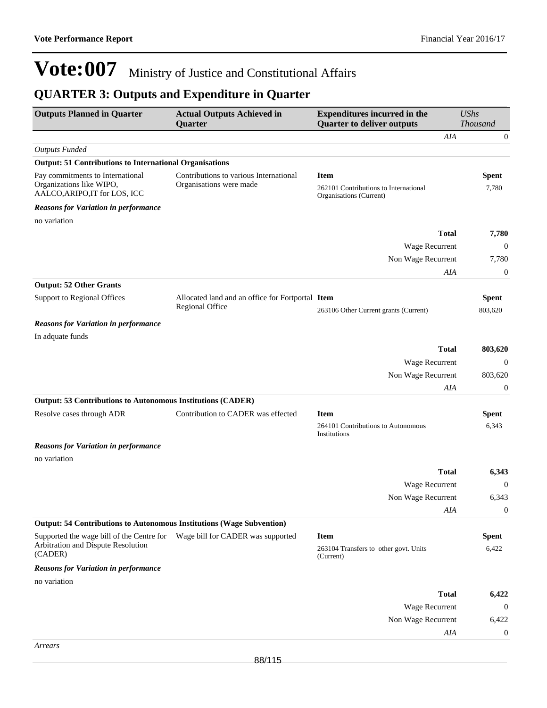### **QUARTER 3: Outputs and Expenditure in Quarter**

| <b>Outputs Planned in Quarter</b>                                                             | <b>Actual Outputs Achieved in</b><br>Quarter                        | <b>Expenditures incurred in the</b><br><b>Quarter to deliver outputs</b>        | <b>UShs</b><br>Thousand |
|-----------------------------------------------------------------------------------------------|---------------------------------------------------------------------|---------------------------------------------------------------------------------|-------------------------|
|                                                                                               |                                                                     | AIA                                                                             | $\mathbf{0}$            |
| <b>Outputs Funded</b>                                                                         |                                                                     |                                                                                 |                         |
| <b>Output: 51 Contributions to International Organisations</b>                                |                                                                     |                                                                                 |                         |
| Pay commitments to International<br>Organizations like WIPO,<br>AALCO, ARIPO, IT for LOS, ICC | Contributions to various International<br>Organisations were made   | <b>Item</b><br>262101 Contributions to International<br>Organisations (Current) | <b>Spent</b><br>7,780   |
| <b>Reasons for Variation in performance</b>                                                   |                                                                     |                                                                                 |                         |
| no variation                                                                                  |                                                                     |                                                                                 |                         |
|                                                                                               |                                                                     | <b>Total</b>                                                                    | 7,780                   |
|                                                                                               |                                                                     | Wage Recurrent                                                                  | $\mathbf{0}$            |
|                                                                                               |                                                                     | Non Wage Recurrent                                                              | 7,780                   |
|                                                                                               |                                                                     | AIA                                                                             | $\boldsymbol{0}$        |
| <b>Output: 52 Other Grants</b>                                                                |                                                                     |                                                                                 |                         |
| Support to Regional Offices                                                                   | Allocated land and an office for Fortportal Item<br>Regional Office | 263106 Other Current grants (Current)                                           | <b>Spent</b><br>803,620 |
| <b>Reasons for Variation in performance</b>                                                   |                                                                     |                                                                                 |                         |
| In adquate funds                                                                              |                                                                     |                                                                                 |                         |
|                                                                                               |                                                                     | <b>Total</b>                                                                    | 803,620                 |
|                                                                                               |                                                                     | Wage Recurrent                                                                  | $\mathbf{0}$            |
|                                                                                               |                                                                     | Non Wage Recurrent                                                              | 803,620                 |
|                                                                                               |                                                                     | AIA                                                                             | $\boldsymbol{0}$        |
| <b>Output: 53 Contributions to Autonomous Institutions (CADER)</b>                            |                                                                     |                                                                                 |                         |
| Resolve cases through ADR                                                                     | Contribution to CADER was effected                                  | <b>Item</b>                                                                     | <b>Spent</b>            |
|                                                                                               |                                                                     | 264101 Contributions to Autonomous<br>Institutions                              | 6,343                   |
| <b>Reasons for Variation in performance</b>                                                   |                                                                     |                                                                                 |                         |
| no variation                                                                                  |                                                                     |                                                                                 |                         |
|                                                                                               |                                                                     | <b>Total</b>                                                                    | 6,343                   |
|                                                                                               |                                                                     | Wage Recurrent                                                                  | $\mathbf{0}$            |
|                                                                                               |                                                                     | Non Wage Recurrent                                                              | 6,343<br>$\overline{0}$ |
| Output: 54 Contributions to Autonomous Institutions (Wage Subvention)                         |                                                                     | AIA                                                                             |                         |
| Supported the wage bill of the Centre for                                                     | Wage bill for CADER was supported                                   | <b>Item</b>                                                                     | <b>Spent</b>            |
| Arbitration and Dispute Resolution<br>(CADER)                                                 |                                                                     | 263104 Transfers to other govt. Units<br>(Current)                              | 6,422                   |
| <b>Reasons for Variation in performance</b>                                                   |                                                                     |                                                                                 |                         |
| no variation                                                                                  |                                                                     |                                                                                 |                         |
|                                                                                               |                                                                     | <b>Total</b>                                                                    | 6,422                   |
|                                                                                               |                                                                     | Wage Recurrent                                                                  | $\overline{0}$          |
|                                                                                               |                                                                     | Non Wage Recurrent                                                              | 6,422                   |
|                                                                                               |                                                                     | AIA                                                                             | $\mathbf{0}$            |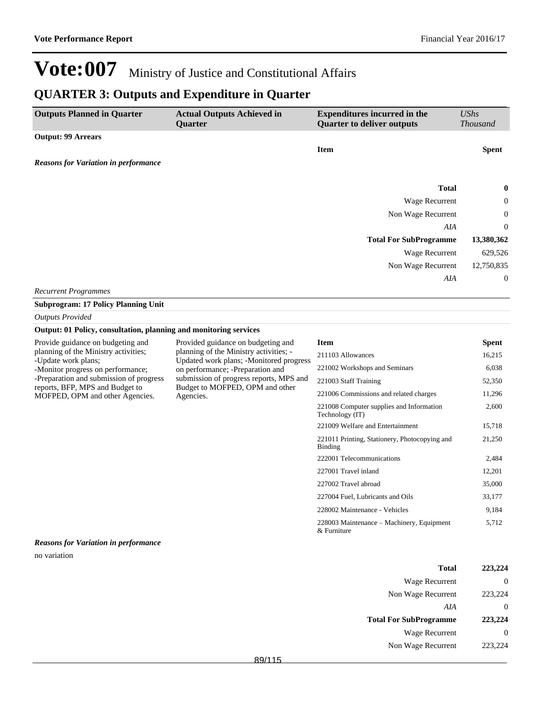### **QUARTER 3: Outputs and Expenditure in Quarter**

| <b>Outputs Planned in Quarter</b>           | <b>Actual Outputs Achieved in</b><br>Quarter | <b>Expenditures incurred in the</b><br><b>Quarter to deliver outputs</b> | UShs<br><b>Thousand</b> |
|---------------------------------------------|----------------------------------------------|--------------------------------------------------------------------------|-------------------------|
| <b>Output: 99 Arrears</b>                   |                                              |                                                                          |                         |
|                                             |                                              | <b>Item</b>                                                              | <b>Spent</b>            |
| <b>Reasons for Variation in performance</b> |                                              |                                                                          |                         |
|                                             |                                              |                                                                          |                         |
|                                             |                                              | <b>Total</b>                                                             | $\bf{0}$                |
|                                             |                                              | <b>Wage Recurrent</b>                                                    | $\boldsymbol{0}$        |
|                                             |                                              | Non Wage Recurrent                                                       | $\mathbf{0}$            |
|                                             |                                              | AIA                                                                      | $\overline{0}$          |
|                                             |                                              | <b>Total For SubProgramme</b>                                            | 13,380,362              |
|                                             |                                              | <b>Wage Recurrent</b>                                                    | 629,526                 |
|                                             |                                              | Non Wage Recurrent                                                       | 12,750,835              |
|                                             |                                              | AIA                                                                      | $\mathbf{0}$            |
| <b>Recurrent Programmes</b>                 |                                              |                                                                          |                         |

**Subprogram: 17 Policy Planning Unit**

#### *Outputs Provided*

#### **Output: 01 Policy, consultation, planning and monitoring services**

| Provide guidance on budgeting and       |
|-----------------------------------------|
| planning of the Ministry activities;    |
| -Update work plans;                     |
| -Monitor progress on performance;       |
| -Preparation and submission of progress |
| reports, BFP, MPS and Budget to         |
| MOFPED, OPM and other Agencies.         |

Provided guidance on budgeting and planning of the Ministry activities; - Updated work plans; -Monitored progress on performance; -Preparation and submission of progress reports, MPS and Budget to MOFPED, OPM and other Agencies.

#### **Item Spent** 211103 Allowances 16,215 221002 Workshops and Seminars 6,038 221003 Staff Training 52,350 221006 Commissions and related charges 11,296 221008 Computer supplies and Information Technology (IT) 2,600 221009 Welfare and Entertainment 15,718 221011 Printing, Stationery, Photocopying and Binding 21,250 222001 Telecommunications 2,484 227001 Travel inland 12,201 227002 Travel abroad 35,000 227004 Fuel, Lubricants and Oils 33,177 228002 Maintenance - Vehicles 9,184 228003 Maintenance - Machinery, Equipment & Furniture 5,712

#### *Reasons for Variation in performance*

no variation

| 223,224           | <b>Total</b>                  |
|-------------------|-------------------------------|
| 0                 | Wage Recurrent                |
| 223,224           | Non Wage Recurrent            |
| $\mathbf{0}$      | AIA                           |
| 223,224           | <b>Total For SubProgramme</b> |
| $\mathbf{\Omega}$ | Wage Recurrent                |
| 223,224           | Non Wage Recurrent            |
|                   |                               |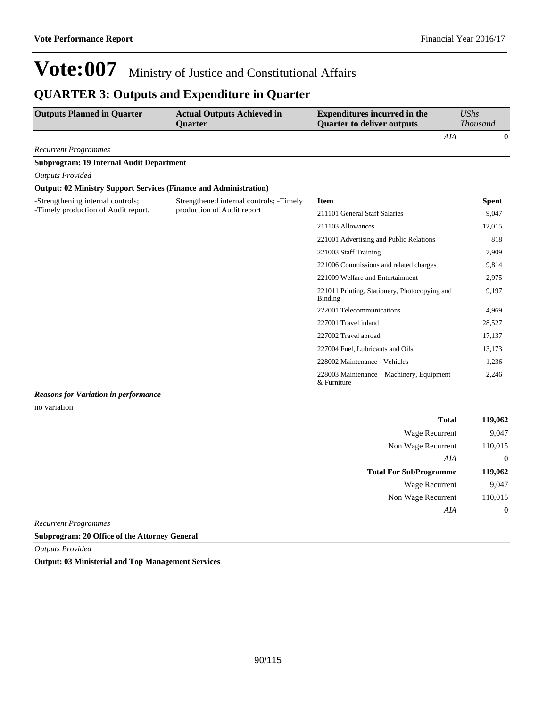### **QUARTER 3: Outputs and Expenditure in Quarter**

| <b>Outputs Planned in Quarter</b>                                        | <b>Actual Outputs Achieved in</b><br><b>Quarter</b> | <b>Expenditures incurred in the</b><br><b>Quarter to deliver outputs</b> | <b>UShs</b><br><b>Thousand</b> |
|--------------------------------------------------------------------------|-----------------------------------------------------|--------------------------------------------------------------------------|--------------------------------|
|                                                                          |                                                     | AIA                                                                      | $\theta$                       |
| <b>Recurrent Programmes</b>                                              |                                                     |                                                                          |                                |
| <b>Subprogram: 19 Internal Audit Department</b>                          |                                                     |                                                                          |                                |
| <b>Outputs Provided</b>                                                  |                                                     |                                                                          |                                |
| <b>Output: 02 Ministry Support Services (Finance and Administration)</b> |                                                     |                                                                          |                                |
| -Strengthening internal controls;                                        | Strengthened internal controls; -Timely             | <b>Item</b>                                                              | <b>Spent</b>                   |
| -Timely production of Audit report.                                      | production of Audit report                          | 211101 General Staff Salaries                                            | 9,047                          |
|                                                                          |                                                     | 211103 Allowances                                                        | 12,015                         |
|                                                                          |                                                     | 221001 Advertising and Public Relations                                  | 818                            |
|                                                                          |                                                     | 221003 Staff Training                                                    | 7,909                          |
|                                                                          |                                                     | 221006 Commissions and related charges                                   | 9,814                          |
|                                                                          |                                                     | 221009 Welfare and Entertainment                                         | 2,975                          |
|                                                                          |                                                     | 221011 Printing, Stationery, Photocopying and<br>Binding                 | 9,197                          |
|                                                                          |                                                     | 222001 Telecommunications                                                | 4,969                          |
|                                                                          |                                                     | 227001 Travel inland                                                     | 28,527                         |
|                                                                          |                                                     | 227002 Travel abroad                                                     | 17.137                         |
|                                                                          |                                                     | 227004 Fuel, Lubricants and Oils                                         | 13,173                         |
|                                                                          |                                                     | 228002 Maintenance - Vehicles                                            | 1,236                          |
|                                                                          |                                                     | 228003 Maintenance – Machinery, Equipment<br>& Furniture                 | 2,246                          |
| <b>Reasons for Variation in performance</b>                              |                                                     |                                                                          |                                |
| no variation                                                             |                                                     |                                                                          |                                |
|                                                                          |                                                     | <b>Total</b>                                                             | 119,062                        |
|                                                                          |                                                     | Wage Recurrent                                                           | 9,047                          |

| <b>Wage Recurrent</b>         | 9,047    |
|-------------------------------|----------|
| Non Wage Recurrent            | 110,015  |
| AIA                           | $\theta$ |
| <b>Total For SubProgramme</b> | 119,062  |
|                               |          |
| Wage Recurrent                | 9.047    |
| Non Wage Recurrent            | 110,015  |
| AIA                           |          |

*Recurrent Programmes*

#### **Subprogram: 20 Office of the Attorney General**

*Outputs Provided*

**Output: 03 Ministerial and Top Management Services**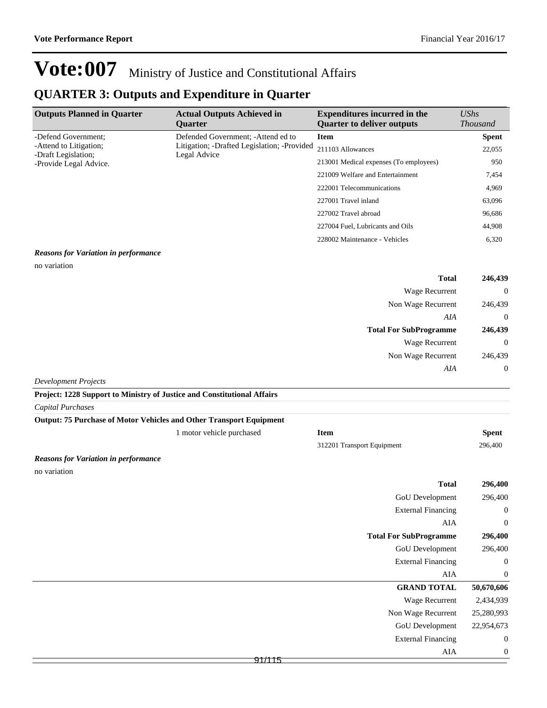### **QUARTER 3: Outputs and Expenditure in Quarter**

| <b>Outputs Planned in Quarter</b>             | <b>Actual Outputs Achieved in</b><br><b>Ouarter</b>         | <b>Expenditures incurred in the</b><br><b>Quarter to deliver outputs</b> | $\mathit{UShs}$<br><b>Thousand</b> |
|-----------------------------------------------|-------------------------------------------------------------|--------------------------------------------------------------------------|------------------------------------|
| -Defend Government:                           | Defended Government; - Attend ed to                         | <b>Item</b>                                                              | <b>Spent</b>                       |
| -Attend to Litigation:<br>-Draft Legislation; | Litigation; -Drafted Legislation; -Provided<br>Legal Advice | 211103 Allowances                                                        | 22,055                             |
| -Provide Legal Advice.                        |                                                             | 213001 Medical expenses (To employees)                                   | 950                                |
|                                               |                                                             | 221009 Welfare and Entertainment                                         | 7,454                              |
|                                               |                                                             | 222001 Telecommunications                                                | 4,969                              |
|                                               |                                                             | 227001 Travel inland                                                     | 63,096                             |
|                                               |                                                             | 227002 Travel abroad                                                     | 96,686                             |
|                                               |                                                             | 227004 Fuel, Lubricants and Oils                                         | 44,908                             |
|                                               |                                                             | 228002 Maintenance - Vehicles                                            | 6,320                              |
|                                               |                                                             |                                                                          |                                    |

#### *Reasons for Variation in performance*

no variation

| 246,439        | <b>Total</b>                  |
|----------------|-------------------------------|
| $\theta$       | <b>Wage Recurrent</b>         |
| 246,439        | Non Wage Recurrent            |
| $\overline{0}$ | AIA                           |
| 246,439        | <b>Total For SubProgramme</b> |
| $\overline{0}$ | <b>Wage Recurrent</b>         |
| 246,439        | Non Wage Recurrent            |
| $\overline{0}$ | AIA                           |
|                | $\sim$ $\sim$                 |

*Development Projects*

**Project: 1228 Support to Ministry of Justice and Constitutional Affairs**

*Capital Purchases*

| <b>Output: 75 Purchase of Motor Vehicles and Other Transport Equipment</b> |                           |                            |              |
|----------------------------------------------------------------------------|---------------------------|----------------------------|--------------|
|                                                                            | 1 motor vehicle purchased | Item                       | <b>Spent</b> |
|                                                                            |                           | 312201 Transport Equipment | 296,400      |
| <b>Reasons for Variation in performance</b>                                |                           |                            |              |
| no variation                                                               |                           |                            |              |

| 296,400          | <b>Total</b>                  |  |
|------------------|-------------------------------|--|
| 296,400          | GoU Development               |  |
| $\boldsymbol{0}$ | <b>External Financing</b>     |  |
| $\mathbf 0$      | AIA                           |  |
| 296,400          | <b>Total For SubProgramme</b> |  |
| 296,400          | GoU Development               |  |
| $\boldsymbol{0}$ | <b>External Financing</b>     |  |
| $\mathbf 0$      | AIA                           |  |
| 50,670,606       | <b>GRAND TOTAL</b>            |  |
| 2,434,939        | <b>Wage Recurrent</b>         |  |
| 25,280,993       | Non Wage Recurrent            |  |
| 22,954,673       | GoU Development               |  |
| $\boldsymbol{0}$ | <b>External Financing</b>     |  |
| $\mathbf 0$      | AIA                           |  |
|                  | 91/115                        |  |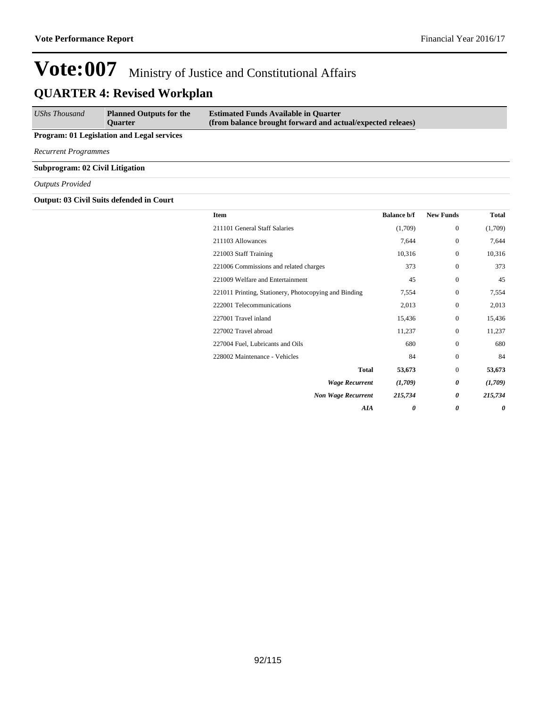| <b>UShs Thousand</b> | <b>Planned Outputs for the</b> | <b>Estimated Funds Available in Quarter</b>                |
|----------------------|--------------------------------|------------------------------------------------------------|
|                      | <b>Ouarter</b>                 | (from balance brought forward and actual/expected releaes) |

#### **Program: 01 Legislation and Legal services**

*Recurrent Programmes*

**Subprogram: 02 Civil Litigation**

#### *Outputs Provided*

#### **Output: 03 Civil Suits defended in Court**

| Item                                                  | <b>Balance b/f</b> | <b>New Funds</b> | <b>Total</b> |
|-------------------------------------------------------|--------------------|------------------|--------------|
| 211101 General Staff Salaries                         | (1,709)            | $\mathbf{0}$     | (1,709)      |
| 211103 Allowances                                     | 7,644              | $\mathbf{0}$     | 7,644        |
| 221003 Staff Training                                 | 10,316             | $\Omega$         | 10,316       |
| 221006 Commissions and related charges                | 373                | $\Omega$         | 373          |
| 221009 Welfare and Entertainment                      | 45                 | $\mathbf{0}$     | 45           |
| 221011 Printing, Stationery, Photocopying and Binding | 7,554              | $\Omega$         | 7,554        |
| 222001 Telecommunications                             | 2,013              | $\Omega$         | 2,013        |
| 227001 Travel inland                                  | 15,436             | $\Omega$         | 15,436       |
| 227002 Travel abroad                                  | 11,237             | $\Omega$         | 11,237       |
| 227004 Fuel, Lubricants and Oils                      | 680                | $\mathbf{0}$     | 680          |
| 228002 Maintenance - Vehicles                         | 84                 | $\Omega$         | 84           |
| <b>Total</b>                                          | 53,673             | $\mathbf{0}$     | 53,673       |
| <b>Wage Recurrent</b>                                 | (1,709)            | 0                | (1,709)      |
| <b>Non Wage Recurrent</b>                             | 215,734            | 0                | 215,734      |
| <b>AIA</b>                                            | 0                  | 0                | 0            |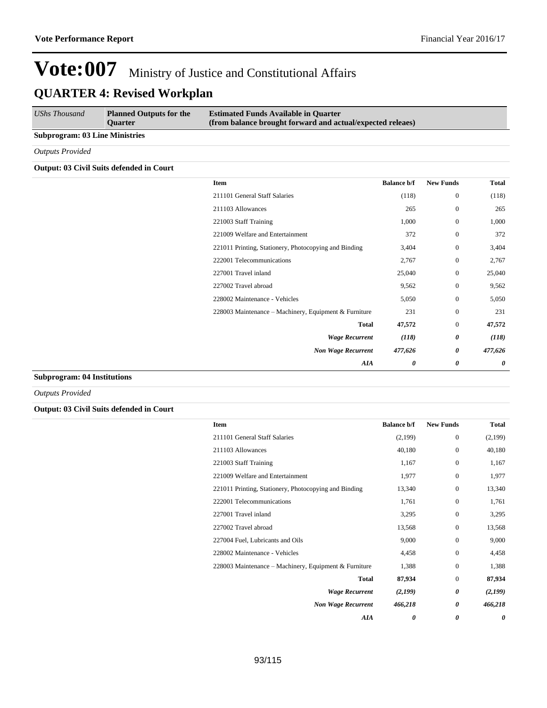| UShs Thousand                         | <b>Planned Outputs for the</b><br><b>Ouarter</b> | <b>Estimated Funds Available in Quarter</b><br>(from balance brought forward and actual/expected releaes) |
|---------------------------------------|--------------------------------------------------|-----------------------------------------------------------------------------------------------------------|
| <b>Subprogram: 03 Line Ministries</b> |                                                  |                                                                                                           |
| <b>Outputs Provided</b>               |                                                  |                                                                                                           |

#### **Output: 03 Civil Suits defended in Court**

| <b>Total</b>          | <b>New Funds</b> | <b>Balance b/f</b> | Item                                                  |
|-----------------------|------------------|--------------------|-------------------------------------------------------|
| (118)                 | $\mathbf{0}$     | (118)              | 211101 General Staff Salaries                         |
| 265                   | $\mathbf{0}$     | 265                | 211103 Allowances                                     |
| 1,000                 | $\mathbf{0}$     | 1,000              | 221003 Staff Training                                 |
| 372                   | $\mathbf{0}$     | 372                | 221009 Welfare and Entertainment                      |
| 3,404                 | $\mathbf{0}$     | 3,404              | 221011 Printing, Stationery, Photocopying and Binding |
| 2,767                 | $\mathbf{0}$     | 2,767              | 222001 Telecommunications                             |
| 25,040                | $\mathbf{0}$     | 25,040             | 227001 Travel inland                                  |
| 9,562                 | $\mathbf{0}$     | 9,562              | 227002 Travel abroad                                  |
| 5,050                 | $\mathbf{0}$     | 5,050              | 228002 Maintenance - Vehicles                         |
| 231                   | $\mathbf{0}$     | 231                | 228003 Maintenance - Machinery, Equipment & Furniture |
| 47,572                | $\mathbf{0}$     | 47,572             | <b>Total</b>                                          |
| (118)                 | 0                | (118)              | <b>Wage Recurrent</b>                                 |
| 477,626               | 0                | 477,626            | <b>Non Wage Recurrent</b>                             |
| $\boldsymbol{\theta}$ | 0                | 0                  | AIA                                                   |

#### **Subprogram: 04 Institutions**

*Outputs Provided*

#### **Output: 03 Civil Suits defended in Court**

| <b>Item</b>                                           | <b>Balance b/f</b> | <b>New Funds</b> | Total   |
|-------------------------------------------------------|--------------------|------------------|---------|
| 211101 General Staff Salaries                         | (2,199)            | $\mathbf{0}$     | (2,199) |
| 211103 Allowances                                     | 40,180             | $\mathbf{0}$     | 40,180  |
| 221003 Staff Training                                 | 1,167              | $\mathbf{0}$     | 1,167   |
| 221009 Welfare and Entertainment                      | 1,977              | $\mathbf{0}$     | 1,977   |
| 221011 Printing, Stationery, Photocopying and Binding | 13,340             | $\mathbf{0}$     | 13,340  |
| 222001 Telecommunications                             | 1,761              | $\mathbf{0}$     | 1,761   |
| 227001 Travel inland                                  | 3,295              | $\mathbf{0}$     | 3,295   |
| 227002 Travel abroad                                  | 13,568             | $\mathbf{0}$     | 13,568  |
| 227004 Fuel, Lubricants and Oils                      | 9,000              | $\mathbf{0}$     | 9,000   |
| 228002 Maintenance - Vehicles                         | 4,458              | $\mathbf{0}$     | 4,458   |
| 228003 Maintenance – Machinery, Equipment & Furniture | 1,388              | $\mathbf{0}$     | 1,388   |
| <b>Total</b>                                          | 87,934             | $\mathbf{0}$     | 87,934  |
| <b>Wage Recurrent</b>                                 | (2,199)            | 0                | (2,199) |
| <b>Non Wage Recurrent</b>                             | 466,218            | 0                | 466,218 |
| AIA                                                   | 0                  | 0                | 0       |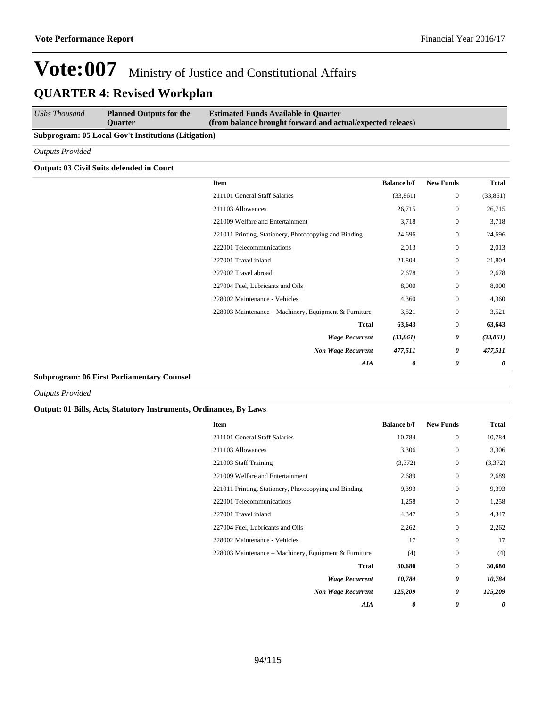| <b>UShs Thousand</b><br><b>Estimated Funds Available in Quarter</b><br><b>Planned Outputs for the</b><br>(from balance brought forward and actual/expected releaes)<br><b>Ouarter</b> |  |
|---------------------------------------------------------------------------------------------------------------------------------------------------------------------------------------|--|
|---------------------------------------------------------------------------------------------------------------------------------------------------------------------------------------|--|

#### **Subprogram: 05 Local Gov't Institutions (Litigation)**

*Outputs Provided*

#### **Output: 03 Civil Suits defended in Court**

| Total     | <b>New Funds</b>      | <b>Balance b/f</b> | Item                                                  |
|-----------|-----------------------|--------------------|-------------------------------------------------------|
| (33, 861) | $\mathbf{0}$          | (33, 861)          | 211101 General Staff Salaries                         |
| 26,715    | $\mathbf{0}$          | 26,715             | 211103 Allowances                                     |
| 3,718     | $\mathbf{0}$          | 3,718              | 221009 Welfare and Entertainment                      |
| 24,696    | $\mathbf{0}$          | 24,696             | 221011 Printing, Stationery, Photocopying and Binding |
| 2,013     | $\boldsymbol{0}$      | 2,013              | 222001 Telecommunications                             |
| 21,804    | $\mathbf{0}$          | 21,804             | 227001 Travel inland                                  |
| 2,678     | $\mathbf{0}$          | 2,678              | 227002 Travel abroad                                  |
| 8,000     | $\mathbf{0}$          | 8,000              | 227004 Fuel, Lubricants and Oils                      |
| 4,360     | $\mathbf{0}$          | 4,360              | 228002 Maintenance - Vehicles                         |
| 3,521     | $\mathbf{0}$          | 3,521              | 228003 Maintenance - Machinery, Equipment & Furniture |
| 63,643    | $\mathbf{0}$          | 63,643             | <b>Total</b>                                          |
| (33, 861) | $\boldsymbol{\theta}$ | (33, 861)          | <b>Wage Recurrent</b>                                 |
| 477,511   | $\boldsymbol{\theta}$ | 477,511            | <b>Non Wage Recurrent</b>                             |
| 0         | $\boldsymbol{\theta}$ | 0                  | <b>AIA</b>                                            |

#### **Subprogram: 06 First Parliamentary Counsel**

*Outputs Provided*

#### **Output: 01 Bills, Acts, Statutory Instruments, Ordinances, By Laws**

| <b>Item</b>                                           | <b>Balance b/f</b> | <b>New Funds</b> | <b>Total</b> |
|-------------------------------------------------------|--------------------|------------------|--------------|
| 211101 General Staff Salaries                         | 10,784             | $\mathbf{0}$     | 10,784       |
| 211103 Allowances                                     | 3,306              | $\mathbf{0}$     | 3,306        |
| 221003 Staff Training                                 | (3,372)            | $\mathbf{0}$     | (3,372)      |
| 221009 Welfare and Entertainment                      | 2,689              | $\mathbf{0}$     | 2,689        |
| 221011 Printing, Stationery, Photocopying and Binding | 9,393              | $\Omega$         | 9,393        |
| 222001 Telecommunications                             | 1,258              | $\mathbf{0}$     | 1,258        |
| 227001 Travel inland                                  | 4,347              | $\Omega$         | 4,347        |
| 227004 Fuel, Lubricants and Oils                      | 2,262              | $\mathbf{0}$     | 2,262        |
| 228002 Maintenance - Vehicles                         | 17                 | $\mathbf{0}$     | 17           |
| 228003 Maintenance – Machinery, Equipment & Furniture | (4)                | $\mathbf{0}$     | (4)          |
| <b>Total</b>                                          | 30,680             | $\mathbf{0}$     | 30,680       |
| <b>Wage Recurrent</b>                                 | 10,784             | 0                | 10,784       |
| <b>Non Wage Recurrent</b>                             | 125,209            | 0                | 125,209      |
| AIA                                                   | 0                  | 0                | 0            |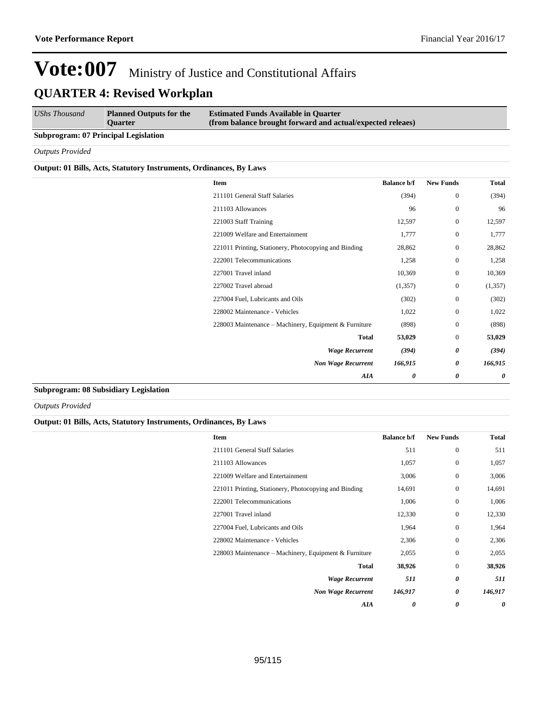| UShs Thousand                               | <b>Planned Outputs for the</b><br><b>Ouarter</b> | <b>Estimated Funds Available in Quarter</b><br>(from balance brought forward and actual/expected releaes) |
|---------------------------------------------|--------------------------------------------------|-----------------------------------------------------------------------------------------------------------|
| <b>Subprogram: 07 Principal Legislation</b> |                                                  |                                                                                                           |

#### *Outputs Provided*

#### **Output: 01 Bills, Acts, Statutory Instruments, Ordinances, By Laws**

| <b>Item</b>                                           | <b>Balance b/f</b>    | <b>New Funds</b> | Total   |
|-------------------------------------------------------|-----------------------|------------------|---------|
| 211101 General Staff Salaries                         | (394)                 | $\boldsymbol{0}$ | (394)   |
| 211103 Allowances                                     | 96                    | $\boldsymbol{0}$ | 96      |
| 221003 Staff Training                                 | 12,597                | $\boldsymbol{0}$ | 12,597  |
| 221009 Welfare and Entertainment                      | 1,777                 | $\boldsymbol{0}$ | 1,777   |
| 221011 Printing, Stationery, Photocopying and Binding | 28,862                | $\boldsymbol{0}$ | 28,862  |
| 222001 Telecommunications                             | 1,258                 | $\boldsymbol{0}$ | 1,258   |
| 227001 Travel inland                                  | 10,369                | $\boldsymbol{0}$ | 10,369  |
| 227002 Travel abroad                                  | (1,357)               | $\boldsymbol{0}$ | (1,357) |
| 227004 Fuel, Lubricants and Oils                      | (302)                 | $\boldsymbol{0}$ | (302)   |
| 228002 Maintenance - Vehicles                         | 1,022                 | $\boldsymbol{0}$ | 1,022   |
| 228003 Maintenance - Machinery, Equipment & Furniture | (898)                 | $\boldsymbol{0}$ | (898)   |
| <b>Total</b>                                          | 53,029                | $\boldsymbol{0}$ | 53,029  |
| <b>Wage Recurrent</b>                                 | (394)                 | 0                | (394)   |
| <b>Non Wage Recurrent</b>                             | 166,915               | 0                | 166,915 |
| AIA                                                   | $\boldsymbol{\theta}$ | 0                | 0       |
|                                                       |                       |                  |         |

#### **Subprogram: 08 Subsidiary Legislation**

*Outputs Provided*

#### **Output: 01 Bills, Acts, Statutory Instruments, Ordinances, By Laws**

| Item                                                  | <b>Balance b/f</b> | <b>New Funds</b> | Total   |
|-------------------------------------------------------|--------------------|------------------|---------|
| 211101 General Staff Salaries                         | 511                | $\mathbf{0}$     | 511     |
| 211103 Allowances                                     | 1,057              | $\mathbf{0}$     | 1,057   |
| 221009 Welfare and Entertainment                      | 3,006              | $\mathbf{0}$     | 3,006   |
| 221011 Printing, Stationery, Photocopying and Binding | 14,691             | $\mathbf{0}$     | 14,691  |
| 222001 Telecommunications                             | 1,006              | $\mathbf{0}$     | 1,006   |
| 227001 Travel inland                                  | 12,330             | $\mathbf{0}$     | 12,330  |
| 227004 Fuel, Lubricants and Oils                      | 1,964              | $\theta$         | 1,964   |
| 228002 Maintenance - Vehicles                         | 2,306              | $\mathbf{0}$     | 2,306   |
| 228003 Maintenance – Machinery, Equipment & Furniture | 2,055              | $\mathbf{0}$     | 2,055   |
| <b>Total</b>                                          | 38,926             | $\mathbf{0}$     | 38,926  |
| <b>Wage Recurrent</b>                                 | 511                | 0                | 511     |
| <b>Non Wage Recurrent</b>                             | 146,917            | 0                | 146,917 |
| AIA                                                   | 0                  | 0                | 0       |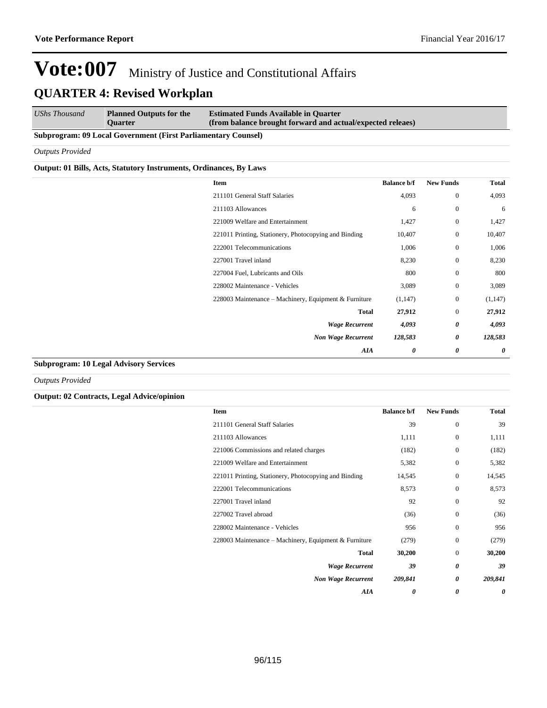*UShs Thousand* **Planned Outputs for the Quarter Estimated Funds Available in Quarter (from balance brought forward and actual/expected releaes)**

#### **Subprogram: 09 Local Government (First Parliamentary Counsel)**

*Outputs Provided*

#### **Output: 01 Bills, Acts, Statutory Instruments, Ordinances, By Laws**

| Item                                                  | <b>Balance b/f</b>     | <b>New Funds</b>  | <b>Total</b>          |
|-------------------------------------------------------|------------------------|-------------------|-----------------------|
| 211101 General Staff Salaries                         | 4,093                  | $\boldsymbol{0}$  | 4,093                 |
| 211103 Allowances                                     |                        | $\mathbf{0}$<br>6 | 6                     |
| 221009 Welfare and Entertainment                      | 1,427                  | $\mathbf{0}$      | 1,427                 |
| 221011 Printing, Stationery, Photocopying and Binding | 10,407                 | $\boldsymbol{0}$  | 10,407                |
| 222001 Telecommunications                             | 1,006                  | $\mathbf{0}$      | 1,006                 |
| 227001 Travel inland                                  | 8,230                  | $\mathbf{0}$      | 8,230                 |
| 227004 Fuel, Lubricants and Oils                      | 800                    | $\mathbf{0}$      | 800                   |
| 228002 Maintenance - Vehicles                         | 3,089                  | $\mathbf{0}$      | 3,089                 |
| 228003 Maintenance – Machinery, Equipment & Furniture | (1,147)                | $\mathbf{0}$      | (1, 147)              |
|                                                       | <b>Total</b><br>27,912 | $\mathbf{0}$      | 27,912                |
| <b>Wage Recurrent</b>                                 | 4,093                  | 0                 | 4,093                 |
| <b>Non Wage Recurrent</b>                             | 128,583                | 0                 | 128,583               |
|                                                       | AIA                    | 0<br>0            | $\boldsymbol{\theta}$ |
|                                                       |                        |                   |                       |

#### **Subprogram: 10 Legal Advisory Services**

*Outputs Provided*

**Output: 02 Contracts, Legal Advice/opinion**

| <b>Item</b>                                           | <b>Balance b/f</b> | <b>New Funds</b> | Total   |
|-------------------------------------------------------|--------------------|------------------|---------|
| 211101 General Staff Salaries                         | 39                 | $\mathbf{0}$     | 39      |
| 211103 Allowances                                     | 1,111              | $\mathbf{0}$     | 1,111   |
| 221006 Commissions and related charges                | (182)              | $\Omega$         | (182)   |
| 221009 Welfare and Entertainment                      | 5,382              | $\mathbf{0}$     | 5,382   |
| 221011 Printing, Stationery, Photocopying and Binding | 14,545             | $\Omega$         | 14,545  |
| 222001 Telecommunications                             | 8,573              | $\mathbf{0}$     | 8,573   |
| 227001 Travel inland                                  | 92                 | $\Omega$         | 92      |
| 227002 Travel abroad                                  | (36)               | $\mathbf{0}$     | (36)    |
| 228002 Maintenance - Vehicles                         | 956                | $\Omega$         | 956     |
| 228003 Maintenance – Machinery, Equipment & Furniture | (279)              | $\mathbf{0}$     | (279)   |
| <b>Total</b>                                          | 30,200             | $\Omega$         | 30,200  |
| <b>Wage Recurrent</b>                                 | 39                 | 0                | 39      |
| <b>Non Wage Recurrent</b>                             | 209,841            | 0                | 209,841 |
| AIA                                                   | 0                  | 0                | 0       |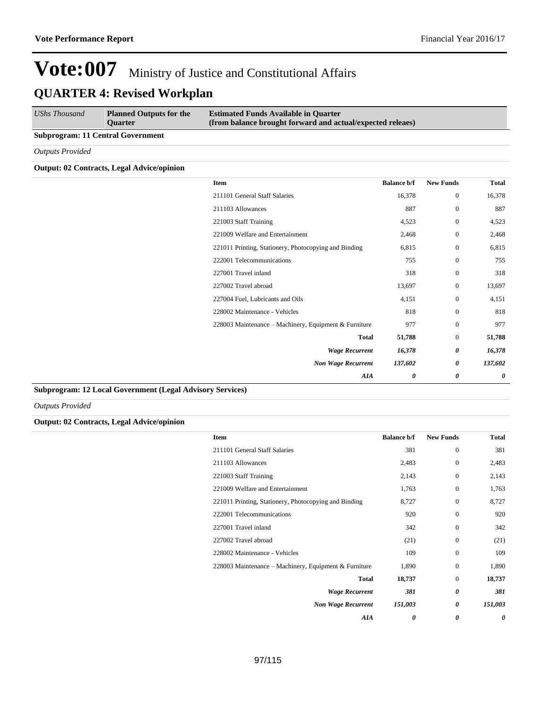| UShs Thousand                            | <b>Planned Outputs for the</b><br><b>Ouarter</b> | <b>Estimated Funds Available in Quarter</b><br>(from balance brought forward and actual/expected releaes) |
|------------------------------------------|--------------------------------------------------|-----------------------------------------------------------------------------------------------------------|
| <b>Subprogram: 11 Central Government</b> |                                                  |                                                                                                           |

*Outputs Provided*

#### **Output: 02 Contracts, Legal Advice/opinion**

| <b>Total</b> | <b>New Funds</b>      | <b>Balance b/f</b> | <b>Item</b>                                           |  |
|--------------|-----------------------|--------------------|-------------------------------------------------------|--|
| 16,378       | $\mathbf{0}$          | 16,378             | 211101 General Staff Salaries                         |  |
| 887          | $\mathbf{0}$          | 887                | 211103 Allowances                                     |  |
| 4,523        | $\mathbf{0}$          | 4,523              | 221003 Staff Training                                 |  |
| 2,468        | $\mathbf{0}$          | 2,468              | 221009 Welfare and Entertainment                      |  |
| 6,815        | $\mathbf{0}$          | 6,815              | 221011 Printing, Stationery, Photocopying and Binding |  |
| 755          | $\boldsymbol{0}$      | 755                | 222001 Telecommunications                             |  |
| 318          | $\boldsymbol{0}$      | 318                | 227001 Travel inland                                  |  |
| 13,697       | $\mathbf{0}$          | 13,697             | 227002 Travel abroad                                  |  |
| 4,151        | $\boldsymbol{0}$      | 4,151              | 227004 Fuel, Lubricants and Oils                      |  |
| 818          | $\mathbf{0}$          | 818                | 228002 Maintenance - Vehicles                         |  |
| 977          | $\mathbf{0}$          | 977                | 228003 Maintenance - Machinery, Equipment & Furniture |  |
| 51,788       | $\boldsymbol{0}$      | 51,788             | <b>Total</b>                                          |  |
| 16,378       | $\boldsymbol{\theta}$ | 16,378             | <b>Wage Recurrent</b>                                 |  |
| 137,602      | 0                     | 137,602            | <b>Non Wage Recurrent</b>                             |  |
| 0            | 0                     | 0                  | AIA                                                   |  |

#### **Subprogram: 12 Local Government (Legal Advisory Services)**

*Outputs Provided*

#### **Output: 02 Contracts, Legal Advice/opinion**

| Item                                                  | <b>Balance b/f</b> | <b>New Funds</b> | <b>Total</b> |
|-------------------------------------------------------|--------------------|------------------|--------------|
| 211101 General Staff Salaries                         | 381                | $\mathbf{0}$     | 381          |
| 211103 Allowances                                     | 2,483              | $\theta$         | 2,483        |
| 221003 Staff Training                                 | 2,143              | $\mathbf{0}$     | 2,143        |
| 221009 Welfare and Entertainment                      | 1,763              | $\mathbf{0}$     | 1,763        |
| 221011 Printing, Stationery, Photocopying and Binding | 8,727              | $\Omega$         | 8,727        |
| 222001 Telecommunications                             | 920                | $\mathbf{0}$     | 920          |
| 227001 Travel inland                                  | 342                | $\Omega$         | 342          |
| 227002 Travel abroad                                  | (21)               | $\theta$         | (21)         |
| 228002 Maintenance - Vehicles                         | 109                | $\Omega$         | 109          |
| 228003 Maintenance – Machinery, Equipment & Furniture | 1,890              | $\mathbf{0}$     | 1,890        |
| <b>Total</b>                                          | 18,737             | $\mathbf{0}$     | 18,737       |
| <b>Wage Recurrent</b>                                 | 381                | 0                | 381          |
| <b>Non Wage Recurrent</b>                             | 151,003            | 0                | 151,003      |
| AIA                                                   | 0                  | 0                | 0            |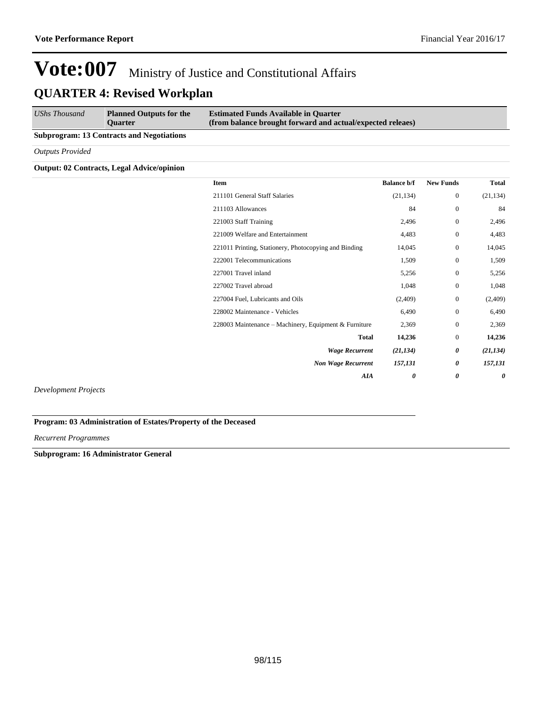| UShs Thousand                                    | <b>Planned Outputs for the</b><br><b>Ouarter</b> | <b>Estimated Funds Available in Quarter</b><br>(from balance brought forward and actual/expected releaes) |  |  |
|--------------------------------------------------|--------------------------------------------------|-----------------------------------------------------------------------------------------------------------|--|--|
| <b>Subprogram: 13 Contracts and Negotiations</b> |                                                  |                                                                                                           |  |  |
| <b>Outputs Provided</b>                          |                                                  |                                                                                                           |  |  |

#### **Output: 02 Contracts, Legal Advice/opinion**

| Item                                                  | <b>Balance b/f</b> | <b>New Funds</b> | <b>Total</b> |
|-------------------------------------------------------|--------------------|------------------|--------------|
| 211101 General Staff Salaries                         | (21, 134)          | $\boldsymbol{0}$ | (21, 134)    |
| 211103 Allowances                                     | 84                 | $\boldsymbol{0}$ | 84           |
| 221003 Staff Training                                 | 2,496              | $\overline{0}$   | 2,496        |
| 221009 Welfare and Entertainment                      | 4,483              | $\mathbf{0}$     | 4,483        |
| 221011 Printing, Stationery, Photocopying and Binding | 14,045             | $\overline{0}$   | 14,045       |
| 222001 Telecommunications                             | 1,509              | $\mathbf{0}$     | 1,509        |
| 227001 Travel inland                                  | 5,256              | $\boldsymbol{0}$ | 5,256        |
| 227002 Travel abroad                                  | 1,048              | $\boldsymbol{0}$ | 1,048        |
| 227004 Fuel, Lubricants and Oils                      | (2,409)            | $\boldsymbol{0}$ | (2,409)      |
| 228002 Maintenance - Vehicles                         | 6,490              | $\mathbf{0}$     | 6,490        |
| 228003 Maintenance – Machinery, Equipment & Furniture | 2,369              | $\mathbf{0}$     | 2,369        |
| <b>Total</b>                                          | 14,236             | $\overline{0}$   | 14,236       |
| <b>Wage Recurrent</b>                                 | (21, 134)          | 0                | (21, 134)    |
| <b>Non Wage Recurrent</b>                             | 157,131            | 0                | 157,131      |
| AIA                                                   | 0                  | 0                | 0            |
|                                                       |                    |                  |              |

*Development Projects*

**Program: 03 Administration of Estates/Property of the Deceased**

*Recurrent Programmes*

**Subprogram: 16 Administrator General**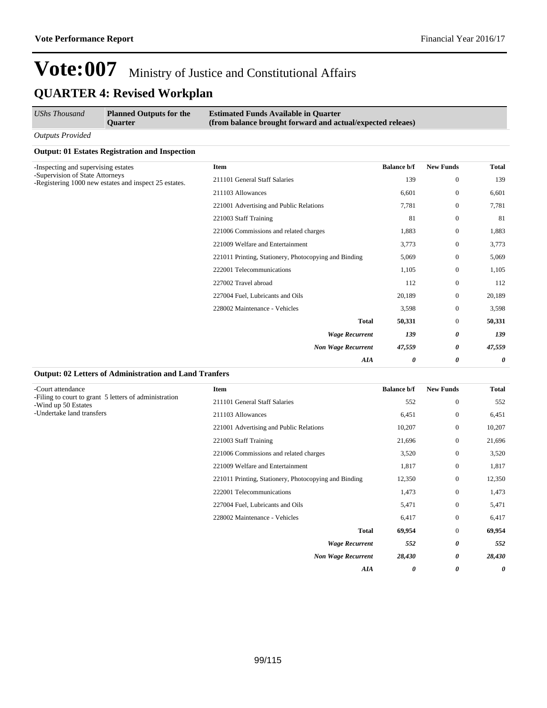| <b>UShs Thousand</b>                | <b>Planned Outputs for the</b><br><b>Ouarter</b>      | <b>Estimated Funds Available in Quarter</b><br>(from balance brought forward and actual/expected releaes) |                  |                |        |
|-------------------------------------|-------------------------------------------------------|-----------------------------------------------------------------------------------------------------------|------------------|----------------|--------|
| <b>Outputs Provided</b>             |                                                       |                                                                                                           |                  |                |        |
|                                     | <b>Output: 01 Estates Registration and Inspection</b> |                                                                                                           |                  |                |        |
| -Inspecting and supervising estates | Item                                                  | <b>Balance b/f</b>                                                                                        | <b>New Funds</b> | <b>Total</b>   |        |
| -Supervision of State Attorneys     | -Registering 1000 new estates and inspect 25 estates. | 211101 General Staff Salaries                                                                             | 139              | $\mathbf{0}$   | 139    |
|                                     | 211103 Allowances                                     | 6,601                                                                                                     | $\overline{0}$   | 6,601          |        |
|                                     | 221001 Advertising and Public Relations               | 7,781                                                                                                     | $\overline{0}$   | 7,781          |        |
|                                     | 221003 Staff Training                                 | 81                                                                                                        | $\Omega$         | 81             |        |
|                                     | 221006 Commissions and related charges                | 1,883                                                                                                     | $\overline{0}$   | 1,883          |        |
|                                     | 221009 Welfare and Entertainment                      | 3,773                                                                                                     | $\mathbf{0}$     | 3,773          |        |
|                                     |                                                       | 221011 Printing, Stationery, Photocopying and Binding                                                     | 5,069            | $\overline{0}$ | 5,069  |
|                                     |                                                       | 222001 Telecommunications                                                                                 | 1,105            | $\theta$       | 1,105  |
|                                     |                                                       | 227002 Travel abroad                                                                                      | 112              | $\Omega$       | 112    |
|                                     |                                                       | 227004 Fuel, Lubricants and Oils                                                                          | 20,189           | $\mathbf{0}$   | 20,189 |
|                                     |                                                       | 228002 Maintenance - Vehicles                                                                             | 3,598            | $\overline{0}$ | 3,598  |
|                                     |                                                       | <b>Total</b>                                                                                              | 50,331           | $\overline{0}$ | 50,331 |
|                                     |                                                       | <b>Wage Recurrent</b>                                                                                     | 139              | 0              | 139    |
|                                     |                                                       | <b>Non Wage Recurrent</b>                                                                                 | 47,559           | 0              | 47,559 |
|                                     |                                                       | <b>AIA</b>                                                                                                | 0                | 0              | 0      |

#### **Output: 02 Letters of Administration and Land Tranfers**

| -Court attendance                                                            | <b>Item</b>                                           | <b>Balance b/f</b> | <b>New Funds</b> | <b>Total</b> |
|------------------------------------------------------------------------------|-------------------------------------------------------|--------------------|------------------|--------------|
| -Filing to court to grant 5 letters of administration<br>-Wind up 50 Estates | 211101 General Staff Salaries                         | 552                | $\mathbf{0}$     | 552          |
| -Undertake land transfers                                                    | 211103 Allowances                                     | 6,451              | $\mathbf{0}$     | 6,451        |
|                                                                              | 221001 Advertising and Public Relations               | 10,207             | $\mathbf{0}$     | 10,207       |
|                                                                              | 221003 Staff Training                                 | 21,696             | $\mathbf{0}$     | 21,696       |
|                                                                              | 221006 Commissions and related charges                | 3,520              | $\mathbf{0}$     | 3,520        |
|                                                                              | 221009 Welfare and Entertainment                      | 1,817              | $\mathbf{0}$     | 1,817        |
|                                                                              | 221011 Printing, Stationery, Photocopying and Binding | 12,350             | $\mathbf{0}$     | 12,350       |
|                                                                              | 222001 Telecommunications                             | 1,473              | $\mathbf{0}$     | 1,473        |
|                                                                              | 227004 Fuel, Lubricants and Oils                      | 5,471              | $\mathbf{0}$     | 5,471        |
|                                                                              | 228002 Maintenance - Vehicles                         | 6,417              | $\mathbf{0}$     | 6,417        |
|                                                                              | <b>Total</b>                                          | 69,954             | $\mathbf{0}$     | 69,954       |
|                                                                              | <b>Wage Recurrent</b>                                 | 552                | 0                | 552          |
|                                                                              | <b>Non Wage Recurrent</b>                             | 28,430             | 0                | 28,430       |
|                                                                              | AIA                                                   | 0                  | 0                | 0            |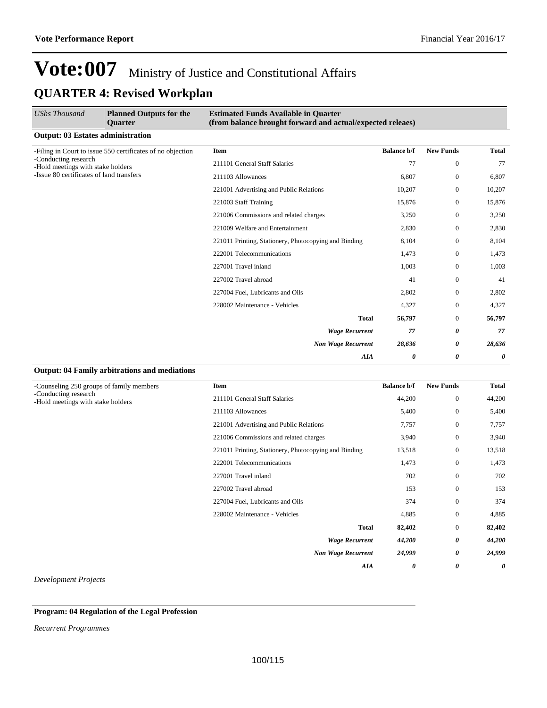| <b>UShs Thousand</b>                                      | <b>Planned Outputs for the</b><br><b>Ouarter</b>           | <b>Estimated Funds Available in Quarter</b><br>(from balance brought forward and actual/expected releaes) |                    |                       |              |
|-----------------------------------------------------------|------------------------------------------------------------|-----------------------------------------------------------------------------------------------------------|--------------------|-----------------------|--------------|
| <b>Output: 03 Estates administration</b>                  |                                                            |                                                                                                           |                    |                       |              |
|                                                           | -Filing in Court to issue 550 certificates of no objection | <b>Item</b>                                                                                               | <b>Balance b/f</b> | <b>New Funds</b>      | <b>Total</b> |
| -Conducting research<br>-Hold meetings with stake holders |                                                            | 211101 General Staff Salaries                                                                             | 77                 | $\mathbf{0}$          | 77           |
| -Issue 80 certificates of land transfers                  | 211103 Allowances                                          | 6,807                                                                                                     | $\mathbf{0}$       | 6,807                 |              |
|                                                           | 221001 Advertising and Public Relations                    | 10,207                                                                                                    | $\mathbf{0}$       | 10,207                |              |
|                                                           |                                                            | 221003 Staff Training                                                                                     | 15,876             | $\mathbf{0}$          | 15,876       |
|                                                           |                                                            | 221006 Commissions and related charges                                                                    | 3,250              | $\mathbf{0}$          | 3,250        |
|                                                           | 221009 Welfare and Entertainment                           | 2,830                                                                                                     | $\mathbf{0}$       | 2,830                 |              |
|                                                           | 221011 Printing, Stationery, Photocopying and Binding      | 8,104                                                                                                     | $\mathbf{0}$       | 8,104                 |              |
|                                                           | 222001 Telecommunications                                  | 1,473                                                                                                     | $\mathbf{0}$       | 1,473                 |              |
|                                                           |                                                            | 227001 Travel inland                                                                                      | 1,003              | $\mathbf{0}$          | 1,003        |
|                                                           |                                                            | 227002 Travel abroad                                                                                      | 41                 | $\Omega$              | 41           |
|                                                           |                                                            | 227004 Fuel, Lubricants and Oils                                                                          | 2,802              | $\mathbf{0}$          | 2,802        |
|                                                           |                                                            | 228002 Maintenance - Vehicles                                                                             | 4,327              | $\mathbf{0}$          | 4,327        |
|                                                           |                                                            | <b>Total</b>                                                                                              | 56,797             | $\Omega$              | 56,797       |
|                                                           |                                                            | <b>Wage Recurrent</b>                                                                                     | 77                 | $\boldsymbol{\theta}$ | 77           |
|                                                           |                                                            | <b>Non Wage Recurrent</b>                                                                                 | 28,636             | 0                     | 28,636       |
|                                                           |                                                            | AIA                                                                                                       | 0                  | 0                     | 0            |
|                                                           | <b>Output: 04 Family arbitrations and mediations</b>       |                                                                                                           |                    |                       |              |
| -Counseling 250 groups of family members                  |                                                            | <b>Item</b>                                                                                               | <b>Balance b/f</b> | <b>New Funds</b>      | <b>Total</b> |

| -Counseling 250 groups of family members<br>-Conducting research<br>-Hold meetings with stake holders | Item                                                  | <b>Balance b/f</b> | <b>New Funds</b> | Total  |
|-------------------------------------------------------------------------------------------------------|-------------------------------------------------------|--------------------|------------------|--------|
|                                                                                                       | 211101 General Staff Salaries                         | 44,200             | $\mathbf{0}$     | 44,200 |
|                                                                                                       | 211103 Allowances                                     | 5,400              | $\mathbf{0}$     | 5,400  |
|                                                                                                       | 221001 Advertising and Public Relations               | 7,757              | $\mathbf{0}$     | 7,757  |
|                                                                                                       | 221006 Commissions and related charges                | 3,940              | $\mathbf{0}$     | 3,940  |
|                                                                                                       | 221011 Printing, Stationery, Photocopying and Binding | 13,518             | $\mathbf{0}$     | 13,518 |
|                                                                                                       | 222001 Telecommunications                             | 1,473              | $\bf{0}$         | 1,473  |
|                                                                                                       | 227001 Travel inland                                  | 702                | $\boldsymbol{0}$ | 702    |
|                                                                                                       | 227002 Travel abroad                                  | 153                | $\boldsymbol{0}$ | 153    |
|                                                                                                       | 227004 Fuel, Lubricants and Oils                      | 374                | $\boldsymbol{0}$ | 374    |
|                                                                                                       | 228002 Maintenance - Vehicles                         | 4,885              | $\mathbf{0}$     | 4,885  |
|                                                                                                       | <b>Total</b>                                          | 82,402             | $\boldsymbol{0}$ | 82,402 |
|                                                                                                       | <b>Wage Recurrent</b>                                 | 44,200             | 0                | 44,200 |
|                                                                                                       | <b>Non Wage Recurrent</b>                             | 24,999             | 0                | 24,999 |
|                                                                                                       | <b>AIA</b>                                            | 0                  | 0                | 0      |

*Development Projects*

#### **Program: 04 Regulation of the Legal Profession**

*Recurrent Programmes*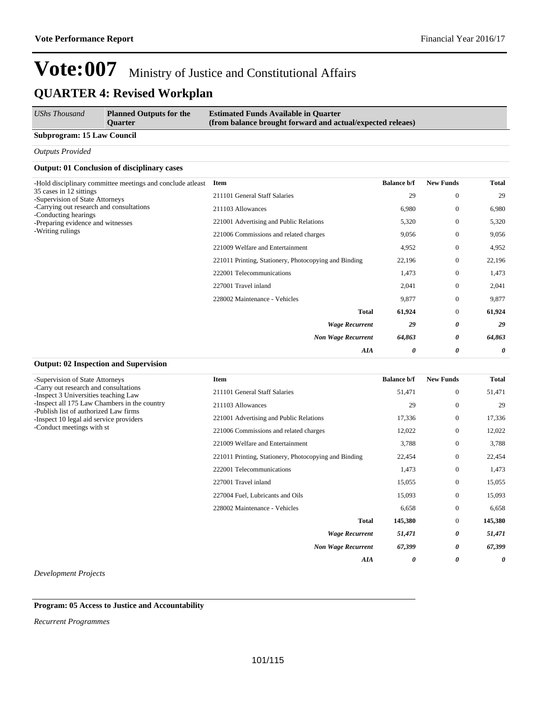| UShs Thousand                     | <b>Planned Outputs for the</b><br><b>Ouarter</b> | <b>Estimated Funds Available in Quarter</b><br>(from balance brought forward and actual/expected releaes) |
|-----------------------------------|--------------------------------------------------|-----------------------------------------------------------------------------------------------------------|
| <b>Subprogram: 15 Law Council</b> |                                                  |                                                                                                           |

*Outputs Provided*

#### **Output: 01 Conclusion of disciplinary cases**

| -Hold disciplinary committee meetings and conclude at least      | Item                                                  | <b>Balance b/f</b> | <b>New Funds</b> | <b>Total</b> |
|------------------------------------------------------------------|-------------------------------------------------------|--------------------|------------------|--------------|
| 35 cases in 12 sittings<br>-Supervision of State Attorneys       | 211101 General Staff Salaries                         | 29                 | $\mathbf{0}$     | 29           |
| -Carrying out research and consultations<br>-Conducting hearings | 211103 Allowances                                     | 6,980              | $\mathbf{0}$     | 6,980        |
| -Preparing evidence and witnesses                                | 221001 Advertising and Public Relations               | 5,320              | $\mathbf{0}$     | 5,320        |
| -Writing rulings                                                 | 221006 Commissions and related charges                | 9,056              | $\mathbf{0}$     | 9,056        |
|                                                                  | 221009 Welfare and Entertainment                      | 4,952              | $\mathbf{0}$     | 4,952        |
|                                                                  | 221011 Printing, Stationery, Photocopying and Binding | 22,196             | $\bf{0}$         | 22,196       |
|                                                                  | 222001 Telecommunications                             | 1,473              | $\mathbf{0}$     | 1,473        |
|                                                                  | 227001 Travel inland                                  | 2,041              | $\mathbf{0}$     | 2,041        |
|                                                                  | 228002 Maintenance - Vehicles                         | 9,877              | $\mathbf{0}$     | 9,877        |
|                                                                  | <b>Total</b>                                          | 61,924             | $\mathbf{0}$     | 61,924       |
|                                                                  | <b>Wage Recurrent</b>                                 | 29                 | 0                | 29           |
|                                                                  | <b>Non Wage Recurrent</b>                             | 64,863             | 0                | 64,863       |
|                                                                  | AIA                                                   | 0                  | 0                | 0            |

#### **Output: 02 Inspection and Supervision**

| -Supervision of State Attorneys<br>-Carry out research and consultations<br>-Inspect 3 Universities teaching Law | Item                                                  | <b>Balance b/f</b> | <b>New Funds</b> | <b>Total</b> |
|------------------------------------------------------------------------------------------------------------------|-------------------------------------------------------|--------------------|------------------|--------------|
|                                                                                                                  | 211101 General Staff Salaries                         | 51,471             | $\mathbf{0}$     | 51,471       |
| -Inspect all 175 Law Chambers in the country<br>-Publish list of authorized Law firms                            | 211103 Allowances                                     | 29                 | $\mathbf{0}$     | 29           |
| -Inspect 10 legal aid service providers                                                                          | 221001 Advertising and Public Relations               | 17,336             | $\mathbf{0}$     | 17,336       |
| -Conduct meetings with st                                                                                        | 221006 Commissions and related charges                | 12,022             | $\mathbf{0}$     | 12,022       |
|                                                                                                                  | 221009 Welfare and Entertainment                      | 3,788              | $\mathbf{0}$     | 3,788        |
|                                                                                                                  | 221011 Printing, Stationery, Photocopying and Binding | 22,454             | $\mathbf{0}$     | 22,454       |
|                                                                                                                  | 222001 Telecommunications                             | 1,473              | $\mathbf{0}$     | 1,473        |
|                                                                                                                  | 227001 Travel inland                                  | 15,055             | $\boldsymbol{0}$ | 15,055       |
|                                                                                                                  | 227004 Fuel, Lubricants and Oils                      | 15,093             | $\mathbf{0}$     | 15,093       |
|                                                                                                                  | 228002 Maintenance - Vehicles                         | 6,658              | $\boldsymbol{0}$ | 6,658        |
|                                                                                                                  | <b>Total</b>                                          | 145,380            | $\boldsymbol{0}$ | 145,380      |
|                                                                                                                  | <b>Wage Recurrent</b>                                 | 51,471             | 0                | 51,471       |
|                                                                                                                  | <b>Non Wage Recurrent</b>                             | 67,399             | 0                | 67,399       |
|                                                                                                                  | <b>AIA</b>                                            | 0                  | 0                | 0            |

*Development Projects*

**Program: 05 Access to Justice and Accountability**

*Recurrent Programmes*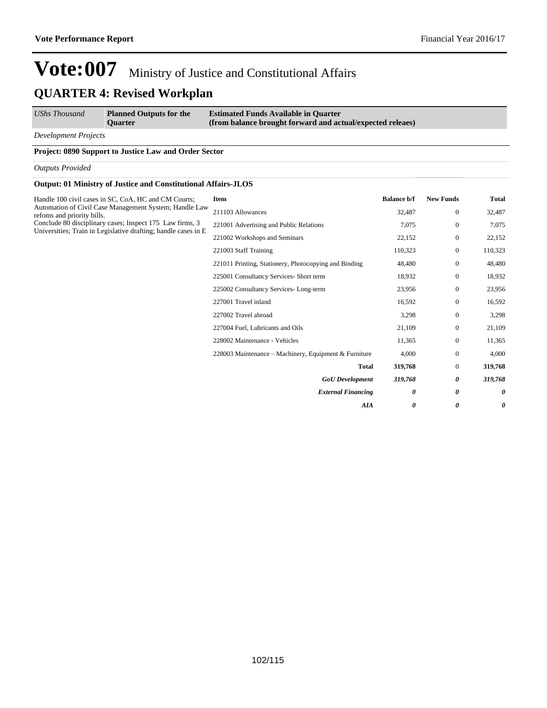*UShs Thousand* **Planned Outputs for the Quarter**

**Estimated Funds Available in Quarter (from balance brought forward and actual/expected releaes)**

*Development Projects*

#### **Project: 0890 Support to Justice Law and Order Sector**

*Outputs Provided*

#### **Output: 01 Ministry of Justice and Constitutional Affairs-JLOS**

| Handle 100 civil cases in SC, CoA, HC and CM Courts;                                                                       | Item                                                  | <b>Balance b/f</b> | <b>New Funds</b> | <b>Total</b>          |
|----------------------------------------------------------------------------------------------------------------------------|-------------------------------------------------------|--------------------|------------------|-----------------------|
| Automation of Civil Case Management System; Handle Law<br>refoms and priority bills.                                       | 211103 Allowances                                     | 32,487             | $\mathbf{0}$     | 32,487                |
| Conclude 80 disciplinary cases; Inspect 175 Law firms, 3<br>Universities; Train in Legislative drafting; handle cases in E | 221001 Advertising and Public Relations               | 7,075              | $\boldsymbol{0}$ | 7,075                 |
|                                                                                                                            | 221002 Workshops and Seminars                         | 22,152             | $\mathbf{0}$     | 22,152                |
|                                                                                                                            | 221003 Staff Training                                 | 110,323            | $\mathbf{0}$     | 110,323               |
|                                                                                                                            | 221011 Printing, Stationery, Photocopying and Binding | 48,480             | $\mathbf{0}$     | 48,480                |
|                                                                                                                            | 225001 Consultancy Services- Short term               | 18,932             | $\mathbf{0}$     | 18,932                |
|                                                                                                                            | 225002 Consultancy Services-Long-term                 | 23,956             | $\mathbf{0}$     | 23,956                |
|                                                                                                                            | 227001 Travel inland                                  | 16,592             | $\mathbf{0}$     | 16,592                |
|                                                                                                                            | 227002 Travel abroad                                  | 3,298              | $\boldsymbol{0}$ | 3,298                 |
|                                                                                                                            | 227004 Fuel, Lubricants and Oils                      | 21,109             | $\mathbf{0}$     | 21,109                |
|                                                                                                                            | 228002 Maintenance - Vehicles                         | 11,365             | $\mathbf{0}$     | 11,365                |
|                                                                                                                            | 228003 Maintenance – Machinery, Equipment & Furniture | 4,000              | $\mathbf{0}$     | 4,000                 |
|                                                                                                                            | <b>Total</b>                                          | 319,768            | $\mathbf{0}$     | 319,768               |
|                                                                                                                            | <b>GoU</b> Development                                | 319,768            | 0                | 319,768               |
|                                                                                                                            | <b>External Financing</b>                             | 0                  | 0                | $\boldsymbol{\theta}$ |
|                                                                                                                            | <b>AIA</b>                                            | 0                  | 0                | $\boldsymbol{\theta}$ |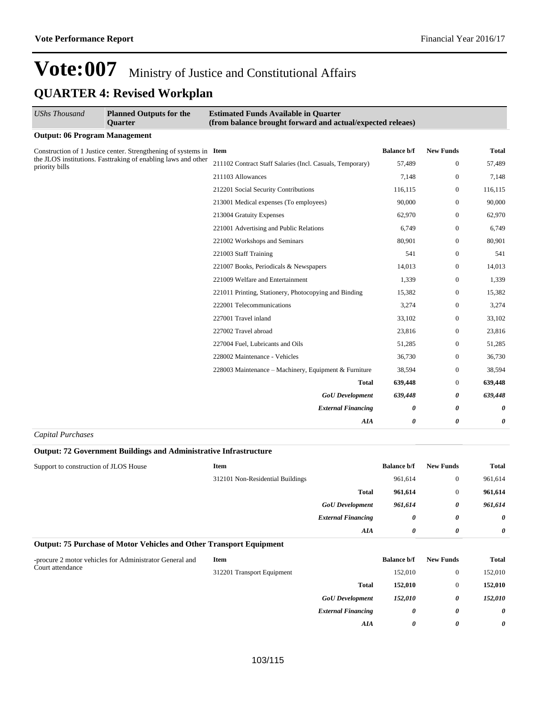| UShs Thousand                        | <b>Planned Outputs for the</b><br><b>Ouarter</b>                   | <b>Estimated Funds Available in Quarter</b><br>(from balance brought forward and actual/expected releaes) |                    |                  |              |
|--------------------------------------|--------------------------------------------------------------------|-----------------------------------------------------------------------------------------------------------|--------------------|------------------|--------------|
| <b>Output: 06 Program Management</b> |                                                                    |                                                                                                           |                    |                  |              |
|                                      | Construction of 1 Justice center. Strengthening of systems in Item |                                                                                                           | <b>Balance b/f</b> | <b>New Funds</b> | <b>Total</b> |
| priority bills                       | the JLOS institutions. Fasttraking of enabling laws and other      | 211102 Contract Staff Salaries (Incl. Casuals, Temporary)                                                 | 57,489             | $\mathbf{0}$     | 57,489       |
|                                      |                                                                    | 211103 Allowances                                                                                         | 7,148              | $\Omega$         | 7,148        |
|                                      |                                                                    | 212201 Social Security Contributions                                                                      | 116,115            | $\mathbf{0}$     | 116,115      |
|                                      |                                                                    | 213001 Medical expenses (To employees)                                                                    | 90,000             | $\mathbf{0}$     | 90,000       |
|                                      |                                                                    | 213004 Gratuity Expenses                                                                                  | 62,970             | $\mathbf{0}$     | 62,970       |
|                                      |                                                                    | 221001 Advertising and Public Relations                                                                   | 6,749              | $\mathbf{0}$     | 6,749        |
|                                      |                                                                    | 221002 Workshops and Seminars                                                                             | 80,901             | $\mathbf{0}$     | 80,901       |
|                                      |                                                                    | 221003 Staff Training                                                                                     | 541                | $\mathbf{0}$     | 541          |
|                                      | 221007 Books, Periodicals & Newspapers                             | 14,013                                                                                                    | 0                  | 14,013           |              |
|                                      |                                                                    | 221009 Welfare and Entertainment                                                                          | 1,339              | $\boldsymbol{0}$ | 1,339        |
|                                      |                                                                    | 221011 Printing, Stationery, Photocopying and Binding                                                     | 15,382             | $\mathbf{0}$     | 15,382       |
|                                      |                                                                    | 222001 Telecommunications                                                                                 | 3,274              | $\overline{0}$   | 3,274        |
|                                      |                                                                    | 227001 Travel inland                                                                                      | 33,102             | 0                | 33,102       |
|                                      |                                                                    | 227002 Travel abroad                                                                                      | 23,816             | $\overline{0}$   | 23,816       |
|                                      |                                                                    | 227004 Fuel, Lubricants and Oils                                                                          | 51,285             | $\boldsymbol{0}$ | 51,285       |
|                                      |                                                                    | 228002 Maintenance - Vehicles                                                                             | 36,730             | $\mathbf{0}$     | 36,730       |
|                                      |                                                                    | 228003 Maintenance – Machinery, Equipment & Furniture                                                     | 38,594             | $\boldsymbol{0}$ | 38,594       |
|                                      |                                                                    | <b>Total</b>                                                                                              | 639,448            | $\mathbf{0}$     | 639,448      |
|                                      | <b>GoU</b> Development                                             | 639,448                                                                                                   | 0                  | 639,448          |              |
|                                      |                                                                    | <b>External Financing</b>                                                                                 | 0                  | 0                | 0            |
|                                      |                                                                    | AIA                                                                                                       | 0                  | 0                | 0            |
| $C$ and tal Domale again             |                                                                    |                                                                                                           |                    |                  |              |

#### *Capital Purchases*

#### **Output: 72 Government Buildings and Administrative Infrastructure**

| Support to construction of JLOS House | <b>Item</b>                      | <b>Balance b/f</b> | <b>New Funds</b> | <b>Total</b>          |
|---------------------------------------|----------------------------------|--------------------|------------------|-----------------------|
|                                       | 312101 Non-Residential Buildings | 961,614            | $\mathbf{0}$     | 961,614               |
|                                       | <b>Total</b>                     | 961,614            | $\overline{0}$   | 961,614               |
|                                       | <b>GoU</b> Development           | 961.614            | 0                | 961,614               |
|                                       | <b>External Financing</b>        |                    | 0<br>0           | $\boldsymbol{\theta}$ |
|                                       |                                  | AIA                | 0<br>0           | $\theta$              |

#### **Output: 75 Purchase of Motor Vehicles and Other Transport Equipment**

| -procure 2 motor vehicles for Administrator General and | Item                       |                           |         |   | <b>Total</b>          |
|---------------------------------------------------------|----------------------------|---------------------------|---------|---|-----------------------|
| Court attendance                                        | 312201 Transport Equipment |                           | 152,010 |   | 152,010               |
|                                                         |                            | <b>Total</b>              | 152,010 |   | 152,010               |
|                                                         |                            | <b>GoU</b> Development    | 152,010 | 0 | 152,010               |
|                                                         |                            | <b>External Financing</b> | 0       | 0 | $\boldsymbol{\theta}$ |
|                                                         |                            | AIA                       | 0       | 0 | $\boldsymbol{\theta}$ |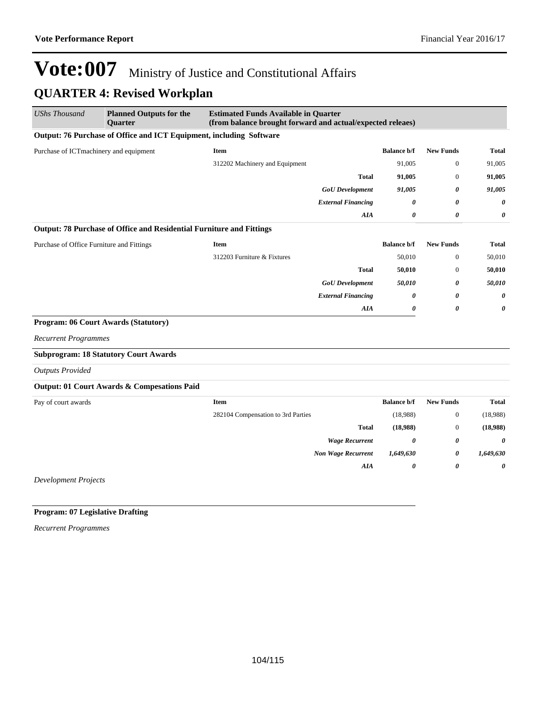| <b>UShs Thousand</b>                      | <b>Planned Outputs for the</b><br>Quarter                            | <b>Estimated Funds Available in Quarter</b><br>(from balance brought forward and actual/expected releaes) |                                 |                    |                       |                       |
|-------------------------------------------|----------------------------------------------------------------------|-----------------------------------------------------------------------------------------------------------|---------------------------------|--------------------|-----------------------|-----------------------|
|                                           | Output: 76 Purchase of Office and ICT Equipment, including Software  |                                                                                                           |                                 |                    |                       |                       |
| Purchase of ICTmachinery and equipment    |                                                                      | <b>Item</b>                                                                                               |                                 | <b>Balance b/f</b> | <b>New Funds</b>      | <b>Total</b>          |
|                                           |                                                                      | 312202 Machinery and Equipment                                                                            |                                 | 91,005             | $\mathbf{0}$          | 91,005                |
|                                           |                                                                      |                                                                                                           | <b>Total</b>                    | 91,005             | $\mathbf{0}$          | 91,005                |
|                                           |                                                                      |                                                                                                           | <b>GoU</b> Development          | 91,005             | $\boldsymbol{\theta}$ | 91,005                |
|                                           |                                                                      |                                                                                                           | <b>External Financing</b>       | 0                  | 0                     | $\boldsymbol{\theta}$ |
|                                           |                                                                      |                                                                                                           | AIA                             | 0                  | 0                     | 0                     |
|                                           | Output: 78 Purchase of Office and Residential Furniture and Fittings |                                                                                                           |                                 |                    |                       |                       |
| Purchase of Office Furniture and Fittings |                                                                      | <b>Item</b>                                                                                               |                                 | <b>Balance b/f</b> | <b>New Funds</b>      | <b>Total</b>          |
|                                           |                                                                      | 312203 Furniture & Fixtures                                                                               |                                 | 50,010             | $\boldsymbol{0}$      | 50,010                |
|                                           |                                                                      |                                                                                                           | <b>Total</b>                    | 50,010             | $\mathbf{0}$          | 50,010                |
|                                           |                                                                      |                                                                                                           | <b>GoU</b> Development          | 50,010             | $\boldsymbol{\theta}$ | 50,010                |
|                                           |                                                                      |                                                                                                           | <b>External Financing</b>       | 0                  | 0                     | 0                     |
|                                           |                                                                      |                                                                                                           | ${\pmb{A}} {\pmb{I}} {\pmb{A}}$ | 0                  | $\theta$              | $\boldsymbol{\theta}$ |
| Program: 06 Court Awards (Statutory)      |                                                                      |                                                                                                           |                                 |                    |                       |                       |
| <b>Recurrent Programmes</b>               |                                                                      |                                                                                                           |                                 |                    |                       |                       |
|                                           | <b>Subprogram: 18 Statutory Court Awards</b>                         |                                                                                                           |                                 |                    |                       |                       |
| <b>Outputs Provided</b>                   |                                                                      |                                                                                                           |                                 |                    |                       |                       |
|                                           | Output: 01 Court Awards & Compesations Paid                          |                                                                                                           |                                 |                    |                       |                       |
| Pay of court awards                       |                                                                      | <b>Item</b>                                                                                               |                                 | <b>Balance b/f</b> | <b>New Funds</b>      | <b>Total</b>          |
|                                           |                                                                      | 282104 Compensation to 3rd Parties                                                                        |                                 | (18,988)           | $\boldsymbol{0}$      | (18,988)              |
|                                           |                                                                      |                                                                                                           | <b>Total</b>                    | (18,988)           | $\mathbf{0}$          | (18,988)              |
|                                           |                                                                      |                                                                                                           | <b>Wage Recurrent</b>           | 0                  | 0                     | $\boldsymbol{\theta}$ |
|                                           |                                                                      |                                                                                                           | <b>Non Wage Recurrent</b>       | 1,649,630          | $\boldsymbol{\theta}$ | 1,649,630             |
|                                           |                                                                      |                                                                                                           | AIA                             | 0                  | $\boldsymbol{\theta}$ | $\boldsymbol{\theta}$ |
| <b>Development Projects</b>               |                                                                      |                                                                                                           |                                 |                    |                       |                       |

#### **Program: 07 Legislative Drafting**

*Recurrent Programmes*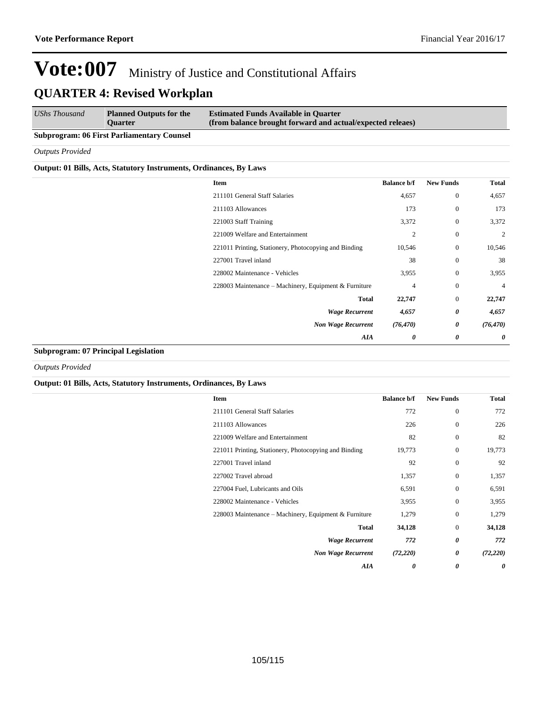| <b>UShs Thousand</b> | <b>Planned Outputs for the</b><br><b>Ouarter</b> | <b>Estimated Funds Available in Quarter</b><br>(from balance brought forward and actual/expected releaes) |
|----------------------|--------------------------------------------------|-----------------------------------------------------------------------------------------------------------|
| ____                 |                                                  |                                                                                                           |

#### **Subprogram: 06 First Parliamentary Counsel**

*Outputs Provided*

#### **Output: 01 Bills, Acts, Statutory Instruments, Ordinances, By Laws**

| Item                                                  | <b>Balance b/f</b> | <b>New Funds</b> | <b>Total</b> |
|-------------------------------------------------------|--------------------|------------------|--------------|
| 211101 General Staff Salaries                         | 4,657              | $\boldsymbol{0}$ | 4,657        |
| 211103 Allowances                                     | 173                | $\boldsymbol{0}$ | 173          |
| 221003 Staff Training                                 | 3,372              | $\bf{0}$         | 3,372        |
| 221009 Welfare and Entertainment                      | $\overline{2}$     | $\boldsymbol{0}$ | 2            |
| 221011 Printing, Stationery, Photocopying and Binding | 10,546             | $\boldsymbol{0}$ | 10,546       |
| 227001 Travel inland                                  | 38                 | $\bf{0}$         | 38           |
| 228002 Maintenance - Vehicles                         | 3,955              | $\boldsymbol{0}$ | 3,955        |
| 228003 Maintenance – Machinery, Equipment & Furniture | 4                  | $\boldsymbol{0}$ | 4            |
| <b>Total</b>                                          | 22,747             | $\boldsymbol{0}$ | 22,747       |
| <b>Wage Recurrent</b>                                 | 4,657              | 0                | 4,657        |
| <b>Non Wage Recurrent</b>                             | (76, 470)          | 0                | (76, 470)    |
| AIA                                                   | 0                  | 0                | 0            |

#### **Subprogram: 07 Principal Legislation**

*Outputs Provided*

#### **Output: 01 Bills, Acts, Statutory Instruments, Ordinances, By Laws**

| Item                                                  | <b>Balance b/f</b> | <b>New Funds</b> | Total     |
|-------------------------------------------------------|--------------------|------------------|-----------|
| 211101 General Staff Salaries                         | 772                | $\mathbf{0}$     | 772       |
| 211103 Allowances                                     | 226                | $\mathbf{0}$     | 226       |
| 221009 Welfare and Entertainment                      | 82                 | $\mathbf{0}$     | 82        |
| 221011 Printing, Stationery, Photocopying and Binding | 19,773             | $\mathbf{0}$     | 19,773    |
| 227001 Travel inland                                  | 92                 | $\mathbf{0}$     | 92        |
| 227002 Travel abroad                                  | 1,357              | $\mathbf{0}$     | 1,357     |
| 227004 Fuel, Lubricants and Oils                      | 6,591              | $\mathbf{0}$     | 6,591     |
| 228002 Maintenance - Vehicles                         | 3,955              | $\mathbf{0}$     | 3,955     |
| 228003 Maintenance – Machinery, Equipment & Furniture | 1,279              | $\mathbf{0}$     | 1,279     |
| <b>Total</b>                                          | 34,128             | $\mathbf{0}$     | 34,128    |
| <b>Wage Recurrent</b>                                 | 772                | 0                | 772       |
| <b>Non Wage Recurrent</b>                             | (72, 220)          | 0                | (72, 220) |
| AIA                                                   | 0                  | 0                | 0         |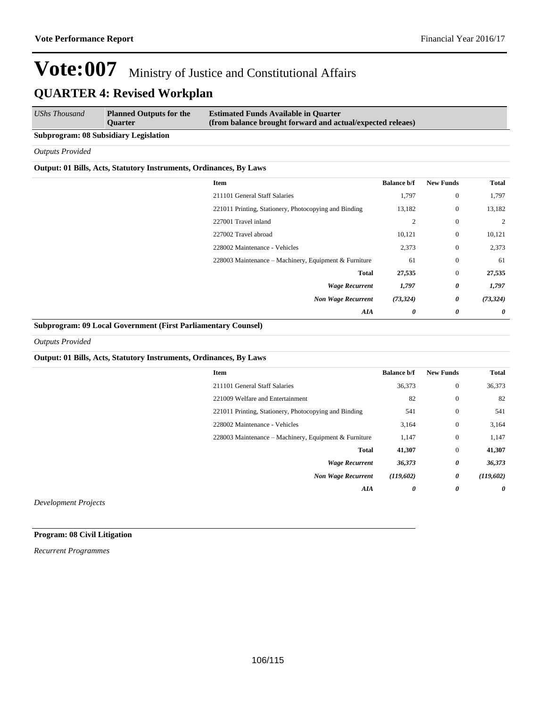| <b>UShs Thousand</b><br><b>Estimated Funds Available in Quarter</b><br><b>Planned Outputs for the</b><br>(from balance brought forward and actual/expected releaes)<br><b>Ouarter</b> |  |  |  |
|---------------------------------------------------------------------------------------------------------------------------------------------------------------------------------------|--|--|--|
|---------------------------------------------------------------------------------------------------------------------------------------------------------------------------------------|--|--|--|

#### **Subprogram: 08 Subsidiary Legislation**

*Outputs Provided*

#### **Output: 01 Bills, Acts, Statutory Instruments, Ordinances, By Laws**

| Item                                                  | <b>Balance b/f</b>    | <b>New Funds</b> | <b>Total</b> |
|-------------------------------------------------------|-----------------------|------------------|--------------|
| 211101 General Staff Salaries                         | 1,797                 | $\mathbf{0}$     | 1,797        |
| 221011 Printing, Stationery, Photocopying and Binding | 13,182                | $\boldsymbol{0}$ | 13,182       |
| 227001 Travel inland                                  | 2                     | $\mathbf{0}$     | 2            |
| 227002 Travel abroad                                  | 10,121                | $\mathbf{0}$     | 10,121       |
| 228002 Maintenance - Vehicles                         | 2,373                 | $\mathbf{0}$     | 2,373        |
| 228003 Maintenance – Machinery, Equipment & Furniture | 61                    | $\mathbf{0}$     | 61           |
| <b>Total</b>                                          | 27,535                | $\mathbf{0}$     | 27,535       |
| <b>Wage Recurrent</b>                                 | 1,797                 | 0                | 1,797        |
| <b>Non Wage Recurrent</b>                             | (73, 324)             | 0                | (73, 324)    |
| AIA                                                   | $\boldsymbol{\theta}$ | 0                | $\theta$     |

#### **Subprogram: 09 Local Government (First Parliamentary Counsel)**

*Outputs Provided*

#### **Output: 01 Bills, Acts, Statutory Instruments, Ordinances, By Laws**

| Item                                                  | <b>Balance b/f</b> | <b>New Funds</b> | <b>Total</b> |
|-------------------------------------------------------|--------------------|------------------|--------------|
| 211101 General Staff Salaries                         | 36,373             | $\mathbf{0}$     | 36,373       |
| 221009 Welfare and Entertainment                      | 82                 | $\boldsymbol{0}$ | 82           |
| 221011 Printing, Stationery, Photocopying and Binding | 541                | $\mathbf{0}$     | 541          |
| 228002 Maintenance - Vehicles                         | 3,164              | $\mathbf{0}$     | 3,164        |
| 228003 Maintenance - Machinery, Equipment & Furniture | 1,147              | $\mathbf{0}$     | 1,147        |
| <b>Total</b>                                          | 41,307             | $\mathbf{0}$     | 41,307       |
| <b>Wage Recurrent</b>                                 | 36,373             | 0                | 36,373       |
| <b>Non Wage Recurrent</b>                             | (119,602)          | 0                | (119,602)    |
| AIA                                                   | 0                  | 0                | $\theta$     |
|                                                       |                    |                  |              |

*Development Projects*

**Program: 08 Civil Litigation**

*Recurrent Programmes*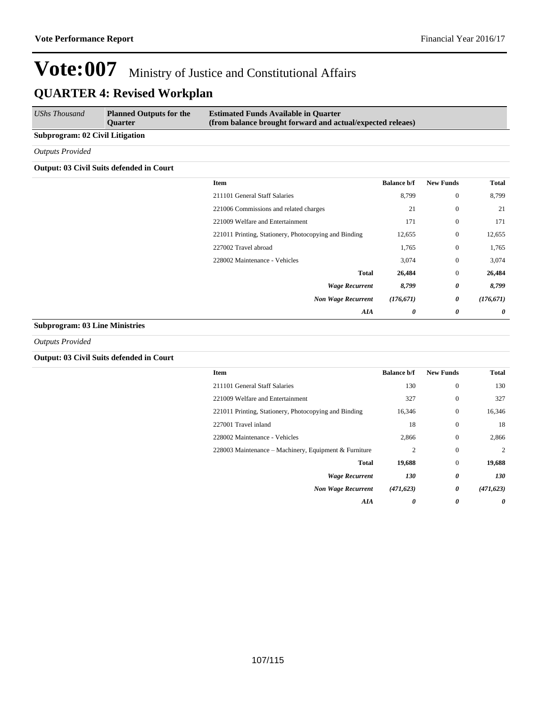| UShs Thousand                   | <b>Planned Outputs for the</b><br><b>Ouarter</b> | <b>Estimated Funds Available in Quarter</b><br>(from balance brought forward and actual/expected releaes) |
|---------------------------------|--------------------------------------------------|-----------------------------------------------------------------------------------------------------------|
| Subprogram: 02 Civil Litigation |                                                  |                                                                                                           |
| Outputs Provided                |                                                  |                                                                                                           |

#### **Output: 03 Civil Suits defended in Court**

| Item                                                  | <b>Balance b/f</b> | <b>New Funds</b> | <b>Total</b>          |
|-------------------------------------------------------|--------------------|------------------|-----------------------|
| 211101 General Staff Salaries                         | 8,799              | $\boldsymbol{0}$ | 8,799                 |
| 221006 Commissions and related charges                | 21                 | $\boldsymbol{0}$ | 21                    |
| 221009 Welfare and Entertainment                      | 171                | $\boldsymbol{0}$ | 171                   |
| 221011 Printing, Stationery, Photocopying and Binding | 12,655             | $\boldsymbol{0}$ | 12,655                |
| 227002 Travel abroad                                  | 1,765              | $\boldsymbol{0}$ | 1,765                 |
| 228002 Maintenance - Vehicles                         | 3,074              | $\boldsymbol{0}$ | 3,074                 |
| <b>Total</b>                                          | 26,484             | $\boldsymbol{0}$ | 26,484                |
| <b>Wage Recurrent</b>                                 | 8,799              | 0                | 8,799                 |
| <b>Non Wage Recurrent</b>                             | (176, 671)         | 0                | (176, 671)            |
| AIA                                                   | 0                  | 0                | $\boldsymbol{\theta}$ |
|                                                       |                    |                  |                       |

#### **Subprogram: 03 Line Ministries**

*Outputs Provided*

#### **Output: 03 Civil Suits defended in Court**

| Item                                                  | <b>Balance b/f</b> | <b>New Funds</b> | Total      |
|-------------------------------------------------------|--------------------|------------------|------------|
| 211101 General Staff Salaries                         | 130                | $\mathbf{0}$     | 130        |
| 221009 Welfare and Entertainment                      | 327                | $\mathbf{0}$     | 327        |
| 221011 Printing, Stationery, Photocopying and Binding | 16,346             | $\mathbf{0}$     | 16,346     |
| 227001 Travel inland                                  | 18                 | $\mathbf{0}$     | 18         |
| 228002 Maintenance - Vehicles                         | 2,866              | $\Omega$         | 2,866      |
| 228003 Maintenance – Machinery, Equipment & Furniture | 2                  | $\mathbf{0}$     | 2          |
| <b>Total</b>                                          | 19,688             | $\mathbf{0}$     | 19,688     |
| <b>Wage Recurrent</b>                                 | 130                | 0                | 130        |
| <b>Non Wage Recurrent</b>                             | (471, 623)         | 0                | (471, 623) |
| AIA                                                   | 0                  | 0                | 0          |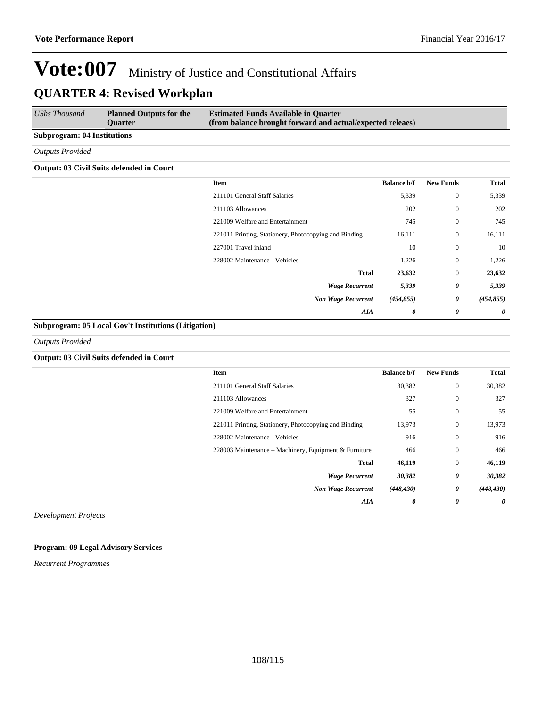| UShs Thousand                      | <b>Planned Outputs for the</b><br><b>Ouarter</b> | <b>Estimated Funds Available in Quarter</b><br>(from balance brought forward and actual/expected releaes) |  |  |
|------------------------------------|--------------------------------------------------|-----------------------------------------------------------------------------------------------------------|--|--|
| <b>Subprogram: 04 Institutions</b> |                                                  |                                                                                                           |  |  |
| <b>Outputs Provided</b>            |                                                  |                                                                                                           |  |  |

#### **Output: 03 Civil Suits defended in Court**

| Item                                                  | <b>Balance b/f</b> | <b>New Funds</b> | Total      |
|-------------------------------------------------------|--------------------|------------------|------------|
| 211101 General Staff Salaries                         | 5,339              | $\mathbf{0}$     | 5,339      |
| 211103 Allowances                                     | 202                | $\mathbf{0}$     | 202        |
| 221009 Welfare and Entertainment                      | 745                | $\mathbf{0}$     | 745        |
| 221011 Printing, Stationery, Photocopying and Binding | 16,111             | $\mathbf{0}$     | 16,111     |
| 227001 Travel inland                                  | 10                 | $\mathbf{0}$     | 10         |
| 228002 Maintenance - Vehicles                         | 1,226              | $\mathbf{0}$     | 1,226      |
| <b>Total</b>                                          | 23,632             | $\mathbf{0}$     | 23,632     |
| <b>Wage Recurrent</b>                                 | 5,339              | 0                | 5,339      |
| <b>Non Wage Recurrent</b>                             | (454, 855)         | 0                | (454, 855) |
| AIA                                                   | 0                  | 0                | 0          |

#### **Subprogram: 05 Local Gov't Institutions (Litigation)**

*Outputs Provided*

#### **Output: 03 Civil Suits defended in Court**

|               | Item                                                  | <b>Balance b/f</b> | <b>New Funds</b>      | Total                 |
|---------------|-------------------------------------------------------|--------------------|-----------------------|-----------------------|
|               | 211101 General Staff Salaries                         | 30,382             | $\mathbf{0}$          | 30,382                |
|               | 211103 Allowances                                     | 327                | $\mathbf{0}$          | 327                   |
|               | 221009 Welfare and Entertainment                      | 55                 | $\mathbf{0}$          | 55                    |
|               | 221011 Printing, Stationery, Photocopying and Binding | 13,973             | $\boldsymbol{0}$      | 13,973                |
|               | 228002 Maintenance - Vehicles                         | 916                | $\theta$              | 916                   |
|               | 228003 Maintenance – Machinery, Equipment & Furniture | 466                | $\mathbf{0}$          | 466                   |
|               | <b>Total</b>                                          | 46,119             | $\mathbf{0}$          | 46,119                |
|               | <b>Wage Recurrent</b>                                 | 30,382             | 0                     | 30,382                |
|               | <b>Non Wage Recurrent</b>                             | (448, 430)         | 0                     | (448, 430)            |
|               | AIA                                                   | 0                  | $\boldsymbol{\theta}$ | $\boldsymbol{\theta}$ |
| $\sim$ $\sim$ |                                                       |                    |                       |                       |

*Development Projects*

#### **Program: 09 Legal Advisory Services**

*Recurrent Programmes*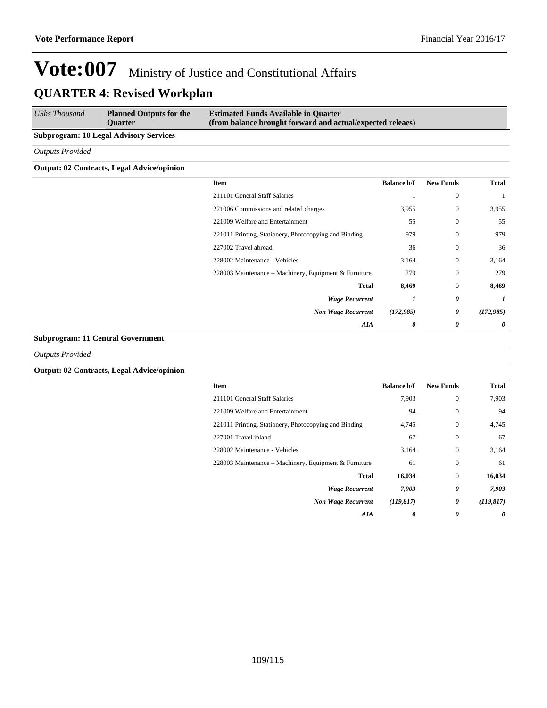| UShs Thousand                                 | <b>Planned Outputs for the</b><br><b>Ouarter</b> | <b>Estimated Funds Available in Quarter</b><br>(from balance brought forward and actual/expected releaes) |
|-----------------------------------------------|--------------------------------------------------|-----------------------------------------------------------------------------------------------------------|
| <b>Subprogram: 10 Legal Advisory Services</b> |                                                  |                                                                                                           |

*Outputs Provided*

## **Output: 02 Contracts, Legal Advice/opinion**

| Item                                                  | <b>Balance b/f</b> | <b>New Funds</b> | <b>Total</b> |
|-------------------------------------------------------|--------------------|------------------|--------------|
| 211101 General Staff Salaries                         |                    | $\theta$         |              |
| 221006 Commissions and related charges                | 3,955              | $\theta$         | 3,955        |
| 221009 Welfare and Entertainment                      | 55                 | $\theta$         | 55           |
| 221011 Printing, Stationery, Photocopying and Binding | 979                | $\mathbf{0}$     | 979          |
| 227002 Travel abroad                                  | 36                 | $\theta$         | 36           |
| 228002 Maintenance - Vehicles                         | 3,164              | $\mathbf{0}$     | 3,164        |
| 228003 Maintenance – Machinery, Equipment & Furniture | 279                | $\theta$         | 279          |
| <b>Total</b>                                          | 8,469              | $\mathbf{0}$     | 8,469        |
| <b>Wage Recurrent</b>                                 | 1                  | 0                | 1            |
| <b>Non Wage Recurrent</b>                             | (172, 985)         | 0                | (172, 985)   |
| AIA                                                   | 0                  | 0                | 0            |
|                                                       |                    |                  |              |

### **Subprogram: 11 Central Government**

*Outputs Provided*

## **Output: 02 Contracts, Legal Advice/opinion**

| <b>Item</b>                                           | <b>Balance b/f</b> | <b>New Funds</b> | <b>Total</b> |
|-------------------------------------------------------|--------------------|------------------|--------------|
| 211101 General Staff Salaries                         | 7,903              | $\mathbf{0}$     | 7,903        |
| 221009 Welfare and Entertainment                      | 94                 | $\Omega$         | 94           |
| 221011 Printing, Stationery, Photocopying and Binding | 4,745              | $\mathbf{0}$     | 4,745        |
| 227001 Travel inland                                  | 67                 | $\mathbf{0}$     | 67           |
| 228002 Maintenance - Vehicles                         | 3,164              | $\mathbf{0}$     | 3.164        |
| 228003 Maintenance – Machinery, Equipment & Furniture | 61                 | $\mathbf{0}$     | 61           |
| <b>Total</b>                                          | 16,034             | $\mathbf{0}$     | 16,034       |
| <b>Wage Recurrent</b>                                 | 7,903              | 0                | 7,903        |
| <b>Non Wage Recurrent</b>                             | (119, 817)         | 0                | (119, 817)   |
| AIA                                                   | 0                  | 0                | 0            |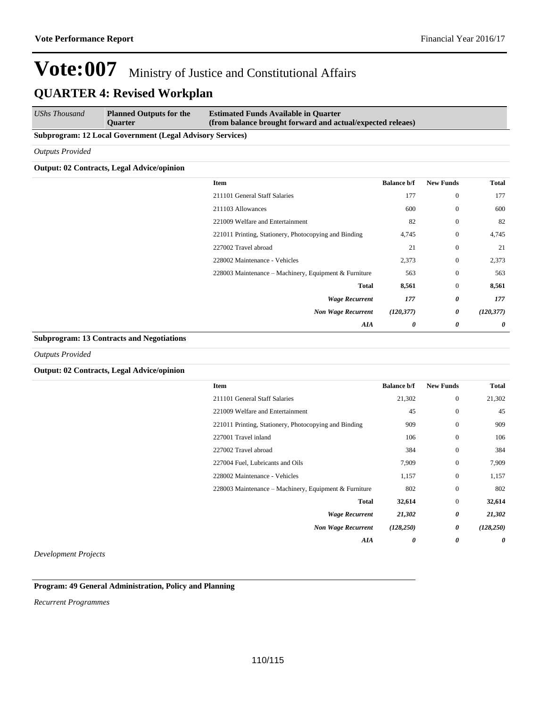*UShs Thousand* **Planned Outputs for the Quarter Estimated Funds Available in Quarter (from balance brought forward and actual/expected releaes)**

### **Subprogram: 12 Local Government (Legal Advisory Services)**

*Outputs Provided*

## **Output: 02 Contracts, Legal Advice/opinion**

| <b>Total</b>               | <b>New Funds</b> | <b>Balance b/f</b> | Item                                                  |
|----------------------------|------------------|--------------------|-------------------------------------------------------|
| 177<br>$\overline{0}$      |                  | 177                | 211101 General Staff Salaries                         |
| $\boldsymbol{0}$<br>600    |                  | 600                | 211103 Allowances                                     |
| $\boldsymbol{0}$<br>82     |                  | 82                 | 221009 Welfare and Entertainment                      |
| $\boldsymbol{0}$<br>4,745  |                  | 4,745              | 221011 Printing, Stationery, Photocopying and Binding |
| $\boldsymbol{0}$<br>21     |                  | 21                 | 227002 Travel abroad                                  |
| $\boldsymbol{0}$<br>2,373  |                  | 2,373              | 228002 Maintenance - Vehicles                         |
| $\boldsymbol{0}$<br>563    |                  | 563                | 228003 Maintenance - Machinery, Equipment & Furniture |
| 8,561<br>$\mathbf{0}$      |                  | 8,561              | <b>Total</b>                                          |
| 0<br>177                   |                  | 177                | <b>Wage Recurrent</b>                                 |
| 0<br>(120, 377)            |                  | (120, 377)         | <b>Non Wage Recurrent</b>                             |
| $\boldsymbol{\theta}$<br>0 |                  | 0                  | AIA                                                   |

### **Subprogram: 13 Contracts and Negotiations**

*Outputs Provided*

### **Output: 02 Contracts, Legal Advice/opinion**

| Item                                                  | <b>Balance b/f</b> | <b>New Funds</b> | Total      |
|-------------------------------------------------------|--------------------|------------------|------------|
| 211101 General Staff Salaries                         | 21,302             | $\mathbf{0}$     | 21,302     |
| 221009 Welfare and Entertainment                      | 45                 | $\mathbf{0}$     | 45         |
| 221011 Printing, Stationery, Photocopying and Binding | 909                | $\mathbf{0}$     | 909        |
| 227001 Travel inland                                  | 106                | $\mathbf{0}$     | 106        |
| 227002 Travel abroad                                  | 384                | $\mathbf{0}$     | 384        |
| 227004 Fuel, Lubricants and Oils                      | 7,909              | $\mathbf{0}$     | 7,909      |
| 228002 Maintenance - Vehicles                         | 1,157              | $\mathbf{0}$     | 1,157      |
| 228003 Maintenance - Machinery, Equipment & Furniture | 802                | $\mathbf{0}$     | 802        |
| Total                                                 | 32,614             | $\mathbf{0}$     | 32,614     |
| <b>Wage Recurrent</b>                                 | 21,302             | 0                | 21,302     |
| <b>Non Wage Recurrent</b>                             | (128, 250)         | 0                | (128, 250) |
| AIA                                                   | 0                  | 0                | 0          |

*Development Projects*

## **Program: 49 General Administration, Policy and Planning**

*Recurrent Programmes*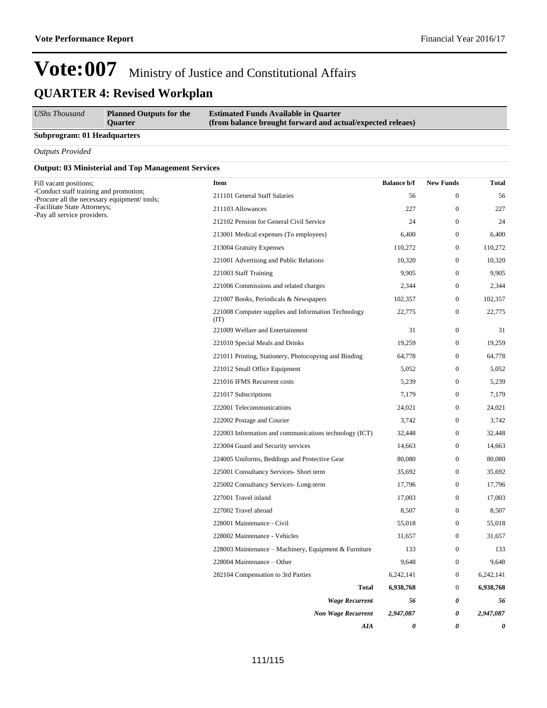| UShs Thousand | <b>Planned Outputs for the</b><br><b>Ouarter</b> | <b>Estimated Funds Available in Quarter</b><br>(from balance brought forward and actual/expected releaes) |
|---------------|--------------------------------------------------|-----------------------------------------------------------------------------------------------------------|
| _____         |                                                  |                                                                                                           |

## **Subprogram: 01 Headquarters**

*Outputs Provided*

## **Output: 03 Ministerial and Top Management Services**

| Fill vacant positions;                                                                | <b>Item</b>                                                 | <b>Balance b/f</b> | <b>New Funds</b> | <b>Total</b> |
|---------------------------------------------------------------------------------------|-------------------------------------------------------------|--------------------|------------------|--------------|
| -Conduct staff training and promotion;<br>-Procure all the necessary equipment/tools; | 211101 General Staff Salaries                               | 56                 | $\boldsymbol{0}$ | 56           |
| -Facilitate State Attorneys;                                                          | 211103 Allowances                                           | 227                | $\overline{0}$   | 227          |
| -Pay all service providers.                                                           | 212102 Pension for General Civil Service                    | 24                 | $\boldsymbol{0}$ | 24           |
|                                                                                       | 213001 Medical expenses (To employees)                      | 6,400              | $\overline{0}$   | 6,400        |
|                                                                                       | 213004 Gratuity Expenses                                    | 110,272            | $\boldsymbol{0}$ | 110,272      |
|                                                                                       | 221001 Advertising and Public Relations                     | 10,320             | $\boldsymbol{0}$ | 10,320       |
|                                                                                       | 221003 Staff Training                                       | 9,905              | $\boldsymbol{0}$ | 9,905        |
|                                                                                       | 221006 Commissions and related charges                      | 2,344              | $\boldsymbol{0}$ | 2,344        |
|                                                                                       | 221007 Books, Periodicals & Newspapers                      | 102,357            | $\boldsymbol{0}$ | 102,357      |
|                                                                                       | 221008 Computer supplies and Information Technology<br>(TT) | 22,775             | $\boldsymbol{0}$ | 22,775       |
|                                                                                       | 221009 Welfare and Entertainment                            | 31                 | $\boldsymbol{0}$ | 31           |
|                                                                                       | 221010 Special Meals and Drinks                             | 19,259             | $\mathbf{0}$     | 19,259       |
|                                                                                       | 221011 Printing, Stationery, Photocopying and Binding       | 64,778             | $\mathbf{0}$     | 64,778       |
|                                                                                       | 221012 Small Office Equipment                               | 5,052              | $\boldsymbol{0}$ | 5,052        |
|                                                                                       | 221016 IFMS Recurrent costs                                 | 5,239              | $\boldsymbol{0}$ | 5,239        |
|                                                                                       | 221017 Subscriptions                                        | 7,179              | $\boldsymbol{0}$ | 7,179        |
|                                                                                       | 222001 Telecommunications                                   | 24,021             | $\boldsymbol{0}$ | 24,021       |
|                                                                                       | 222002 Postage and Courier                                  | 3,742              | $\boldsymbol{0}$ | 3,742        |
|                                                                                       | 222003 Information and communications technology (ICT)      | 32,448             | $\boldsymbol{0}$ | 32,448       |
|                                                                                       | 223004 Guard and Security services                          | 14,663             | $\boldsymbol{0}$ | 14,663       |
|                                                                                       | 224005 Uniforms, Beddings and Protective Gear               | 80,080             | $\mathbf{0}$     | 80,080       |
|                                                                                       | 225001 Consultancy Services- Short term                     | 35,692             | $\boldsymbol{0}$ | 35,692       |
|                                                                                       | 225002 Consultancy Services-Long-term                       | 17,796             | $\mathbf{0}$     | 17,796       |
|                                                                                       | 227001 Travel inland                                        | 17,003             | $\boldsymbol{0}$ | 17,003       |
|                                                                                       | 227002 Travel abroad                                        | 8,507              | $\boldsymbol{0}$ | 8,507        |
|                                                                                       | 228001 Maintenance - Civil                                  | 55,018             | $\boldsymbol{0}$ | 55,018       |
|                                                                                       | 228002 Maintenance - Vehicles                               | 31,657             | $\boldsymbol{0}$ | 31,657       |
|                                                                                       | 228003 Maintenance – Machinery, Equipment & Furniture       | 133                | $\boldsymbol{0}$ | 133          |
|                                                                                       | 228004 Maintenance – Other                                  | 9,648              | $\boldsymbol{0}$ | 9,648        |
|                                                                                       | 282104 Compensation to 3rd Parties                          | 6,242,141          | $\mathbf{0}$     | 6,242,141    |
|                                                                                       | <b>Total</b>                                                | 6,938,768          | $\boldsymbol{0}$ | 6,938,768    |
|                                                                                       | <b>Wage Recurrent</b>                                       | 56                 | 0                | 56           |
|                                                                                       | <b>Non Wage Recurrent</b>                                   | 2,947,087          | 0                | 2,947,087    |
|                                                                                       | AIA                                                         | 0                  | 0                | 0            |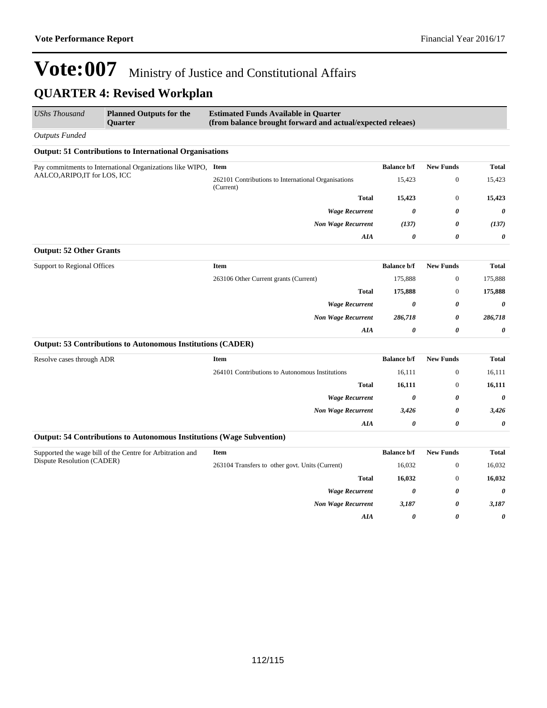| <b>UShs Thousand</b>           | <b>Planned Outputs for the</b><br><b>Ouarter</b>                      | <b>Estimated Funds Available in Quarter</b><br>(from balance brought forward and actual/expected releaes) |                       |                       |                       |
|--------------------------------|-----------------------------------------------------------------------|-----------------------------------------------------------------------------------------------------------|-----------------------|-----------------------|-----------------------|
| <b>Outputs Funded</b>          |                                                                       |                                                                                                           |                       |                       |                       |
|                                | <b>Output: 51 Contributions to International Organisations</b>        |                                                                                                           |                       |                       |                       |
|                                | Pay commitments to International Organizations like WIPO, Item        |                                                                                                           | <b>Balance b/f</b>    | <b>New Funds</b>      | Total                 |
| AALCO, ARIPO, IT for LOS, ICC  |                                                                       | 262101 Contributions to International Organisations<br>(Current)                                          | 15,423                | $\boldsymbol{0}$      | 15,423                |
|                                |                                                                       | <b>Total</b>                                                                                              | 15,423                | $\mathbf{0}$          | 15,423                |
|                                |                                                                       | <b>Wage Recurrent</b>                                                                                     | 0                     | 0                     | 0                     |
|                                |                                                                       | <b>Non Wage Recurrent</b>                                                                                 | (137)                 | 0                     | (137)                 |
|                                |                                                                       | AIA                                                                                                       | 0                     | 0                     | 0                     |
| <b>Output: 52 Other Grants</b> |                                                                       |                                                                                                           |                       |                       |                       |
| Support to Regional Offices    |                                                                       | Item                                                                                                      | <b>Balance b/f</b>    | <b>New Funds</b>      | Total                 |
|                                |                                                                       | 263106 Other Current grants (Current)                                                                     | 175,888               | $\mathbf{0}$          | 175,888               |
|                                |                                                                       | <b>Total</b>                                                                                              | 175,888               | $\boldsymbol{0}$      | 175,888               |
|                                |                                                                       | <b>Wage Recurrent</b>                                                                                     | 0                     | 0                     | 0                     |
|                                |                                                                       | <b>Non Wage Recurrent</b>                                                                                 | 286,718               | 0                     | 286,718               |
|                                |                                                                       | AIA                                                                                                       | 0                     | 0                     | 0                     |
|                                | <b>Output: 53 Contributions to Autonomous Institutions (CADER)</b>    |                                                                                                           |                       |                       |                       |
| Resolve cases through ADR      |                                                                       | Item                                                                                                      | <b>Balance b/f</b>    | <b>New Funds</b>      | <b>Total</b>          |
|                                |                                                                       | 264101 Contributions to Autonomous Institutions                                                           | 16,111                | $\boldsymbol{0}$      | 16,111                |
|                                |                                                                       | <b>Total</b>                                                                                              | 16,111                | $\boldsymbol{0}$      | 16,111                |
|                                |                                                                       | <b>Wage Recurrent</b>                                                                                     | 0                     | 0                     | 0                     |
|                                |                                                                       | <b>Non Wage Recurrent</b>                                                                                 | 3,426                 | 0                     | 3,426                 |
|                                |                                                                       | AIA                                                                                                       | 0                     | $\boldsymbol{\theta}$ | $\pmb{\theta}$        |
|                                | Output: 54 Contributions to Autonomous Institutions (Wage Subvention) |                                                                                                           |                       |                       |                       |
|                                | Supported the wage bill of the Centre for Arbitration and             | Item                                                                                                      | <b>Balance b/f</b>    | <b>New Funds</b>      | <b>Total</b>          |
| Dispute Resolution (CADER)     |                                                                       | 263104 Transfers to other govt. Units (Current)                                                           | 16,032                | $\mathbf{0}$          | 16,032                |
|                                |                                                                       | <b>Total</b>                                                                                              | 16,032                | $\boldsymbol{0}$      | 16,032                |
|                                |                                                                       | <b>Wage Recurrent</b>                                                                                     | $\boldsymbol{\theta}$ | 0                     | $\boldsymbol{\theta}$ |
|                                |                                                                       | <b>Non Wage Recurrent</b>                                                                                 | 3,187                 | 0                     | 3,187                 |
|                                |                                                                       | AIA                                                                                                       | 0                     | 0                     | 0                     |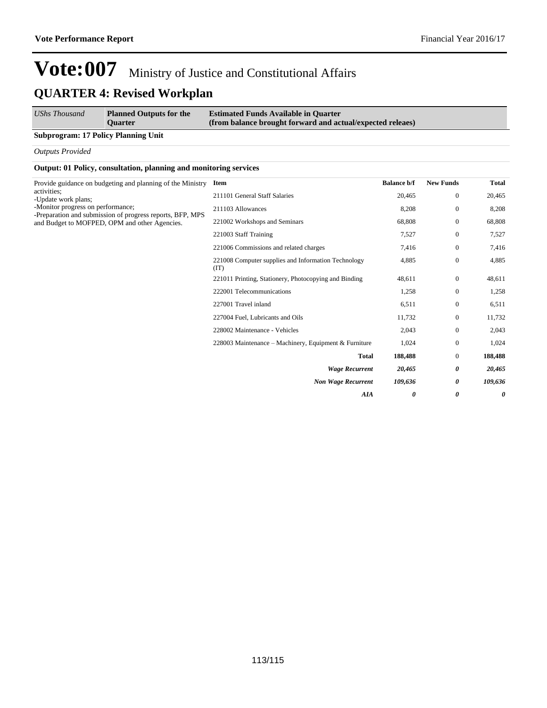| <b>UShs Thousand</b> | <b>Planned Outputs for the</b> | <b>Estimated Funds Available in Quarter</b>                |
|----------------------|--------------------------------|------------------------------------------------------------|
|                      | <b>Ouarter</b>                 | (from balance brought forward and actual/expected releaes) |

### **Subprogram: 17 Policy Planning Unit**

*Outputs Provided*

### **Output: 01 Policy, consultation, planning and monitoring services**

| <b>Item</b>                                                 | <b>Balance b/f</b>                                         | <b>New Funds</b> | <b>Total</b> |
|-------------------------------------------------------------|------------------------------------------------------------|------------------|--------------|
| 211101 General Staff Salaries                               | 20,465                                                     | $\overline{0}$   | 20,465       |
| 211103 Allowances                                           | 8,208                                                      | $\overline{0}$   | 8,208        |
| 221002 Workshops and Seminars                               | 68,808                                                     | $\overline{0}$   | 68,808       |
| 221003 Staff Training                                       | 7,527                                                      | $\overline{0}$   | 7,527        |
| 221006 Commissions and related charges                      | 7,416                                                      | $\mathbf{0}$     | 7,416        |
| 221008 Computer supplies and Information Technology<br>(TT) | 4,885                                                      | $\boldsymbol{0}$ | 4,885        |
| 221011 Printing, Stationery, Photocopying and Binding       | 48,611                                                     | $\mathbf{0}$     | 48,611       |
| 222001 Telecommunications                                   | 1,258                                                      | $\mathbf{0}$     | 1,258        |
| 227001 Travel inland                                        | 6,511                                                      | $\overline{0}$   | 6,511        |
| 227004 Fuel, Lubricants and Oils                            | 11,732                                                     | $\overline{0}$   | 11,732       |
| 228002 Maintenance - Vehicles                               | 2,043                                                      | $\overline{0}$   | 2,043        |
| 228003 Maintenance – Machinery, Equipment & Furniture       | 1,024                                                      | $\mathbf{0}$     | 1,024        |
| <b>Total</b>                                                | 188,488                                                    | $\mathbf{0}$     | 188,488      |
| <b>Wage Recurrent</b>                                       | 20,465                                                     | 0                | 20,465       |
| <b>Non Wage Recurrent</b>                                   | 109,636                                                    | 0                | 109,636      |
| AIA                                                         | 0                                                          | 0                | 0            |
|                                                             | Provide guidance on budgeting and planning of the Ministry |                  |              |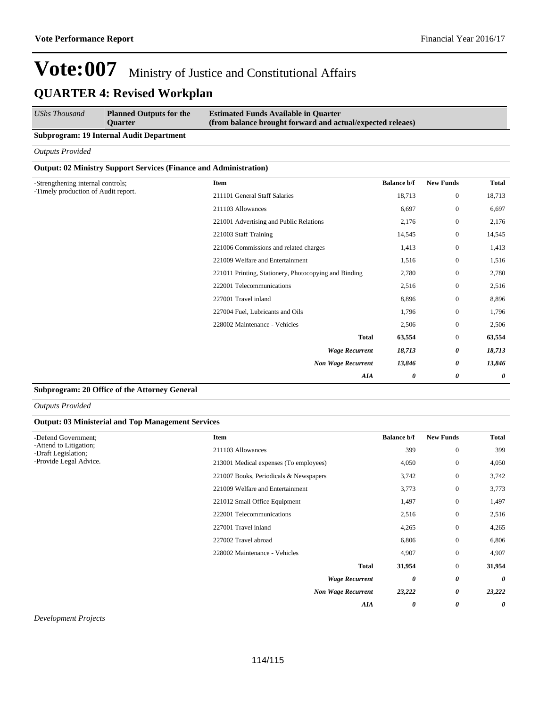| UShs Thousand                                   | <b>Planned Outputs for the</b><br><b>Ouarter</b> | <b>Estimated Funds Available in Quarter</b><br>(from balance brought forward and actual/expected releaes) |
|-------------------------------------------------|--------------------------------------------------|-----------------------------------------------------------------------------------------------------------|
| <b>Subprogram: 19 Internal Audit Department</b> |                                                  |                                                                                                           |

*Outputs Provided*

### **Output: 02 Ministry Support Services (Finance and Administration)**

| -Strengthening internal controls;   | <b>Item</b>                                           | <b>Balance b/f</b> | <b>New Funds</b> | <b>Total</b> |
|-------------------------------------|-------------------------------------------------------|--------------------|------------------|--------------|
| -Timely production of Audit report. | 211101 General Staff Salaries                         | 18,713             | $\mathbf{0}$     | 18,713       |
|                                     | 211103 Allowances                                     | 6,697              | $\mathbf{0}$     | 6,697        |
|                                     | 221001 Advertising and Public Relations               | 2,176              | $\overline{0}$   | 2,176        |
|                                     | 221003 Staff Training                                 | 14,545             | $\mathbf{0}$     | 14,545       |
|                                     | 221006 Commissions and related charges                | 1,413              | $\overline{0}$   | 1,413        |
|                                     | 221009 Welfare and Entertainment                      | 1,516              | $\overline{0}$   | 1,516        |
|                                     | 221011 Printing, Stationery, Photocopying and Binding | 2,780              | $\mathbf{0}$     | 2,780        |
|                                     | 222001 Telecommunications                             | 2,516              | $\mathbf{0}$     | 2,516        |
|                                     | 227001 Travel inland                                  | 8,896              | $\overline{0}$   | 8,896        |
|                                     | 227004 Fuel, Lubricants and Oils                      | 1,796              | $\mathbf{0}$     | 1,796        |
|                                     | 228002 Maintenance - Vehicles                         | 2,506              | $\mathbf{0}$     | 2,506        |
|                                     | <b>Total</b>                                          | 63,554             | $\mathbf{0}$     | 63,554       |
|                                     | <b>Wage Recurrent</b>                                 | 18,713             | 0                | 18,713       |
|                                     | <b>Non Wage Recurrent</b>                             | 13,846             | 0                | 13,846       |
|                                     | AIA                                                   | 0                  | 0                | 0            |

## **Subprogram: 20 Office of the Attorney General**

*Outputs Provided*

### **Output: 03 Ministerial and Top Management Services**

| -Defend Government;                           | Item                                   | <b>Balance b/f</b> | <b>New Funds</b>      | <b>Total</b> |
|-----------------------------------------------|----------------------------------------|--------------------|-----------------------|--------------|
| -Attend to Litigation;<br>-Draft Legislation; | 211103 Allowances                      | 399                | $\overline{0}$        | 399          |
| -Provide Legal Advice.                        | 213001 Medical expenses (To employees) | 4,050              | $\boldsymbol{0}$      | 4,050        |
|                                               | 221007 Books, Periodicals & Newspapers | 3,742              | $\mathbf{0}$          | 3,742        |
|                                               | 221009 Welfare and Entertainment       | 3,773              | $\mathbf{0}$          | 3,773        |
|                                               | 221012 Small Office Equipment          | 1,497              | $\mathbf{0}$          | 1,497        |
|                                               | 222001 Telecommunications              | 2,516              | $\mathbf{0}$          | 2,516        |
|                                               | 227001 Travel inland                   | 4,265              | $\overline{0}$        | 4,265        |
|                                               | 227002 Travel abroad                   | 6,806              | $\theta$              | 6,806        |
|                                               | 228002 Maintenance - Vehicles          | 4,907              | $\overline{0}$        | 4,907        |
|                                               | <b>Total</b>                           | 31,954             | $\theta$              | 31,954       |
|                                               | <b>Wage Recurrent</b>                  | 0                  | 0                     | 0            |
|                                               | <b>Non Wage Recurrent</b>              | 23,222             | 0                     | 23,222       |
|                                               | AIA                                    | 0                  | $\boldsymbol{\theta}$ | 0            |
|                                               |                                        |                    |                       |              |

*Development Projects*